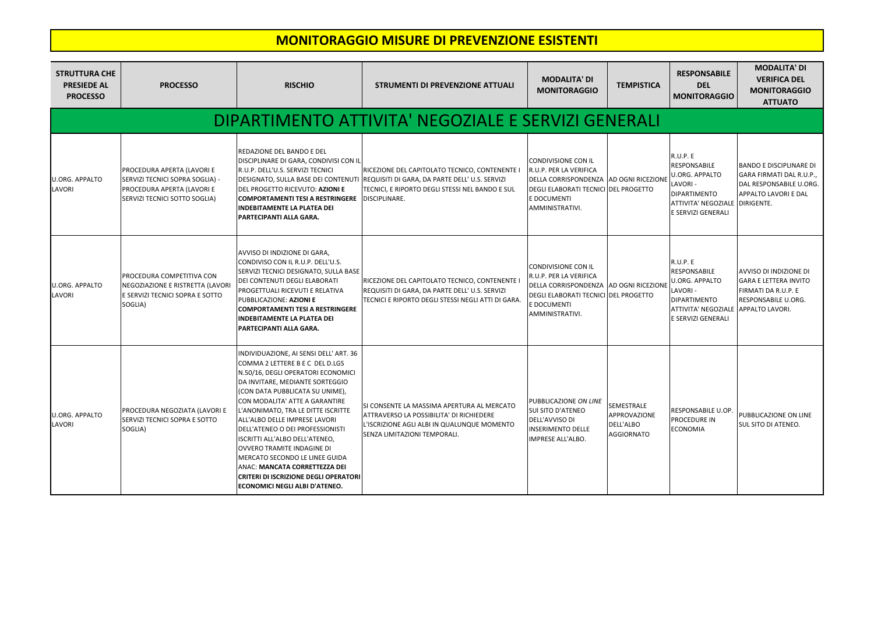| <b>STRUTTURA CHE</b><br><b>PRESIEDE AL</b><br><b>PROCESSO</b> | <b>PROCESSO</b>                                                                                                              | <b>RISCHIO</b>                                                                                                                                                                                                                                                                                                                                                                                                                                                                                                                                                        | <b>STRUMENTI DI PREVENZIONE ATTUALI</b>                                                                                                                                                                 | <b>MODALITA' DI</b><br><b>MONITORAGGIO</b>                                                                                                                                | <b>TEMPISTICA</b>                                     | <b>RESPONSABILE</b><br><b>DEL</b><br><b>MONITORAGGIO</b>                                                                                                 | <b>MODALITA' DI</b><br><b>VERIFICA DEL</b><br><b>MONITORAGGIO</b><br><b>ATTUATO</b>                                |  |  |  |
|---------------------------------------------------------------|------------------------------------------------------------------------------------------------------------------------------|-----------------------------------------------------------------------------------------------------------------------------------------------------------------------------------------------------------------------------------------------------------------------------------------------------------------------------------------------------------------------------------------------------------------------------------------------------------------------------------------------------------------------------------------------------------------------|---------------------------------------------------------------------------------------------------------------------------------------------------------------------------------------------------------|---------------------------------------------------------------------------------------------------------------------------------------------------------------------------|-------------------------------------------------------|----------------------------------------------------------------------------------------------------------------------------------------------------------|--------------------------------------------------------------------------------------------------------------------|--|--|--|
|                                                               |                                                                                                                              |                                                                                                                                                                                                                                                                                                                                                                                                                                                                                                                                                                       | DIPARTIMENTO ATTIVITA' NEGOZIALE E SERVIZI GENERALI                                                                                                                                                     |                                                                                                                                                                           |                                                       |                                                                                                                                                          |                                                                                                                    |  |  |  |
| <b>U.ORG. APPALTO</b><br><b>LAVORI</b>                        | PROCEDURA APERTA (LAVORI E<br>SERVIZI TECNICI SOPRA SOGLIA) -<br>PROCEDURA APERTA (LAVORI E<br>SERVIZI TECNICI SOTTO SOGLIA) | <b>REDAZIONE DEL BANDO E DEL</b><br>DISCIPLINARE DI GARA, CONDIVISI CON IL<br>R.U.P. DELL'U.S. SERVIZI TECNICI<br>DEL PROGETTO RICEVUTO: AZIONI E<br><b>COMPORTAMENTI TESI A RESTRINGERE</b><br><b>INDEBITAMENTE LA PLATEA DEI</b><br><b>PARTECIPANTI ALLA GARA.</b>                                                                                                                                                                                                                                                                                                  | RICEZIONE DEL CAPITOLATO TECNICO, CONTENENTE I<br>DESIGNATO, SULLA BASE DEI CONTENUTI REQUISITI DI GARA, DA PARTE DELL'U.S. SERVIZI<br>TECNICI, E RIPORTO DEGLI STESSI NEL BANDO E SUL<br>DISCIPLINARE. | <b>CONDIVISIONE CON IL</b><br>R.U.P. PER LA VERIFICA<br>DELLA CORRISPONDENZA AD OGNI RICEZIONE<br>DEGLI ELABORATI TECNICI DEL PROGETTO<br>E DOCUMENTI<br>AMMINISTRATIVI.  |                                                       | R.U.P. E<br><b>RESPONSABILE</b><br><b>U.ORG. APPALTO</b><br>LAVORI -<br><b>DIPARTIMENTO</b><br>ATTIVITA' NEGOZIALE DIRIGENTE.<br>E SERVIZI GENERALI      | <b>BANDO E DISCIPLINARE DI</b><br>GARA FIRMATI DAL R.U.P.,<br>DAL RESPONSABILE U.ORG.<br>APPALTO LAVORI E DAL      |  |  |  |
| <b>U.ORG. APPALTO</b><br>LAVORI                               | PROCEDURA COMPETITIVA CON<br>NEGOZIAZIONE E RISTRETTA (LAVORI<br>E SERVIZI TECNICI SOPRA E SOTTO<br>SOGLIA)                  | AVVISO DI INDIZIONE DI GARA,<br>CONDIVISO CON IL R.U.P. DELL'U.S.<br>SERVIZI TECNICI DESIGNATO, SULLA BASE<br><b>DEI CONTENUTI DEGLI ELABORATI</b><br><b>PROGETTUALI RICEVUTI E RELATIVA</b><br><b>PUBBLICAZIONE: AZIONI E</b><br>COMPORTAMENTI TESI A RESTRINGERE<br><b>INDEBITAMENTE LA PLATEA DEI</b><br><b>PARTECIPANTI ALLA GARA.</b>                                                                                                                                                                                                                            | RICEZIONE DEL CAPITOLATO TECNICO, CONTENENTE I<br>REQUISITI DI GARA, DA PARTE DELL'U.S. SERVIZI<br>TECNICI E RIPORTO DEGLI STESSI NEGLI ATTI DI GARA.                                                   | <b>CONDIVISIONE CON IL</b><br>IR.U.P. PER LA VERIFICA<br>DELLA CORRISPONDENZA AD OGNI RICEZIONE<br>DEGLI ELABORATI TECNICI DEL PROGETTO<br>E DOCUMENTI<br>AMMINISTRATIVI. |                                                       | R.U.P. E<br><b>RESPONSABILE</b><br><b>U.ORG. APPALTO</b><br>LAVORI -<br><b>DIPARTIMENTO</b><br>ATTIVITA' NEGOZIALE APPALTO LAVORI.<br>E SERVIZI GENERALI | <b>AVVISO DI INDIZIONE DI</b><br><b>GARA E LETTERA INVITO</b><br>FIRMATI DA R.U.P. E<br><b>RESPONSABILE U.ORG.</b> |  |  |  |
| <b>U.ORG. APPALTO</b><br>LAVORI                               | PROCEDURA NEGOZIATA (LAVORI E<br>SERVIZI TECNICI SOPRA E SOTTO<br>SOGLIA)                                                    | INDIVIDUAZIONE, AI SENSI DELL' ART. 36<br>COMMA 2 LETTERE B E C DEL D.LGS<br>N.50/16, DEGLI OPERATORI ECONOMICI<br>DA INVITARE, MEDIANTE SORTEGGIO<br>(CON DATA PUBBLICATA SU UNIME),<br>CON MODALITA' ATTE A GARANTIRE<br>L'ANONIMATO, TRA LE DITTE ISCRITTE<br>ALL'ALBO DELLE IMPRESE LAVORI<br>DELL'ATENEO O DEI PROFESSIONISTI<br>ISCRITTI ALL'ALBO DELL'ATENEO,<br><b>OVVERO TRAMITE INDAGINE DI</b><br>MERCATO SECONDO LE LINEE GUIDA<br>ANAC: MANCATA CORRETTEZZA DEI<br><b>CRITERI DI ISCRIZIONE DEGLI OPERATORI</b><br><b>ECONOMICI NEGLI ALBI D'ATENEO.</b> | ISI CONSENTE LA MASSIMA APERTURA AL MERCATO<br>ATTRAVERSO LA POSSIBILITA' DI RICHIEDERE<br>L'ISCRIZIONE AGLI ALBI IN QUALUNQUE MOMENTO<br>SENZA LIMITAZIONI TEMPORALI.                                  | PUBBLICAZIONE ON LINE<br><b>SUI SITO D'ATENEO</b><br>DELL'AVVISO DI<br><b>INSERIMENTO DELLE</b><br>IMPRESE ALL'ALBO.                                                      | SEMESTRALE<br>APPROVAZIONE<br>DELL'ALBO<br>AGGIORNATO | RESPONSABILE U.OP.<br><b>PROCEDURE IN</b><br><b>ECONOMIA</b>                                                                                             | PUBBLICAZIONE ON LINE<br><b>SUL SITO DI ATENEO.</b>                                                                |  |  |  |

## **MONITORAGGIO MISURE DI PREVENZIONE ESISTENTI**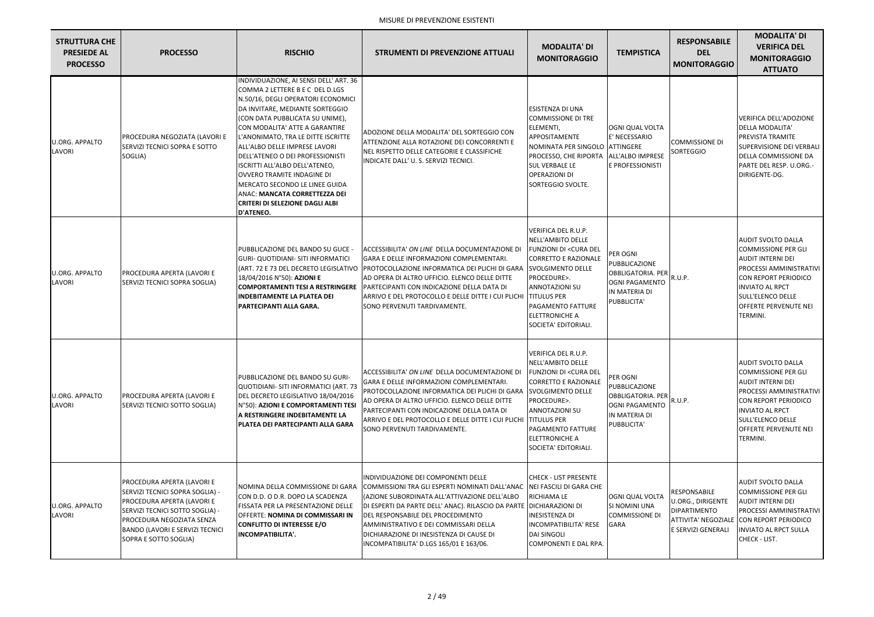| <b>STRUTTURA CHE</b><br><b>PRESIEDE AL</b><br><b>PROCESSO</b> | <b>PROCESSO</b>                                                                                                                                                                                                                | <b>RISCHIO</b>                                                                                                                                                                                                                                                                                                                                                                                                                                                                                                                      | <b>STRUMENTI DI PREVENZIONE ATTUALI</b>                                                                                                                                                                                                                                                                                                                                                                               | <b>MODALITA' DI</b><br><b>MONITORAGGIO</b>                                                                                                                                                                                                                    | <b>TEMPISTICA</b>                                                                                              | <b>RESPONSABILE</b><br><b>DEL</b><br><b>MONITORAGGIO</b>                              | <b>MODALITA' DI</b><br><b>VERIFICA DEL</b><br><b>MONITORAGGIO</b><br><b>ATTUATO</b>                                                                                                                                                      |
|---------------------------------------------------------------|--------------------------------------------------------------------------------------------------------------------------------------------------------------------------------------------------------------------------------|-------------------------------------------------------------------------------------------------------------------------------------------------------------------------------------------------------------------------------------------------------------------------------------------------------------------------------------------------------------------------------------------------------------------------------------------------------------------------------------------------------------------------------------|-----------------------------------------------------------------------------------------------------------------------------------------------------------------------------------------------------------------------------------------------------------------------------------------------------------------------------------------------------------------------------------------------------------------------|---------------------------------------------------------------------------------------------------------------------------------------------------------------------------------------------------------------------------------------------------------------|----------------------------------------------------------------------------------------------------------------|---------------------------------------------------------------------------------------|------------------------------------------------------------------------------------------------------------------------------------------------------------------------------------------------------------------------------------------|
| <b>U.ORG. APPALTO</b><br>LAVORI                               | PROCEDURA NEGOZIATA (LAVORI E<br>SERVIZI TECNICI SOPRA E SOTTO<br>SOGLIA)                                                                                                                                                      | INDIVIDUAZIONE, AI SENSI DELL' ART. 36<br>COMMA 2 LETTERE B E C DEL D.LGS<br>N.50/16, DEGLI OPERATORI ECONOMICI<br>DA INVITARE, MEDIANTE SORTEGGIO<br>(CON DATA PUBBLICATA SU UNIME),<br>CON MODALITA' ATTE A GARANTIRE<br>L'ANONIMATO, TRA LE DITTE ISCRITTE<br>ALL'ALBO DELLE IMPRESE LAVORI<br>DELL'ATENEO O DEI PROFESSIONISTI<br>ISCRITTI ALL'ALBO DELL'ATENEO,<br>OVVERO TRAMITE INDAGINE DI<br>MERCATO SECONDO LE LINEE GUIDA<br>ANAC: MANCATA CORRETTEZZA DEI<br><b>CRITERI DI SELEZIONE DAGLI ALBI</b><br><b>D'ATENEO.</b> | ADOZIONE DELLA MODALITA' DEL SORTEGGIO CON<br>ATTENZIONE ALLA ROTAZIONE DEI CONCORRENTI E<br>NEL RISPETTO DELLE CATEGORIE E CLASSIFICHE<br>INDICATE DALL'U. S. SERVIZI TECNICI.                                                                                                                                                                                                                                       | ESISTENZA DI UNA<br><b>COMMISSIONE DI TRE</b><br>ELEMENTI,<br>APPOSITAMENTE<br>NOMINATA PER SINGOLO ATTINGERE<br>PROCESSO, CHE RIPORTA<br><b>SUL VERBALE LE</b><br><b>OPERAZIONI DI</b><br>SORTEGGIO SVOLTE.                                                  | <b>OGNI QUAL VOLTA</b><br>E' NECESSARIO<br>ALL'ALBO IMPRESE<br>E PROFESSIONISTI                                | <b>COMMISSIONE DI</b><br>SORTEGGIO                                                    | VERIFICA DELL'ADOZIONE<br><b>DELLA MODALITA'</b><br>PREVISTA TRAMITE<br>SUPERVISIONE DEI VERBALI<br>DELLA COMMISSIONE DA<br>PARTE DEL RESP. U.ORG.-<br>DIRIGENTE-DG.                                                                     |
| <b>U.ORG. APPALTO</b><br>LAVORI                               | PROCEDURA APERTA (LAVORI E<br>SERVIZI TECNICI SOPRA SOGLIA)                                                                                                                                                                    | PUBBLICAZIONE DEL BANDO SU GUCE -<br><b>GURI- QUOTIDIANI- SITI INFORMATICI</b><br>18/04/2016 N°50): AZIONI E<br><b>INDEBITAMENTE LA PLATEA DEI</b><br>PARTECIPANTI ALLA GARA.                                                                                                                                                                                                                                                                                                                                                       | ACCESSIBILITA' ON LINE DELLA DOCUMENTAZIONE DI<br>GARA E DELLE INFORMAZIONI COMPLEMENTARI.<br>(ART. 72 E 73 DEL DECRETO LEGISLATIVO  PROTOCOLLAZIONE INFORMATICA DEI PLICHI DI GARA<br>AD OPERA DI ALTRO UFFICIO. ELENCO DELLE DITTE<br>COMPORTAMENTI TESI A RESTRINGERE PARTECIPANTI CON INDICAZIONE DELLA DATA DI<br>ARRIVO E DEL PROTOCOLLO E DELLE DITTE I CUI PLICHI TITULUS PER<br>SONO PERVENUTI TARDIVAMENTE. | VERIFICA DEL R.U.P.<br>NELL'AMBITO DELLE<br>FUNZIONI DI <cura dei<br=""><b>CORRETTO E RAZIONALE</b><br/><b>SVOLGIMENTO DELLE</b><br/>PROCEDURE&gt;.<br/><b>ANNOTAZIONI SU</b><br/>PAGAMENTO FATTURE<br/><b>ELETTRONICHE A</b><br/>SOCIETA' EDITORIALI.</cura> | PER OGNI<br>PUBBLICAZIONE<br><b>OBBLIGATORIA. PER</b><br><b>OGNI PAGAMENTO</b><br>IN MATERIA DI<br>PUBBLICITA' | R.U.P.                                                                                | <b>AUDIT SVOLTO DALLA</b><br><b>COMMISSIONE PER GLI</b><br><b>AUDIT INTERNI DEI</b><br>PROCESSI AMMINISTRATIVI<br><b>CON REPORT PERIODICO</b><br><b>INVIATO AL RPCT</b><br>SULL'ELENCO DELLE<br><b>OFFERTE PERVENUTE NEI</b><br>TERMINI. |
| <b>U.ORG. APPALTO</b><br>LAVORI                               | PROCEDURA APERTA (LAVORI E<br>SERVIZI TECNICI SOTTO SOGLIA)                                                                                                                                                                    | PUBBLICAZIONE DEL BANDO SU GURI-<br>QUOTIDIANI- SITI INFORMATICI (ART. 73<br>DEL DECRETO LEGISLATIVO 18/04/2016<br>N°50): AZIONI E COMPORTAMENTI TESI<br>A RESTRINGERE INDEBITAMENTE LA<br>PLATEA DEI PARTECIPANTI ALLA GARA                                                                                                                                                                                                                                                                                                        | ACCESSIBILITA' ON LINE DELLA DOCUMENTAZIONE DI<br>GARA E DELLE INFORMAZIONI COMPLEMENTARI.<br>PROTOCOLLAZIONE INFORMATICA DEI PLICHI DI GARA SVOLGIMENTO DELLE<br>AD OPERA DI ALTRO UFFICIO. ELENCO DELLE DITTE<br>PARTECIPANTI CON INDICAZIONE DELLA DATA DI<br>ARRIVO E DEL PROTOCOLLO E DELLE DITTE I CUI PLICHI TITULUS PER<br>SONO PERVENUTI TARDIVAMENTE.                                                       | VERIFICA DEL R.U.P.<br>NELL'AMBITO DELLE<br>FUNZIONI DI <cura del<br=""><b>CORRETTO E RAZIONALE</b><br/>PROCEDURE&gt;.<br/>ANNOTAZIONI SU<br/>PAGAMENTO FATTURE<br/><b>ELETTRONICHE A</b><br/>SOCIETA' EDITORIALI.</cura>                                     | PER OGNI<br>PUBBLICAZIONE<br><b>OBBLIGATORIA. PER</b><br><b>OGNI PAGAMENTO</b><br>IN MATERIA DI<br>PUBBLICITA' | R.U.P.                                                                                | <b>AUDIT SVOLTO DALLA</b><br><b>COMMISSIONE PER GLI</b><br><b>AUDIT INTERNI DEI</b><br>PROCESSI AMMINISTRATIVI<br><b>CON REPORT PERIODICO</b><br><b>INVIATO AL RPCT</b><br>SULL'ELENCO DELLE<br><b>OFFERTE PERVENUTE NEI</b><br>TERMINI. |
| <b>U.ORG. APPALTO</b><br>LAVORI                               | PROCEDURA APERTA (LAVORI E<br>SERVIZI TECNICI SOPRA SOGLIA) -<br>PROCEDURA APERTA (LAVORI E<br>SERVIZI TECNICI SOTTO SOGLIA) -<br>PROCEDURA NEGOZIATA SENZA<br><b>BANDO (LAVORI E SERVIZI TECNICI</b><br>SOPRA E SOTTO SOGLIA) | NOMINA DELLA COMMISSIONE DI GARA<br>CON D.D. O D.R. DOPO LA SCADENZA<br>FISSATA PER LA PRESENTAZIONE DELLE<br>OFFERTE: NOMINA DI COMMISSARI IN<br><b>CONFLITTO DI INTERESSE E/O</b><br><b>INCOMPATIBILITA'.</b>                                                                                                                                                                                                                                                                                                                     | INDIVIDUAZIONE DEI COMPONENTI DELLE<br>COMMISSIONI TRA GLI ESPERTI NOMINATI DALL'ANAC NEI FASCILI DI GARA CHE<br>(AZIONE SUBORDINATA ALL'ATTIVAZIONE DELL'ALBO<br>DI ESPERTI DA PARTE DELL'ANAC). RILASCIO DA PARTE DICHIARAZIONI DI<br>DEL RESPONSABILE DEL PROCEDIMENTO<br>AMMINISTRATIVO E DEI COMMISSARI DELLA<br>DICHIARAZIONE DI INESISTENZA DI CAUSE DI<br>INCOMPATIBILITA' D.LGS 165/01 E 163/06.             | <b>CHECK - LIST PRESENTE</b><br>RICHIAMA LE<br><b>INESISTENZA DI</b><br>INCOMPATIBILITA' RESE<br><b>DAI SINGOLI</b><br>COMPONENTI E DAL RPA.                                                                                                                  | OGNI QUAL VOLTA<br>SI NOMINI UNA<br><b>COMMISSIONE DI</b><br><b>GARA</b>                                       | RESPONSABILE<br><b>U.ORG., DIRIGENTE</b><br><b>DIPARTIMENTO</b><br>E SERVIZI GENERALI | <b>AUDIT SVOLTO DALLA</b><br><b>COMMISSIONE PER GLI</b><br>AUDIT INTERNI DEI<br>PROCESSI AMMINISTRATIVI<br>ATTIVITA' NEGOZIALE CON REPORT PERIODICO<br><b>INVIATO AL RPCT SULLA</b><br>CHECK - LIST.                                     |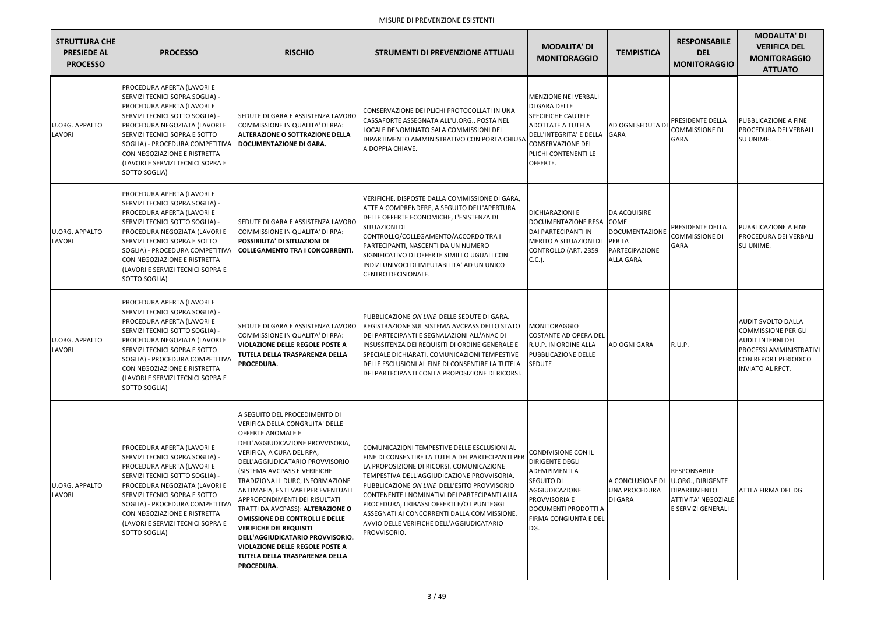| <b>STRUTTURA CHE</b><br><b>PRESIEDE AL</b><br><b>PROCESSO</b> | <b>PROCESSO</b>                                                                                                                                                                                                                                                                                                                  | <b>RISCHIO</b>                                                                                                                                                                                                                                                                                                                                                                                                                                                                                                                                                                                                  | <b>STRUMENTI DI PREVENZIONE ATTUALI</b>                                                                                                                                                                                                                                                                                                                                                                                                                   | <b>MODALITA' DI</b><br><b>MONITORAGGIO</b>                                                                                                                                                | <b>TEMPISTICA</b>                                                                     | <b>RESPONSABILE</b><br><b>DEL</b><br><b>MONITORAGGIO</b>                                       | <b>MODALITA' DI</b><br><b>VERIFICA DEL</b><br><b>MONITORAGGIO</b><br><b>ATTUATO</b>                                                                               |
|---------------------------------------------------------------|----------------------------------------------------------------------------------------------------------------------------------------------------------------------------------------------------------------------------------------------------------------------------------------------------------------------------------|-----------------------------------------------------------------------------------------------------------------------------------------------------------------------------------------------------------------------------------------------------------------------------------------------------------------------------------------------------------------------------------------------------------------------------------------------------------------------------------------------------------------------------------------------------------------------------------------------------------------|-----------------------------------------------------------------------------------------------------------------------------------------------------------------------------------------------------------------------------------------------------------------------------------------------------------------------------------------------------------------------------------------------------------------------------------------------------------|-------------------------------------------------------------------------------------------------------------------------------------------------------------------------------------------|---------------------------------------------------------------------------------------|------------------------------------------------------------------------------------------------|-------------------------------------------------------------------------------------------------------------------------------------------------------------------|
| <b>U.ORG. APPALTO</b><br>LAVORI                               | PROCEDURA APERTA (LAVORI E<br>SERVIZI TECNICI SOPRA SOGLIA) -<br>PROCEDURA APERTA (LAVORI E<br>SERVIZI TECNICI SOTTO SOGLIA) -<br>PROCEDURA NEGOZIATA (LAVORI E<br>SERVIZI TECNICI SOPRA E SOTTO<br>SOGLIA) - PROCEDURA COMPETITIVA<br>CON NEGOZIAZIONE E RISTRETTA<br>(LAVORI E SERVIZI TECNICI SOPRA E<br>SOTTO SOGLIA)        | SEDUTE DI GARA E ASSISTENZA LAVORO<br>COMMISSIONE IN QUALITA' DI RPA:<br><b>ALTERAZIONE O SOTTRAZIONE DELLA</b><br><b>DOCUMENTAZIONE DI GARA.</b>                                                                                                                                                                                                                                                                                                                                                                                                                                                               | CONSERVAZIONE DEI PLICHI PROTOCOLLATI IN UNA<br>CASSAFORTE ASSEGNATA ALL'U.ORG., POSTA NEL<br>LOCALE DENOMINATO SALA COMMISSIONI DEL<br>DIPARTIMENTO AMMINISTRATIVO CON PORTA CHIUSA<br>A DOPPIA CHIAVE.                                                                                                                                                                                                                                                  | MENZIONE NEI VERBALI<br>DI GARA DELLE<br><b>SPECIFICHE CAUTELE</b><br><b>ADOTTATE A TUTELA</b><br>DELL'INTEGRITA' E DELLA<br><b>CONSERVAZIONE DEI</b><br>PLICHI CONTENENTI LE<br>OFFERTE. | AD OGNI SEDUTA DI<br><b>GARA</b>                                                      | PRESIDENTE DELLA<br><b>COMMISSIONE DI</b><br><b>GARA</b>                                       | PUBBLICAZIONE A FINE<br>PROCEDURA DEI VERBALI<br>SU UNIME.                                                                                                        |
| <b>U.ORG. APPALTO</b><br>LAVORI                               | PROCEDURA APERTA (LAVORI E<br>SERVIZI TECNICI SOPRA SOGLIA) -<br>PROCEDURA APERTA (LAVORI E<br>SERVIZI TECNICI SOTTO SOGLIA) -<br>PROCEDURA NEGOZIATA (LAVORI E<br>SERVIZI TECNICI SOPRA E SOTTO<br>CON NEGOZIAZIONE E RISTRETTA<br>(LAVORI E SERVIZI TECNICI SOPRA E<br>SOTTO SOGLIA)                                           | <b>SEDUTE DI GARA E ASSISTENZA LAVORO</b><br>COMMISSIONE IN QUALITA' DI RPA:<br><b>POSSIBILITA' DI SITUAZIONI DI</b><br>SOGLIA) - PROCEDURA COMPETITIVA COLLEGAMENTO TRA I CONCORRENTI                                                                                                                                                                                                                                                                                                                                                                                                                          | VERIFICHE, DISPOSTE DALLA COMMISSIONE DI GARA,<br><b>ATTE A COMPRENDERE, A SEGUITO DELL'APERTURA</b><br>DELLE OFFERTE ECONOMICHE, L'ESISTENZA DI<br><b>SITUAZIONI DI</b><br>CONTROLLO/COLLEGAMENTO/ACCORDO TRA I<br>PARTECIPANTI, NASCENTI DA UN NUMERO<br>SIGNIFICATIVO DI OFFERTE SIMILI O UGUALI CON<br>INDIZI UNIVOCI DI IMPUTABILITA' AD UN UNICO<br>CENTRO DECISIONALE.                                                                             | <b>DICHIARAZIONI E</b><br>DOCUMENTAZIONE RESA COME<br>DAI PARTECIPANTI IN<br>MERITO A SITUAZIONI DI<br>CONTROLLO (ART. 2359<br>$C.C.$ ).                                                  | DA ACQUISIRE<br>DOCUMENTAZIONE<br><b>PER LA</b><br>PARTECIPAZIONE<br><b>ALLA GARA</b> | PRESIDENTE DELLA<br><b>COMMISSIONE DI</b><br><b>GARA</b>                                       | PUBBLICAZIONE A FINE<br>PROCEDURA DEI VERBALI<br>SU UNIME.                                                                                                        |
| <b>U.ORG. APPALTO</b><br>LAVORI                               | PROCEDURA APERTA (LAVORI E<br>SERVIZI TECNICI SOPRA SOGLIA) -<br>PROCEDURA APERTA (LAVORI E<br>SERVIZI TECNICI SOTTO SOGLIA) -<br>PROCEDURA NEGOZIATA (LAVORI E<br><b>SERVIZI TECNICI SOPRA E SOTTO</b><br>SOGLIA) - PROCEDURA COMPETITIVA<br>CON NEGOZIAZIONE E RISTRETTA<br>(LAVORI E SERVIZI TECNICI SOPRA E<br>SOTTO SOGLIA) | <b>ISEDUTE DI GARA E ASSISTENZA LAVORO</b><br>COMMISSIONE IN QUALITA' DI RPA:<br><b>VIOLAZIONE DELLE REGOLE POSTE A</b><br><b>TUTELA DELLA TRASPARENZA DELLA</b><br><b>PROCEDURA.</b>                                                                                                                                                                                                                                                                                                                                                                                                                           | PUBBLICAZIONE ON LINE DELLE SEDUTE DI GARA.<br>REGISTRAZIONE SUL SISTEMA AVCPASS DELLO STATO<br><b>IDEI PARTECIPANTI E SEGNALAZIONI ALL'ANAC DI</b><br>INSUSSITENZA DEI REQUISITI DI ORDINE GENERALE E<br>SPECIALE DICHIARATI. COMUNICAZIONI TEMPESTIVE<br>DELLE ESCLUSIONI AL FINE DI CONSENTIRE LA TUTELA<br>DEI PARTECIPANTI CON LA PROPOSIZIONE DI RICORSI.                                                                                           | MONITORAGGIO<br><b>COSTANTE AD OPERA DEL</b><br>R.U.P. IN ORDINE ALLA<br>PUBBLICAZIONE DELLE<br><b>SEDUTE</b>                                                                             | <b>AD OGNI GARA</b>                                                                   | R.U.P.                                                                                         | <b>AUDIT SVOLTO DALLA</b><br><b>COMMISSIONE PER GLI</b><br><b>AUDIT INTERNI DEI</b><br>PROCESSI AMMINISTRATIVI<br>CON REPORT PERIODICO<br><b>INVIATO AL RPCT.</b> |
| <b>U.ORG. APPALTO</b><br>LAVORI                               | PROCEDURA APERTA (LAVORI E<br>SERVIZI TECNICI SOPRA SOGLIA) -<br>PROCEDURA APERTA (LAVORI E<br>SERVIZI TECNICI SOTTO SOGLIA) -<br>PROCEDURA NEGOZIATA (LAVORI E<br><b>SERVIZI TECNICI SOPRA E SOTTO</b><br>SOGLIA) - PROCEDURA COMPETITIVA<br>CON NEGOZIAZIONE E RISTRETTA<br>(LAVORI E SERVIZI TECNICI SOPRA E<br>SOTTO SOGLIA) | A SEGUITO DEL PROCEDIMENTO DI<br>VERIFICA DELLA CONGRUITA' DELLE<br><b>OFFERTE ANOMALE E</b><br>DELL'AGGIUDICAZIONE PROVVISORIA,<br>VERIFICA, A CURA DEL RPA,<br>DELL'AGGIUDICATARIO PROVVISORIO<br><b>(SISTEMA AVCPASS E VERIFICHE)</b><br>TRADIZIONALI DURC, INFORMAZIONE<br>ANTIMAFIA, ENTI VARI PER EVENTUALI<br>APPROFONDIMENTI DEI RISULTATI<br>TRATTI DA AVCPASS): ALTERAZIONE O<br><b>OMISSIONE DEI CONTROLLI E DELLE</b><br><b>VERIFICHE DEI REQUISITI</b><br>DELL'AGGIUDICATARIO PROVVISORIO.<br><b>VIOLAZIONE DELLE REGOLE POSTE A</b><br><b>TUTELA DELLA TRASPARENZA DELLA</b><br><b>PROCEDURA.</b> | COMUNICAZIONI TEMPESTIVE DELLE ESCLUSIONI AL<br>FINE DI CONSENTIRE LA TUTELA DEI PARTECIPANTI PER<br>LA PROPOSIZIONE DI RICORSI. COMUNICAZIONE<br>TEMPESTIVA DELL'AGGIUDICAZIONE PROVVISORIA.<br>PUBBLICAZIONE ON LINE DELL'ESITO PROVVISORIO<br>CONTENENTE I NOMINATIVI DEI PARTECIPANTI ALLA<br>PROCEDURA, I RIBASSI OFFERTI E/O I PUNTEGGI<br>ASSEGNATI AI CONCORRENTI DALLA COMMISSIONE.<br>AVVIO DELLE VERIFICHE DELL'AGGIUDICATARIO<br>PROVVISORIO. | CONDIVISIONE CON IL<br>DIRIGENTE DEGLI<br>ADEMPIMENTI A<br>SEGUITO DI<br>AGGIUDICAZIONE<br>PROVVISORIA E<br>DOCUMENTI PRODOTTI A<br>FIRMA CONGIUNTA E DEL<br>DG.                          | A CONCLUSIONE DI U.ORG., DIRIGENTE<br><b>UNA PROCEDURA</b><br>DI GARA                 | <b>RESPONSABILE</b><br><b>DIPARTIMENTO</b><br><b>ATTIVITA' NEGOZIALE</b><br>E SERVIZI GENERALI | ATTI A FIRMA DEL DG.                                                                                                                                              |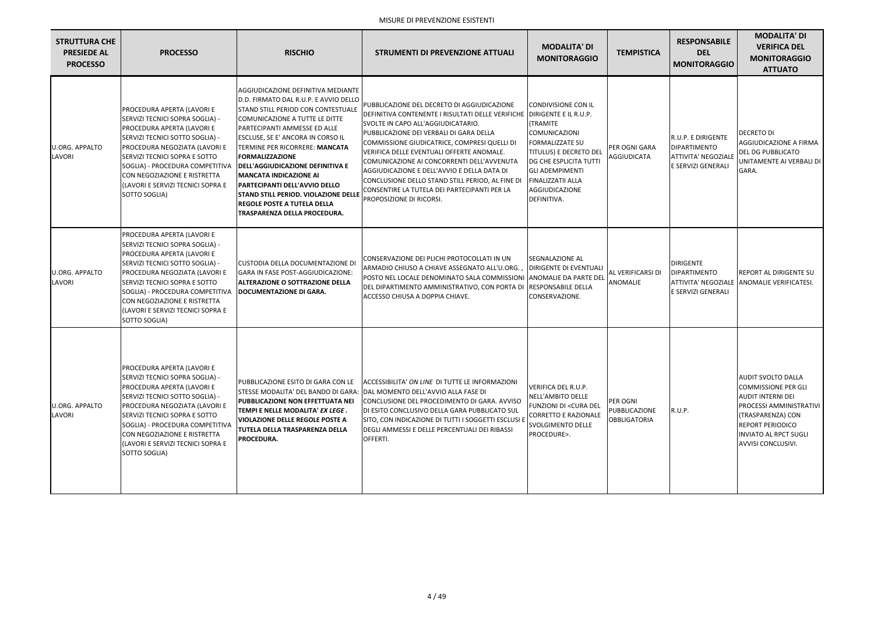| <b>STRUTTURA CHE</b><br><b>PRESIEDE AL</b><br><b>PROCESSO</b> | <b>PROCESSO</b>                                                                                                                                                                                                                                                                                                                                              | <b>RISCHIO</b>                                                                                                                                                                                                                                                                                                                                                                                                                                                                            | <b>STRUMENTI DI PREVENZIONE ATTUALI</b>                                                                                                                                                                                                                                                                                                                                                                                                                                                                                           | <b>MODALITA' DI</b><br><b>MONITORAGGIO</b>                                                                                                                                                                     | <b>TEMPISTICA</b>                                | <b>RESPONSABILE</b><br><b>DEL</b><br><b>MONITORAGGIO</b>                                      | <b>MODALITA' DI</b><br><b>VERIFICA DEL</b><br><b>MONITORAGGIO</b><br><b>ATTUATO</b>                                                                                                                                         |
|---------------------------------------------------------------|--------------------------------------------------------------------------------------------------------------------------------------------------------------------------------------------------------------------------------------------------------------------------------------------------------------------------------------------------------------|-------------------------------------------------------------------------------------------------------------------------------------------------------------------------------------------------------------------------------------------------------------------------------------------------------------------------------------------------------------------------------------------------------------------------------------------------------------------------------------------|-----------------------------------------------------------------------------------------------------------------------------------------------------------------------------------------------------------------------------------------------------------------------------------------------------------------------------------------------------------------------------------------------------------------------------------------------------------------------------------------------------------------------------------|----------------------------------------------------------------------------------------------------------------------------------------------------------------------------------------------------------------|--------------------------------------------------|-----------------------------------------------------------------------------------------------|-----------------------------------------------------------------------------------------------------------------------------------------------------------------------------------------------------------------------------|
| <b>U.ORG. APPALTO</b><br>LAVORI                               | PROCEDURA APERTA (LAVORI E<br>SERVIZI TECNICI SOPRA SOGLIA) -<br>PROCEDURA APERTA (LAVORI E<br>SERVIZI TECNICI SOTTO SOGLIA) -<br>PROCEDURA NEGOZIATA (LAVORI E<br>SERVIZI TECNICI SOPRA E SOTTO<br>SOGLIA) - PROCEDURA COMPETITIVA   DELL'AGGIUDICAZIONE DEFINITIVA E<br>CON NEGOZIAZIONE E RISTRETTA<br>(LAVORI E SERVIZI TECNICI SOPRA E<br>SOTTO SOGLIA) | AGGIUDICAZIONE DEFINITIVA MEDIANTE<br>D.D. FIRMATO DAL R.U.P. E AVVIO DELLO<br>STAND STILL PERIOD CON CONTESTUALE<br>COMUNICAZIONE A TUTTE LE DITTE<br>PARTECIPANTI AMMESSE ED ALLE<br><b>ESCLUSE, SE E' ANCORA IN CORSO IL</b><br>TERMINE PER RICORRERE: MANCATA<br><b>FORMALIZZAZIONE</b><br><b>MANCATA INDICAZIONE AI</b><br><b>PARTECIPANTI DELL'AVVIO DELLO</b><br><b>STAND STILL PERIOD. VIOLAZIONE DELLE</b><br><b>REGOLE POSTE A TUTELA DELLA</b><br>TRASPARENZA DELLA PROCEDURA. | PUBBLICAZIONE DEL DECRETO DI AGGIUDICAZIONE<br>DEFINITIVA CONTENENTE I RISULTATI DELLE VERIFICHE DIRIGENTE E IL R.U.P.<br>SVOLTE IN CAPO ALL'AGGIUDICATARIO.<br>PUBBLICAZIONE DEI VERBALI DI GARA DELLA<br>COMMISSIONE GIUDICATRICE, COMPRESI QUELLI DI<br>VERIFICA DELLE EVENTUALI OFFERTE ANOMALE.<br>COMUNICAZIONE AI CONCORRENTI DELL'AVVENUTA<br>AGGIUDICAZIONE E DELL'AVVIO E DELLA DATA DI<br>CONCLUSIONE DELLO STAND STILL PERIOD, AL FINE DI<br>CONSENTIRE LA TUTELA DEI PARTECIPANTI PER LA<br>PROPOSIZIONE DI RICORSI. | CONDIVISIONE CON IL<br>(TRAMITE<br>COMUNICAZIONI<br><b>FORMALIZZATE SU</b><br>TITULUS) E DECRETO DEL<br>DG CHE ESPLICITA TUTTI<br><b>GLI ADEMPIMENTI</b><br>FINALIZZATII ALLA<br>AGGIUDICAZIONE<br>DEFINITIVA. | PER OGNI GARA<br>AGGIUDICATA                     | R.U.P. E DIRIGENTE<br><b>DIPARTIMENTO</b><br><b>ATTIVITA' NEGOZIALE</b><br>E SERVIZI GENERALI | <b>DECRETO DI</b><br>AGGIUDICAZIONE A FIRMA<br><b>DEL DG PUBBLICATO</b><br>UNITAMENTE AI VERBALI DI<br>GARA.                                                                                                                |
| <b>U.ORG. APPALTO</b><br>LAVORI                               | PROCEDURA APERTA (LAVORI E<br>SERVIZI TECNICI SOPRA SOGLIA) -<br>PROCEDURA APERTA (LAVORI E<br>SERVIZI TECNICI SOTTO SOGLIA) -<br>PROCEDURA NEGOZIATA (LAVORI E<br>SERVIZI TECNICI SOPRA E SOTTO<br>SOGLIA) - PROCEDURA COMPETITIVA   DOCUMENTAZIONE DI GARA.<br>CON NEGOZIAZIONE E RISTRETTA<br>(LAVORI E SERVIZI TECNICI SOPRA E<br>SOTTO SOGLIA)          | CUSTODIA DELLA DOCUMENTAZIONE DI<br>GARA IN FASE POST-AGGIUDICAZIONE:<br><b>ALTERAZIONE O SOTTRAZIONE DELLA</b>                                                                                                                                                                                                                                                                                                                                                                           | CONSERVAZIONE DEI PLICHI PROTOCOLLATI IN UN<br>ARMADIO CHIUSO A CHIAVE ASSEGNATO ALL'U.ORG.,<br>POSTO NEL LOCALE DENOMINATO SALA COMMISSIONI<br>DEL DIPARTIMENTO AMMINISTRATIVO, CON PORTA DI<br>ACCESSO CHIUSA A DOPPIA CHIAVE.                                                                                                                                                                                                                                                                                                  | <b>SEGNALAZIONE AL</b><br>DIRIGENTE DI EVENTUALI<br>ANOMALIE DA PARTE DEL<br><b>RESPONSABILE DELLA</b><br>CONSERVAZIONE.                                                                                       | <b>AL VERIFICARSI DI</b><br>ANOMALIE             | <b>DIRIGENTE</b><br><b>DIPARTIMENTO</b><br>E SERVIZI GENERALI                                 | <b>REPORT AL DIRIGENTE SU</b><br>ATTIVITA' NEGOZIALE ANOMALIE VERIFICATESI.                                                                                                                                                 |
| <b>U.ORG. APPALTO</b><br>LAVORI                               | PROCEDURA APERTA (LAVORI E<br>SERVIZI TECNICI SOPRA SOGLIA) -<br>PROCEDURA APERTA (LAVORI E<br>SERVIZI TECNICI SOTTO SOGLIA) -<br>PROCEDURA NEGOZIATA (LAVORI E<br>SERVIZI TECNICI SOPRA E SOTTO<br>SOGLIA) - PROCEDURA COMPETITIVA<br>CON NEGOZIAZIONE E RISTRETTA<br>(LAVORI E SERVIZI TECNICI SOPRA E<br>SOTTO SOGLIA)                                    | PUBBLICAZIONE ESITO DI GARA CON LE<br><b>PUBBLICAZIONE NON EFFETTUATA NEI</b><br>TEMPI E NELLE MODALITA' EX LEGE.<br><b>VIOLAZIONE DELLE REGOLE POSTE A</b><br><b>TUTELA DELLA TRASPARENZA DELLA</b><br><b>PROCEDURA.</b>                                                                                                                                                                                                                                                                 | ACCESSIBILITA' ON LINE DI TUTTE LE INFORMAZIONI<br>STESSE MODALITA' DEL BANDO DI GARA: DAL MOMENTO DELL'AVVIO ALLA FASE DI<br>CONCLUSIONE DEL PROCEDIMENTO DI GARA, AVVISO<br>DI ESITO CONCLUSIVO DELLA GARA PUBBLICATO SUL<br>SITO, CON INDICAZIONE DI TUTTI I SOGGETTI ESCLUSI E<br>DEGLI AMMESSI E DELLE PERCENTUALI DEI RIBASSI<br>OFFERTI.                                                                                                                                                                                   | VERIFICA DEL R.U.P.<br>NELL'AMBITO DELLE<br>FUNZIONI DI <cura del<br=""><b>CORRETTO E RAZIONALE</b><br/>SVOLGIMENTO DELLE<br/>PROCEDURE&gt;.</cura>                                                            | PER OGNI<br>PUBBLICAZIONE<br><b>OBBLIGATORIA</b> | R.U.P.                                                                                        | <b>AUDIT SVOLTO DALLA</b><br><b>COMMISSIONE PER GLI</b><br><b>AUDIT INTERNI DEI</b><br><b>PROCESSI AMMINISTRATIVI</b><br>(TRASPARENZA) CON<br><b>REPORT PERIODICO</b><br><b>INVIATO AL RPCT SUGLI</b><br>AVVISI CONCLUSIVI. |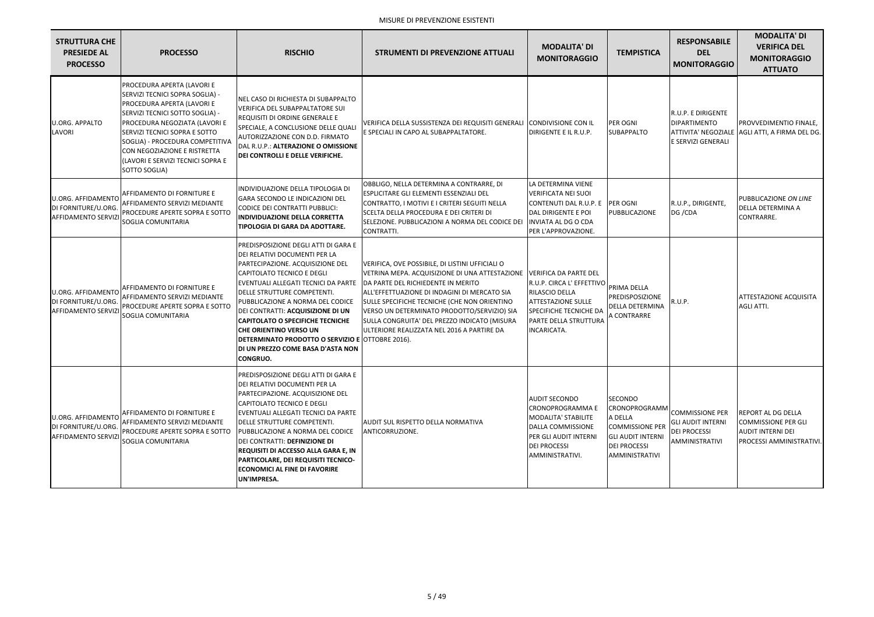| <b>STRUTTURA CHE</b><br><b>PRESIEDE AL</b><br><b>PROCESSO</b>                 | <b>PROCESSO</b>                                                                                                                                                                                                                                                                                                           | <b>RISCHIO</b>                                                                                                                                                                                                                                                                                                                                                                                                                                                          | <b>STRUMENTI DI PREVENZIONE ATTUALI</b>                                                                                                                                                                                                                                                                                                                                              | <b>MODALITA' DI</b><br><b>MONITORAGGIO</b>                                                                                                                                 | <b>TEMPISTICA</b>                                                                                                                  | <b>RESPONSABILE</b><br><b>DEL</b><br><b>MONITORAGGIO</b>                                           | <b>MODALITA' DI</b><br><b>VERIFICA DEL</b><br><b>MONITORAGGIO</b><br><b>ATTUATO</b>                      |
|-------------------------------------------------------------------------------|---------------------------------------------------------------------------------------------------------------------------------------------------------------------------------------------------------------------------------------------------------------------------------------------------------------------------|-------------------------------------------------------------------------------------------------------------------------------------------------------------------------------------------------------------------------------------------------------------------------------------------------------------------------------------------------------------------------------------------------------------------------------------------------------------------------|--------------------------------------------------------------------------------------------------------------------------------------------------------------------------------------------------------------------------------------------------------------------------------------------------------------------------------------------------------------------------------------|----------------------------------------------------------------------------------------------------------------------------------------------------------------------------|------------------------------------------------------------------------------------------------------------------------------------|----------------------------------------------------------------------------------------------------|----------------------------------------------------------------------------------------------------------|
| <b>U.ORG. APPALTO</b><br>LAVORI                                               | PROCEDURA APERTA (LAVORI E<br>SERVIZI TECNICI SOPRA SOGLIA) -<br>PROCEDURA APERTA (LAVORI E<br>SERVIZI TECNICI SOTTO SOGLIA) -<br>PROCEDURA NEGOZIATA (LAVORI E<br>SERVIZI TECNICI SOPRA E SOTTO<br>SOGLIA) - PROCEDURA COMPETITIVA<br>CON NEGOZIAZIONE E RISTRETTA<br>(LAVORI E SERVIZI TECNICI SOPRA E<br>SOTTO SOGLIA) | NEL CASO DI RICHIESTA DI SUBAPPALTO<br><b>VERIFICA DEL SUBAPPALTATORE SUI</b><br>REQUISITI DI ORDINE GENERALE E<br>SPECIALE, A CONCLUSIONE DELLE QUALI<br>AUTORIZZAZIONE CON D.D. FIRMATO<br>DAL R.U.P.: ALTERAZIONE O OMISSIONE<br>DEI CONTROLLI E DELLE VERIFICHE.                                                                                                                                                                                                    | VERIFICA DELLA SUSSISTENZA DEI REQUISITI GENERALI<br>E SPECIALI IN CAPO AL SUBAPPALTATORE.                                                                                                                                                                                                                                                                                           | CONDIVISIONE CON IL<br>DIRIGENTE E IL R.U.P.                                                                                                                               | <b>PER OGNI</b><br><b>SUBAPPALTO</b>                                                                                               | R.U.P. E DIRIGENTE<br><b>DIPARTIMENTO</b><br>ATTIVITA' NEGOZIALE<br>E SERVIZI GENERALI             | PROVVEDIMENTIO FINALE,<br>AGLI ATTI, A FIRMA DEL DG.                                                     |
| <b>U.ORG. AFFIDAMENTO</b><br>DI FORNITURE/U.ORG.<br><b>AFFIDAMENTO SERVIZ</b> | <b>AFFIDAMENTO DI FORNITURE E</b><br>AFFIDAMENTO SERVIZI MEDIANTE<br>PROCEDURE APERTE SOPRA E SOTTO<br>SOGLIA COMUNITARIA                                                                                                                                                                                                 | INDIVIDUAZIONE DELLA TIPOLOGIA DI<br>GARA SECONDO LE INDICAZIONI DEL<br>CODICE DEI CONTRATTI PUBBLICI:<br>INDIVIDUAZIONE DELLA CORRETTA<br><b>TIPOLOGIA DI GARA DA ADOTTARE.</b>                                                                                                                                                                                                                                                                                        | OBBLIGO, NELLA DETERMINA A CONTRARRE, DI<br>ESPLICITARE GLI ELEMENTI ESSENZIALI DEL<br>CONTRATTO, I MOTIVI E I CRITERI SEGUITI NELLA<br>SCELTA DELLA PROCEDURA E DEI CRITERI DI<br>SELEZIONE. PUBBLICAZIONI A NORMA DEL CODICE DEI<br>CONTRATTI.                                                                                                                                     | LA DETERMINA VIENE<br><b>VERIFICATA NEI SUOI</b><br>CONTENUTI DAL R.U.P. E<br>DAL DIRIGENTE E POI<br><b>INVIATA AL DG O CDA</b><br>PER L'APPROVAZIONE.                     | <b>PER OGNI</b><br>PUBBLICAZIONE                                                                                                   | R.U.P., DIRIGENTE,<br>DG / CDA                                                                     | PUBBLICAZIONE ON LINE<br>DELLA DETERMINA A<br>CONTRARRE.                                                 |
| <b>U.ORG. AFFIDAMENTO</b><br>DI FORNITURE/U.ORG.<br><b>AFFIDAMENTO SERVIZ</b> | AFFIDAMENTO DI FORNITURE E<br>AFFIDAMENTO SERVIZI MEDIANTE<br>PROCEDURE APERTE SOPRA E SOTTO<br>SOGLIA COMUNITARIA                                                                                                                                                                                                        | PREDISPOSIZIONE DEGLI ATTI DI GARA E<br>DEI RELATIVI DOCUMENTI PER LA<br>PARTECIPAZIONE. ACQUISIZIONE DEL<br>CAPITOLATO TECNICO E DEGLI<br>EVENTUALI ALLEGATI TECNICI DA PARTE<br>DELLE STRUTTURE COMPETENTI.<br>PUBBLICAZIONE A NORMA DEL CODICE<br>DEI CONTRATTI: ACQUISIZIONE DI UN<br><b>CAPITOLATO O SPECIFICHE TECNICHE</b><br>CHE ORIENTINO VERSO UN<br>DETERMINATO PRODOTTO O SERVIZIO E OTTOBRE 2016).<br>DI UN PREZZO COME BASA D'ASTA NON<br><b>CONGRUO.</b> | VERIFICA, OVE POSSIBILE, DI LISTINI UFFICIALI O<br>VETRINA MEPA. ACQUISIZIONE DI UNA ATTESTAZIONE<br>DA PARTE DEL RICHIEDENTE IN MERITO<br>ALL'EFFETTUAZIONE DI INDAGINI DI MERCATO SIA<br>SULLE SPECIFICHE TECNICHE (CHE NON ORIENTINO<br>VERSO UN DETERMINATO PRODOTTO/SERVIZIO) SIA<br>SULLA CONGRUITA' DEL PREZZO INDICATO (MISURA<br>ULTERIORE REALIZZATA NEL 2016 A PARTIRE DA | VERIFICA DA PARTE DEL<br>R.U.P. CIRCA L' EFFETTIVO<br>RILASCIO DELLA<br><b>ATTESTAZIONE SULLE</b><br><b>SPECIFICHE TECNICHE DA</b><br>PARTE DELLA STRUTTURA<br>INCARICATA. | PRIMA DELLA<br>PREDISPOSIZIONE<br><b>DELLA DETERMINA</b><br>A CONTRARRE                                                            | R.U.P.                                                                                             | <b>ATTESTAZIONE ACQUISITA</b><br>AGLI ATTI.                                                              |
| <b>U.ORG. AFFIDAMENTO</b><br>DI FORNITURE/U.ORG.<br><b>AFFIDAMENTO SERVIZ</b> | AFFIDAMENTO DI FORNITURE E<br>AFFIDAMENTO SERVIZI MEDIANTE<br>PROCEDURE APERTE SOPRA E SOTTO<br>SOGLIA COMUNITARIA                                                                                                                                                                                                        | PREDISPOSIZIONE DEGLI ATTI DI GARA E<br>DEI RELATIVI DOCUMENTI PER LA<br>PARTECIPAZIONE. ACQUISIZIONE DEL<br><b>CAPITOLATO TECNICO E DEGLI</b><br>EVENTUALI ALLEGATI TECNICI DA PARTE<br>DELLE STRUTTURE COMPETENTI.<br>PUBBLICAZIONE A NORMA DEL CODICE<br>DEI CONTRATTI: DEFINIZIONE DI<br><b>REQUISITI DI ACCESSO ALLA GARA E, IN</b><br><b>PARTICOLARE, DEI REQUISITI TECNICO-</b><br><b>ECONOMICI AL FINE DI FAVORIRE</b><br>UN'IMPRESA.                           | AUDIT SUL RISPETTO DELLA NORMATIVA<br>ANTICORRUZIONE.                                                                                                                                                                                                                                                                                                                                | <b>AUDIT SECONDO</b><br><b>CRONOPROGRAMMA E</b><br>MODALITA' STABILITE<br>DALLA COMMISSIONE<br>PER GLI AUDIT INTERNI<br><b>DEI PROCESSI</b><br>AMMINISTRATIVI.             | SECONDO<br>CRONOPROGRAMM<br>A DELLA<br><b>COMMISSIONE PER</b><br><b>GLI AUDIT INTERNI</b><br><b>DEI PROCESSI</b><br>AMMINISTRATIVI | <b>COMMISSIONE PER</b><br><b>GLI AUDIT INTERNI</b><br><b>DEI PROCESSI</b><br><b>AMMINISTRATIVI</b> | <b>REPORT AL DG DELLA</b><br>COMMISSIONE PER GLI<br><b>AUDIT INTERNI DEI</b><br>PROCESSI AMMINISTRATIVI. |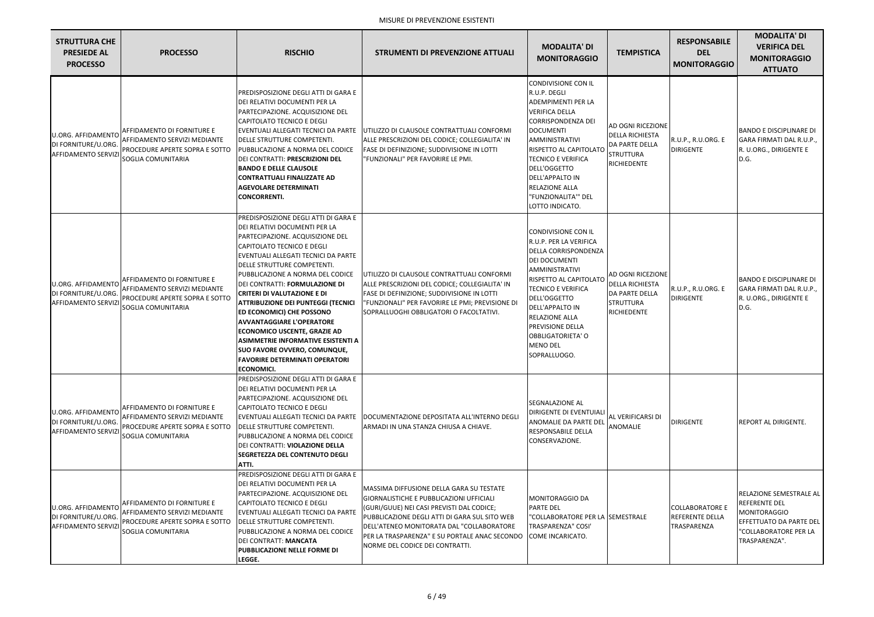| <b>STRUTTURA CHE</b><br><b>PRESIEDE AL</b><br><b>PROCESSO</b>                 | <b>PROCESSO</b>                                                                                                    | <b>RISCHIO</b>                                                                                                                                                                                                                                                                                                                                                                                                                                                                                                                                                                                                                          | <b>STRUMENTI DI PREVENZIONE ATTUALI</b>                                                                                                                                                                                                                                                                                           | <b>MODALITA' DI</b><br><b>MONITORAGGIO</b>                                                                                                                                                                                                                                                                                          | <b>TEMPISTICA</b>                                                                                       | <b>RESPONSABILE</b><br><b>DEL</b><br><b>MONITORAGGIO</b> | <b>MODALITA' DI</b><br><b>VERIFICA DEL</b><br><b>MONITORAGGIO</b><br><b>ATTUATO</b>                                                         |
|-------------------------------------------------------------------------------|--------------------------------------------------------------------------------------------------------------------|-----------------------------------------------------------------------------------------------------------------------------------------------------------------------------------------------------------------------------------------------------------------------------------------------------------------------------------------------------------------------------------------------------------------------------------------------------------------------------------------------------------------------------------------------------------------------------------------------------------------------------------------|-----------------------------------------------------------------------------------------------------------------------------------------------------------------------------------------------------------------------------------------------------------------------------------------------------------------------------------|-------------------------------------------------------------------------------------------------------------------------------------------------------------------------------------------------------------------------------------------------------------------------------------------------------------------------------------|---------------------------------------------------------------------------------------------------------|----------------------------------------------------------|---------------------------------------------------------------------------------------------------------------------------------------------|
| <b>U.ORG. AFFIDAMENTO</b><br>DI FORNITURE/U.ORG.<br><b>AFFIDAMENTO SERVIZ</b> | AFFIDAMENTO DI FORNITURE E<br>AFFIDAMENTO SERVIZI MEDIANTE<br>PROCEDURE APERTE SOPRA E SOTTO<br>SOGLIA COMUNITARIA | PREDISPOSIZIONE DEGLI ATTI DI GARA E<br>DEI RELATIVI DOCUMENTI PER LA<br>PARTECIPAZIONE. ACQUISIZIONE DEL<br>CAPITOLATO TECNICO E DEGLI<br>IEVENTUALI ALLEGATI TECNICI DA PARTE<br>DELLE STRUTTURE COMPETENTI.<br>PUBBLICAZIONE A NORMA DEL CODICE<br>DEI CONTRATTI: PRESCRIZIONI DEL<br><b>BANDO E DELLE CLAUSOLE</b><br><b>CONTRATTUALI FINALIZZATE AD</b><br><b>AGEVOLARE DETERMINATI</b><br><b>CONCORRENTI.</b>                                                                                                                                                                                                                     | UTILIZZO DI CLAUSOLE CONTRATTUALI CONFORMI<br>ALLE PRESCRIZIONI DEL CODICE; COLLEGIALITA' IN<br><b>FASE DI DEFINIZIONE; SUDDIVISIONE IN LOTTI</b><br>"FUNZIONALI" PER FAVORIRE LE PMI.                                                                                                                                            | CONDIVISIONE CON IL<br>R.U.P. DEGLI<br><b>ADEMPIMENTI PER LA</b><br><b>VERIFICA DELLA</b><br><b>CORRISPONDENZA DEI</b><br><b>DOCUMENTI</b><br>AMMINISTRATIVI<br>RISPETTO AL CAPITOLATO<br>TECNICO E VERIFICA<br>DELL'OGGETTO<br><b>DELL'APPALTO IN</b><br>RELAZIONE ALLA<br>"FUNZIONALITA"" DEL<br>LOTTO INDICATO.                  | <b>AD OGNI RICEZIONE</b><br><b>DELLA RICHIESTA</b><br>DA PARTE DELLA<br><b>STRUTTURA</b><br>RICHIEDENTE | R.U.P., R.U.ORG. E<br><b>DIRIGENTE</b>                   | <b>BANDO E DISCIPLINARE DI</b><br>GARA FIRMATI DAL R.U.P.,<br>R. U.ORG., DIRIGENTE E<br>D.G.                                                |
| <b>U.ORG. AFFIDAMENTO</b><br>DI FORNITURE/U.ORG.<br><b>AFFIDAMENTO SERVIZ</b> | AFFIDAMENTO DI FORNITURE E<br>AFFIDAMENTO SERVIZI MEDIANTE<br>PROCEDURE APERTE SOPRA E SOTTO<br>SOGLIA COMUNITARIA | PREDISPOSIZIONE DEGLI ATTI DI GARA E<br>DEI RELATIVI DOCUMENTI PER LA<br>PARTECIPAZIONE. ACQUISIZIONE DEL<br><b>CAPITOLATO TECNICO E DEGLI</b><br>EVENTUALI ALLEGATI TECNICI DA PARTE<br>DELLE STRUTTURE COMPETENTI.<br>PUBBLICAZIONE A NORMA DEL CODICE<br>DEI CONTRATTI: FORMULAZIONE DI<br><b>CRITERI DI VALUTAZIONE E DI</b><br><b>ATTRIBUZIONE DEI PUNTEGGI (TECNICI</b><br><b>ED ECONOMICI) CHE POSSONO</b><br><b>AVVANTAGGIARE L'OPERATORE</b><br><b>ECONOMICO USCENTE, GRAZIE AD</b><br>ASIMMETRIE INFORMATIVE ESISTENTI A<br><b>SUO FAVORE OVVERO, COMUNQUE,</b><br><b>FAVORIRE DETERMINATI OPERATORI</b><br><b>ECONOMICI.</b> | UTILIZZO DI CLAUSOLE CONTRATTUALI CONFORMI<br>ALLE PRESCRIZIONI DEL CODICE; COLLEGIALITA' IN<br><b>FASE DI DEFINIZIONE; SUDDIVISIONE IN LOTTI</b><br>"FUNZIONALI" PER FAVORIRE LE PMI; PREVISIONE DI<br>SOPRALLUOGHI OBBLIGATORI O FACOLTATIVI.                                                                                   | <b>CONDIVISIONE CON IL</b><br>R.U.P. PER LA VERIFICA<br>DELLA CORRISPONDENZA<br><b>DEI DOCUMENTI</b><br>AMMINISTRATIVI<br>RISPETTO AL CAPITOLATO<br>TECNICO E VERIFICA<br>DELL'OGGETTO<br><b>DELL'APPALTO IN</b><br><b>RELAZIONE ALLA</b><br><b>PREVISIONE DELLA</b><br><b>OBBLIGATORIETA' O</b><br><b>MENO DEL</b><br>SOPRALLUOGO. | AD OGNI RICEZIONE<br><b>DELLA RICHIESTA</b><br>DA PARTE DELLA<br><b>STRUTTURA</b><br>RICHIEDENTE        | R.U.P., R.U.ORG. E<br><b>DIRIGENTE</b>                   | <b>BANDO E DISCIPLINARE DI</b><br>GARA FIRMATI DAL R.U.P.,<br>R. U.ORG., DIRIGENTE E<br>D.G.                                                |
| <b>U.ORG. AFFIDAMENTO</b><br>DI FORNITURE/U.ORG.<br><b>AFFIDAMENTO SERVIZ</b> | AFFIDAMENTO DI FORNITURE E<br>AFFIDAMENTO SERVIZI MEDIANTE<br>PROCEDURE APERTE SOPRA E SOTTO<br>SOGLIA COMUNITARIA | PREDISPOSIZIONE DEGLI ATTI DI GARA E<br>DEI RELATIVI DOCUMENTI PER LA<br>PARTECIPAZIONE. ACQUISIZIONE DEL<br>CAPITOLATO TECNICO E DEGLI<br>DELLE STRUTTURE COMPETENTI.<br>PUBBLICAZIONE A NORMA DEL CODICE<br>DEI CONTRATTI: VIOLAZIONE DELLA<br><b>SEGRETEZZA DEL CONTENUTO DEGLI</b><br>ATTI.                                                                                                                                                                                                                                                                                                                                         | IEVENTUALI ALLEGATI TECNICI DA PARTE   IDOCUMENTAZIONE DEPOSITATA ALL'INTERNO DEGLI<br>ARMADI IN UNA STANZA CHIUSA A CHIAVE.                                                                                                                                                                                                      | <b>SEGNALAZIONE AL</b><br><b>DIRIGENTE DI EVENTUIALI</b><br>ANOMALIE DA PARTE DEL<br>RESPONSABILE DELLA<br>CONSERVAZIONE.                                                                                                                                                                                                           | <b>AL VERIFICARSI DI</b><br><b>ANOMALIE</b>                                                             | <b>DIRIGENTE</b>                                         | <b>IREPORT AL DIRIGENTE.</b>                                                                                                                |
| <b>U.ORG. AFFIDAMENTO</b><br>DI FORNITURE/U.ORG.<br><b>AFFIDAMENTO SERVIZ</b> | AFFIDAMENTO DI FORNITURE E<br>AFFIDAMENTO SERVIZI MEDIANTE<br>PROCEDURE APERTE SOPRA E SOTTO<br>SOGLIA COMUNITARIA | PREDISPOSIZIONE DEGLI ATTI DI GARA E<br>DEI RELATIVI DOCUMENTI PER LA<br>PARTECIPAZIONE. ACQUISIZIONE DEL<br>CAPITOLATO TECNICO E DEGLI<br>EVENTUALI ALLEGATI TECNICI DA PARTE<br><b>IDELLE STRUTTURE COMPETENTI.</b><br>PUBBLICAZIONE A NORMA DEL CODICE<br>DEI CONTRATT: MANCATA<br><b>PUBBLICAZIONE NELLE FORME DI</b><br>LEGGE.                                                                                                                                                                                                                                                                                                     | <b>MASSIMA DIFFUSIONE DELLA GARA SU TESTATE</b><br><b>GIORNALISTICHE E PUBBLICAZIONI UFFICIALI</b><br>(GURI/GUUE) NEI CASI PREVISTI DAL CODICE;<br>PUBBLICAZIONE DEGLI ATTI DI GARA SUL SITO WEB<br>DELL'ATENEO MONITORATA DAL "COLLABORATORE<br>PER LA TRASPARENZA" E SU PORTALE ANAC SECONDO<br>NORME DEL CODICE DEI CONTRATTI. | <b>MONITORAGGIO DA</b><br><b>PARTE DEL</b><br>"COLLABORATORE PER LA SEEMESTRALE<br><b>TRASPARENZA" COSI'</b><br>COME INCARICATO.                                                                                                                                                                                                    |                                                                                                         | <b>COLLABORATORE E</b><br>REFERENTE DELLA<br>TRASPARENZA | <b>RELAZIONE SEMESTRALE AL</b><br><b>REFERENTE DEL</b><br>MONITORAGGIO<br>EFFETTUATO DA PARTE DEL<br>"COLLABORATORE PER LA<br>TRASPARENZA". |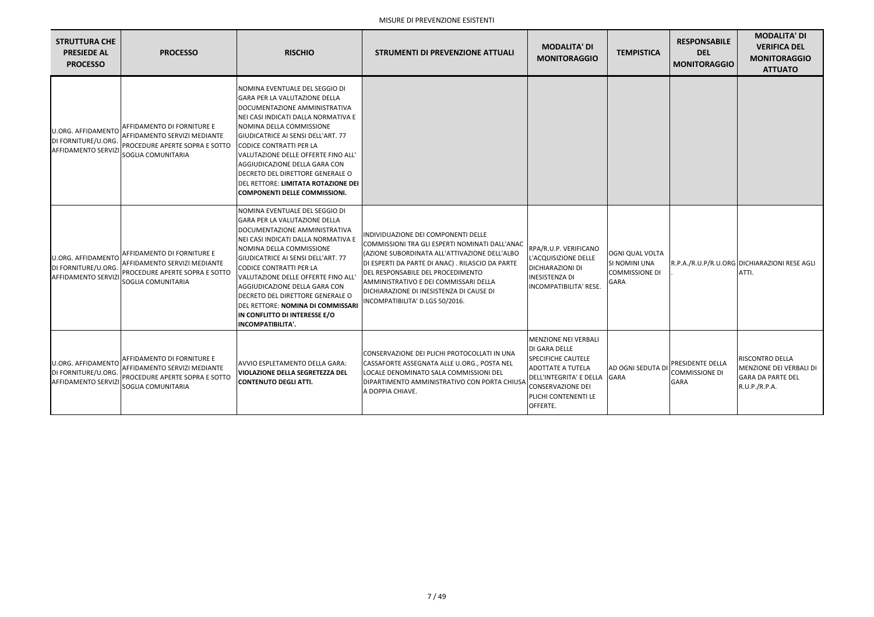| <b>STRUTTURA CHE</b><br><b>PRESIEDE AL</b><br><b>PROCESSO</b>                 | <b>PROCESSO</b>                                                                                                           | <b>RISCHIO</b>                                                                                                                                                                                                                                                                                                                                                                                                                                            | <b>STRUMENTI DI PREVENZIONE ATTUALI</b>                                                                                                                                                                                                                                                                                                                | <b>MODALITA' DI</b><br><b>MONITORAGGIO</b>                                                                                                                                                | <b>TEMPISTICA</b>                                                                      | <b>RESPONSABILE</b><br><b>DEL</b><br><b>MONITORAGGIO</b> | <b>MODALITA' DI</b><br><b>VERIFICA DEL</b><br><b>MONITORAGGIO</b><br><b>ATTUATO</b>     |
|-------------------------------------------------------------------------------|---------------------------------------------------------------------------------------------------------------------------|-----------------------------------------------------------------------------------------------------------------------------------------------------------------------------------------------------------------------------------------------------------------------------------------------------------------------------------------------------------------------------------------------------------------------------------------------------------|--------------------------------------------------------------------------------------------------------------------------------------------------------------------------------------------------------------------------------------------------------------------------------------------------------------------------------------------------------|-------------------------------------------------------------------------------------------------------------------------------------------------------------------------------------------|----------------------------------------------------------------------------------------|----------------------------------------------------------|-----------------------------------------------------------------------------------------|
| <b>U.ORG. AFFIDAMENTO</b><br>DI FORNITURE/U.ORG<br><b>AFFIDAMENTO SERVIZ</b>  | AFFIDAMENTO DI FORNITURE E<br>AFFIDAMENTO SERVIZI MEDIANTE<br>PROCEDURE APERTE SOPRA E SOTTO<br>SOGLIA COMUNITARIA        | NOMINA EVENTUALE DEL SEGGIO DI<br><b>GARA PER LA VALUTAZIONE DELLA</b><br>DOCUMENTAZIONE AMMINISTRATIVA<br>NEI CASI INDICATI DALLA NORMATIVA E<br>NOMINA DELLA COMMISSIONE<br><b>GIUDICATRICE AI SENSI DELL'ART. 77</b><br>CODICE CONTRATTI PER LA<br>VALUTAZIONE DELLE OFFERTE FINO ALL'<br>AGGIUDICAZIONE DELLA GARA CON<br>DECRETO DEL DIRETTORE GENERALE O<br><b>DEL RETTORE: LIMITATA ROTAZIONE DEI</b><br><b>COMPONENTI DELLE COMMISSIONI.</b>      |                                                                                                                                                                                                                                                                                                                                                        |                                                                                                                                                                                           |                                                                                        |                                                          |                                                                                         |
| <b>U.ORG. AFFIDAMENTO</b><br>DI FORNITURE/U.ORG<br><b>AFFIDAMENTO SERVIZI</b> | <b>AFFIDAMENTO DI FORNITURE E</b><br>AFFIDAMENTO SERVIZI MEDIANTE<br>PROCEDURE APERTE SOPRA E SOTTO<br>SOGLIA COMUNITARIA | NOMINA EVENTUALE DEL SEGGIO DI<br><b>GARA PER LA VALUTAZIONE DELLA</b><br>DOCUMENTAZIONE AMMINISTRATIVA<br>NEI CASI INDICATI DALLA NORMATIVA E<br>NOMINA DELLA COMMISSIONE<br>GIUDICATRICE AI SENSI DELL'ART. 77<br><b>CODICE CONTRATTI PER LA</b><br>VALUTAZIONE DELLE OFFERTE FINO ALL'<br>AGGIUDICAZIONE DELLA GARA CON<br>DECRETO DEL DIRETTORE GENERALE O<br>DEL RETTORE: NOMINA DI COMMISSARI<br>IN CONFLITTO DI INTERESSE E/O<br>INCOMPATIBILITA'. | INDIVIDUAZIONE DEI COMPONENTI DELLE<br>COMMISSIONI TRA GLI ESPERTI NOMINATI DALL'ANAC<br>(AZIONE SUBORDINATA ALL'ATTIVAZIONE DELL'ALBO<br>DI ESPERTI DA PARTE DI ANAC). RILASCIO DA PARTE<br>DEL RESPONSABILE DEL PROCEDIMENTO<br>AMMINISTRATIVO E DEI COMMISSARI DELLA<br>DICHIARAZIONE DI INESISTENZA DI CAUSE DI<br>INCOMPATIBILITA' D.LGS 50/2016. | RPA/R.U.P. VERIFICANO<br>L'ACQUISIZIONE DELLE<br>DICHIARAZIONI DI<br>NESISTENZA DI<br>NCOMPATIBILITA' RESE.                                                                               | <b>OGNI QUAL VOLTA</b><br><b>SI NOMINI UNA</b><br><b>COMMISSIONE DI</b><br><b>GARA</b> |                                                          | R.P.A./R.U.P/R.U.ORG DICHIARAZIONI RESE AGLI<br>ATTI.                                   |
| <b>U.ORG. AFFIDAMENTO</b><br>DI FORNITURE/U.ORG<br><b>AFFIDAMENTO SERVIZI</b> | AFFIDAMENTO DI FORNITURE E<br>AFFIDAMENTO SERVIZI MEDIANTE<br>PROCEDURE APERTE SOPRA E SOTTO<br>SOGLIA COMUNITARIA        | AVVIO ESPLETAMENTO DELLA GARA:<br><b>VIOLAZIONE DELLA SEGRETEZZA DEL</b><br><b>CONTENUTO DEGLI ATTI.</b>                                                                                                                                                                                                                                                                                                                                                  | CONSERVAZIONE DEI PLICHI PROTOCOLLATI IN UNA<br>CASSAFORTE ASSEGNATA ALLE U.ORG., POSTA NEL<br>LOCALE DENOMINATO SALA COMMISSIONI DEL<br>DIPARTIMENTO AMMINISTRATIVO CON PORTA CHIUSA<br>A DOPPIA CHIAVE.                                                                                                                                              | MENZIONE NEI VERBALI<br>DI GARA DELLE<br><b>SPECIFICHE CAUTELE</b><br><b>ADOTTATE A TUTELA</b><br>DELL'INTEGRITA' E DELLA<br><b>CONSERVAZIONE DEI</b><br>PLICHI CONTENENTI LE<br>OFFERTE. | AD OGNI SEDUTA DI<br>IGARA                                                             | PRESIDENTE DELLA<br><b>COMMISSIONE DI</b><br><b>GARA</b> | RISCONTRO DELLA<br>MENZIONE DEI VERBALI DI<br><b>GARA DA PARTE DEL</b><br>R.U.P./R.P.A. |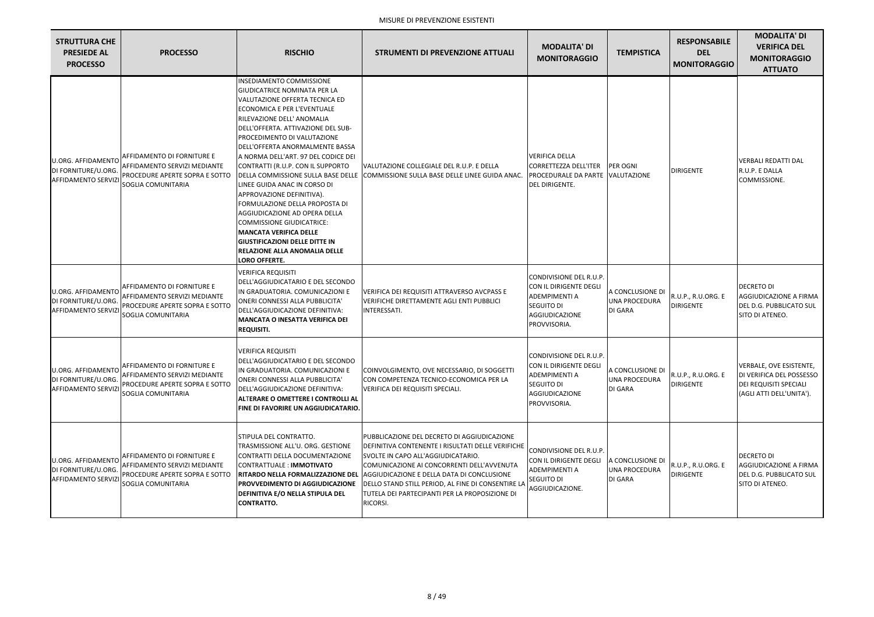| <b>STRUTTURA CHE</b><br><b>PRESIEDE AL</b><br><b>PROCESSO</b>                 | <b>PROCESSO</b>                                                                                                           | <b>RISCHIO</b>                                                                                                                                                                                                                                                                                                                                                                                                                                                                                                                                                                                                                                                                  | <b>STRUMENTI DI PREVENZIONE ATTUALI</b>                                                                                                                                                                                                                                                                                                                                                  | <b>MODALITA' DI</b><br><b>MONITORAGGIO</b>                                                                                       | <b>TEMPISTICA</b>                                   | <b>RESPONSABILE</b><br><b>DEL</b><br><b>MONITORAGGIO</b> | <b>MODALITA' DI</b><br><b>VERIFICA DEL</b><br><b>MONITORAGGIO</b><br><b>ATTUATO</b>                              |
|-------------------------------------------------------------------------------|---------------------------------------------------------------------------------------------------------------------------|---------------------------------------------------------------------------------------------------------------------------------------------------------------------------------------------------------------------------------------------------------------------------------------------------------------------------------------------------------------------------------------------------------------------------------------------------------------------------------------------------------------------------------------------------------------------------------------------------------------------------------------------------------------------------------|------------------------------------------------------------------------------------------------------------------------------------------------------------------------------------------------------------------------------------------------------------------------------------------------------------------------------------------------------------------------------------------|----------------------------------------------------------------------------------------------------------------------------------|-----------------------------------------------------|----------------------------------------------------------|------------------------------------------------------------------------------------------------------------------|
| <b>U.ORG. AFFIDAMENTO</b><br>DI FORNITURE/U.ORG<br><b>AFFIDAMENTO SERVIZ</b>  | AFFIDAMENTO DI FORNITURE E<br>AFFIDAMENTO SERVIZI MEDIANTE<br>PROCEDURE APERTE SOPRA E SOTTO<br>SOGLIA COMUNITARIA        | INSEDIAMENTO COMMISSIONE<br><b>GIUDICATRICE NOMINATA PER LA</b><br>VALUTAZIONE OFFERTA TECNICA ED<br><b>ECONOMICA E PER L'EVENTUALE</b><br>RILEVAZIONE DELL' ANOMALIA<br><b>IDELL'OFFERTA, ATTIVAZIONE DEL SUB-</b><br>PROCEDIMENTO DI VALUTAZIONE<br>DELL'OFFERTA ANORMALMENTE BASSA<br>A NORMA DELL'ART. 97 DEL CODICE DEI<br>CONTRATTI (R.U.P. CON IL SUPPORTO<br>LINEE GUIDA ANAC IN CORSO DI<br>APPROVAZIONE DEFINITIVA).<br>FORMULAZIONE DELLA PROPOSTA DI<br>AGGIUDICAZIONE AD OPERA DELLA<br><b>COMMISSIONE GIUDICATRICE:</b><br><b>MANCATA VERIFICA DELLE</b><br><b>GIUSTIFICAZIONI DELLE DITTE IN</b><br><b>RELAZIONE ALLA ANOMALIA DELLE</b><br><b>LORO OFFERTE.</b> | VALUTAZIONE COLLEGIALE DEL R.U.P. E DELLA<br>DELLA COMMISSIONE SULLA BASE DELLE COMMISSIONE SULLA BASE DELLE LINEE GUIDA ANAC.                                                                                                                                                                                                                                                           | <b>VERIFICA DELLA</b><br><b>CORRETTEZZA DELL'ITER</b><br>PROCEDURALE DA PARTE VALUTAZIONE<br>DEL DIRIGENTE.                      | <b>PER OGNI</b>                                     | <b>DIRIGENTE</b>                                         | <b>I</b> VERBALI REDATTI DAL<br>R.U.P. E DALLA<br>COMMISSIONE.                                                   |
| <b>U.ORG. AFFIDAMENTO</b><br>DI FORNITURE/U.ORG<br><b>AFFIDAMENTO SERVIZ</b>  | AFFIDAMENTO DI FORNITURE E<br>AFFIDAMENTO SERVIZI MEDIANTE<br>PROCEDURE APERTE SOPRA E SOTTO<br>SOGLIA COMUNITARIA        | <b>VERIFICA REQUISITI</b><br>DELL'AGGIUDICATARIO E DEL SECONDO<br>IN GRADUATORIA. COMUNICAZIONI E<br>ONERI CONNESSI ALLA PUBBLICITA'<br>DELL'AGGIUDICAZIONE DEFINITIVA:<br><b>IMANCATA O INESATTA VERIFICA DEI</b><br><b>REQUISITI.</b>                                                                                                                                                                                                                                                                                                                                                                                                                                         | VERIFICA DEI REQUISITI ATTRAVERSO AVCPASS E<br>VERIFICHE DIRETTAMENTE AGLI ENTI PUBBLICI<br><b>INTERESSATI.</b>                                                                                                                                                                                                                                                                          | CONDIVISIONE DEL R.U.P.<br>CON IL DIRIGENTE DEGLI<br><b>ADEMPIMENTI A</b><br>SEGUITO DI<br><b>AGGIUDICAZIONE</b><br>PROVVISORIA. | A CONCLUSIONE DI<br>UNA PROCEDURA<br><b>DI GARA</b> | R.U.P., R.U.ORG. E<br><b>DIRIGENTE</b>                   | <b>DECRETO DI</b><br><b>AGGIUDICAZIONE A FIRMA</b><br>DEL D.G. PUBBLICATO SUL<br>SITO DI ATENEO.                 |
| U.ORG. AFFIDAMENTO<br>DI FORNITURE/U.ORG<br><b>AFFIDAMENTO SERVIZ</b>         | AFFIDAMENTO DI FORNITURE E<br>AFFIDAMENTO SERVIZI MEDIANTE<br>PROCEDURE APERTE SOPRA E SOTTO<br>SOGLIA COMUNITARIA        | <b>VERIFICA REQUISITI</b><br>DELL'AGGIUDICATARIO E DEL SECONDO<br>IN GRADUATORIA. COMUNICAZIONI E<br>ONERI CONNESSI ALLA PUBBLICITA'<br>DELL'AGGIUDICAZIONE DEFINITIVA:<br>ALTERARE O OMETTERE I CONTROLLI AL<br>FINE DI FAVORIRE UN AGGIUDICATARIO.                                                                                                                                                                                                                                                                                                                                                                                                                            | COINVOLGIMENTO, OVE NECESSARIO, DI SOGGETTI<br>CON COMPETENZA TECNICO-ECONOMICA PER LA<br>VERIFICA DEI REQUISITI SPECIALI.                                                                                                                                                                                                                                                               | CONDIVISIONE DEL R.U.P.<br>CON IL DIRIGENTE DEGLI<br><b>ADEMPIMENTI A</b><br>SEGUITO DI<br>AGGIUDICAZIONE<br>PROVVISORIA.        | A CONCLUSIONE DI<br>UNA PROCEDURA<br>DI GARA        | R.U.P., R.U.ORG. E<br><b>DIRIGENTE</b>                   | VERBALE, OVE ESISTENTE,<br>DI VERIFICA DEL POSSESSO<br><b>DEI REQUISITI SPECIALI</b><br>(AGLI ATTI DELL'UNITA'). |
| <b>U.ORG. AFFIDAMENTO</b><br>DI FORNITURE/U.ORG.<br><b>AFFIDAMENTO SERVIZ</b> | AFFIDAMENTO DI FORNITURE E<br>AFFIDAMENTO SERVIZI MEDIANTE<br>PROCEDURE APERTE SOPRA E SOTTO<br><b>SOGLIA COMUNITARIA</b> | STIPULA DEL CONTRATTO.<br>TRASMISSIONE ALL'U. ORG. GESTIONE<br>CONTRATTI DELLA DOCUMENTAZIONE<br>CONTRATTUALE : IMMOTIVATO<br><b>PROVVEDIMENTO DI AGGIUDICAZIONE</b><br><b>DEFINITIVA E/O NELLA STIPULA DEL</b><br><b>CONTRATTO.</b>                                                                                                                                                                                                                                                                                                                                                                                                                                            | PUBBLICAZIONE DEL DECRETO DI AGGIUDICAZIONE<br>DEFINITIVA CONTENENTE I RISULTATI DELLE VERIFICHE<br>SVOLTE IN CAPO ALL'AGGIUDICATARIO.<br>COMUNICAZIONE AI CONCORRENTI DELL'AVVENUTA<br>RITARDO NELLA FORMALIZZAZIONE DEL AGGIUDICAZIONE E DELLA DATA DI CONCLUSIONE<br>DELLO STAND STILL PERIOD, AL FINE DI CONSENTIRE LA<br>TUTELA DEI PARTECIPANTI PER LA PROPOSIZIONE DI<br>RICORSI. | CONDIVISIONE DEL R.U.P.<br>CON IL DIRIGENTE DEGLI<br>ADEMPIMENTI A<br>SEGUITO DI<br>AGGIUDICAZIONE.                              | A CONCLUSIONE DI<br>UNA PROCEDURA<br>DI GARA        | R.U.P., R.U.ORG. E<br><b>DIRIGENTE</b>                   | <b>DECRETO DI</b><br>AGGIUDICAZIONE A FIRMA<br>DEL D.G. PUBBLICATO SUL<br>SITO DI ATENEO.                        |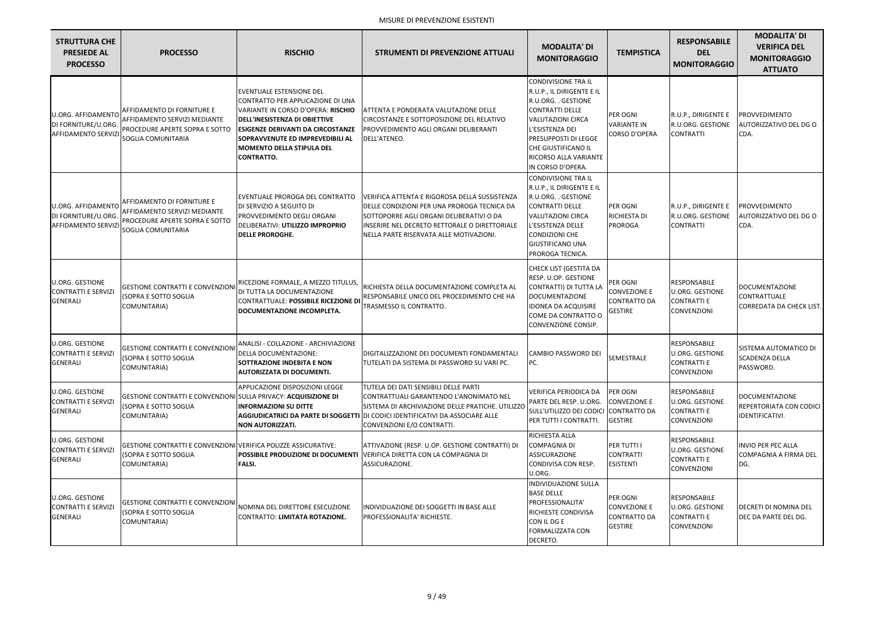| <b>STRUTTURA CHE</b><br><b>PRESIEDE AL</b><br><b>PROCESSO</b>                  | <b>PROCESSO</b>                                                                                                    | <b>RISCHIO</b>                                                                                                                                                                                                                                                                               | <b>STRUMENTI DI PREVENZIONE ATTUALI</b>                                                                                                                                                                                                                       | <b>MODALITA' DI</b><br><b>MONITORAGGIO</b>                                                                                                                                                                                                           | <b>TEMPISTICA</b>                                                        | <b>RESPONSABILE</b><br><b>DEL</b><br><b>MONITORAGGIO</b>                           | <b>MODALITA' DI</b><br><b>VERIFICA DEL</b><br><b>MONITORAGGIO</b><br><b>ATTUATO</b> |
|--------------------------------------------------------------------------------|--------------------------------------------------------------------------------------------------------------------|----------------------------------------------------------------------------------------------------------------------------------------------------------------------------------------------------------------------------------------------------------------------------------------------|---------------------------------------------------------------------------------------------------------------------------------------------------------------------------------------------------------------------------------------------------------------|------------------------------------------------------------------------------------------------------------------------------------------------------------------------------------------------------------------------------------------------------|--------------------------------------------------------------------------|------------------------------------------------------------------------------------|-------------------------------------------------------------------------------------|
| U.ORG. AFFIDAMENTO<br>DI FORNITURE/U.ORG.<br><b>AFFIDAMENTO SERVIZI</b>        | AFFIDAMENTO DI FORNITURE E<br>AFFIDAMENTO SERVIZI MEDIANTE<br>PROCEDURE APERTE SOPRA E SOTTO<br>SOGLIA COMUNITARIA | <b>EVENTUALE ESTENSIONE DEL</b><br>CONTRATTO PER APPLICAZIONE DI UNA<br>VARIANTE IN CORSO D'OPERA: RISCHIO<br><b>DELL'INESISTENZA DI OBIETTIVE</b><br><b>IESIGENZE DERIVANTI DA CIRCOSTANZE</b><br>SOPRAVVENUTE ED IMPREVEDIBILI AL<br><b>MOMENTO DELLA STIPULA DEL</b><br><b>CONTRATTO.</b> | ATTENTA E PONDERATA VALUTAZIONE DELLE<br>CIRCOSTANZE E SOTTOPOSIZIONE DEL RELATIVO<br>PROVVEDIMENTO AGLI ORGANI DELIBERANTI<br>DELL'ATENEO.                                                                                                                   | <b>CONDIVISIONE TRA IL</b><br>R.U.P., IL DIRIGENTE E IL<br>R.U.ORG. . GESTIONE<br><b>CONTRATTI DELLE</b><br><b>VALUTAZIONI CIRCA</b><br>L'ESISTENZA DEI<br>PRESUPPOSTI DI LEGGE<br>CHE GIUSTIFICANO IL<br>RICORSO ALLA VARIANTE<br>IN CORSO D'OPERA. | PER OGNI<br><b>VARIANTE IN</b><br><b>CORSO D'OPERA</b>                   | R.U.P., DIRIGENTE E<br>R.U.ORG. GESTIONE<br><b>CONTRATTI</b>                       | PROVVEDIMENTO<br>AUTORIZZATIVO DEL DG O<br>CDA.                                     |
| <b>U.ORG. AFFIDAMENTO</b><br>DI FORNITURE/U.ORG.<br><b>AFFIDAMENTO SERVIZI</b> | AFFIDAMENTO DI FORNITURE E<br>AFFIDAMENTO SERVIZI MEDIANTE<br>PROCEDURE APERTE SOPRA E SOTTO<br>SOGLIA COMUNITARIA | EVENTUALE PROROGA DEL CONTRATTO<br>DI SERVIZIO A SEGUITO DI<br>PROVVEDIMENTO DEGLI ORGANI<br>DELIBERATIVI: UTILIZZO IMPROPRIO<br><b>DELLE PROROGHE.</b>                                                                                                                                      | VERIFICA ATTENTA E RIGOROSA DELLA SUSSISTENZA<br>DELLE CONDIZIONI PER UNA PROROGA TECNICA DA<br>SOTTOPORRE AGLI ORGANI DELIBERATIVI O DA<br>INSERIRE NEL DECRETO RETTORALE O DIRETTORIALE<br>INELLA PARTE RISERVATA ALLE MOTIVAZIONI.                         | <b>CONDIVISIONE TRA IL</b><br>R.U.P., IL DIRIGENTE E IL<br>R.U.ORG. . GESTIONE<br><b>CONTRATTI DELLE</b><br><b>VALUTAZIONI CIRCA</b><br>L'ESISTENZA DELLE<br><b>CONDIZIONI CHE</b><br><b>GIUSTIFICANO UNA</b><br>PROROGA TECNICA.                    | PER OGNI<br>RICHIESTA DI<br>PROROGA                                      | R.U.P., DIRIGENTE E<br>R.U.ORG. GESTIONE<br><b>CONTRATTI</b>                       | PROVVEDIMENTO<br>AUTORIZZATIVO DEL DG O<br>CDA.                                     |
| <b>U.ORG. GESTIONE</b><br><b>CONTRATTI E SERVIZI</b><br><b>GENERALI</b>        | <b>GESTIONE CONTRATTI E CONVENZIONI</b><br>(SOPRA E SOTTO SOGLIA<br>COMUNITARIA)                                   | RICEZIONE FORMALE, A MEZZO TITULUS,<br>DI TUTTA LA DOCUMENTAZIONE<br><b>CONTRATTUALE: POSSIBILE RICEZIONE DI</b><br>DOCUMENTAZIONE INCOMPLETA.                                                                                                                                               | RICHIESTA DELLA DOCUMENTAZIONE COMPLETA AL<br>RESPONSABILE UNICO DEL PROCEDIMENTO CHE HA<br>TRASMESSO IL CONTRATTO.                                                                                                                                           | CHECK LIST (GESTITA DA<br>RESP. U.OP. GESTIONE<br>CONTRATTI) DI TUTTA LA<br><b>DOCUMENTAZIONE</b><br><b>IDONEA DA ACQUISIRE</b><br>COME DA CONTRATTO O<br>CONVENZIONE CONSIP.                                                                        | PER OGNI<br><b>CONVEZIONE E</b><br>CONTRATTO DA<br>GESTIRE               | RESPONSABILE<br><b>U.ORG. GESTIONE</b><br><b>CONTRATTI E</b><br>CONVENZIONI        | <b>DOCUMENTAZIONE</b><br><b>CONTRATTUALE</b><br>CORREDATA DA CHECK LIST.            |
| <b>U.ORG. GESTIONE</b><br><b>CONTRATTI E SERVIZI</b><br><b>GENERALI</b>        | GESTIONE CONTRATTI E CONVENZIONI DELLA DOCUMENTAZIONE:<br>(SOPRA E SOTTO SOGLIA<br>COMUNITARIA)                    | ANALISI - COLLAZIONE - ARCHIVIAZIONE<br>SOTTRAZIONE INDEBITA E NON<br><b>AUTORIZZATA DI DOCUMENTI.</b>                                                                                                                                                                                       | DIGITALIZZAZIONE DEI DOCUMENTI FONDAMENTALI CAMBIO PASSWORD DEI<br>TUTELATI DA SISTEMA DI PASSWORD SU VARI PC.                                                                                                                                                | PC.                                                                                                                                                                                                                                                  | <b>SEMESTRALE</b>                                                        | <b>RESPONSABILE</b><br><b>U.ORG. GESTIONE</b><br><b>CONTRATTI E</b><br>CONVENZIONI | SISTEMA AUTOMATICO DI<br><b>SCADENZA DELLA</b><br>PASSWORD.                         |
| U.ORG. GESTIONE<br><b>CONTRATTI E SERVIZI</b><br><b>GENERALI</b>               | <b>GESTIONE CONTRATTI E CONVENZIONI SULLA PRIVACY: ACQUISIZIONE DI</b><br>(SOPRA E SOTTO SOGLIA<br>COMUNITARIA)    | APPLICAZIONE DISPOSIZIONI LEGGE<br><b>INFORMAZIONI SU DITTE</b><br><b>NON AUTORIZZATI.</b>                                                                                                                                                                                                   | TUTELA DEI DATI SENSIBILI DELLE PARTI<br>CONTRATTUALI GARANTENDO L'ANONIMATO NEL<br>ISISTEMA DI ARCHIVIAZIONE DELLE PRATICHE. UTILIZZO<br><b>AGGIUDICATRICI DA PARTE DI SOGGETTI DI CODICI IDENTIFICATIVI DA ASSOCIARE ALLE</b><br>CONVENZIONI E/O CONTRATTI. | <b>VERIFICA PERIODICA DA</b><br>PARTE DEL RESP. U.ORG.<br>SULL'UTILIZZO DEI CODICI CONTRATTO DA<br>PER TUTTI I CONTRATTI.                                                                                                                            | PER OGNI<br><b>CONVEZIONE E</b><br><b>GESTIRE</b>                        | <b>RESPONSABILE</b><br>U.ORG. GESTIONE<br><b>CONTRATTI E</b><br><b>CONVENZIONI</b> | <b>DOCUMENTAZIONE</b><br>REPERTORIATA CON CODICI<br>IDENTIFICATIVI.                 |
| U.ORG. GESTIONE<br><b>CONTRATTI E SERVIZI</b><br><b>GENERALI</b>               | GESTIONE CONTRATTI E CONVENZIONI VERIFICA POLIZZE ASSICURATIVE:<br><b>(SOPRA E SOTTO SOGLIA</b><br>COMUNITARIA)    | <b>FALSI.</b>                                                                                                                                                                                                                                                                                | ATTIVAZIONE (RESP. U.OP. GESTIONE CONTRATTI) DI<br>POSSIBILE PRODUZIONE DI DOCUMENTI VERIFICA DIRETTA CON LA COMPAGNIA DI<br>ASSICURAZIONE.                                                                                                                   | RICHIESTA ALLA<br><b>COMPAGNIA DI</b><br><b>ASSICURAZIONE</b><br>CONDIVISA CON RESP.<br>U.ORG.                                                                                                                                                       | PER TUTTI I<br><b>CONTRATTI</b><br><b>ESISTENTI</b>                      | <b>RESPONSABILE</b><br>U.ORG. GESTIONE<br><b>CONTRATTI E</b><br><b>CONVENZIONI</b> | <b>INVIO PER PEC ALLA</b><br><b>COMPAGNIA A FIRMA DEL</b><br>DG.                    |
| <b>U.ORG. GESTIONE</b><br><b>CONTRATTI E SERVIZI</b><br><b>GENERALI</b>        | <b>GESTIONE CONTRATTI E CONVENZIONI</b><br>(SOPRA E SOTTO SOGLIA<br>COMUNITARIA)                                   | NOMINA DEL DIRETTORE ESECUZIONE<br><b>CONTRATTO: LIMITATA ROTAZIONE.</b>                                                                                                                                                                                                                     | INDIVIDUAZIONE DEI SOGGETTI IN BASE ALLE<br>PROFESSIONALITA' RICHIESTE.                                                                                                                                                                                       | <b>INDIVIDUAZIONE SULLA</b><br><b>BASE DELLE</b><br>PROFESSIONALITA'<br>RICHIESTE CONDIVISA<br>CON IL DG E<br><b>FORMALIZZATA CON</b><br>DECRETO.                                                                                                    | PER OGNI<br><b>CONVEZIONE E</b><br><b>CONTRATTO DA</b><br><b>GESTIRE</b> | RESPONSABILE<br>U.ORG. GESTIONE<br><b>CONTRATTI E</b><br>CONVENZIONI               | DECRETI DI NOMINA DEL<br>DEC DA PARTE DEL DG.                                       |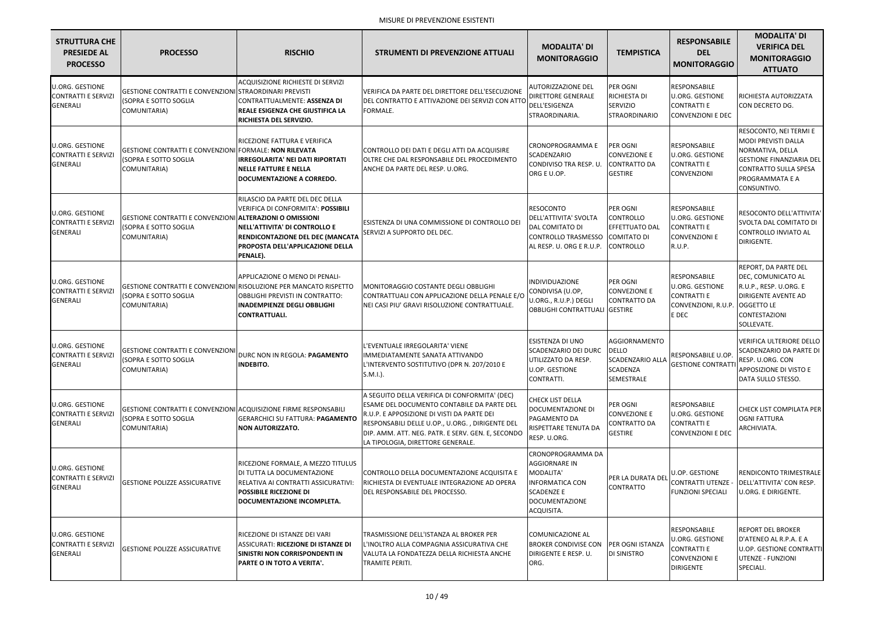| <b>STRUTTURA CHE</b><br><b>PRESIEDE AL</b><br><b>PROCESSO</b>           | <b>PROCESSO</b>                                                                                           | <b>RISCHIO</b>                                                                                                                                                                                                     | <b>STRUMENTI DI PREVENZIONE ATTUALI</b>                                                                                                                                                                                                                                                       | <b>MODALITA' DI</b><br><b>MONITORAGGIO</b>                                                                                     | <b>TEMPISTICA</b>                                                                       | <b>RESPONSABILE</b><br><b>DEL</b><br><b>MONITORAGGIO</b>                                                 | <b>MODALITA' DI</b><br><b>VERIFICA DEL</b><br><b>MONITORAGGIO</b><br><b>ATTUATO</b>                                                                                           |
|-------------------------------------------------------------------------|-----------------------------------------------------------------------------------------------------------|--------------------------------------------------------------------------------------------------------------------------------------------------------------------------------------------------------------------|-----------------------------------------------------------------------------------------------------------------------------------------------------------------------------------------------------------------------------------------------------------------------------------------------|--------------------------------------------------------------------------------------------------------------------------------|-----------------------------------------------------------------------------------------|----------------------------------------------------------------------------------------------------------|-------------------------------------------------------------------------------------------------------------------------------------------------------------------------------|
| <b>U.ORG. GESTIONE</b><br><b>CONTRATTI E SERVIZI</b><br><b>GENERALI</b> | GESTIONE CONTRATTI E CONVENZIONI STRAORDINARI PREVISTI<br>(SOPRA E SOTTO SOGLIA<br>COMUNITARIA)           | ACQUISIZIONE RICHIESTE DI SERVIZI<br>CONTRATTUALMENTE: ASSENZA DI<br>REALE ESIGENZA CHE GIUSTIFICA LA<br>RICHIESTA DEL SERVIZIO.                                                                                   | VERIFICA DA PARTE DEL DIRETTORE DELL'ESECUZIONE<br>DEL CONTRATTO E ATTIVAZIONE DEI SERVIZI CON ATTO<br><b>FORMALE.</b>                                                                                                                                                                        | <b>AUTORIZZAZIONE DEL</b><br><b>DIRETTORE GENERALE</b><br>DELL'ESIGENZA<br>STRAORDINARIA.                                      | PER OGNI<br>RICHIESTA DI<br>SERVIZIO<br><b>STRAORDINARIO</b>                            | <b>RESPONSABILE</b><br><b>U.ORG. GESTIONE</b><br><b>CONTRATTI E</b><br><b>CONVENZIONI E DEC</b>          | RICHIESTA AUTORIZZATA<br>CON DECRETO DG.                                                                                                                                      |
| <b>U.ORG. GESTIONE</b><br><b>CONTRATTI E SERVIZI</b><br><b>GENERALI</b> | GESTIONE CONTRATTI E CONVENZIONI FORMALE: NON RILEVATA<br>(SOPRA E SOTTO SOGLIA<br>COMUNITARIA)           | RICEZIONE FATTURA E VERIFICA<br>IRREGOLARITA' NEI DATI RIPORTATI<br><b>NELLE FATTURE E NELLA</b><br>DOCUMENTAZIONE A CORREDO.                                                                                      | CONTROLLO DEI DATI E DEGLI ATTI DA ACQUISIRE<br>OLTRE CHE DAL RESPONSABILE DEL PROCEDIMENTO<br>ANCHE DA PARTE DEL RESP. U.ORG.                                                                                                                                                                | <b>CRONOPROGRAMMA E</b><br>SCADENZARIO<br>CONDIVISO TRA RESP. U<br>ORG E U.OP.                                                 | PER OGNI<br><b>CONVEZIONE E</b><br><b>CONTRATTO DA</b><br><b>GESTIRE</b>                | RESPONSABILE<br><b>U.ORG. GESTIONE</b><br><b>CONTRATTI E</b><br><b>CONVENZIONI</b>                       | RESOCONTO, NEI TERMI E<br><b>MODI PREVISTI DALLA</b><br>NORMATIVA, DELLA<br><b>GESTIONE FINANZIARIA DEL</b><br><b>CONTRATTO SULLA SPESA</b><br>PROGRAMMATA E A<br>CONSUNTIVO. |
| <b>U.ORG. GESTIONE</b><br><b>CONTRATTI E SERVIZI</b><br><b>GENERALI</b> | GESTIONE CONTRATTI E CONVENZIONI ALTERAZIONI O OMISSIONI<br>(SOPRA E SOTTO SOGLIA<br>COMUNITARIA)         | RILASCIO DA PARTE DEL DEC DELLA<br>VERIFICA DI CONFORMITA': POSSIBILI<br>NELL'ATTIVITA' DI CONTROLLO E<br>RENDICONTAZIONE DEL DEC (MANCATA<br>PROPOSTA DELL'APPLICAZIONE DELLA<br>PENALE).                         | ESISTENZA DI UNA COMMISSIONE DI CONTROLLO DEI<br>SERVIZI A SUPPORTO DEL DEC.                                                                                                                                                                                                                  | <b>RESOCONTO</b><br>DELL'ATTIVITA' SVOLTA<br>DAL COMITATO DI<br><b>CONTROLLO TRASMESSO</b><br>AL RESP. U. ORG E R.U.P.         | PER OGNI<br><b>CONTROLLO</b><br>EFFETTUATO DAL<br>COMITATO DI<br><b>CONTROLLO</b>       | RESPONSABILE<br><b>U.ORG. GESTIONE</b><br><b>CONTRATTI E</b><br><b>CONVENZIONI E</b><br>R.U.P.           | RESOCONTO DELL'ATTIVITA'<br>SVOLTA DAL COMITATO DI<br><b>CONTROLLO INVIATO AL</b><br>DIRIGENTE.                                                                               |
| <b>U.ORG. GESTIONE</b><br><b>CONTRATTI E SERVIZI</b><br><b>GENERALI</b> | (SOPRA E SOTTO SOGLIA<br>COMUNITARIA)                                                                     | <b>APPLICAZIONE O MENO DI PENALI-</b><br>GESTIONE CONTRATTI E CONVENZIONI RISOLUZIONE PER MANCATO RISPETTO<br><b>OBBLIGHI PREVISTI IN CONTRATTO:</b><br><b>INADEMPIENZE DEGLI OBBLIGHI</b><br><b>CONTRATTUALI.</b> | MONITORAGGIO COSTANTE DEGLI OBBLIGHI<br>CONTRATTUALI CON APPLICAZIONE DELLA PENALE E/O<br>NEI CASI PIU' GRAVI RISOLUZIONE CONTRATTUALE.                                                                                                                                                       | INDIVIDUAZIONE<br>CONDIVISA (U.OP,<br>U.ORG., R.U.P.) DEGLI<br><b>OBBLIGHI CONTRATTUALI GESTIRE</b>                            | PER OGNI<br><b>CONVEZIONE E</b><br><b>CONTRATTO DA</b>                                  | RESPONSABILE<br>U.ORG. GESTIONE<br><b>CONTRATTI E</b><br>CONVENZIONI, R.U.P. OGGETTO LE<br>E DEC         | REPORT, DA PARTE DEL<br>DEC, COMUNICATO AL<br>R.U.P., RESP. U.ORG. E<br><b>DIRIGENTE AVENTE AD</b><br><b>CONTESTAZIONI</b><br>SOLLEVATE.                                      |
| <b>U.ORG. GESTIONE</b><br><b>CONTRATTI E SERVIZI</b><br><b>GENERALI</b> | <b>GESTIONE CONTRATTI E CONVENZIONI</b><br>(SOPRA E SOTTO SOGLIA<br>COMUNITARIA)                          | DURC NON IN REGOLA: PAGAMENTO<br><b>INDEBITO.</b>                                                                                                                                                                  | L'EVENTUALE IRREGOLARITA' VIENE<br>IMMEDIATAMENTE SANATA ATTIVANDO<br>L'INTERVENTO SOSTITUTIVO (DPR N. 207/2010 E<br>$S.M.I.$ ).                                                                                                                                                              | ESISTENZA DI UNO<br>SCADENZARIO DEI DURC   DELLO<br>UTILIZZATO DA RESP.<br>U.OP. GESTIONE<br>CONTRATTI.                        | <b>AGGIORNAMENTO</b><br><b>SCADENZARIO ALLA</b><br><b>SCADENZA</b><br><b>SEMESTRALE</b> | RESPONSABILE U.OP.<br><b>GESTIONE CONTRATTI</b>                                                          | VERIFICA ULTERIORE DELLO<br>SCADENZARIO DA PARTE DI<br>RESP. U.ORG. CON<br>APPOSIZIONE DI VISTO E<br>DATA SULLO STESSO.                                                       |
| <b>U.ORG. GESTIONE</b><br><b>CONTRATTI E SERVIZI</b><br><b>GENERALI</b> | GESTIONE CONTRATTI E CONVENZIONI ACQUISIZIONE FIRME RESPONSABILI<br>(SOPRA E SOTTO SOGLIA<br>COMUNITARIA) | <b>GERARCHICI SU FATTURA: PAGAMENTO</b><br>NON AUTORIZZATO.                                                                                                                                                        | A SEGUITO DELLA VERIFICA DI CONFORMITA' (DEC)<br><b>ESAME DEL DOCUMENTO CONTABILE DA PARTE DEL</b><br>R.U.P. E APPOSIZIONE DI VISTI DA PARTE DEI<br>RESPONSABILI DELLE U.OP., U.ORG., DIRIGENTE DEL<br>DIP. AMM. ATT. NEG. PATR. E SERV. GEN. E, SECONDO<br>LA TIPOLOGIA, DIRETTORE GENERALE. | <b>CHECK LIST DELLA</b><br>DOCUMENTAZIONE DI<br>PAGAMENTO DA<br>RISPETTARE TENUTA DA<br>RESP. U.ORG.                           | PER OGNI<br><b>CONVEZIONE E</b><br>CONTRATTO DA<br><b>GESTIRE</b>                       | RESPONSABILE<br><b>U.ORG. GESTIONE</b><br><b>CONTRATTI E</b><br><b>CONVENZIONI E DEC</b>                 | CHECK LIST COMPILATA PER<br><b>OGNI FATTURA</b><br>ARCHIVIATA.                                                                                                                |
| <b>U.ORG. GESTIONE</b><br><b>CONTRATTI E SERVIZI</b><br><b>GENERALI</b> | <b>GESTIONE POLIZZE ASSICURATIVE</b>                                                                      | RICEZIONE FORMALE, A MEZZO TITULUS<br>DI TUTTA LA DOCUMENTAZIONE<br>RELATIVA AI CONTRATTI ASSICURATIVI:<br><b>POSSIBILE RICEZIONE DI</b><br>DOCUMENTAZIONE INCOMPLETA.                                             | CONTROLLO DELLA DOCUMENTAZIONE ACQUISITA E<br>RICHIESTA DI EVENTUALE INTEGRAZIONE AD OPERA<br>DEL RESPONSABILE DEL PROCESSO.                                                                                                                                                                  | CRONOPROGRAMMA DA<br>AGGIORNARE IN<br>MODALITA'<br><b>INFORMATICA CON</b><br><b>SCADENZE E</b><br>DOCUMENTAZIONE<br>ACQUISITA. | PER LA DURATA DEL<br><b>CONTRATTO</b>                                                   | U.OP. GESTIONE<br>CONTRATTI UTENZE -<br><b>FUNZIONI SPECIALI</b>                                         | <b>RENDICONTO TRIMESTRALE</b><br>DELL'ATTIVITA' CON RESP.<br>U.ORG. E DIRIGENTE.                                                                                              |
| <b>U.ORG. GESTIONE</b><br><b>CONTRATTI E SERVIZI</b><br><b>GENERALI</b> | <b>GESTIONE POLIZZE ASSICURATIVE</b>                                                                      | RICEZIONE DI ISTANZE DEI VARI<br><b>ASSICURATI: RICEZIONE DI ISTANZE DI</b><br>SINISTRI NON CORRISPONDENTI IN<br>PARTE O IN TOTO A VERITA'.                                                                        | TRASMISSIONE DELL'ISTANZA AL BROKER PER<br>L'INOLTRO ALLA COMPAGNIA ASSICURATIVA CHE<br>VALUTA LA FONDATEZZA DELLA RICHIESTA ANCHE<br>TRAMITE PERITI.                                                                                                                                         | COMUNICAZIONE AL<br><b>BROKER CONDIVISE CON</b><br>DIRIGENTE E RESP. U.<br>ORG.                                                | PER OGNI ISTANZA<br>DI SINISTRO                                                         | RESPONSABILE<br><b>U.ORG. GESTIONE</b><br><b>CONTRATTI E</b><br><b>CONVENZIONI E</b><br><b>DIRIGENTE</b> | <b>REPORT DEL BROKER</b><br>D'ATENEO AL R.P.A. E A<br>U.OP. GESTIONE CONTRATTI<br>UTENZE - FUNZIONI<br>SPECIALI.                                                              |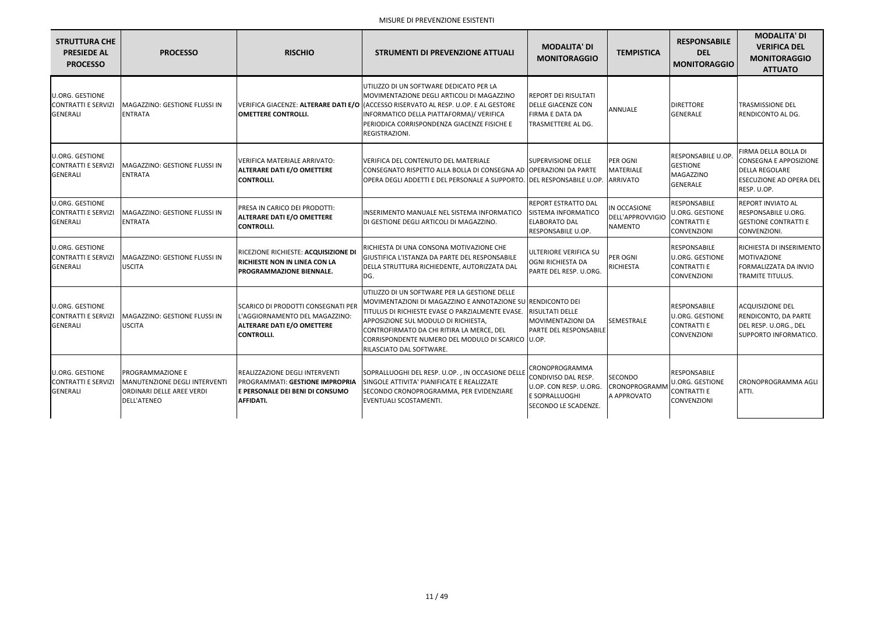| <b>STRUTTURA CHE</b><br><b>PRESIEDE AL</b><br><b>PROCESSO</b>           | <b>PROCESSO</b>                                                                                             | <b>RISCHIO</b>                                                                                                                         | <b>STRUMENTI DI PREVENZIONE ATTUALI</b>                                                                                                                                                                                                                                                                                                                 | <b>MODALITA' DI</b><br><b>MONITORAGGIO</b>                                                                        | <b>TEMPISTICA</b>                                  | <b>RESPONSABILE</b><br><b>DEL</b><br><b>MONITORAGGIO</b>                                  | <b>MODALITA' DI</b><br><b>VERIFICA DEL</b><br><b>MONITORAGGIO</b><br><b>ATTUATO</b>                                             |
|-------------------------------------------------------------------------|-------------------------------------------------------------------------------------------------------------|----------------------------------------------------------------------------------------------------------------------------------------|---------------------------------------------------------------------------------------------------------------------------------------------------------------------------------------------------------------------------------------------------------------------------------------------------------------------------------------------------------|-------------------------------------------------------------------------------------------------------------------|----------------------------------------------------|-------------------------------------------------------------------------------------------|---------------------------------------------------------------------------------------------------------------------------------|
| <b>U.ORG. GESTIONE</b><br><b>CONTRATTI E SERVIZI</b><br><b>GENERALI</b> | MAGAZZINO: GESTIONE FLUSSI IN<br><b>ENTRATA</b>                                                             | VERIFICA GIACENZE: ALTERARE DATI E/O<br><b>OMETTERE CONTROLLI.</b>                                                                     | UTILIZZO DI UN SOFTWARE DEDICATO PER LA<br>MOVIMENTAZIONE DEGLI ARTICOLI DI MAGAZZINO<br>(ACCESSO RISERVATO AL RESP. U.OP. E AL GESTORE<br>INFORMATICO DELLA PIATTAFORMA)/ VERIFICA<br>PERIODICA CORRISPONDENZA GIACENZE FISICHE E<br>REGISTRAZIONI.                                                                                                    | <b>REPORT DEI RISULTATI</b><br><b>DELLE GIACENZE CON</b><br><b>FIRMA E DATA DA</b><br><b>TRASMETTERE AL DG.</b>   | ANNUALE                                            | <b>DIRETTORE</b><br>GENERALE                                                              | TRASMISSIONE DEL<br>RENDICONTO AL DG.                                                                                           |
| <b>U.ORG. GESTIONE</b><br><b>CONTRATTI E SERVIZI</b><br><b>GENERALI</b> | MAGAZZINO: GESTIONE FLUSSI IN<br><b>ENTRATA</b>                                                             | VERIFICA MATERIALE ARRIVATO:<br><b>ALTERARE DATI E/O OMETTERE</b><br><b>CONTROLLI.</b>                                                 | VERIFICA DEL CONTENUTO DEL MATERIALE<br>CONSEGNATO RISPETTO ALLA BOLLA DI CONSEGNA AD OPPERAZIONI DA PARTE<br>OPERA DEGLI ADDETTI E DEL PERSONALE A SUPPORTO. DEL RESPONSABILE U.OP.                                                                                                                                                                    | <b>SUPERVISIONE DELLE</b>                                                                                         | PER OGNI<br>MATERIALE<br><b>ARRIVATO</b>           | <b>RESPONSABILE U.OP</b><br><b>GESTIONE</b><br>MAGAZZINO<br><b>GENERALE</b>               | FIRMA DELLA BOLLA DI<br><b>CONSEGNA E APPOSIZIONE</b><br><b>DELLA REGOLARE</b><br><b>ESECUZIONE AD OPERA DEL</b><br>RESP. U.OP. |
| <b>U.ORG. GESTIONE</b><br><b>CONTRATTI E SERVIZI</b><br>GENERALI        | MAGAZZINO: GESTIONE FLUSSI IN<br><b>ENTRATA</b>                                                             | PRESA IN CARICO DEI PRODOTTI:<br><b>ALTERARE DATI E/O OMETTERE</b><br><b>CONTROLLI.</b>                                                | INSERIMENTO MANUALE NEL SISTEMA INFORMATICO<br>DI GESTIONE DEGLI ARTICOLI DI MAGAZZINO.                                                                                                                                                                                                                                                                 | <b>REPORT ESTRATTO DAL</b><br>SISTEMA INFORMATICO<br><b>ELABORATO DAL</b><br><b>RESPONSABILE U.OP.</b>            | IN OCCASIONE<br>DELL'APPROVVIGIO<br><b>NAMENTO</b> | RESPONSABILE<br><b>U.ORG. GESTIONE</b><br><b>CONTRATTI E</b><br><b>CONVENZIONI</b>        | <b>REPORT INVIATO AL</b><br>RESPONSABILE U.ORG.<br><b>GESTIONE CONTRATTI E</b><br>CONVENZIONI.                                  |
| <b>U.ORG. GESTIONE</b><br><b>CONTRATTI E SERVIZI</b><br><b>GENERALI</b> | MAGAZZINO: GESTIONE FLUSSI IN<br><b>USCITA</b>                                                              | RICEZIONE RICHIESTE: ACQUISIZIONE DI<br><b>RICHIESTE NON IN LINEA CON LA</b><br>PROGRAMMAZIONE BIENNALE.                               | RICHIESTA DI UNA CONSONA MOTIVAZIONE CHE<br>GIUSTIFICA L'ISTANZA DA PARTE DEL RESPONSABILE<br>DELLA STRUTTURA RICHIEDENTE, AUTORIZZATA DAL<br>DG.                                                                                                                                                                                                       | <b>ULTERIORE VERIFICA SU</b><br><b>OGNI RICHIESTA DA</b><br>PARTE DEL RESP. U.ORG.                                | PER OGNI<br>RICHIESTA                              | <b>RESPONSABILE</b><br><b>U.ORG. GESTIONE</b><br><b>CONTRATTI E</b><br><b>CONVENZIONI</b> | RICHIESTA DI INSERIMENTO<br><b>MOTIVAZIONE</b><br>FORMALIZZATA DA INVIO<br><b>TRAMITE TITULUS.</b>                              |
| <b>U.ORG. GESTIONE</b><br><b>CONTRATTI E SERVIZI</b><br><b>GENERALI</b> | MAGAZZINO: GESTIONE FLUSSI IN<br><b>USCITA</b>                                                              | <b>SCARICO DI PRODOTTI CONSEGNATI PER</b><br>L'AGGIORNAMENTO DEL MAGAZZINO:<br><b>ALTERARE DATI E/O OMETTERE</b><br><b>CONTROLLI.</b>  | UTILIZZO DI UN SOFTWARE PER LA GESTIONE DELLE<br>MOVIMENTAZIONI DI MAGAZZINO E ANNOTAZIONE SU RENDICONTO DEI<br>TITULUS DI RICHIESTE EVASE O PARZIALMENTE EVASE. RISULTATI DELLE<br>APPOSIZIONE SUL MODULO DI RICHIESTA,<br>CONTROFIRMATO DA CHI RITIRA LA MERCE, DEL<br>CORRISPONDENTE NUMERO DEL MODULO DI SCARICO  U.OP.<br>RILASCIATO DAL SOFTWARE. | <b>MOVIMENTAZIONI DA</b><br><b>PARTE DEL RESPONSABILE</b>                                                         | <b>SEMESTRALE</b>                                  | RESPONSABILE<br><b>U.ORG. GESTIONE</b><br><b>CONTRATTI E</b><br><b>CONVENZIONI</b>        | <b>ACQUISIZIONE DEL</b><br>RENDICONTO, DA PARTE<br>DEL RESP. U.ORG., DEL<br>SUPPORTO INFORMATICO.                               |
| <b>U.ORG. GESTIONE</b><br><b>CONTRATTI E SERVIZI</b><br><b>GENERALI</b> | <b>PROGRAMMAZIONE E</b><br>MANUTENZIONE DEGLI INTERVENTI<br>ORDINARI DELLE AREE VERDI<br><b>DELL'ATENEO</b> | <b>REALIZZAZIONE DEGLI INTERVENTI</b><br><b>PROGRAMMATI: GESTIONE IMPROPRIA</b><br>E PERSONALE DEI BENI DI CONSUMO<br><b>AFFIDATI.</b> | SOPRALLUOGHI DEL RESP. U.OP., IN OCCASIONE DELLE<br>ISINGOLE ATTIVITA' PIANIFICATE E REALIZZATE<br>SECONDO CRONOPROGRAMMA, PER EVIDENZIARE<br>EVENTUALI SCOSTAMENTI.                                                                                                                                                                                    | CRONOPROGRAMMA<br>CONDIVISO DAL RESP.<br>U.OP. CON RESP. U.ORG.<br><b>LE SOPRALLUOGHI</b><br>SECONDO LE SCADENZE. | <b>SECONDO</b><br>CRONOPROGRAMM<br>A APPROVATO     | RESPONSABILE<br><b>U.ORG. GESTIONE</b><br><b>CONTRATTI E</b><br><b>CONVENZIONI</b>        | <b>CRONOPROGRAMMA AGLI</b><br>ATTI.                                                                                             |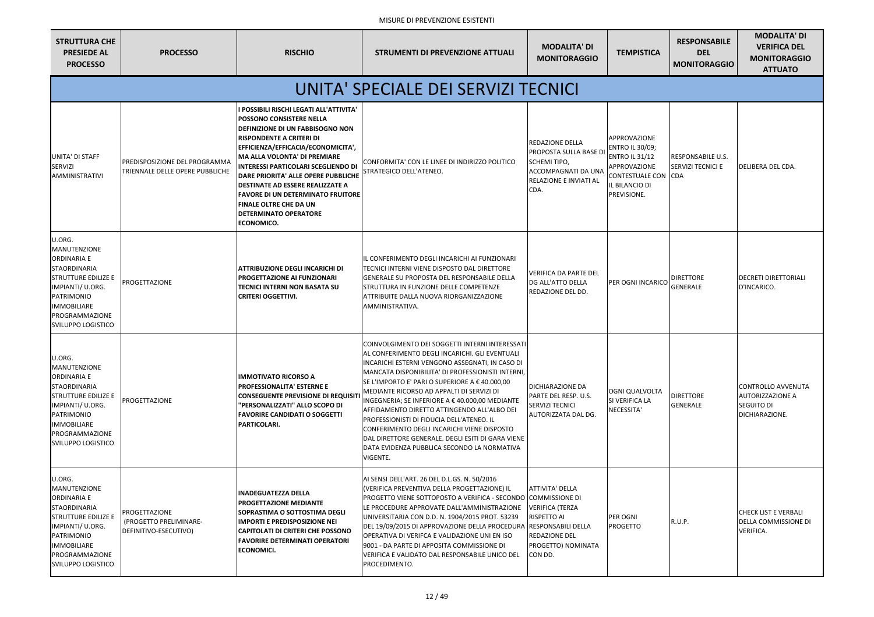| <b>STRUTTURA CHE</b><br><b>PRESIEDE AL</b><br><b>PROCESSO</b>                                                                                                                                                          | <b>PROCESSO</b>                                                         | <b>RISCHIO</b>                                                                                                                                                                                                                                                                                                                                                                                                                                                                                   | <b>STRUMENTI DI PREVENZIONE ATTUALI</b>                                                                                                                                                                                                                                                                                                                                                                                                                                                                                                                                                                                       | <b>MODALITA' DI</b><br><b>MONITORAGGIO</b>                                                                                                     | <b>TEMPISTICA</b>                                                                                                                                 |
|------------------------------------------------------------------------------------------------------------------------------------------------------------------------------------------------------------------------|-------------------------------------------------------------------------|--------------------------------------------------------------------------------------------------------------------------------------------------------------------------------------------------------------------------------------------------------------------------------------------------------------------------------------------------------------------------------------------------------------------------------------------------------------------------------------------------|-------------------------------------------------------------------------------------------------------------------------------------------------------------------------------------------------------------------------------------------------------------------------------------------------------------------------------------------------------------------------------------------------------------------------------------------------------------------------------------------------------------------------------------------------------------------------------------------------------------------------------|------------------------------------------------------------------------------------------------------------------------------------------------|---------------------------------------------------------------------------------------------------------------------------------------------------|
|                                                                                                                                                                                                                        |                                                                         |                                                                                                                                                                                                                                                                                                                                                                                                                                                                                                  | UNITA' SPECIALE DEI SERVIZI TECNICI                                                                                                                                                                                                                                                                                                                                                                                                                                                                                                                                                                                           |                                                                                                                                                |                                                                                                                                                   |
| UNITA' DI STAFF<br><b>SERVIZI</b><br><b>AMMINISTRATIVI</b>                                                                                                                                                             | <b>PREDISPOSIZIONE DEL PROGRAMMA</b><br>TRIENNALE DELLE OPERE PUBBLICHE | I POSSIBILI RISCHI LEGATI ALL'ATTIVITA'<br><b>POSSONO CONSISTERE NELLA</b><br><b>DEFINIZIONE DI UN FABBISOGNO NON</b><br><b>RISPONDENTE A CRITERI DI</b><br>EFFICIENZA/EFFICACIA/ECONOMICITA',<br><b>MA ALLA VOLONTA' DI PREMIARE</b><br><b>INTERESSI PARTICOLARI SCEGLIENDO DI</b><br>DARE PRIORITA' ALLE OPERE PUBBLICHE<br><b>DESTINATE AD ESSERE REALIZZATE A</b><br><b>FAVORE DI UN DETERMINATO FRUITORE</b><br><b>FINALE OLTRE CHE DA UN</b><br><b>DETERMINATO OPERATORE</b><br>ECONOMICO. | CONFORMITA' CON LE LINEE DI INDIRIZZO POLITICO<br>STRATEGICO DELL'ATENEO.                                                                                                                                                                                                                                                                                                                                                                                                                                                                                                                                                     | REDAZIONE DELLA<br><b>PROPOSTA SULLA BASE DI</b><br><b>SCHEMI TIPO,</b><br><b>ACCOMPAGNATI DA UNA</b><br><b>RELAZIONE E INVIATI AL</b><br>CDA. | <b>APPROVAZIONE</b><br><b>ENTRO IL 30/09;</b><br><b>ENTRO IL 31/12</b><br>APPROVAZIONE<br><b>CONTESTUALE CON</b><br>IL BILANCIO DI<br>PREVISIONE. |
| U.ORG.<br><b>MANUTENZIONE</b><br><b>ORDINARIA E</b><br><b>STAORDINARIA</b><br><b>STRUTTURE EDILIZE E</b><br>IMPIANTI/ U.ORG.<br>PATRIMONIO<br><b>IMMOBILIARE</b><br>PROGRAMMAZIONE<br><b>SVILUPPO LOGISTICO</b>        | <b>PROGETTAZIONE</b>                                                    | <b>ATTRIBUZIONE DEGLI INCARICHI DI</b><br><b>PROGETTAZIONE AI FUNZIONARI</b><br><b>TECNICI INTERNI NON BASATA SU</b><br><b>CRITERI OGGETTIVI.</b>                                                                                                                                                                                                                                                                                                                                                | IL CONFERIMENTO DEGLI INCARICHI AI FUNZIONARI<br>TECNICI INTERNI VIENE DISPOSTO DAL DIRETTORE<br><b>GENERALE SU PROPOSTA DEL RESPONSABILE DELLA</b><br><b>STRUTTURA IN FUNZIONE DELLE COMPETENZE</b><br>ATTRIBUITE DALLA NUOVA RIORGANIZZAZIONE<br>AMMINISTRATIVA.                                                                                                                                                                                                                                                                                                                                                            | VERIFICA DA PARTE DEL<br><b>DG ALL'ATTO DELLA</b><br><b>REDAZIONE DEL DD.</b>                                                                  | <b>PER OGNI INCARICO</b>                                                                                                                          |
| U.ORG.<br><b>MANUTENZIONE</b><br><b>ORDINARIA E</b><br><b>STAORDINARIA</b><br><b>STRUTTURE EDILIZE E</b><br>IMPIANTI/ U.ORG.<br><b>PATRIMONIO</b><br><b>IMMOBILIARE</b><br>PROGRAMMAZIONE<br><b>SVILUPPO LOGISTICO</b> | <b>PROGETTAZIONE</b>                                                    | <b>IMMOTIVATO RICORSO A</b><br><b>PROFESSIONALITA' ESTERNE E</b><br><b>CONSEGUENTE PREVISIONE DI REQUISIT</b><br>'PERSONALIZZATI" ALLO SCOPO DI<br><b>FAVORIRE CANDIDATI O SOGGETTI</b><br>PARTICOLARI.                                                                                                                                                                                                                                                                                          | COINVOLGIMENTO DEI SOGGETTI INTERNI INTERESSATI<br>AL CONFERIMENTO DEGLI INCARICHI. GLI EVENTUALI<br>INCARICHI ESTERNI VENGONO ASSEGNATI, IN CASO DI<br>MANCATA DISPONIBILITA' DI PROFESSIONISTI INTERNI.<br>SE L'IMPORTO E' PARI O SUPERIORE A € 40.000,00<br>MEDIANTE RICORSO AD APPALTI DI SERVIZI DI<br>INGEGNERIA; SE INFERIORE A € 40.000,00 MEDIANTE<br>AFFIDAMENTO DIRETTO ATTINGENDO ALL'ALBO DEI<br>PROFESSIONISTI DI FIDUCIA DELL'ATENEO. IL<br>CONFERIMENTO DEGLI INCARICHI VIENE DISPOSTO<br>DAL DIRETTORE GENERALE. DEGLI ESITI DI GARA VIENE<br>DATA EVIDENZA PUBBLICA SECONDO LA NORMATIVA<br><b>VIGENTE.</b> | <b>DICHIARAZIONE DA</b><br><b>PARTE DEL RESP. U.S.</b><br><b>SERVIZI TECNICI</b><br>AUTORIZZATA DAL DG.                                        | OGNI QUALVOLTA<br>SI VERIFICA LA<br>NECESSITA'                                                                                                    |
| U.ORG.<br><b>MANUTENZIONE</b><br><b>ORDINARIA E</b><br><b>STAORDINARIA</b><br><b>STRUTTURE EDILIZE E</b><br>IMPIANTI/ U.ORG.<br><b>PATRIMONIO</b><br><b>IMMOBILIARE</b><br>PROGRAMMAZIONE<br><b>SVILUPPO LOGISTICO</b> | <b>PROGETTAZIONE</b><br>(PROGETTO PRELIMINARE-<br>DEFINITIVO-ESECUTIVO) | <b>INADEGUATEZZA DELLA</b><br><b>PROGETTAZIONE MEDIANTE</b><br>SOPRASTIMA O SOTTOSTIMA DEGLI<br><b>IMPORTI E PREDISPOSIZIONE NEI</b><br><b>CAPITOLATI DI CRITERI CHE POSSONO</b><br><b>FAVORIRE DETERMINATI OPERATORI</b><br><b>ECONOMICI.</b>                                                                                                                                                                                                                                                   | AI SENSI DELL'ART. 26 DEL D.L.GS. N. 50/2016<br>(VERIFICA PREVENTIVA DELLA PROGETTAZIONE) IL<br>PROGETTO VIENE SOTTOPOSTO A VERIFICA - SECONDO COMMISSIONE DI<br>LE PROCEDURE APPROVATE DALL'AMMINISTRAZIONE<br>UNIVERSITARIA CON D.D. N. 1904/2015 PROT. 53239<br>DEL 19/09/2015 DI APPROVAZIONE DELLA PROCEDURA [RESPONSABILI DELLA<br>OPERATIVA DI VERIFCA E VALIDAZIONE UNI EN ISO<br>9001 - DA PARTE DI APPOSITA COMMISSIONE DI<br>VERIFICA E VALIDATO DAL RESPONSABILE UNICO DEL<br>PROCEDIMENTO.                                                                                                                       | <b>ATTIVITA' DELLA</b><br>VERIFICA (TERZA<br><b>RISPETTO AI</b><br><b>REDAZIONE DEL</b><br>PROGETTO) NOMINATA<br>CON DD.                       | PER OGNI<br><b>PROGETTO</b>                                                                                                                       |

| CA.                 | <b>RESPONSABILE</b><br><b>DEL</b><br><b>MONITORAGGIO</b> | <b>MODALITA' DI</b><br><b>VERIFICA DEL</b><br><b>MONITORAGGIO</b><br><b>ATTUATO</b>  |
|---------------------|----------------------------------------------------------|--------------------------------------------------------------------------------------|
|                     |                                                          |                                                                                      |
| E<br>١;<br>E<br>CON | RESPONSABILE U.S.<br>SERVIZI TECNICI E<br><b>CDA</b>     | DELIBERA DEL CDA.                                                                    |
| RICO                | <b>DIRETTORE</b><br><b>GENERALE</b>                      | <b>DECRETI DIRETTORIALI</b><br>D'INCARICO.                                           |
| TA.                 | <b>DIRETTORE</b><br><b>GENERALE</b>                      | <b>CONTROLLO AVVENUTA</b><br><b>AUTORIZZAZIONE A</b><br>SEGUITO DI<br>DICHIARAZIONE. |
|                     | R.U.P.                                                   | <b>CHECK LIST E VERBALI</b><br>DELLA COMMISSIONE DI<br>VERIFICA.                     |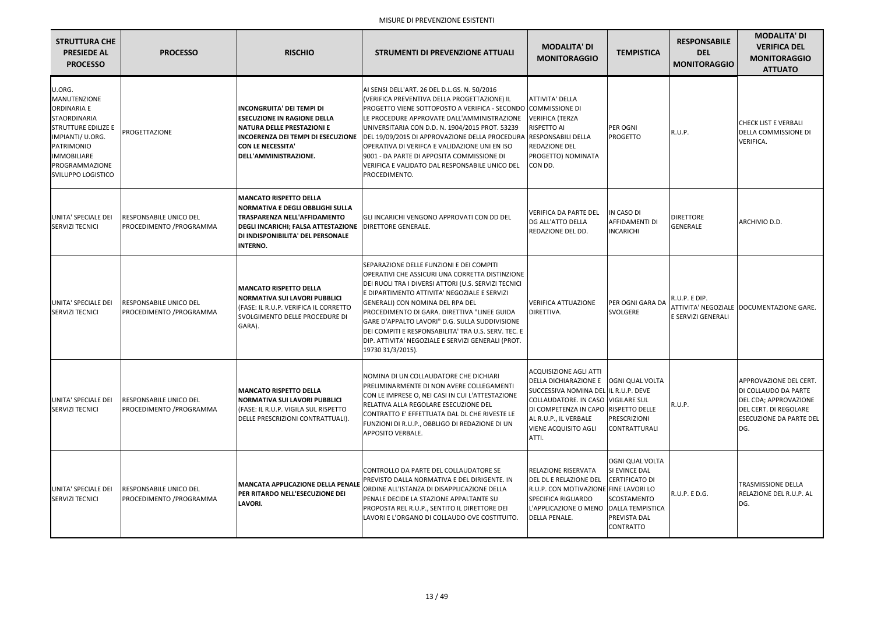| <b>STRUTTURA CHE</b><br><b>PRESIEDE AL</b><br><b>PROCESSO</b>                                                                                                                                                   | <b>PROCESSO</b>                                            | <b>RISCHIO</b>                                                                                                                                                                                                 | <b>STRUMENTI DI PREVENZIONE ATTUALI</b>                                                                                                                                                                                                                                                                                                                                                                                                                                                                   | <b>MODALITA' DI</b><br><b>MONITORAGGIO</b>                                                                                                                                                                                                               | <b>TEMPISTICA</b>                                                                                                          | <b>RESPONSABILE</b><br><b>DEL</b><br><b>MONITORAGGIO</b> | <b>MODALITA' DI</b><br><b>VERIFICA DEL</b><br><b>MONITORAGGIO</b><br><b>ATTUATO</b>                                                       |
|-----------------------------------------------------------------------------------------------------------------------------------------------------------------------------------------------------------------|------------------------------------------------------------|----------------------------------------------------------------------------------------------------------------------------------------------------------------------------------------------------------------|-----------------------------------------------------------------------------------------------------------------------------------------------------------------------------------------------------------------------------------------------------------------------------------------------------------------------------------------------------------------------------------------------------------------------------------------------------------------------------------------------------------|----------------------------------------------------------------------------------------------------------------------------------------------------------------------------------------------------------------------------------------------------------|----------------------------------------------------------------------------------------------------------------------------|----------------------------------------------------------|-------------------------------------------------------------------------------------------------------------------------------------------|
| U.ORG.<br>MANUTENZIONE<br><b>ORDINARIA E</b><br><b>STAORDINARIA</b><br><b>STRUTTURE EDILIZE E</b><br>IMPIANTI/ U.ORG.<br><b>PATRIMONIO</b><br><b>IMMOBILIARE</b><br>PROGRAMMAZIONE<br><b>SVILUPPO LOGISTICO</b> | PROGETTAZIONE                                              | <b>INCONGRUITA' DEI TEMPI DI</b><br><b>ESECUZIONE IN RAGIONE DELLA</b><br><b>NATURA DELLE PRESTAZIONI E</b><br><b>CON LE NECESSITA'</b><br>DELL'AMMINISTRAZIONE.                                               | AI SENSI DELL'ART. 26 DEL D.L.GS. N. 50/2016<br>(VERIFICA PREVENTIVA DELLA PROGETTAZIONE) IL<br>PROGETTO VIENE SOTTOPOSTO A VERIFICA - SECONDO<br>LE PROCEDURE APPROVATE DALL'AMMINISTRAZIONE<br>UNIVERSITARIA CON D.D. N. 1904/2015 PROT. 53239<br>INCOERENZA DEI TEMPI DI ESECUZIONE   DEL 19/09/2015 DI APPROVAZIONE DELLA PROCEDURA<br>OPERATIVA DI VERIFCA E VALIDAZIONE UNI EN ISO<br>9001 - DA PARTE DI APPOSITA COMMISSIONE DI<br>VERIFICA E VALIDATO DAL RESPONSABILE UNICO DEL<br>PROCEDIMENTO. | <b>ATTIVITA' DELLA</b><br><b>COMMISSIONE DI</b><br><b>VERIFICA (TERZA</b><br>RISPETTO AI<br>RESPONSABILI DELLA<br>REDAZIONE DEL<br>PROGETTO) NOMINATA<br>CON DD.                                                                                         | PER OGNI<br>PROGETTO                                                                                                       | R.U.P.                                                   | <b>CHECK LIST E VERBALI</b><br>DELLA COMMISSIONE DI<br><b>VERIFICA.</b>                                                                   |
| UNITA' SPECIALE DEI<br><b>SERVIZI TECNICI</b>                                                                                                                                                                   | <b>RESPONSABILE UNICO DEL</b><br>PROCEDIMENTO / PROGRAMMA  | <b>MANCATO RISPETTO DELLA</b><br><b>NORMATIVA E DEGLI OBBLIGHI SULLA</b><br>TRASPARENZA NELL'AFFIDAMENTO<br><b>DEGLI INCARICHI; FALSA ATTESTAZIONE</b><br>DI INDISPONIBILITA' DEL PERSONALE<br><b>INTERNO.</b> | GLI INCARICHI VENGONO APPROVATI CON DD DEL<br><b>DIRETTORE GENERALE.</b>                                                                                                                                                                                                                                                                                                                                                                                                                                  | <b>VERIFICA DA PARTE DEL</b><br>DG ALL'ATTO DELLA<br>REDAZIONE DEL DD.                                                                                                                                                                                   | IN CASO DI<br><b>AFFIDAMENTI DI</b><br><b>INCARICHI</b>                                                                    | <b>DIRETTORE</b><br><b>GENERALE</b>                      | ARCHIVIO D.D.                                                                                                                             |
| UNITA' SPECIALE DEI<br><b>SERVIZI TECNICI</b>                                                                                                                                                                   | <b>RESPONSABILE UNICO DEL</b><br>PROCEDIMENTO / PROGRAMMA  | <b>MANCATO RISPETTO DELLA</b><br>NORMATIVA SUI LAVORI PUBBLICI<br>(FASE: IL R.U.P. VERIFICA IL CORRETTO<br>SVOLGIMENTO DELLE PROCEDURE DI<br>GARA).                                                            | SEPARAZIONE DELLE FUNZIONI E DEI COMPITI<br><b>OPERATIVI CHE ASSICURI UNA CORRETTA DISTINZIONE</b><br>DEI RUOLI TRA I DIVERSI ATTORI (U.S. SERVIZI TECNICI<br>E DIPARTIMENTO ATTIVITA' NEGOZIALE E SERVIZI<br>GENERALI) CON NOMINA DEL RPA DEL<br>PROCEDIMENTO DI GARA. DIRETTIVA "LINEE GUIDA<br>GARE D'APPALTO LAVORI" D.G. SULLA SUDDIVISIONE<br>DEI COMPITI E RESPONSABILITA' TRA U.S. SERV. TEC. E<br>DIP. ATTIVITA' NEGOZIALE E SERVIZI GENERALI (PROT.<br>19730 31/3/2015).                        | <b>VERIFICA ATTUAZIONE</b><br>DIRETTIVA.                                                                                                                                                                                                                 | PER OGNI GARA DA<br><b>SVOLGERE</b>                                                                                        | R.U.P. E DIP.<br>E SERVIZI GENERALI                      | ATTIVITA' NEGOZIALE DOCUMENTAZIONE GARE.                                                                                                  |
| UNITA' SPECIALE DEI<br><b>SERVIZI TECNICI</b>                                                                                                                                                                   | <b>IRESPONSABILE UNICO DEL</b><br>PROCEDIMENTO / PROGRAMMA | <b>MANCATO RISPETTO DELLA</b><br><b>NORMATIVA SUI LAVORI PUBBLICI</b><br>(FASE: IL R.U.P. VIGILA SUL RISPETTO<br>DELLE PRESCRIZIONI CONTRATTUALI).                                                             | NOMINA DI UN COLLAUDATORE CHE DICHIARI<br>PRELIMINARMENTE DI NON AVERE COLLEGAMENTI<br>CON LE IMPRESE O, NEI CASI IN CUI L'ATTESTAZIONE<br> RELATIVA ALLA REGOLARE ESECUZIONE DEL<br>CONTRATTO E' EFFETTUATA DAL DL CHE RIVESTE LE<br>FUNZIONI DI R.U.P., OBBLIGO DI REDAZIONE DI UN<br><b>APPOSITO VERBALE.</b>                                                                                                                                                                                          | <b>ACQUISIZIONE AGLI ATTI</b><br>DELLA DICHIARAZIONE E   OGNI QUAL VOLTA<br>SUCCESSIVA NOMINA DEL IL R.U.P. DEVE<br>COLLAUDATORE. IN CASO VIGILARE SUL<br>DI COMPETENZA IN CAPO RISPETTO DELLE<br>AL R.U.P., IL VERBALE<br>VIENE ACQUISITO AGLI<br>ATTI. | PRESCRIZIONI<br><b>CONTRATTURALI</b>                                                                                       | R.U.P.                                                   | APPROVAZIONE DEL CERT.<br>DI COLLAUDO DA PARTE<br>DEL CDA; APPROVAZIONE<br>DEL CERT. DI REGOLARE<br><b>ESECUZIONE DA PARTE DEL</b><br>DG. |
| UNITA' SPECIALE DEI<br><b>SERVIZI TECNICI</b>                                                                                                                                                                   | <b>RESPONSABILE UNICO DEL</b><br>PROCEDIMENTO / PROGRAMMA  | <b>MANCATA APPLICAZIONE DELLA PENALE</b><br>PER RITARDO NELL'ESECUZIONE DEI<br><b>LAVORI.</b>                                                                                                                  | CONTROLLO DA PARTE DEL COLLAUDATORE SE<br>PREVISTO DALLA NORMATIVA E DEL DIRIGENTE. IN<br>ORDINE ALL'ISTANZA DI DISAPPLICAZIONE DELLA<br>PENALE DECIDE LA STAZIONE APPALTANTE SU<br>PROPOSTA REL R.U.P., SENTITO IL DIRETTORE DEI<br>LAVORI E L'ORGANO DI COLLAUDO OVE COSTITUITO.                                                                                                                                                                                                                        | RELAZIONE RISERVATA<br><b>DEL DL E RELAZIONE DEL</b><br>R.U.P. CON MOTIVAZIONE FINE LAVORI LO<br>SPECIFICA RIGUARDO<br>L'APPLICAZIONE O MENO   DALLA TEMPISTICA<br>DELLA PENALE.                                                                         | <b>OGNI QUAL VOLTA</b><br>SI EVINCE DAL<br><b>CERTIFICATO DI</b><br>SCOSTAMENTO<br><b>PREVISTA DAL</b><br><b>CONTRATTO</b> | R.U.P. E D.G.                                            | <b>TRASMISSIONE DELLA</b><br>RELAZIONE DEL R.U.P. AL<br>DG.                                                                               |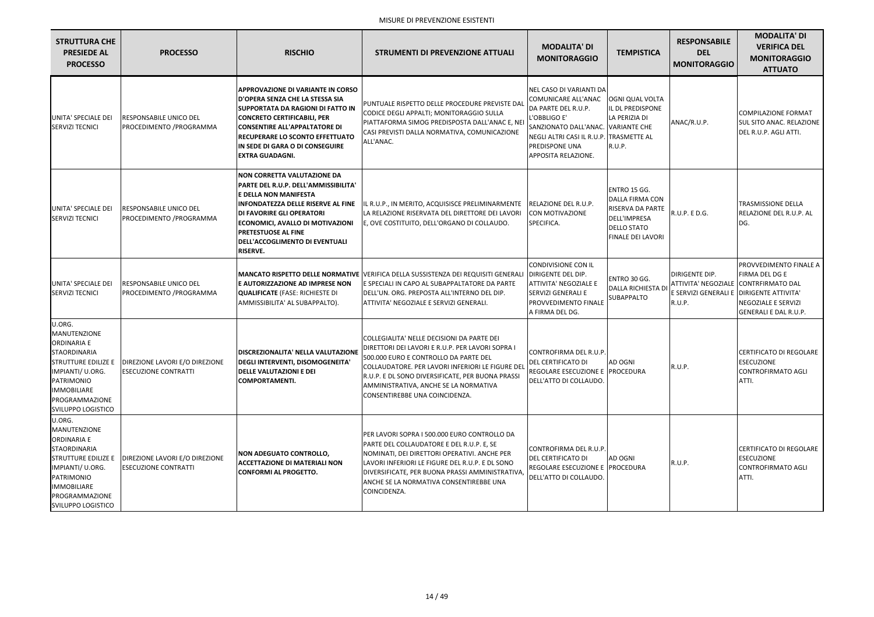| <b>STRUTTURA CHE</b><br><b>PRESIEDE AL</b><br><b>PROCESSO</b>                                                                                                                                                          | <b>PROCESSO</b>                                               | <b>RISCHIO</b>                                                                                                                                                                                                                                                                                                            | <b>STRUMENTI DI PREVENZIONE ATTUALI</b>                                                                                                                                                                                                                                                                                  | <b>MODALITA' DI</b><br><b>MONITORAGGIO</b>                                                                                                                                                                      | <b>TEMPISTICA</b>                                                                                                     | <b>RESPONSABILE</b><br><b>DEL</b><br><b>MONITORAGGIO</b>                       | <b>MODALITA' DI</b><br><b>VERIFICA DEL</b><br><b>MONITORAGGIO</b><br><b>ATTUATO</b>                                                               |
|------------------------------------------------------------------------------------------------------------------------------------------------------------------------------------------------------------------------|---------------------------------------------------------------|---------------------------------------------------------------------------------------------------------------------------------------------------------------------------------------------------------------------------------------------------------------------------------------------------------------------------|--------------------------------------------------------------------------------------------------------------------------------------------------------------------------------------------------------------------------------------------------------------------------------------------------------------------------|-----------------------------------------------------------------------------------------------------------------------------------------------------------------------------------------------------------------|-----------------------------------------------------------------------------------------------------------------------|--------------------------------------------------------------------------------|---------------------------------------------------------------------------------------------------------------------------------------------------|
| UNITA' SPECIALE DEI<br><b>SERVIZI TECNICI</b>                                                                                                                                                                          | <b>RESPONSABILE UNICO DEL</b><br>PROCEDIMENTO / PROGRAMMA     | <b>APPROVAZIONE DI VARIANTE IN CORSO</b><br>D'OPERA SENZA CHE LA STESSA SIA<br><b>SUPPORTATA DA RAGIONI DI FATTO IN</b><br><b>CONCRETO CERTIFICABILI, PER</b><br><b>CONSENTIRE ALL'APPALTATORE DI</b><br><b>RECUPERARE LO SCONTO EFFETTUATO</b><br>IN SEDE DI GARA O DI CONSEGUIRE<br><b>EXTRA GUADAGNI.</b>              | PUNTUALE RISPETTO DELLE PROCEDURE PREVISTE DAL<br>CODICE DEGLI APPALTI; MONITORAGGIO SULLA<br>PIATTAFORMA SIMOG PREDISPOSTA DALL'ANAC E, NEI<br>CASI PREVISTI DALLA NORMATIVA, COMUNICAZIONE<br>ALL'ANAC.                                                                                                                | NEL CASO DI VARIANTI DA<br>COMUNICARE ALL'ANAC<br>DA PARTE DEL R.U.P.<br>L'OBBLIGO E'<br>SANZIONATO DALL'ANAC. VARIANTE CHE<br>NEGLI ALTRI CASI IL R.U.P. TRASMETTE AL<br>PREDISPONE UNA<br>APPOSITA RELAZIONE. | <b>OGNI QUAL VOLTA</b><br>L DL PREDISPONE<br>LA PERIZIA DI<br>R.U.P.                                                  | ANAC/R.U.P.                                                                    | <b>COMPILAZIONE FORMAT</b><br><b>SUL SITO ANAC. RELAZIONE</b><br>DEL R.U.P. AGLI ATTI.                                                            |
| UNITA' SPECIALE DEI<br><b>SERVIZI TECNICI</b>                                                                                                                                                                          | <b>RESPONSABILE UNICO DEL</b><br>PROCEDIMENTO / PROGRAMMA     | <b>NON CORRETTA VALUTAZIONE DA</b><br>PARTE DEL R.U.P. DELL'AMMISSIBILITA'<br><b>E DELLA NON MANIFESTA</b><br><b>INFONDATEZZA DELLE RISERVE AL FINE</b><br><b>DI FAVORIRE GLI OPERATORI</b><br><b>ECONOMICI, AVALLO DI MOTIVAZIONI</b><br><b>PRETESTUOSE AL FINE</b><br>DELL'ACCOGLIMENTO DI EVENTUALI<br><b>RISERVE.</b> | IL R.U.P., IN MERITO, ACQUISISCE PRELIMINARMENTE<br>LA RELAZIONE RISERVATA DEL DIRETTORE DEI LAVORI<br>E, OVE COSTITUITO, DELL'ORGANO DI COLLAUDO.                                                                                                                                                                       | RELAZIONE DEL R.U.P.<br>CON MOTIVAZIONE<br>SPECIFICA.                                                                                                                                                           | ENTRO 15 GG.<br>DALLA FIRMA CON<br>RISERVA DA PARTE<br><b>DELL'IMPRESA</b><br><b>DELLO STATO</b><br>FINALE DEI LAVORI | R.U.P. E D.G.                                                                  | <b>TRASMISSIONE DELLA</b><br>RELAZIONE DEL R.U.P. AL<br>DG.                                                                                       |
| UNITA' SPECIALE DEI<br><b>SERVIZI TECNICI</b>                                                                                                                                                                          | <b>RESPONSABILE UNICO DEL</b><br>PROCEDIMENTO / PROGRAMMA     | <b>E AUTORIZZAZIONE AD IMPRESE NON</b><br>QUALIFICATE (FASE: RICHIESTE DI<br>AMMISSIBILITA' AL SUBAPPALTO).                                                                                                                                                                                                               | <b>MANCATO RISPETTO DELLE NORMATIVE VERIFICA DELLA SUSSISTENZA DEI REQUISITI GENERALI</b><br>E SPECIALI IN CAPO AL SUBAPPALTATORE DA PARTE<br>DELL'UN. ORG. PREPOSTA ALL'INTERNO DEL DIP.<br>ATTIVITA' NEGOZIALE E SERVIZI GENERALI.                                                                                     | CONDIVISIONE CON IL<br><b>DIRIGENTE DEL DIP.</b><br>ATTIVITA' NEGOZIALE E<br>SERVIZI GENERALI E<br>PROVVEDIMENTO FINALE<br>A FIRMA DEL DG.                                                                      | ENTRO 30 GG.<br><b>DALLA RICHIESTA DI</b><br>SUBAPPALTO                                                               | <b>DIRIGENTE DIP.</b><br>ATTIVITA' NEGOZIALE<br>E SERVIZI GENERALI E<br>R.U.P. | PROVVEDIMENTO FINALE A<br>FIRMA DEL DG E<br>CONTRFIRMATO DAL<br><b>DIRIGENTE ATTIVITA'</b><br>NEGOZIALE E SERVIZI<br><b>GENERALI E DAL R.U.P.</b> |
| U.ORG.<br><b>MANUTENZIONE</b><br><b>ORDINARIA E</b><br><b>STAORDINARIA</b><br><b>STRUTTURE EDILIZE E</b><br>IMPIANTI/ U.ORG.<br><b>PATRIMONIO</b><br><b>IMMOBILIARE</b><br>PROGRAMMAZIONE<br><b>SVILUPPO LOGISTICO</b> | DIREZIONE LAVORI E/O DIREZIONE<br><b>ESECUZIONE CONTRATTI</b> | <b>DISCREZIONALITA' NELLA VALUTAZIONE</b><br>DEGLI INTERVENTI, DISOMOGENEITA'<br><b>DELLE VALUTAZIONI E DEI</b><br><b>COMPORTAMENTI.</b>                                                                                                                                                                                  | COLLEGIALITA' NELLE DECISIONI DA PARTE DEI<br>DIRETTORI DEI LAVORI E R.U.P. PER LAVORI SOPRA<br>500.000 EURO E CONTROLLO DA PARTE DEL<br>COLLAUDATORE. PER LAVORI INFERIORI LE FIGURE DEL<br>R.U.P. E DL SONO DIVERSIFICATE, PER BUONA PRASSI<br>AMMINISTRATIVA, ANCHE SE LA NORMATIVA<br>CONSENTIREBBE UNA COINCIDENZA. | CONTROFIRMA DEL R.U.P.<br>DEL CERTIFICATO DI<br>REGOLARE ESECUZIONE E PROCEDURA<br>DELL'ATTO DI COLLAUDO.                                                                                                       | AD OGNI                                                                                                               | R.U.P.                                                                         | CERTIFICATO DI REGOLARE<br><b>ESECUZIONE</b><br><b>CONTROFIRMATO AGLI</b><br>ATTI.                                                                |
| U.ORG.<br>MANUTENZIONE<br><b>ORDINARIA E</b><br><b>STAORDINARIA</b><br><b>STRUTTURE EDILIZE E</b><br>IMPIANTI/ U.ORG.<br><b>PATRIMONIO</b><br><b>IMMOBILIARE</b><br>PROGRAMMAZIONE<br>SVILUPPO LOGISTICO               | DIREZIONE LAVORI E/O DIREZIONE<br><b>ESECUZIONE CONTRATTI</b> | <b>NON ADEGUATO CONTROLLO,</b><br><b>ACCETTAZIONE DI MATERIALI NON</b><br><b>CONFORMI AL PROGETTO.</b>                                                                                                                                                                                                                    | PER LAVORI SOPRA I 500.000 EURO CONTROLLO DA<br>PARTE DEL COLLAUDATORE E DEL R.U.P. E, SE<br>NOMINATI, DEI DIRETTORI OPERATIVI. ANCHE PER<br>LAVORI INFERIORI LE FIGURE DEL R.U.P. E DL SONO<br>DIVERSIFICATE, PER BUONA PRASSI AMMINISTRATIVA,<br>ANCHE SE LA NORMATIVA CONSENTIREBBE UNA<br>COINCIDENZA.               | CONTROFIRMA DEL R.U.P.<br>DEL CERTIFICATO DI<br>REGOLARE ESECUZIONE E PROCEDURA<br>DELL'ATTO DI COLLAUDO.                                                                                                       | AD OGNI                                                                                                               | R.U.P.                                                                         | CERTIFICATO DI REGOLARE<br><b>ESECUZIONE</b><br><b>CONTROFIRMATO AGLI</b><br>ATTI.                                                                |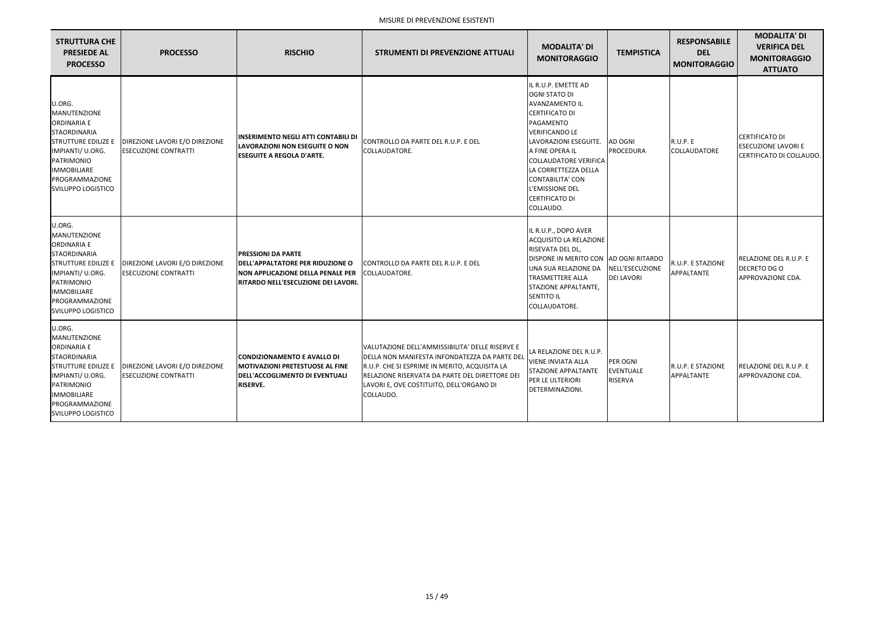| <b>STRUTTURA CHE</b><br><b>PRESIEDE AL</b><br><b>PROCESSO</b>                                                                                                                                                   | <b>PROCESSO</b>                                               | <b>RISCHIO</b>                                                                                                                                          | <b>STRUMENTI DI PREVENZIONE ATTUALI</b>                                                                                                                                                                                                                      | <b>MODALITA' DI</b><br><b>MONITORAGGIO</b>                                                                                                                                                                                                                                                                                  | <b>TEMPISTICA</b>                       | <b>RESPONSABILE</b><br><b>DEL</b><br><b>MONITORAGGIO</b> | <b>MODALITA' DI</b><br><b>VERIFICA DEL</b><br><b>MONITORAGGIO</b><br><b>ATTUATO</b> |
|-----------------------------------------------------------------------------------------------------------------------------------------------------------------------------------------------------------------|---------------------------------------------------------------|---------------------------------------------------------------------------------------------------------------------------------------------------------|--------------------------------------------------------------------------------------------------------------------------------------------------------------------------------------------------------------------------------------------------------------|-----------------------------------------------------------------------------------------------------------------------------------------------------------------------------------------------------------------------------------------------------------------------------------------------------------------------------|-----------------------------------------|----------------------------------------------------------|-------------------------------------------------------------------------------------|
| U.ORG.<br><b>MANUTENZIONE</b><br><b>ORDINARIA E</b><br><b>STAORDINARIA</b><br><b>STRUTTURE EDILIZE E</b><br>IMPIANTI/ U.ORG.<br>PATRIMONIO<br><b>IMMOBILIARE</b><br>PROGRAMMAZIONE<br><b>SVILUPPO LOGISTICO</b> | DIREZIONE LAVORI E/O DIREZIONE<br><b>ESECUZIONE CONTRATTI</b> | <b>INSERIMENTO NEGLI ATTI CONTABILI DI</b><br><b>LAVORAZIONI NON ESEGUITE O NON</b><br><b>ESEGUITE A REGOLA D'ARTE.</b>                                 | CONTROLLO DA PARTE DEL R.U.P. E DEL<br>COLLAUDATORE.                                                                                                                                                                                                         | IL R.U.P. EMETTE AD<br><b>OGNI STATO DI</b><br><b>AVANZAMENTO IL</b><br><b>CERTIFICATO DI</b><br>PAGAMENTO<br><b>VERIFICANDO LE</b><br>LAVORAZIONI ESEGUITE.<br>A FINE OPERA IL<br><b>COLLAUDATORE VERIFICA</b><br>LA CORRETTEZZA DELLA<br><b>CONTABILITA' CON</b><br>L'EMISSIONE DEL<br><b>CERTIFICATO DI</b><br>COLLAUDO. | AD OGNI<br>PROCEDURA                    | <b>R.U.P. E</b><br><b>COLLAUDATORE</b>                   | <b>CERTIFICATO DI</b><br><b>ESECUZIONE LAVORI E</b><br>CERTIFICATO DI COLLAUDO.     |
| U.ORG.<br><b>MANUTENZIONE</b><br><b>ORDINARIA E</b><br><b>STAORDINARIA</b><br><b>STRUTTURE EDILIZE E</b><br>IMPIANTI/ U.ORG.<br>PATRIMONIO<br><b>IMMOBILIARE</b><br>PROGRAMMAZIONE<br><b>SVILUPPO LOGISTICO</b> | DIREZIONE LAVORI E/O DIREZIONE<br><b>ESECUZIONE CONTRATTI</b> | <b>PRESSIONI DA PARTE</b><br><b>DELL'APPALTATORE PER RIDUZIONE O</b><br><b>NON APPLICAZIONE DELLA PENALE PER</b><br>RITARDO NELL'ESECUZIONE DEI LAVORI. | CONTROLLO DA PARTE DEL R.U.P. E DEL<br>COLLAUDATORE.                                                                                                                                                                                                         | IL R.U.P., DOPO AVER<br>ACQUISITO LA RELAZIONE<br>RISEVATA DEL DL,<br>DISPONE IN MERITO CON AD OGNI RITARDO<br>UNA SUA RELAZIONE DA<br><b>TRASMETTERE ALLA</b><br>STAZIONE APPALTANTE,<br><b>SENTITO IL</b><br>COLLAUDATORE.                                                                                                | NELL'ESECUZIONE<br><b>DEI LAVORI</b>    | R.U.P. E STAZIONE<br>APPALTANTE                          | <b>RELAZIONE DEL R.U.P. E</b><br><b>DECRETO DG O</b><br>APPROVAZIONE CDA.           |
| U.ORG.<br>MANUTENZIONE<br><b>ORDINARIA E</b><br><b>STAORDINARIA</b><br><b>STRUTTURE EDILIZE E</b><br>IMPIANTI/ U.ORG.<br><b>PATRIMONIO</b><br><b>IMMOBILIARE</b><br>PROGRAMMAZIONE<br>SVILUPPO LOGISTICO        | DIREZIONE LAVORI E/O DIREZIONE<br><b>ESECUZIONE CONTRATTI</b> | CONDIZIONAMENTO E AVALLO DI<br><b>MOTIVAZIONI PRETESTUOSE AL FINE</b><br>DELL'ACCOGLIMENTO DI EVENTUALI<br><b>RISERVE.</b>                              | VALUTAZIONE DELL'AMMISSIBILITA' DELLE RISERVE E<br>DELLA NON MANIFESTA INFONDATEZZA DA PARTE DEL<br>R.U.P. CHE SI ESPRIME IN MERITO, ACQUISITA LA<br>RELAZIONE RISERVATA DA PARTE DEL DIRETTORE DEI<br>LAVORI E, OVE COSTITUITO, DELL'ORGANO DI<br>COLLAUDO. | LA RELAZIONE DEL R.U.P.<br>VIENE INVIATA ALLA<br><b>STAZIONE APPALTANTE</b><br>PER LE ULTERIORI<br>DETERMINAZIONI.                                                                                                                                                                                                          | PER OGNI<br><b>EVENTUALE</b><br>RISERVA | R.U.P. E STAZIONE<br>APPALTANTE                          | RELAZIONE DEL R.U.P. E<br>APPROVAZIONE CDA.                                         |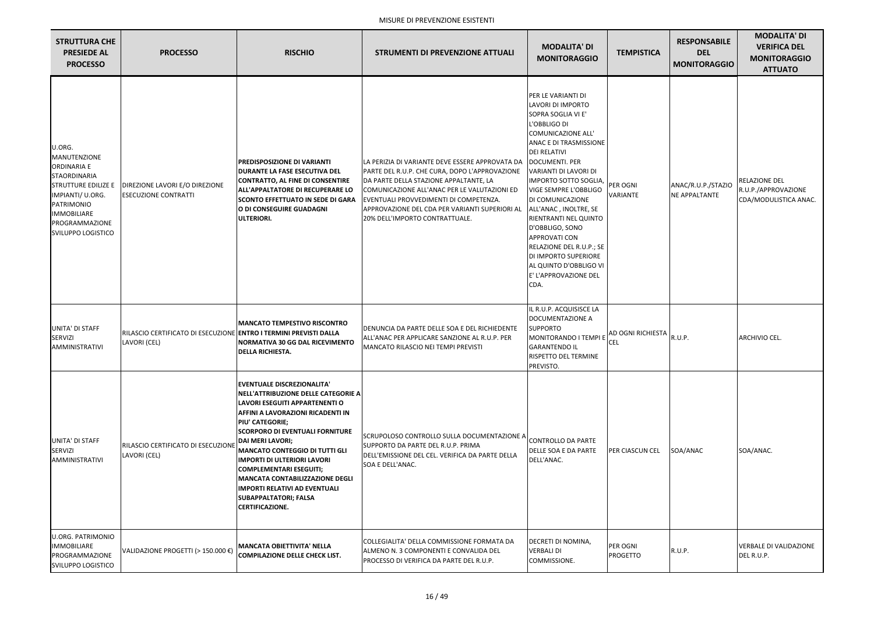| <b>STRUTTURA CHE</b><br><b>PRESIEDE AL</b><br><b>PROCESSO</b>                                                                                                                                            | <b>PROCESSO</b>                                                                   | <b>RISCHIO</b>                                                                                                                                                                                                                                                                                                                                                                                                                                                                                       | <b>STRUMENTI DI PREVENZIONE ATTUALI</b>                                                                                                                                                                                                                                                                                   | <b>MODALITA' DI</b><br><b>MONITORAGGIO</b>                                                                                                                                                                                                                                                                                                                                                                                                                                                             | <b>TEMPISTICA</b>                      | <b>RESPONSABILE</b><br><b>DEL</b><br><b>MONITORAGGIO</b> | <b>MODALITA' DI</b><br><b>VERIFICA DEL</b><br><b>MONITORAGGIO</b><br><b>ATTUATO</b> |
|----------------------------------------------------------------------------------------------------------------------------------------------------------------------------------------------------------|-----------------------------------------------------------------------------------|------------------------------------------------------------------------------------------------------------------------------------------------------------------------------------------------------------------------------------------------------------------------------------------------------------------------------------------------------------------------------------------------------------------------------------------------------------------------------------------------------|---------------------------------------------------------------------------------------------------------------------------------------------------------------------------------------------------------------------------------------------------------------------------------------------------------------------------|--------------------------------------------------------------------------------------------------------------------------------------------------------------------------------------------------------------------------------------------------------------------------------------------------------------------------------------------------------------------------------------------------------------------------------------------------------------------------------------------------------|----------------------------------------|----------------------------------------------------------|-------------------------------------------------------------------------------------|
| U.ORG.<br>MANUTENZIONE<br><b>ORDINARIA E</b><br>STAORDINARIA<br><b>STRUTTURE EDILIZE E</b><br>IMPIANTI/ U.ORG.<br><b>PATRIMONIO</b><br><b>IMMOBILIARE</b><br>PROGRAMMAZIONE<br><b>SVILUPPO LOGISTICO</b> | DIREZIONE LAVORI E/O DIREZIONE<br><b>ESECUZIONE CONTRATTI</b>                     | <b>PREDISPOSIZIONE DI VARIANTI</b><br>DURANTE LA FASE ESECUTIVA DEL<br><b>CONTRATTO, AL FINE DI CONSENTIRE</b><br>ALL'APPALTATORE DI RECUPERARE LO<br><b>SCONTO EFFETTUATO IN SEDE DI GARA</b><br>O DI CONSEGUIRE GUADAGNI<br><b>ULTERIORI.</b>                                                                                                                                                                                                                                                      | LA PERIZIA DI VARIANTE DEVE ESSERE APPROVATA DA<br>PARTE DEL R.U.P. CHE CURA, DOPO L'APPROVAZIONE<br>DA PARTE DELLA STAZIONE APPALTANTE, LA<br>COMUNICAZIONE ALL'ANAC PER LE VALUTAZIONI ED<br>EVENTUALI PROVVEDIMENTI DI COMPETENZA.<br>APPROVAZIONE DEL CDA PER VARIANTI SUPERIORI AL<br>20% DELL'IMPORTO CONTRATTUALE. | PER LE VARIANTI DI<br>LAVORI DI IMPORTO<br>SOPRA SOGLIA VI E'<br>L'OBBLIGO DI<br><b>COMUNICAZIONE ALL'</b><br><b>ANAC E DI TRASMISSIONE</b><br><b>DEI RELATIVI</b><br><b>DOCUMENTI. PER</b><br>VARIANTI DI LAVORI DI<br>IMPORTO SOTTO SOGLIA,<br>VIGE SEMPRE L'OBBLIGO<br>DI COMUNICAZIONE<br>ALL'ANAC, INOLTRE, SE<br>RIENTRANTI NEL QUINTO<br>D'OBBLIGO, SONO<br><b>APPROVATI CON</b><br>RELAZIONE DEL R.U.P.; SE<br>DI IMPORTO SUPERIORE<br>AL QUINTO D'OBBLIGO VI<br>E' L'APPROVAZIONE DEL<br>CDA. | PER OGNI<br><b>VARIANTE</b>            | ANAC/R.U.P./STAZIO<br><b>NE APPALTANTE</b>               | <b>RELAZIONE DEL</b><br>R.U.P./APPROVAZIONE<br>CDA/MODULISTICA ANAC.                |
| <b>UNITA' DI STAFF</b><br>SERVIZI<br><b>AMMINISTRATIVI</b>                                                                                                                                               | RILASCIO CERTIFICATO DI ESECUZIONE ENTRO I TERMINI PREVISTI DALLA<br>LAVORI (CEL) | <b>MANCATO TEMPESTIVO RISCONTRO</b><br>NORMATIVA 30 GG DAL RICEVIMENTO<br><b>DELLA RICHIESTA.</b>                                                                                                                                                                                                                                                                                                                                                                                                    | DENUNCIA DA PARTE DELLE SOA E DEL RICHIEDENTE<br>ALL'ANAC PER APPLICARE SANZIONE AL R.U.P. PER<br>MANCATO RILASCIO NEI TEMPI PREVISTI                                                                                                                                                                                     | IL R.U.P. ACQUISISCE LA<br>DOCUMENTAZIONE A<br><b>SUPPORTO</b><br>MONITORANDO I TEMPI E<br><b>GARANTENDO IL</b><br>RISPETTO DEL TERMINE<br>PREVISTO.                                                                                                                                                                                                                                                                                                                                                   | <b>AD OGNI RICHIESTA</b><br><b>CEL</b> | R.U.P.                                                   | ARCHIVIO CEL.                                                                       |
| UNITA' DI STAFF<br>SERVIZI<br><b>AMMINISTRATIVI</b>                                                                                                                                                      | RILASCIO CERTIFICATO DI ESECUZIONE<br>LAVORI (CEL)                                | <b>EVENTUALE DISCREZIONALITA'</b><br>NELL'ATTRIBUZIONE DELLE CATEGORIE A<br>LAVORI ESEGUITI APPARTENENTI O<br>AFFINI A LAVORAZIONI RICADENTI IN<br>PIU' CATEGORIE;<br><b>SCORPORO DI EVENTUALI FORNITURE</b><br><b>DAI MERI LAVORI;</b><br><b>MANCATO CONTEGGIO DI TUTTI GLI</b><br><b>IMPORTI DI ULTERIORI LAVORI</b><br><b>COMPLEMENTARI ESEGUITI;</b><br><b>MANCATA CONTABILIZZAZIONE DEGLI</b><br><b>IMPORTI RELATIVI AD EVENTUALI</b><br><b>SUBAPPALTATORI; FALSA</b><br><b>CERTIFICAZIONE.</b> | SCRUPOLOSO CONTROLLO SULLA DOCUMENTAZIONE A<br>SUPPORTO DA PARTE DEL R.U.P. PRIMA<br>DELL'EMISSIONE DEL CEL. VERIFICA DA PARTE DELLA<br><b>SOA E DELL'ANAC.</b>                                                                                                                                                           | CONTROLLO DA PARTE<br>DELLE SOA E DA PARTE<br>DELL'ANAC.                                                                                                                                                                                                                                                                                                                                                                                                                                               | <b>PER CIASCUN CEL</b>                 | SOA/ANAC                                                 | SOA/ANAC.                                                                           |
| <b>U.ORG. PATRIMONIO</b><br><b>IMMOBILIARE</b><br>PROGRAMMAZIONE<br>SVILUPPO LOGISTICO                                                                                                                   | VALIDAZIONE PROGETTI (> 150.000 €)                                                | <b>MANCATA OBIETTIVITA' NELLA</b><br><b>COMPILAZIONE DELLE CHECK LIST.</b>                                                                                                                                                                                                                                                                                                                                                                                                                           | COLLEGIALITA' DELLA COMMISSIONE FORMATA DA<br>ALMENO N. 3 COMPONENTI E CONVALIDA DEL<br>PROCESSO DI VERIFICA DA PARTE DEL R.U.P.                                                                                                                                                                                          | DECRETI DI NOMINA,<br>VERBALI DI<br>COMMISSIONE.                                                                                                                                                                                                                                                                                                                                                                                                                                                       | PER OGNI<br><b>PROGETTO</b>            | R.U.P.                                                   | VERBALE DI VALIDAZIONE<br>DEL R.U.P.                                                |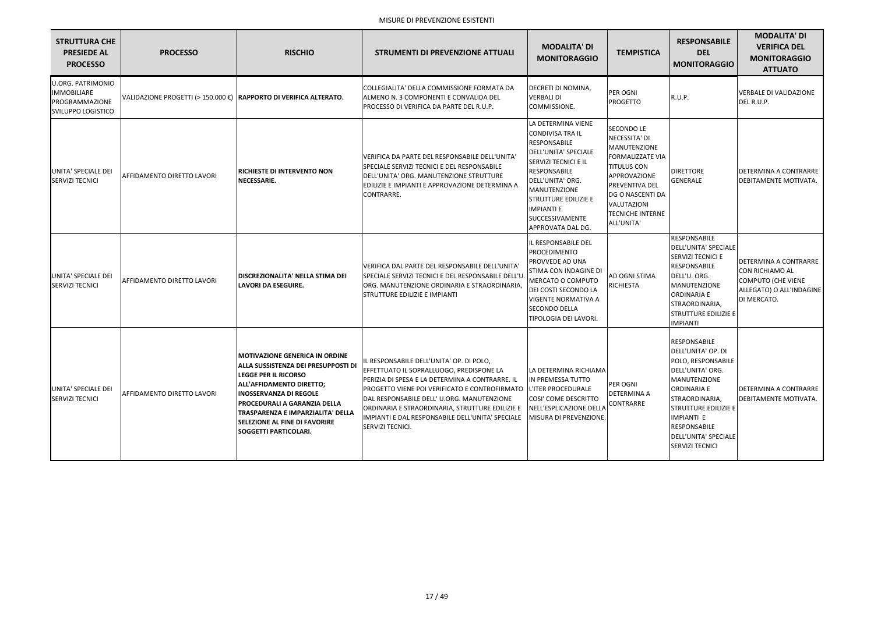| <b>STRUTTURA CHE</b><br><b>PRESIEDE AL</b><br><b>PROCESSO</b>                                 | <b>PROCESSO</b>                                                   | <b>RISCHIO</b>                                                                                                                                                                                                                                                                                                                        | <b>STRUMENTI DI PREVENZIONE ATTUALI</b>                                                                                                                                                                                                                                                                                                                                 | <b>MODALITA' DI</b><br><b>MONITORAGGIO</b>                                                                                                                                                                                                                                         | <b>TEMPISTICA</b>                                                                                                                                                                                                        | <b>RESPONSABILE</b><br><b>DEL</b><br><b>MONITORAGGIO</b>                                                                                                                                                                                                                        | <b>MODALITA' DI</b><br><b>VERIFICA DEL</b><br><b>MONITORAGGIO</b><br><b>ATTUATO</b>                                            |
|-----------------------------------------------------------------------------------------------|-------------------------------------------------------------------|---------------------------------------------------------------------------------------------------------------------------------------------------------------------------------------------------------------------------------------------------------------------------------------------------------------------------------------|-------------------------------------------------------------------------------------------------------------------------------------------------------------------------------------------------------------------------------------------------------------------------------------------------------------------------------------------------------------------------|------------------------------------------------------------------------------------------------------------------------------------------------------------------------------------------------------------------------------------------------------------------------------------|--------------------------------------------------------------------------------------------------------------------------------------------------------------------------------------------------------------------------|---------------------------------------------------------------------------------------------------------------------------------------------------------------------------------------------------------------------------------------------------------------------------------|--------------------------------------------------------------------------------------------------------------------------------|
| <b>U.ORG. PATRIMONIO</b><br><b>IMMOBILIARE</b><br>PROGRAMMAZIONE<br><b>SVILUPPO LOGISTICO</b> | VALIDAZIONE PROGETTI (> 150.000 €) RAPPORTO DI VERIFICA ALTERATO. |                                                                                                                                                                                                                                                                                                                                       | COLLEGIALITA' DELLA COMMISSIONE FORMATA DA<br>ALMENO N. 3 COMPONENTI E CONVALIDA DEL<br>PROCESSO DI VERIFICA DA PARTE DEL R.U.P.                                                                                                                                                                                                                                        | DECRETI DI NOMINA,<br><b>VERBALI DI</b><br>COMMISSIONE.                                                                                                                                                                                                                            | <b>PER OGNI</b><br>PROGETTO                                                                                                                                                                                              | R.U.P.                                                                                                                                                                                                                                                                          | <b>VERBALE DI VALIDAZIONE</b><br>DEL R.U.P.                                                                                    |
| UNITA' SPECIALE DEI<br><b>SERVIZI TECNICI</b>                                                 | <b>AFFIDAMENTO DIRETTO LAVORI</b>                                 | <b>RICHIESTE DI INTERVENTO NON</b><br>NECESSARIE.                                                                                                                                                                                                                                                                                     | VERIFICA DA PARTE DEL RESPONSABILE DELL'UNITA'<br>SPECIALE SERVIZI TECNICI E DEL RESPONSABILE<br>DELL'UNITA' ORG. MANUTENZIONE STRUTTURE<br>EDILIZIE E IMPIANTI E APPROVAZIONE DETERMINA A<br>CONTRARRE.                                                                                                                                                                | LA DETERMINA VIENE<br><b>CONDIVISA TRA IL</b><br><b>RESPONSABILE</b><br>DELL'UNITA' SPECIALE<br>SERVIZI TECNICI E IL<br><b>RESPONSABILE</b><br>DELL'UNITA' ORG.<br>MANUTENZIONE<br><b>STRUTTURE EDILIZIE E</b><br><b>IMPIANTI E</b><br><b>SUCCESSIVAMENTE</b><br>APPROVATA DAL DG. | <b>SECONDO LE</b><br>NECESSITA' DI<br>MANUTENZIONE<br><b>FORMALIZZATE VIA</b><br><b>TITULUS CON</b><br>APPROVAZIONE<br><b>PREVENTIVA DEL</b><br>DG O NASCENTI DA<br>VALUTAZIONI<br><b>TECNICHE INTERNE</b><br>ALL'UNITA' | <b>DIRETTORE</b><br><b>GENERALE</b>                                                                                                                                                                                                                                             | <b>IDETERMINA A CONTRARRE</b><br>DEBITAMENTE MOTIVATA.                                                                         |
| UNITA' SPECIALE DEI<br><b>SERVIZI TECNICI</b>                                                 | <b>AFFIDAMENTO DIRETTO LAVORI</b>                                 | <b>DISCREZIONALITA' NELLA STIMA DEI</b><br><b>LAVORI DA ESEGUIRE.</b>                                                                                                                                                                                                                                                                 | VERIFICA DAL PARTE DEL RESPONSABILE DELL'UNITA'<br>SPECIALE SERVIZI TECNICI E DEL RESPONSABILE DELL'U.<br>ORG. MANUTENZIONE ORDINARIA E STRAORDINARIA,<br>STRUTTURE EDILIZIE E IMPIANTI                                                                                                                                                                                 | IL RESPONSABILE DEL<br>PROCEDIMENTO<br><b>PROVVEDE AD UNA</b><br>STIMA CON INDAGINE DI<br>MERCATO O COMPUTO<br>DEI COSTI SECONDO LA<br><b>VIGENTE NORMATIVA A</b><br><b>SECONDO DELLA</b><br>TIPOLOGIA DEI LAVORI.                                                                 | AD OGNI STIMA<br><b>RICHIESTA</b>                                                                                                                                                                                        | <b>RESPONSABILE</b><br><b>DELL'UNITA' SPECIALE</b><br>SERVIZI TECNICI E<br><b>RESPONSABILE</b><br>DELL'U. ORG.<br><b>MANUTENZIONE</b><br><b>ORDINARIA E</b><br>STRAORDINARIA,<br><b>STRUTTURE EDILIZIE E</b><br><b>IMPIANTI</b>                                                 | <b>DETERMINA A CONTRARRE</b><br><b>CON RICHIAMO AL</b><br><b>COMPUTO (CHE VIENE</b><br>ALLEGATO) O ALL'INDAGINE<br>DI MERCATO. |
| UNITA' SPECIALE DEI<br><b>SERVIZI TECNICI</b>                                                 | AFFIDAMENTO DIRETTO LAVORI                                        | <b> MOTIVAZIONE GENERICA IN ORDINE</b><br><b>ALLA SUSSISTENZA DEI PRESUPPOSTI DI</b><br><b>LEGGE PER IL RICORSO</b><br>ALL'AFFIDAMENTO DIRETTO;<br><b>INOSSERVANZA DI REGOLE</b><br><b>PROCEDURALI A GARANZIA DELLA</b><br> TRASPARENZA E IMPARZIALITA' DELLA<br><b>SELEZIONE AL FINE DI FAVORIRE</b><br><b>SOGGETTI PARTICOLARI.</b> | L RESPONSABILE DELL'UNITA' OP. DI POLO,<br>EFFETTUATO IL SOPRALLUOGO, PREDISPONE LA<br>PERIZIA DI SPESA E LA DETERMINA A CONTRARRE. IL<br>PROGETTO VIENE POI VERIFICATO E CONTROFIRMATO<br>DAL RESPONSABILE DELL' U.ORG. MANUTENZIONE<br>ORDINARIA E STRAORDINARIA, STRUTTURE EDILIZIE E<br>IMPIANTI E DAL RESPONSABILE DELL'UNITA' SPECIALE<br><b>SERVIZI TECNICI.</b> | LA DETERMINA RICHIAMA<br>IN PREMESSA TUTTO<br>L'ITER PROCEDURALE<br>COSI' COME DESCRITTO<br>NELL'ESPLICAZIONE DELLA<br>MISURA DI PREVENZIONE.                                                                                                                                      | PER OGNI<br><b>DETERMINA A</b><br>CONTRARRE                                                                                                                                                                              | <b>RESPONSABILE</b><br>DELL'UNITA' OP. DI<br>POLO, RESPONSABILE<br>DELL'UNITA' ORG.<br><b>MANUTENZIONE</b><br><b>ORDINARIA E</b><br>STRAORDINARIA,<br><b>STRUTTURE EDILIZIE E</b><br><b>IMPIANTI E</b><br><b>RESPONSABILE</b><br>DELL'UNITA' SPECIALE<br><b>SERVIZI TECNICI</b> | <b>DETERMINA A CONTRARRE</b><br>DEBITAMENTE MOTIVATA.                                                                          |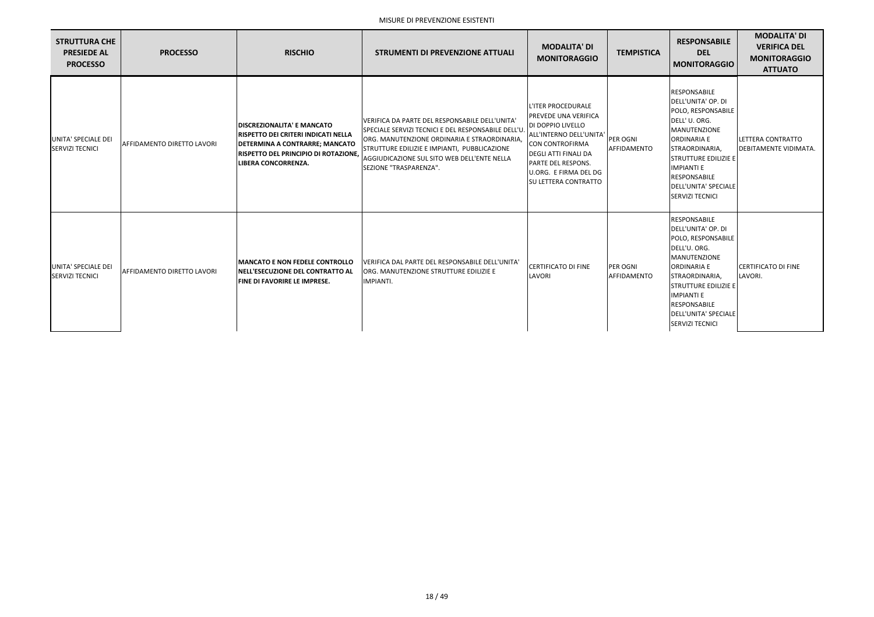| <b>STRUTTURA CHE</b><br><b>PRESIEDE AL</b><br><b>PROCESSO</b> | <b>PROCESSO</b>                   | <b>RISCHIO</b>                                                                                                                                                                                 | <b>STRUMENTI DI PREVENZIONE ATTUALI</b>                                                                                                                                                                                                                                        | <b>MODALITA' DI</b><br><b>MONITORAGGIO</b>                                                                                                                                                                                | <b>TEMPISTICA</b>              | <b>RESPONSABILE</b><br><b>DEL</b><br><b>MONITORAGGIO</b>                                                                                                                                                                                                                           | <b>MODALITA' DI</b><br><b>VERIFICA DEL</b><br><b>MONITORAGGIO</b><br><b>ATTUATO</b> |
|---------------------------------------------------------------|-----------------------------------|------------------------------------------------------------------------------------------------------------------------------------------------------------------------------------------------|--------------------------------------------------------------------------------------------------------------------------------------------------------------------------------------------------------------------------------------------------------------------------------|---------------------------------------------------------------------------------------------------------------------------------------------------------------------------------------------------------------------------|--------------------------------|------------------------------------------------------------------------------------------------------------------------------------------------------------------------------------------------------------------------------------------------------------------------------------|-------------------------------------------------------------------------------------|
| UNITA' SPECIALE DEI<br><b>SERVIZI TECNICI</b>                 | <b>AFFIDAMENTO DIRETTO LAVORI</b> | <b>DISCREZIONALITA' E MANCATO</b><br>RISPETTO DEI CRITERI INDICATI NELLA<br><b>DETERMINA A CONTRARRE; MANCATO</b><br><b>RISPETTO DEL PRINCIPIO DI ROTAZIONE,</b><br><b>LIBERA CONCORRENZA.</b> | IVERIFICA DA PARTE DEL RESPONSABILE DELL'UNITA'<br>SPECIALE SERVIZI TECNICI E DEL RESPONSABILE DELL'U<br>ORG. MANUTENZIONE ORDINARIA E STRAORDINARIA,<br>STRUTTURE EDILIZIE E IMPIANTI, PUBBLICAZIONE<br>AGGIUDICAZIONE SUL SITO WEB DELL'ENTE NELLA<br>SEZIONE "TRASPARENZA". | L'ITER PROCEDURALE<br>PREVEDE UNA VERIFICA<br>DI DOPPIO LIVELLO<br>ALL'INTERNO DELL'UNITA<br>CON CONTROFIRMA<br>DEGLI ATTI FINALI DA<br><b>PARTE DEL RESPONS.</b><br>U.ORG. E FIRMA DEL DG<br><b>SU LETTERA CONTRATTO</b> | PER OGNI<br>AFFIDAMENTO        | <b>RESPONSABILE</b><br>DELL'UNITA' OP. DI<br>POLO, RESPONSABILE<br>DELL'U. ORG.<br><b>MANUTENZIONE</b><br><b>ORDINARIA E</b><br>STRAORDINARIA,<br><b>STRUTTURE EDILIZIE E</b><br><b>IMPIANTI E</b><br><b>RESPONSABILE</b><br>DELL'UNITA' SPECIALE<br><b>SERVIZI TECNICI</b>        | LETTERA CONTRATTO<br><b>IDEBITAMENTE VIDIMATA.</b>                                  |
| UNITA' SPECIALE DEI<br><b>SERVIZI TECNICI</b>                 | <b>AFFIDAMENTO DIRETTO LAVORI</b> | <b>IMANCATO E NON FEDELE CONTROLLO</b><br><b>INELL'ESECUZIONE DEL CONTRATTO AL</b><br><b>FINE DI FAVORIRE LE IMPRESE.</b>                                                                      | VERIFICA DAL PARTE DEL RESPONSABILE DELL'UNITA'<br>ORG. MANUTENZIONE STRUTTURE EDILIZIE E<br>IMPIANTI.                                                                                                                                                                         | <b>CERTIFICATO DI FINE</b><br>LAVORI                                                                                                                                                                                      | <b>PER OGNI</b><br>AFFIDAMENTO | <b>RESPONSABILE</b><br>DELL'UNITA' OP. DI<br>POLO, RESPONSABILE<br>DELL'U. ORG.<br><b>MANUTENZIONE</b><br><b>ORDINARIA E</b><br>STRAORDINARIA,<br><b>STRUTTURE EDILIZIE E</b><br><b>IMPIANTI E</b><br><b>RESPONSABILE</b><br><b>DELL'UNITA' SPECIALE</b><br><b>SERVIZI TECNICI</b> | <b>CERTIFICATO DI FINE</b><br>LAVORI.                                               |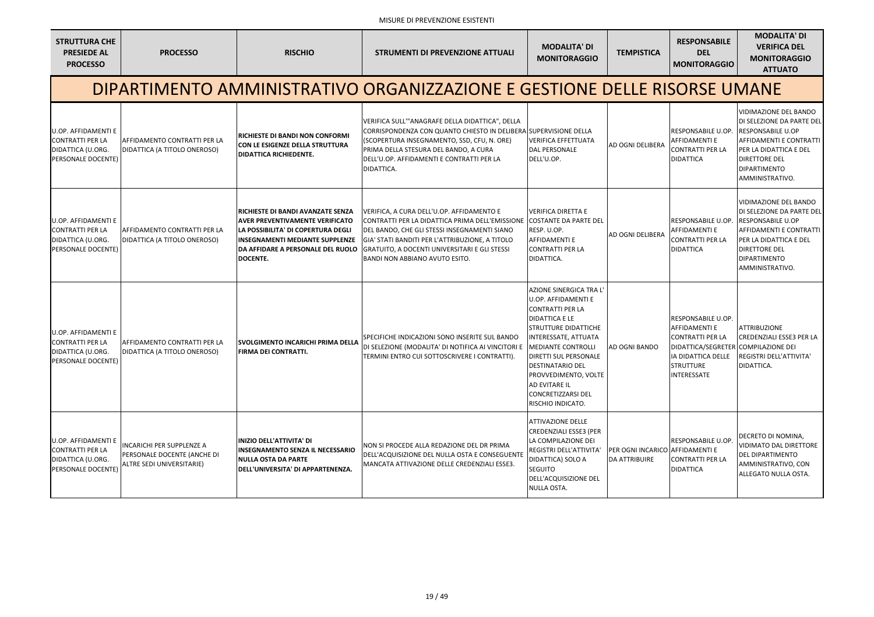| <b>STRUTTURA CHE</b><br><b>PRESIEDE AL</b><br><b>PROCESSO</b>                                    | <b>PROCESSO</b>                                                                              | <b>RISCHIO</b>                                                                                                                                                                                                      | <b>STRUMENTI DI PREVENZIONE ATTUALI</b>                                                                                                                                                                                                                                                   | <b>MODALITA' DI</b><br><b>MONITORAGGIO</b>                                                                                                                                                                                                                                                                                                  | <b>TEMPISTICA</b>                                       | <b>RESPONSABILE</b><br><b>DEL</b><br><b>MONITORAGGIO</b>                                                                                                                     | <b>MODALITA' DI</b><br><b>VERIFICA DEL</b><br><b>MONITORAGGIO</b><br><b>ATTUATO</b>                                                                                                                          |
|--------------------------------------------------------------------------------------------------|----------------------------------------------------------------------------------------------|---------------------------------------------------------------------------------------------------------------------------------------------------------------------------------------------------------------------|-------------------------------------------------------------------------------------------------------------------------------------------------------------------------------------------------------------------------------------------------------------------------------------------|---------------------------------------------------------------------------------------------------------------------------------------------------------------------------------------------------------------------------------------------------------------------------------------------------------------------------------------------|---------------------------------------------------------|------------------------------------------------------------------------------------------------------------------------------------------------------------------------------|--------------------------------------------------------------------------------------------------------------------------------------------------------------------------------------------------------------|
|                                                                                                  |                                                                                              |                                                                                                                                                                                                                     | DIPARTIMENTO AMMINISTRATIVO ORGANIZZAZIONE E GESTIONE DELLE RISORSE UMANE                                                                                                                                                                                                                 |                                                                                                                                                                                                                                                                                                                                             |                                                         |                                                                                                                                                                              |                                                                                                                                                                                                              |
| U.OP. AFFIDAMENTI E<br><b>CONTRATTI PER LA</b><br>DIDATTICA (U.ORG.<br>PERSONALE DOCENTE)        | AFFIDAMENTO CONTRATTI PER LA<br>DIDATTICA (A TITOLO ONEROSO)                                 | RICHIESTE DI BANDI NON CONFORMI<br>CON LE ESIGENZE DELLA STRUTTURA<br><b>DIDATTICA RICHIEDENTE.</b>                                                                                                                 | VERIFICA SULL" ANAGRAFE DELLA DIDATTICA", DELLA<br>CORRISPONDENZA CON QUANTO CHIESTO IN DELIBERA SUPERVISIONE DELLA<br>(SCOPERTURA INSEGNAMENTO, SSD, CFU, N. ORE)<br>PRIMA DELLA STESURA DEL BANDO, A CURA<br>DELL'U.OP. AFFIDAMENTI E CONTRATTI PER LA<br>DIDATTICA.                    | <b>VERIFICA EFFETTUATA</b><br>DAL PERSONALE<br>DELL'U.OP.                                                                                                                                                                                                                                                                                   | AD OGNI DELIBERA                                        | RESPONSABILE U.OP.<br>AFFIDAMENTI E<br><b>CONTRATTI PER LA</b><br><b>DIDATTICA</b>                                                                                           | <b>VIDIMAZIONE DEL BANDO</b><br>DI SELEZIONE DA PARTE DEL<br><b>RESPONSABILE U.OP</b><br>AFFIDAMENTI E CONTRATTI<br>PER LA DIDATTICA E DEL<br><b>DIRETTORE DEL</b><br><b>DIPARTIMENTO</b><br>AMMINISTRATIVO. |
| <b>U.OP. AFFIDAMENTI E</b><br><b>CONTRATTI PER LA</b><br>DIDATTICA (U.ORG.<br>PERSONALE DOCENTE) | AFFIDAMENTO CONTRATTI PER LA<br>DIDATTICA (A TITOLO ONEROSO)                                 | RICHIESTE DI BANDI AVANZATE SENZA<br><b>AVER PREVENTIVAMENTE VERIFICATO</b><br>LA POSSIBILITA' DI COPERTURA DEGLI<br><b>INSEGNAMENTI MEDIANTE SUPPLENZE</b><br>DA AFFIDARE A PERSONALE DEL RUOLO<br><b>DOCENTE.</b> | VERIFICA, A CURA DELL'U.OP. AFFIDAMENTO E<br>CONTRATTI PER LA DIDATTICA PRIMA DELL'EMISSIONE<br>DEL BANDO, CHE GLI STESSI INSEGNAMENTI SIANO<br>GIA' STATI BANDITI PER L'ATTRIBUZIONE, A TITOLO<br><b>GRATUITO, A DOCENTI UNIVERSITARI E GLI STESSI</b><br>BANDI NON ABBIANO AVUTO ESITO. | <b>VERIFICA DIRETTA E</b><br><b>COSTANTE DA PARTE DEL</b><br>RESP. U.OP.<br><b>AFFIDAMENTI E</b><br><b>CONTRATTI PER LA</b><br>DIDATTICA.                                                                                                                                                                                                   | <b>AD OGNI DELIBERA</b>                                 | RESPONSABILE U.OP.<br><b>AFFIDAMENTI E</b><br><b>CONTRATTI PER LA</b><br><b>DIDATTICA</b>                                                                                    | <b>VIDIMAZIONE DEL BANDO</b><br>DI SELEZIONE DA PARTE DEL<br><b>RESPONSABILE U.OP</b><br>AFFIDAMENTI E CONTRATTI<br>PER LA DIDATTICA E DEL<br><b>DIRETTORE DEL</b><br>DIPARTIMENTO<br>AMMINISTRATIVO.        |
| U.OP. AFFIDAMENTI E<br><b>CONTRATTI PER LA</b><br>DIDATTICA (U.ORG.<br>PERSONALE DOCENTE)        | AFFIDAMENTO CONTRATTI PER LA<br>DIDATTICA (A TITOLO ONEROSO)                                 | <b>SVOLGIMENTO INCARICHI PRIMA DELLA</b><br><b>FIRMA DEI CONTRATTI.</b>                                                                                                                                             | SPECIFICHE INDICAZIONI SONO INSERITE SUL BANDO<br>DI SELEZIONE (MODALITA' DI NOTIFICA AI VINCITORI E<br>TERMINI ENTRO CUI SOTTOSCRIVERE I CONTRATTI).                                                                                                                                     | <b>AZIONE SINERGICA TRA L</b><br><b>U.OP. AFFIDAMENTI E</b><br>CONTRATTI PER LA<br><b>DIDATTICA E LE</b><br><b>STRUTTURE DIDATTICHE</b><br>INTERESSATE, ATTUATA<br>MEDIANTE CONTROLLI<br><b>DIRETTI SUL PERSONALE</b><br><b>DESTINATARIO DEL</b><br>PROVVEDIMENTO, VOLTE<br><b>AD EVITARE IL</b><br>CONCRETIZZARSI DEL<br>RISCHIO INDICATO. | <b>AD OGNI BANDO</b>                                    | RESPONSABILE U.OP.<br><b>AFFIDAMENTI E</b><br><b>CONTRATTI PER LA</b><br>DIDATTICA/SEGRETER COMPILAZIONE DEI<br>IA DIDATTICA DELLE<br><b>STRUTTURE</b><br><b>INTERESSATE</b> | ATTRIBUZIONE<br><b>CREDENZIALI ESSE3 PER LA</b><br><b>REGISTRI DELL'ATTIVITA</b><br>DIDATTICA.                                                                                                               |
| U.OP. AFFIDAMENTI E<br><b>CONTRATTI PER LA</b><br>DIDATTICA (U.ORG.<br>PERSONALE DOCENTE)        | <b>INCARICHI PER SUPPLENZE A</b><br>PERSONALE DOCENTE (ANCHE DI<br>ALTRE SEDI UNIVERSITARIE) | INIZIO DELL'ATTIVITA' DI<br><b>INSEGNAMENTO SENZA IL NECESSARIO</b><br><b>NULLA OSTA DA PARTE</b><br>DELL'UNIVERSITA' DI APPARTENENZA.                                                                              | NON SI PROCEDE ALLA REDAZIONE DEL DR PRIMA<br>DELL'ACQUISIZIONE DEL NULLA OSTA E CONSEGUENTE<br>MANCATA ATTIVAZIONE DELLE CREDENZIALI ESSE3.                                                                                                                                              | <b>ATTIVAZIONE DELLE</b><br><b>CREDENZIALI ESSE3 (PER</b><br>LA COMPILAZIONE DEI<br>REGISTRI DELL'ATTIVITA'<br>DIDATTICA) SOLO A<br><b>SEGUITO</b><br>DELL'ACQUISIZIONE DEL<br>NULLA OSTA.                                                                                                                                                  | PER OGNI INCARICO AFFIDAMENTI E<br><b>DA ATTRIBUIRE</b> | RESPONSABILE U.OP.<br><b>CONTRATTI PER LA</b><br><b>DIDATTICA</b>                                                                                                            | DECRETO DI NOMINA,<br><b>VIDIMATO DAL DIRETTORE</b><br><b>DEL DIPARTIMENTO</b><br>AMMINISTRATIVO, CON<br>ALLEGATO NULLA OSTA.                                                                                |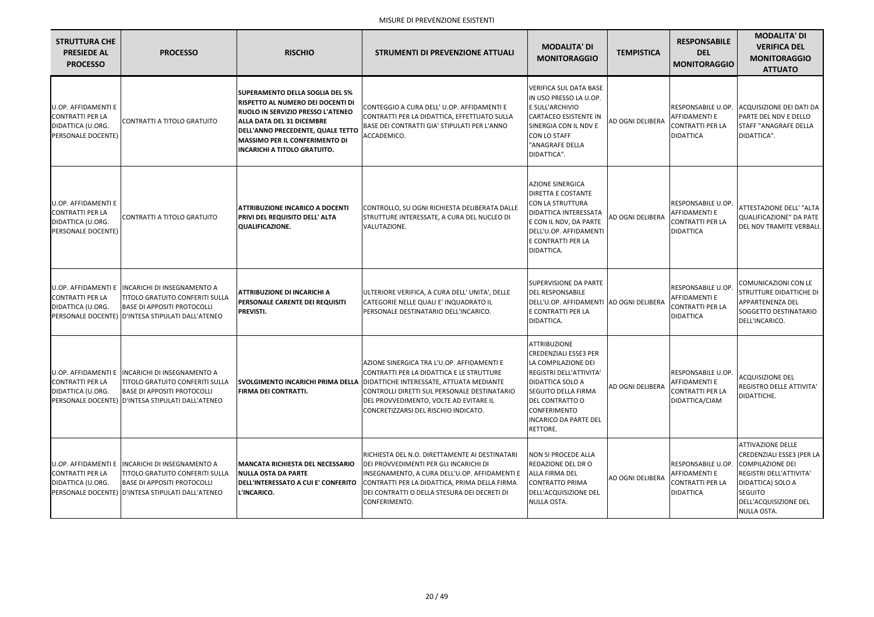| <b>STRUTTURA CHE</b><br><b>PRESIEDE AL</b><br><b>PROCESSO</b>                                    | <b>PROCESSO</b>                                                                                                                                      | <b>RISCHIO</b>                                                                                                                                                                                                                                                            | <b>STRUMENTI DI PREVENZIONE ATTUALI</b>                                                                                                                                                                                                                               | <b>MODALITA' DI</b><br><b>MONITORAGGIO</b>                                                                                                                                                                                                                         | <b>TEMPISTICA</b>       | <b>RESPONSABILE</b><br><b>DEL</b><br><b>MONITORAGGIO</b>                                  | <b>MODALITA' DI</b><br><b>VERIFICA DEL</b><br><b>MONITORAGGIO</b><br><b>ATTUATO</b>                                                                                                        |
|--------------------------------------------------------------------------------------------------|------------------------------------------------------------------------------------------------------------------------------------------------------|---------------------------------------------------------------------------------------------------------------------------------------------------------------------------------------------------------------------------------------------------------------------------|-----------------------------------------------------------------------------------------------------------------------------------------------------------------------------------------------------------------------------------------------------------------------|--------------------------------------------------------------------------------------------------------------------------------------------------------------------------------------------------------------------------------------------------------------------|-------------------------|-------------------------------------------------------------------------------------------|--------------------------------------------------------------------------------------------------------------------------------------------------------------------------------------------|
| <b>U.OP. AFFIDAMENTI E</b><br><b>CONTRATTI PER LA</b><br>DIDATTICA (U.ORG.<br>PERSONALE DOCENTE) | <b>CONTRATTI A TITOLO GRATUITO</b>                                                                                                                   | <b>SUPERAMENTO DELLA SOGLIA DEL 5%</b><br>RISPETTO AL NUMERO DEI DOCENTI DI<br>RUOLO IN SERVIZIO PRESSO L'ATENEO<br><b>ALLA DATA DEL 31 DICEMBRE</b><br>DELL'ANNO PRECEDENTE, QUALE TETTO<br><b>MASSIMO PER IL CONFERIMENTO DI</b><br><b>INCARICHI A TITOLO GRATUITO.</b> | CONTEGGIO A CURA DELL'U.OP. AFFIDAMENTI E<br>CONTRATTI PER LA DIDATTICA, EFFETTUATO SULLA<br>BASE DEI CONTRATTI GIA' STIPULATI PER L'ANNO<br>ACCADEMICO.                                                                                                              | <b>VERIFICA SUL DATA BASE</b><br>IN USO PRESSO LA U.OP.<br>E SULL'ARCHIVIO<br><b>CARTACEO ESISTENTE IN</b><br>SINERGIA CON IL NDV E<br>CON LO STAFF<br>"ANAGRAFE DELLA<br>DIDATTICA".                                                                              | AD OGNI DELIBERA        | RESPONSABILE U.OP.<br><b>AFFIDAMENTI E</b><br><b>CONTRATTI PER LA</b><br><b>DIDATTICA</b> | ACQUISIZIONE DEI DATI DA<br>PARTE DEL NDV E DELLO<br>STAFF "ANAGRAFE DELLA<br>DIDATTICA".                                                                                                  |
| <b>U.OP. AFFIDAMENTI E</b><br><b>CONTRATTI PER LA</b><br>DIDATTICA (U.ORG.<br>PERSONALE DOCENTE) | CONTRATTI A TITOLO GRATUITO                                                                                                                          | <b>ATTRIBUZIONE INCARICO A DOCENTI</b><br><b>PRIVI DEL REQUISITO DELL' ALTA</b><br><b>QUALIFICAZIONE.</b>                                                                                                                                                                 | CONTROLLO, SU OGNI RICHIESTA DELIBERATA DALLE<br>STRUTTURE INTERESSATE, A CURA DEL NUCLEO DI<br>VALUTAZIONE.                                                                                                                                                          | <b>AZIONE SINERGICA</b><br><b>DIRETTA E COSTANTE</b><br><b>CON LA STRUTTURA</b><br><b>DIDATTICA INTERESSATA</b><br>E CON IL NDV, DA PARTE<br>DELL'U.OP. AFFIDAMENTI<br>E CONTRATTI PER LA<br>DIDATTICA.                                                            | AD OGNI DELIBERA        | RESPONSABILE U.OP.<br><b>AFFIDAMENTI E</b><br><b>CONTRATTI PER LA</b><br><b>DIDATTICA</b> | ATTESTAZIONE DELL' "ALTA<br><b>QUALIFICAZIONE" DA PATE</b><br>DEL NDV TRAMITE VERBALI.                                                                                                     |
| U.OP. AFFIDAMENTI E<br><b>CONTRATTI PER LA</b><br>DIDATTICA (U.ORG.<br>PERSONALE DOCENTE)        | <b>INCARICHI DI INSEGNAMENTO A</b><br><b>TITOLO GRATUITO CONFERITI SULLA</b><br><b>BASE DI APPOSITI PROTOCOLLI</b><br>D'INTESA STIPULATI DALL'ATENEO | <b>ATTRIBUZIONE DI INCARICHI A</b><br><b>PERSONALE CARENTE DEI REQUISITI</b><br>PREVISTI.                                                                                                                                                                                 | ULTERIORE VERIFICA, A CURA DELL' UNITA', DELLE<br>CATEGORIE NELLE QUALI E' INQUADRATO IL<br>PERSONALE DESTINATARIO DELL'INCARICO.                                                                                                                                     | <b>SUPERVISIONE DA PARTE</b><br><b>DEL RESPONSABILE</b><br>DELL'U.OP. AFFIDAMENTI AD OGNI DELIBERA<br>E CONTRATTI PER LA<br>DIDATTICA.                                                                                                                             |                         | RESPONSABILE U.OP.<br>AFFIDAMENTI E<br><b>CONTRATTI PER LA</b><br><b>DIDATTICA</b>        | COMUNICAZIONI CON LE<br><b>STRUTTURE DIDATTICHE DI</b><br><b>APPARTENENZA DEL</b><br>SOGGETTO DESTINATARIO<br>DELL'INCARICO.                                                               |
| <b>U.OP. AFFIDAMENTI E</b><br><b>CONTRATTI PER LA</b><br>DIDATTICA (U.ORG.<br>PERSONALE DOCENTE) | INCARICHI DI INSEGNAMENTO A<br><b>TITOLO GRATUITO CONFERITI SULLA</b><br><b>BASE DI APPOSITI PROTOCOLLI</b><br>D'INTESA STIPULATI DALL'ATENEO        | ISVOLGIMENTO INCARICHI PRIMA DELLA<br><b>FIRMA DEI CONTRATTI.</b>                                                                                                                                                                                                         | AZIONE SINERGICA TRA L'U.OP. AFFIDAMENTI E<br>CONTRATTI PER LA DIDATTICA E LE STRUTTURE<br>DIDATTICHE INTERESSATE, ATTUATA MEDIANTE<br>CONTROLLI DIRETTI SUL PERSONALE DESTINATARIO<br>DEL PROVVEDIMENTO, VOLTE AD EVITARE IL<br>CONCRETIZZARSI DEL RISCHIO INDICATO. | <b>ATTRIBUZIONE</b><br><b>CREDENZIALI ESSE3 PER</b><br>LA COMPILAZIONE DEI<br><b>REGISTRI DELL'ATTIVITA'</b><br><b>DIDATTICA SOLO A</b><br><b>SEGUITO DELLA FIRMA</b><br><b>DEL CONTRATTO O</b><br><b>CONFERIMENTO</b><br><b>INCARICO DA PARTE DEL</b><br>RETTORE. | <b>AD OGNI DELIBERA</b> | RESPONSABILE U.OP.<br><b>AFFIDAMENTI E</b><br><b>CONTRATTI PER LA</b><br>DIDATTICA/CIAM   | <b>ACQUISIZIONE DEL</b><br>REGISTRO DELLE ATTIVITA'<br>DIDATTICHE.                                                                                                                         |
| U.OP. AFFIDAMENTI E<br><b>CONTRATTI PER LA</b><br>DIDATTICA (U.ORG.<br>PERSONALE DOCENTE)        | INCARICHI DI INSEGNAMENTO A<br><b>TITOLO GRATUITO CONFERITI SULLA</b><br><b>BASE DI APPOSITI PROTOCOLLI</b><br>D'INTESA STIPULATI DALL'ATENEO        | <b>MANCATA RICHIESTA DEL NECESSARIO</b><br><b>NULLA OSTA DA PARTE</b><br>DELL'INTERESSATO A CUI E' CONFERITO<br>L'INCARICO.                                                                                                                                               | RICHIESTA DEL N.O. DIRETTAMENTE AI DESTINATARI<br>DEI PROVVEDIMENTI PER GLI INCARICHI DI<br>INSEGNAMENTO, A CURA DELL'U.OP. AFFIDAMENTI E<br>CONTRATTI PER LA DIDATTICA, PRIMA DELLA FIRMA<br>DEI CONTRATTI O DELLA STESURA DEI DECRETI DI<br>CONFERIMENTO.           | NON SI PROCEDE ALLA<br><b>REDAZIONE DEL DR O</b><br><b>ALLA FIRMA DEL</b><br><b>CONTRATTO PRIMA</b><br>DELL'ACQUISIZIONE DEL<br>NULLA OSTA.                                                                                                                        | <b>AD OGNI DELIBERA</b> | RESPONSABILE U.OP.<br><b>AFFIDAMENTI E</b><br><b>CONTRATTI PER LA</b><br><b>DIDATTICA</b> | <b>ATTIVAZIONE DELLE</b><br>CREDENZIALI ESSE3 (PER LA<br><b>COMPILAZIONE DEI</b><br>REGISTRI DELL'ATTIVITA'<br>DIDATTICA) SOLO A<br><b>SEGUITO</b><br>DELL'ACQUISIZIONE DEL<br>NULLA OSTA. |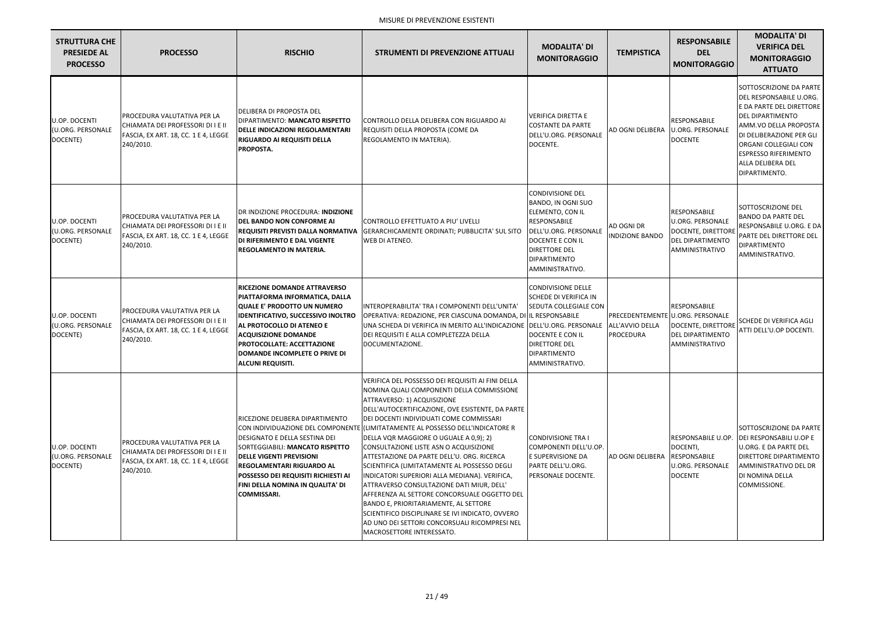| <b>STRUTTURA CHE</b><br><b>PRESIEDE AL</b><br><b>PROCESSO</b> | <b>PROCESSO</b>                                                                                                              | <b>RISCHIO</b>                                                                                                                                                                                                                                                                                                  | <b>STRUMENTI DI PREVENZIONE ATTUALI</b>                                                                                                                                                                                                                                                                                                                                                                                                                                                                                                                                                                                                                                                                                                                                                                                   | <b>MODALITA' DI</b><br><b>MONITORAGGIO</b>                                                                                                                                                       | <b>TEMPISTICA</b>                    | <b>RESPONSABILE</b><br><b>DEL</b><br><b>MONITORAGGIO</b>                                                                   | <b>MODALITA' DI</b><br><b>VERIFICA DEL</b><br><b>MONITORAGGIO</b><br><b>ATTUATO</b>                                                                                                                                                                          |
|---------------------------------------------------------------|------------------------------------------------------------------------------------------------------------------------------|-----------------------------------------------------------------------------------------------------------------------------------------------------------------------------------------------------------------------------------------------------------------------------------------------------------------|---------------------------------------------------------------------------------------------------------------------------------------------------------------------------------------------------------------------------------------------------------------------------------------------------------------------------------------------------------------------------------------------------------------------------------------------------------------------------------------------------------------------------------------------------------------------------------------------------------------------------------------------------------------------------------------------------------------------------------------------------------------------------------------------------------------------------|--------------------------------------------------------------------------------------------------------------------------------------------------------------------------------------------------|--------------------------------------|----------------------------------------------------------------------------------------------------------------------------|--------------------------------------------------------------------------------------------------------------------------------------------------------------------------------------------------------------------------------------------------------------|
| U.OP. DOCENTI<br>(U.ORG. PERSONALE<br>DOCENTE)                | <b>PROCEDURA VALUTATIVA PER LA</b><br>CHIAMATA DEI PROFESSORI DI I E II<br>FASCIA, EX ART. 18, CC. 1 E 4, LEGGE<br>240/2010. | DELIBERA DI PROPOSTA DEL<br><b>DIPARTIMENTO: MANCATO RISPETTO</b><br><b>DELLE INDICAZIONI REGOLAMENTARI</b><br><b>RIGUARDO AI REQUISITI DELLA</b><br>PROPOSTA.                                                                                                                                                  | CONTROLLO DELLA DELIBERA CON RIGUARDO AI<br>REQUISITI DELLA PROPOSTA (COME DA<br>REGOLAMENTO IN MATERIA).                                                                                                                                                                                                                                                                                                                                                                                                                                                                                                                                                                                                                                                                                                                 | <b>VERIFICA DIRETTA E</b><br><b>COSTANTE DA PARTE</b><br>DELL'U.ORG. PERSONALE<br>DOCENTE.                                                                                                       | AD OGNI DELIBERA                     | <b>RESPONSABILE</b><br>U.ORG. PERSONALE<br><b>DOCENTE</b>                                                                  | SOTTOSCRIZIONE DA PARTE<br>DEL RESPONSABILE U.ORG.<br>E DA PARTE DEL DIRETTORE<br><b>DEL DIPARTIMENTO</b><br>AMM.VO DELLA PROPOSTA<br>DI DELIBERAZIONE PER GLI<br>ORGANI COLLEGIALI CON<br><b>ESPRESSO RIFERIMENTO</b><br>ALLA DELIBERA DEL<br>DIPARTIMENTO. |
| U.OP. DOCENTI<br>(U.ORG. PERSONALE<br>DOCENTE)                | <b>PROCEDURA VALUTATIVA PER LA</b><br>CHIAMATA DEI PROFESSORI DI I E II<br>FASCIA, EX ART. 18, CC. 1 E 4, LEGGE<br>240/2010. | DR INDIZIONE PROCEDURA: INDIZIONE<br><b>DEL BANDO NON CONFORME AI</b><br><b>REQUISITI PREVISTI DALLA NORMATIVA</b><br>DI RIFERIMENTO E DAL VIGENTE<br>REGOLAMENTO IN MATERIA.                                                                                                                                   | CONTROLLO EFFETTUATO A PIU' LIVELLI<br>GERARCHICAMENTE ORDINATI; PUBBLICITA' SUL SITO<br><b>WEB DI ATENEO.</b>                                                                                                                                                                                                                                                                                                                                                                                                                                                                                                                                                                                                                                                                                                            | <b>CONDIVISIONE DEL</b><br>BANDO, IN OGNI SUO<br>ELEMENTO, CON IL<br>RESPONSABILE<br>DELL'U.ORG. PERSONALE<br>DOCENTE E CON IL<br><b>DIRETTORE DEL</b><br><b>DIPARTIMENTO</b><br>AMMINISTRATIVO. | AD OGNI DR<br><b>INDIZIONE BANDO</b> | <b>RESPONSABILE</b><br><b>U.ORG. PERSONALE</b><br>DOCENTE, DIRETTORI<br><b>DEL DIPARTIMENTO</b><br>AMMINISTRATIVO          | SOTTOSCRIZIONE DEL<br><b>BANDO DA PARTE DEL</b><br>RESPONSABILE U.ORG. E DA<br>PARTE DEL DIRETTORE DEL<br><b>DIPARTIMENTO</b><br>AMMINISTRATIVO.                                                                                                             |
| U.OP. DOCENTI<br>(U.ORG. PERSONALE<br>DOCENTE)                | PROCEDURA VALUTATIVA PER LA<br>CHIAMATA DEI PROFESSORI DI I E II<br>FASCIA, EX ART. 18, CC. 1 E 4, LEGGE<br>240/2010.        | RICEZIONE DOMANDE ATTRAVERSO<br>PIATTAFORMA INFORMATICA, DALLA<br><b>QUALE E' PRODOTTO UN NUMERO</b><br><b>IDENTIFICATIVO, SUCCESSIVO INOLTRO</b><br>AL PROTOCOLLO DI ATENEO E<br><b>ACQUISIZIONE DOMANDE</b><br><b>PROTOCOLLATE: ACCETTAZIONE</b><br>DOMANDE INCOMPLETE O PRIVE DI<br><b>ALCUNI REQUISITI.</b> | INTEROPERABILITA' TRA I COMPONENTI DELL'UNITA'<br>OPERATIVA: REDAZIONE, PER CIASCUNA DOMANDA, DI IL RESPONSABILE<br>UNA SCHEDA DI VERIFICA IN MERITO ALL'INDICAZIONE DELL'U.ORG. PERSONALE<br>DEI REQUISITI E ALLA COMPLETEZZA DELLA<br>DOCUMENTAZIONE.                                                                                                                                                                                                                                                                                                                                                                                                                                                                                                                                                                   | <b>CONDIVISIONE DELLE</b><br><b>SCHEDE DI VERIFICA IN</b><br><b>SEDUTA COLLEGIALE CON</b><br><b>DOCENTE E CON IL</b><br><b>DIRETTORE DEL</b><br><b>DIPARTIMENTO</b><br>AMMINISTRATIVO.           | ALL'AVVIO DELLA<br>PROCEDURA         | <b>RESPONSABILE</b><br>PRECEDENTEMENTE U.ORG. PERSONALE<br>DOCENTE, DIRETTORE<br><b>DEL DIPARTIMENTO</b><br>AMMINISTRATIVO | <b>SCHEDE DI VERIFICA AGLI</b><br>ATTI DELL'U.OP DOCENTI.                                                                                                                                                                                                    |
| U.OP. DOCENTI<br>(U.ORG. PERSONALE<br>DOCENTE)                | <b>PROCEDURA VALUTATIVA PER LA</b><br>CHIAMATA DEI PROFESSORI DI I E II<br>FASCIA, EX ART. 18, CC. 1 E 4, LEGGE<br>240/2010. | RICEZIONE DELIBERA DIPARTIMENTO<br>DESIGNATO E DELLA SESTINA DEI<br><b>SORTEGGIABILI: MANCATO RISPETTO</b><br><b>DELLE VIGENTI PREVISIONI</b><br><b>REGOLAMENTARI RIGUARDO AL</b><br><b>POSSESSO DEI REQUISITI RICHIESTI AI</b><br>FINI DELLA NOMINA IN QUALITA' DI<br><b>COMMISSARI.</b>                       | VERIFICA DEL POSSESSO DEI REQUISITI AI FINI DELLA<br>NOMINA QUALI COMPONENTI DELLA COMMISSIONE<br>ATTRAVERSO: 1) ACQUISIZIONE<br>DELL'AUTOCERTIFICAZIONE, OVE ESISTENTE, DA PARTE<br>DEI DOCENTI INDIVIDUATI COME COMMISSARI<br>CON INDIVIDUAZIONE DEL COMPONENTE (LIMITATAMENTE AL POSSESSO DELL'INDICATORE R<br>DELLA VQR MAGGIORE O UGUALE A 0,9); 2)<br>CONSULTAZIONE LISTE ASN O ACQUISIZIONE<br>ATTESTAZIONE DA PARTE DELL'U. ORG. RICERCA<br>SCIENTIFICA (LIMITATAMENTE AL POSSESSO DEGLI<br>INDICATORI SUPERIORI ALLA MEDIANA). VERIFICA,<br>ATTRAVERSO CONSULTAZIONE DATI MIUR, DELL'<br>AFFERENZA AL SETTORE CONCORSUALE OGGETTO DEL<br>BANDO E, PRIORITARIAMENTE, AL SETTORE<br>SCIENTIFICO DISCIPLINARE SE IVI INDICATO, OVVERO<br>AD UNO DEI SETTORI CONCORSUALI RICOMPRESI NEL<br>MACROSETTORE INTERESSATO. | <b>CONDIVISIONE TRA I</b><br>COMPONENTI DELL'U.OP.<br>E SUPERVISIONE DA<br>PARTE DELL'U.ORG.<br>PERSONALE DOCENTE.                                                                               | <b>AD OGNI DELIBERA</b>              | <b>RESPONSABILE U.OP.</b><br>DOCENTI,<br><b>RESPONSABILE</b><br><b>U.ORG. PERSONALE</b><br><b>DOCENTE</b>                  | SOTTOSCRIZIONE DA PARTE<br>DEI RESPONSABILI U.OP E<br><b>I</b> U.ORG. E DA PARTE DEL<br><b>DIRETTORE DIPARTIMENTO</b><br>AMMINISTRATIVO DEL DR<br>DI NOMINA DELLA<br>COMMISSIONE.                                                                            |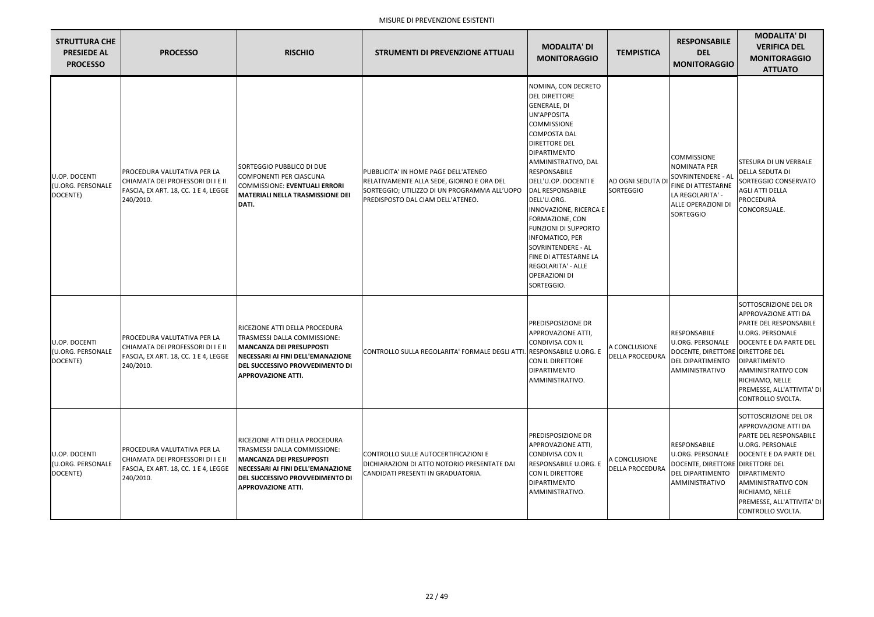| <b>STRUTTURA CHE</b><br><b>PRESIEDE AL</b><br><b>PROCESSO</b> | <b>PROCESSO</b>                                                                                                              | <b>RISCHIO</b>                                                                                                                                                                                         | <b>STRUMENTI DI PREVENZIONE ATTUALI</b>                                                                                                                                | <b>MODALITA' DI</b><br><b>MONITORAGGIO</b>                                                                                                                                                                                                                                                                                                                                                                                                                                               | <b>TEMPISTICA</b>                       | <b>RESPONSABILE</b><br><b>DEL</b><br><b>MONITORAGGIO</b>                                                                                     | <b>MODALITA' DI</b><br><b>VERIFICA DEL</b><br><b>MONITORAGGIO</b><br><b>ATTUATO</b>                                                                                                                                                             |
|---------------------------------------------------------------|------------------------------------------------------------------------------------------------------------------------------|--------------------------------------------------------------------------------------------------------------------------------------------------------------------------------------------------------|------------------------------------------------------------------------------------------------------------------------------------------------------------------------|------------------------------------------------------------------------------------------------------------------------------------------------------------------------------------------------------------------------------------------------------------------------------------------------------------------------------------------------------------------------------------------------------------------------------------------------------------------------------------------|-----------------------------------------|----------------------------------------------------------------------------------------------------------------------------------------------|-------------------------------------------------------------------------------------------------------------------------------------------------------------------------------------------------------------------------------------------------|
| U.OP. DOCENTI<br>(U.ORG. PERSONALE<br>DOCENTE)                | PROCEDURA VALUTATIVA PER LA<br>CHIAMATA DEI PROFESSORI DI I E II<br>FASCIA, EX ART. 18, CC. 1 E 4, LEGGE<br>240/2010.        | SORTEGGIO PUBBLICO DI DUE<br>COMPONENTI PER CIASCUNA<br><b>COMMISSIONE: EVENTUALI ERRORI</b><br><b>MATERIALI NELLA TRASMISSIONE DEI</b><br>DATI.                                                       | PUBBLICITA' IN HOME PAGE DELL'ATENEO<br>RELATIVAMENTE ALLA SEDE, GIORNO E ORA DEL<br>SORTEGGIO; UTILIZZO DI UN PROGRAMMA ALL'UOPO<br>PREDISPOSTO DAL CIAM DELL'ATENEO. | NOMINA, CON DECRETO<br><b>DEL DIRETTORE</b><br><b>GENERALE, DI</b><br>UN'APPOSITA<br><b>COMMISSIONE</b><br><b>COMPOSTA DAL</b><br>DIRETTORE DEL<br><b>DIPARTIMENTO</b><br>AMMINISTRATIVO, DAL<br>RESPONSABILE<br>DELL'U.OP. DOCENTI E<br>DAL RESPONSABILE<br>DELL'U.ORG.<br><b>NNOVAZIONE, RICERCA E</b><br>FORMAZIONE, CON<br><b>FUNZIONI DI SUPPORTO</b><br>INFOMATICO, PER<br>SOVRINTENDERE - AL<br>FINE DI ATTESTARNE LA<br>REGOLARITA' - ALLE<br><b>OPERAZIONI DI</b><br>SORTEGGIO. | AD OGNI SEDUTA DI<br><b>SORTEGGIO</b>   | <b>COMMISSIONE</b><br><b>NOMINATA PER</b><br>SOVRINTENDERE - AL<br>FINE DI ATTESTARNE<br>LA REGOLARITA' -<br>ALLE OPERAZIONI DI<br>SORTEGGIO | <b>STESURA DI UN VERBALE</b><br>DELLA SEDUTA DI<br>SORTEGGIO CONSERVATO<br><b>AGLI ATTI DELLA</b><br><b>PROCEDURA</b><br>CONCORSUALE.                                                                                                           |
| U.OP. DOCENTI<br>(U.ORG. PERSONALE<br>DOCENTE)                | PROCEDURA VALUTATIVA PER LA<br>CHIAMATA DEI PROFESSORI DI I E II<br>FASCIA, EX ART. 18, CC. 1 E 4, LEGGE<br>240/2010.        | RICEZIONE ATTI DELLA PROCEDURA<br>TRASMESSI DALLA COMMISSIONE:<br><b>MANCANZA DEI PRESUPPOSTI</b><br>NECESSARI AI FINI DELL'EMANAZIONE<br>DEL SUCCESSIVO PROVVEDIMENTO DI<br><b>APPROVAZIONE ATTI.</b> | CONTROLLO SULLA REGOLARITA' FORMALE DEGLI ATTI. RESPONSABILE U.ORG. E                                                                                                  | PREDISPOSIZIONE DR<br>APPROVAZIONE ATTI,<br>CONDIVISA CON IL<br>CON IL DIRETTORE<br>DIPARTIMENTO<br>AMMINISTRATIVO.                                                                                                                                                                                                                                                                                                                                                                      | A CONCLUSIONE<br><b>DELLA PROCEDURA</b> | <b>RESPONSABILE</b><br><b>U.ORG. PERSONALE</b><br>DOCENTE, DIRETTORE DIRETTORE DEL<br><b>DEL DIPARTIMENTO</b><br>AMMINISTRATIVO              | SOTTOSCRIZIONE DEL DR<br>APPROVAZIONE ATTI DA<br>PARTE DEL RESPONSABILE<br>U.ORG. PERSONALE<br>DOCENTE E DA PARTE DEL<br><b>DIPARTIMENTO</b><br>AMMINISTRATIVO CON<br>RICHIAMO, NELLE<br>PREMESSE, ALL'ATTIVITA' DI<br>CONTROLLO SVOLTA.        |
| U.OP. DOCENTI<br>(U.ORG. PERSONALE<br>DOCENTE)                | <b>PROCEDURA VALUTATIVA PER LA</b><br>CHIAMATA DEI PROFESSORI DI I E II<br>FASCIA, EX ART. 18, CC. 1 E 4, LEGGE<br>240/2010. | RICEZIONE ATTI DELLA PROCEDURA<br>TRASMESSI DALLA COMMISSIONE:<br><b>MANCANZA DEI PRESUPPOSTI</b><br>NECESSARI AI FINI DELL'EMANAZIONE<br>DEL SUCCESSIVO PROVVEDIMENTO DI<br><b>APPROVAZIONE ATTI.</b> | CONTROLLO SULLE AUTOCERTIFICAZIONI E<br>DICHIARAZIONI DI ATTO NOTORIO PRESENTATE DAI<br>CANDIDATI PRESENTI IN GRADUATORIA.                                             | PREDISPOSIZIONE DR<br>APPROVAZIONE ATTI,<br>CONDIVISA CON IL<br>RESPONSABILE U.ORG. E<br>CON IL DIRETTORE<br>DIPARTIMENTO<br>AMMINISTRATIVO.                                                                                                                                                                                                                                                                                                                                             | A CONCLUSIONE<br><b>DELLA PROCEDURA</b> | <b>RESPONSABILE</b><br><b>U.ORG. PERSONALE</b><br>DOCENTE, DIRETTORE DIRETTORE DEL<br><b>DEL DIPARTIMENTO</b><br>AMMINISTRATIVO              | SOTTOSCRIZIONE DEL DR<br>APPROVAZIONE ATTI DA<br>PARTE DEL RESPONSABILE<br>U.ORG. PERSONALE<br>DOCENTE E DA PARTE DEL<br><b>DIPARTIMENTO</b><br><b>AMMINISTRATIVO CON</b><br>RICHIAMO, NELLE<br>PREMESSE, ALL'ATTIVITA' DI<br>CONTROLLO SVOLTA. |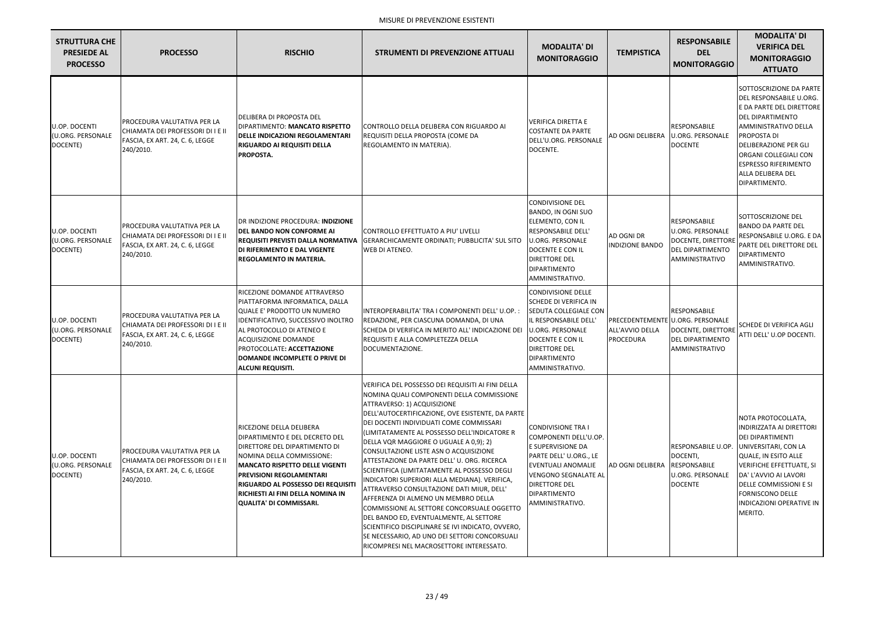| <b>STRUTTURA CHE</b><br><b>PRESIEDE AL</b><br><b>PROCESSO</b> | <b>PROCESSO</b>                                                                                                  | <b>RISCHIO</b>                                                                                                                                                                                                                                                                                             | <b>STRUMENTI DI PREVENZIONE ATTUALI</b>                                                                                                                                                                                                                                                                                                                                                                                                                                                                                                                                                                                                                                                                                                                                                                                                        | <b>MODALITA' DI</b><br><b>MONITORAGGIO</b>                                                                                                                                                                                      | <b>TEMPISTICA</b>                    | <b>RESPONSABILE</b><br><b>DEL</b><br><b>MONITORAGGIO</b>                                                            | <b>MODALITA' DI</b><br><b>VERIFICA DEL</b><br><b>MONITORAGGIO</b><br><b>ATTUATO</b>                                                                                                                                                                                                             |
|---------------------------------------------------------------|------------------------------------------------------------------------------------------------------------------|------------------------------------------------------------------------------------------------------------------------------------------------------------------------------------------------------------------------------------------------------------------------------------------------------------|------------------------------------------------------------------------------------------------------------------------------------------------------------------------------------------------------------------------------------------------------------------------------------------------------------------------------------------------------------------------------------------------------------------------------------------------------------------------------------------------------------------------------------------------------------------------------------------------------------------------------------------------------------------------------------------------------------------------------------------------------------------------------------------------------------------------------------------------|---------------------------------------------------------------------------------------------------------------------------------------------------------------------------------------------------------------------------------|--------------------------------------|---------------------------------------------------------------------------------------------------------------------|-------------------------------------------------------------------------------------------------------------------------------------------------------------------------------------------------------------------------------------------------------------------------------------------------|
| U.OP. DOCENTI<br>(U.ORG. PERSONALE<br>DOCENTE)                | PROCEDURA VALUTATIVA PER LA<br>CHIAMATA DEI PROFESSORI DI I E II<br>FASCIA, EX ART. 24, C. 6, LEGGE<br>240/2010. | <b>DELIBERA DI PROPOSTA DEL</b><br>DIPARTIMENTO: MANCATO RISPETTO<br><b>DELLE INDICAZIONI REGOLAMENTARI</b><br><b>RIGUARDO AI REQUISITI DELLA</b><br>PROPOSTA.                                                                                                                                             | CONTROLLO DELLA DELIBERA CON RIGUARDO AI<br>REQUISITI DELLA PROPOSTA (COME DA<br>REGOLAMENTO IN MATERIA).                                                                                                                                                                                                                                                                                                                                                                                                                                                                                                                                                                                                                                                                                                                                      | <b>VERIFICA DIRETTA E</b><br><b>COSTANTE DA PARTE</b><br>DELL'U.ORG. PERSONALE<br>DOCENTE.                                                                                                                                      | AD OGNI DELIBERA                     | RESPONSABILE<br><b>U.ORG. PERSONALE</b><br><b>DOCENTE</b>                                                           | SOTTOSCRIZIONE DA PARTE<br>DEL RESPONSABILE U.ORG.<br>E DA PARTE DEL DIRETTORE<br><b>DEL DIPARTIMENTO</b><br>AMMINISTRATIVO DELLA<br><b>PROPOSTA DI</b><br><b>DELIBERAZIONE PER GLI</b><br>ORGANI COLLEGIALI CON<br><b>ESPRESSO RIFERIMENTO</b><br>ALLA DELIBERA DEL<br>DIPARTIMENTO.           |
| U.OP. DOCENTI<br>(U.ORG. PERSONALE<br>DOCENTE)                | PROCEDURA VALUTATIVA PER LA<br>CHIAMATA DEI PROFESSORI DI I E II<br>FASCIA, EX ART. 24, C. 6, LEGGE<br>240/2010. | DR INDIZIONE PROCEDURA: INDIZIONE<br><b>DEL BANDO NON CONFORME AI</b><br>DI RIFERIMENTO E DAL VIGENTE<br><b>REGOLAMENTO IN MATERIA.</b>                                                                                                                                                                    | CONTROLLO EFFETTUATO A PIU' LIVELLI<br>REQUISITI PREVISTI DALLA NORMATIVA GERARCHICAMENTE ORDINATI; PUBBLICITA' SUL SITO<br>WEB DI ATENEO.                                                                                                                                                                                                                                                                                                                                                                                                                                                                                                                                                                                                                                                                                                     | <b>CONDIVISIONE DEL</b><br>BANDO, IN OGNI SUO<br>ELEMENTO, CON IL<br>RESPONSABILE DELL'<br><b>U.ORG. PERSONALE</b><br>DOCENTE E CON IL<br><b>DIRETTORE DEL</b><br><b>DIPARTIMENTO</b><br>AMMINISTRATIVO.                        | AD OGNI DR<br><b>INDIZIONE BANDO</b> | RESPONSABILE<br><b>U.ORG. PERSONALE</b><br>DOCENTE, DIRETTORE<br>DEL DIPARTIMENTO<br>AMMINISTRATIVO                 | SOTTOSCRIZIONE DEL<br><b>BANDO DA PARTE DEL</b><br>RESPONSABILE U.ORG. E DA<br>PARTE DEL DIRETTORE DEL<br>DIPARTIMENTO<br>AMMINISTRATIVO.                                                                                                                                                       |
| U.OP. DOCENTI<br>(U.ORG. PERSONALE<br>DOCENTE)                | PROCEDURA VALUTATIVA PER LA<br>CHIAMATA DEI PROFESSORI DI I E II<br>FASCIA, EX ART. 24, C. 6, LEGGE<br>240/2010. | RICEZIONE DOMANDE ATTRAVERSO<br>PIATTAFORMA INFORMATICA, DALLA<br>QUALE E' PRODOTTO UN NUMERO<br>IDENTIFICATIVO, SUCCESSIVO INOLTRO<br>AL PROTOCOLLO DI ATENEO E<br><b>ACQUISIZIONE DOMANDE</b><br>PROTOCOLLATE: ACCETTAZIONE<br><b>DOMANDE INCOMPLETE O PRIVE DI</b><br><b>ALCUNI REQUISITI.</b>          | INTEROPERABILITA' TRA I COMPONENTI DELL'U.OP. :<br>REDAZIONE, PER CIASCUNA DOMANDA, DI UNA<br>SCHEDA DI VERIFICA IN MERITO ALL' INDICAZIONE DEI<br>REQUISITI E ALLA COMPLETEZZA DELLA<br>DOCUMENTAZIONE.                                                                                                                                                                                                                                                                                                                                                                                                                                                                                                                                                                                                                                       | <b>CONDIVISIONE DELLE</b><br><b>SCHEDE DI VERIFICA IN</b><br>SEDUTA COLLEGIALE CON<br>IL RESPONSABILE DELL'<br><b>U.ORG. PERSONALE</b><br>DOCENTE E CON IL<br><b>DIRETTORE DEL</b><br><b>DIPARTIMENTO</b><br>AMMINISTRATIVO.    | ALL'AVVIO DELLA<br><b>PROCEDURA</b>  | RESPONSABILE<br>PRECEDENTEMENTE U.ORG. PERSONALE<br>DOCENTE, DIRETTORE<br><b>DEL DIPARTIMENTO</b><br>AMMINISTRATIVO | SCHEDE DI VERIFICA AGLI<br>ATTI DELL' U.OP DOCENTI.                                                                                                                                                                                                                                             |
| U.OP. DOCENTI<br>(U.ORG. PERSONALE<br>DOCENTE)                | PROCEDURA VALUTATIVA PER LA<br>CHIAMATA DEI PROFESSORI DI I E II<br>FASCIA, EX ART. 24, C. 6, LEGGE<br>240/2010. | RICEZIONE DELLA DELIBERA<br>DIPARTIMENTO E DEL DECRETO DEL<br>DIRETTORE DEL DIPARTIMENTO DI<br>NOMINA DELLA COMMISSIONE:<br><b>MANCATO RISPETTO DELLE VIGENTI</b><br><b>PREVISIONI REGOLAMENTARI</b><br>RIGUARDO AL POSSESSO DEI REQUISITI<br>RICHIESTI AI FINI DELLA NOMINA IN<br>QUALITA' DI COMMISSARI. | VERIFICA DEL POSSESSO DEI REQUISITI AI FINI DELLA<br>NOMINA QUALI COMPONENTI DELLA COMMISSIONE<br>ATTRAVERSO: 1) ACQUISIZIONE<br>DELL'AUTOCERTIFICAZIONE, OVE ESISTENTE, DA PARTE<br>DEI DOCENTI INDIVIDUATI COME COMMISSARI<br>(LIMITATAMENTE AL POSSESSO DELL'INDICATORE R<br>DELLA VQR MAGGIORE O UGUALE A 0,9); 2)<br>CONSULTAZIONE LISTE ASN O ACQUISIZIONE<br>ATTESTAZIONE DA PARTE DELL'U. ORG. RICERCA<br>SCIENTIFICA (LIMITATAMENTE AL POSSESSO DEGLI<br>INDICATORI SUPERIORI ALLA MEDIANA). VERIFICA,<br>ATTRAVERSO CONSULTAZIONE DATI MIUR, DELL'<br>AFFERENZA DI ALMENO UN MEMBRO DELLA<br>COMMISSIONE AL SETTORE CONCORSUALE OGGETTO<br>DEL BANDO ED, EVENTUALMENTE, AL SETTORE<br>SCIENTIFICO DISCIPLINARE SE IVI INDICATO, OVVERO,<br>SE NECESSARIO, AD UNO DEI SETTORI CONCORSUALI<br>RICOMPRESI NEL MACROSETTORE INTERESSATO. | <b>CONDIVISIONE TRA I</b><br>COMPONENTI DELL'U.OP.<br>E SUPERVISIONE DA<br>PARTE DELL' U.ORG., LE<br><b>EVENTUALI ANOMALIE</b><br><b>VENGONO SEGNALATE AL</b><br><b>DIRETTORE DEL</b><br><b>DIPARTIMENTO</b><br>AMMINISTRATIVO. | AD OGNI DELIBERA                     | RESPONSABILE U.OP.<br>DOCENTI,<br><b>RESPONSABILE</b><br>U.ORG. PERSONALE<br><b>DOCENTE</b>                         | <b>NOTA PROTOCOLLATA,</b><br><b>INDIRIZZATA AI DIRETTORI</b><br><b>DEI DIPARTIMENTI</b><br>UNIVERSITARI, CON LA<br>QUALE, IN ESITO ALLE<br>VERIFICHE EFFETTUATE, SI<br>DA' L'AVVIO AI LAVORI<br><b>DELLE COMMISSIONI E SI</b><br><b>FORNISCONO DELLE</b><br>INDICAZIONI OPERATIVE IN<br>MERITO. |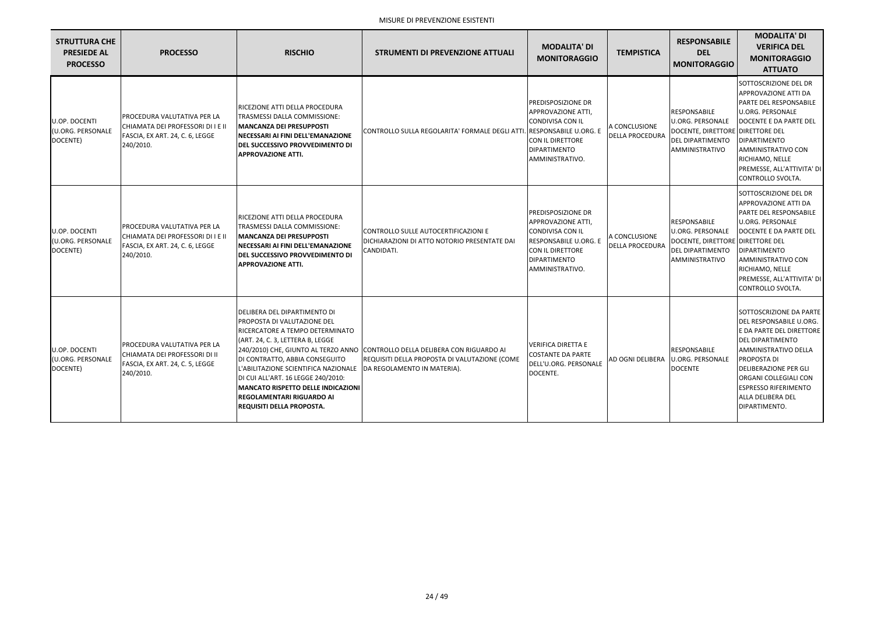| <b>STRUTTURA CHE</b><br><b>PRESIEDE AL</b><br><b>PROCESSO</b> | <b>PROCESSO</b>                                                                                                  | <b>RISCHIO</b>                                                                                                                                                                                                                                                                                                                                                          | <b>STRUMENTI DI PREVENZIONE ATTUALI</b>                                                                                                                      | <b>MODALITA' DI</b><br><b>MONITORAGGIO</b>                                                                                                                                      | <b>TEMPISTICA</b>                       | <b>RESPONSABILE</b><br><b>DEL</b><br><b>MONITORAGGIO</b>                                                                 | <b>MODALITA' DI</b><br><b>VERIFICA DEL</b><br><b>MONITORAGGIO</b><br><b>ATTUATO</b>                                                                                                                                                                                            |
|---------------------------------------------------------------|------------------------------------------------------------------------------------------------------------------|-------------------------------------------------------------------------------------------------------------------------------------------------------------------------------------------------------------------------------------------------------------------------------------------------------------------------------------------------------------------------|--------------------------------------------------------------------------------------------------------------------------------------------------------------|---------------------------------------------------------------------------------------------------------------------------------------------------------------------------------|-----------------------------------------|--------------------------------------------------------------------------------------------------------------------------|--------------------------------------------------------------------------------------------------------------------------------------------------------------------------------------------------------------------------------------------------------------------------------|
| U.OP. DOCENTI<br>(U.ORG. PERSONALE<br>DOCENTE)                | PROCEDURA VALUTATIVA PER LA<br>CHIAMATA DEI PROFESSORI DI I E II<br>FASCIA, EX ART. 24, C. 6, LEGGE<br>240/2010. | RICEZIONE ATTI DELLA PROCEDURA<br><b>TRASMESSI DALLA COMMISSIONE:</b><br><b>MANCANZA DEI PRESUPPOSTI</b><br>NECESSARI AI FINI DELL'EMANAZIONE<br>DEL SUCCESSIVO PROVVEDIMENTO DI<br><b>APPROVAZIONE ATTI.</b>                                                                                                                                                           | CONTROLLO SULLA REGOLARITA' FORMALE DEGLI ATTI.                                                                                                              | <b>PREDISPOSIZIONE DR</b><br>APPROVAZIONE ATTI,<br><b>CONDIVISA CON IL</b><br><b>RESPONSABILE U.ORG. E</b><br>CON IL DIRETTORE<br><b>DIPARTIMENTO</b><br>AMMINISTRATIVO.        | A CONCLUSIONE<br><b>DELLA PROCEDURA</b> | RESPONSABILE<br><b>U.ORG. PERSONALE</b><br>DOCENTE, DIRETTORE DIRETTORE DEL<br><b>DEL DIPARTIMENTO</b><br>AMMINISTRATIVO | SOTTOSCRIZIONE DEL DR<br><b>APPROVAZIONE ATTI DA</b><br>PARTE DEL RESPONSABILE<br><b>U.ORG. PERSONALE</b><br>DOCENTE E DA PARTE DEL<br><b>DIPARTIMENTO</b><br>AMMINISTRATIVO CON<br>RICHIAMO, NELLE<br>PREMESSE, ALL'ATTIVITA' DI<br>CONTROLLO SVOLTA.                         |
| U.OP. DOCENTI<br>(U.ORG. PERSONALE<br>DOCENTE)                | PROCEDURA VALUTATIVA PER LA<br>CHIAMATA DEI PROFESSORI DI I E II<br>FASCIA, EX ART. 24, C. 6, LEGGE<br>240/2010. | RICEZIONE ATTI DELLA PROCEDURA<br>TRASMESSI DALLA COMMISSIONE:<br><b>MANCANZA DEI PRESUPPOSTI</b><br>NECESSARI AI FINI DELL'EMANAZIONE<br>DEL SUCCESSIVO PROVVEDIMENTO DI<br><b>APPROVAZIONE ATTI.</b>                                                                                                                                                                  | CONTROLLO SULLE AUTOCERTIFICAZIONI E<br>DICHIARAZIONI DI ATTO NOTORIO PRESENTATE DAI<br>CANDIDATI.                                                           | <b>PREDISPOSIZIONE DR</b><br><b>APPROVAZIONE ATTI,</b><br><b>CONDIVISA CON IL</b><br><b>RESPONSABILE U.ORG. E</b><br>CON IL DIRETTORE<br><b>DIPARTIMENTO</b><br>AMMINISTRATIVO. | A CONCLUSIONE<br><b>DELLA PROCEDURA</b> | RESPONSABILE<br><b>U.ORG. PERSONALE</b><br>DOCENTE, DIRETTORE DIRETTORE DEL<br><b>DEL DIPARTIMENTO</b><br>AMMINISTRATIVO | SOTTOSCRIZIONE DEL DR<br>APPROVAZIONE ATTI DA<br>PARTE DEL RESPONSABILE<br><b>U.ORG. PERSONALE</b><br>DOCENTE E DA PARTE DEL<br><b>DIPARTIMENTO</b><br>AMMINISTRATIVO CON<br>RICHIAMO, NELLE<br>PREMESSE, ALL'ATTIVITA' DI<br>CONTROLLO SVOLTA.                                |
| U.OP. DOCENTI<br>(U.ORG. PERSONALE<br>DOCENTE)                | PROCEDURA VALUTATIVA PER LA<br>CHIAMATA DEI PROFESSORI DI II<br>FASCIA, EX ART. 24, C. 5, LEGGE<br>240/2010.     | DELIBERA DEL DIPARTIMENTO DI<br>PROPOSTA DI VALUTAZIONE DEL<br>RICERCATORE A TEMPO DETERMINATO<br>(ART. 24, C. 3, LETTERA B, LEGGE<br>DI CONTRATTO, ABBIA CONSEGUITO<br>L'ABILITAZIONE SCIENTIFICA NAZIONALE<br>DI CUI ALL'ART. 16 LEGGE 240/2010:<br><b>MANCATO RISPETTO DELLE INDICAZIONI</b><br><b>REGOLAMENTARI RIGUARDO AI</b><br><b>REQUISITI DELLA PROPOSTA.</b> | 240/2010) CHE, GIUNTO AL TERZO ANNO CONTROLLO DELLA DELIBERA CON RIGUARDO AI<br>REQUISITI DELLA PROPOSTA DI VALUTAZIONE (COME<br>DA REGOLAMENTO IN MATERIA). | <b>VERIFICA DIRETTA E</b><br><b>COSTANTE DA PARTE</b><br>DELL'U.ORG. PERSONALE<br>DOCENTE.                                                                                      |                                         | <b>RESPONSABILE</b><br>AD OGNI DELIBERA U.ORG. PERSONALE<br><b>DOCENTE</b>                                               | SOTTOSCRIZIONE DA PARTE<br>DEL RESPONSABILE U.ORG.<br>E DA PARTE DEL DIRETTORE<br><b>DEL DIPARTIMENTO</b><br>AMMINISTRATIVO DELLA<br><b>PROPOSTA DI</b><br>DELIBERAZIONE PER GLI<br>ORGANI COLLEGIALI CON<br><b>ESPRESSO RIFERIMENTO</b><br>ALLA DELIBERA DEL<br>DIPARTIMENTO. |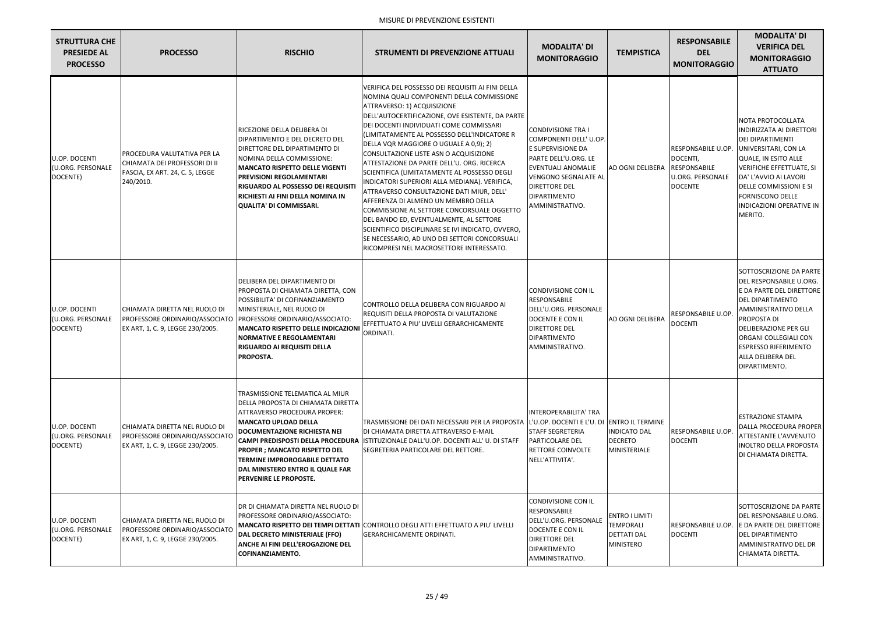| <b>STRUTTURA CHE</b><br><b>PRESIEDE AL</b><br><b>PROCESSO</b> | <b>PROCESSO</b>                                                                                              | <b>RISCHIO</b>                                                                                                                                                                                                                                                                                                                                                             | <b>STRUMENTI DI PREVENZIONE ATTUALI</b>                                                                                                                                                                                                                                                                                                                                                                                                                                                                                                                                                                                                                                                                                                                                                                                                        | <b>MODALITA' DI</b><br><b>MONITORAGGIO</b>                                                                                                                                                                       | <b>TEMPISTICA</b>                                                                   | <b>RESPONSABILE</b><br><b>DEL</b><br><b>MONITORAGGIO</b>                    | <b>MODALITA' DI</b><br><b>VERIFICA DEL</b><br><b>MONITORAGGIO</b><br><b>ATTUATO</b>                                                                                                                                                                                                              |
|---------------------------------------------------------------|--------------------------------------------------------------------------------------------------------------|----------------------------------------------------------------------------------------------------------------------------------------------------------------------------------------------------------------------------------------------------------------------------------------------------------------------------------------------------------------------------|------------------------------------------------------------------------------------------------------------------------------------------------------------------------------------------------------------------------------------------------------------------------------------------------------------------------------------------------------------------------------------------------------------------------------------------------------------------------------------------------------------------------------------------------------------------------------------------------------------------------------------------------------------------------------------------------------------------------------------------------------------------------------------------------------------------------------------------------|------------------------------------------------------------------------------------------------------------------------------------------------------------------------------------------------------------------|-------------------------------------------------------------------------------------|-----------------------------------------------------------------------------|--------------------------------------------------------------------------------------------------------------------------------------------------------------------------------------------------------------------------------------------------------------------------------------------------|
| <b>U.OP. DOCENTI</b><br>(U.ORG. PERSONALE<br>DOCENTE)         | PROCEDURA VALUTATIVA PER LA<br>CHIAMATA DEI PROFESSORI DI II<br>FASCIA, EX ART. 24, C. 5, LEGGE<br>240/2010. | RICEZIONE DELLA DELIBERA DI<br><b>DIPARTIMENTO E DEL DECRETO DEL</b><br>DIRETTORE DEL DIPARTIMENTO DI<br>NOMINA DELLA COMMISSIONE:<br><b>MANCATO RISPETTO DELLE VIGENTI</b><br><b>PREVISIONI REGOLAMENTARI</b><br> RIGUARDO AL POSSESSO DEI REQUISITI<br>RICHIESTI AI FINI DELLA NOMINA IN<br>QUALITA' DI COMMISSARI.                                                      | VERIFICA DEL POSSESSO DEI REQUISITI AI FINI DELLA<br>NOMINA QUALI COMPONENTI DELLA COMMISSIONE<br>ATTRAVERSO: 1) ACQUISIZIONE<br>DELL'AUTOCERTIFICAZIONE, OVE ESISTENTE, DA PARTE<br>DEI DOCENTI INDIVIDUATI COME COMMISSARI<br>(LIMITATAMENTE AL POSSESSO DELL'INDICATORE R<br>DELLA VQR MAGGIORE O UGUALE A 0,9); 2)<br>CONSULTAZIONE LISTE ASN O ACQUISIZIONE<br>ATTESTAZIONE DA PARTE DELL'U. ORG. RICERCA<br>SCIENTIFICA (LIMITATAMENTE AL POSSESSO DEGLI<br>INDICATORI SUPERIORI ALLA MEDIANA). VERIFICA,<br>ATTRAVERSO CONSULTAZIONE DATI MIUR, DELL'<br>AFFERENZA DI ALMENO UN MEMBRO DELLA<br>COMMISSIONE AL SETTORE CONCORSUALE OGGETTO<br>DEL BANDO ED, EVENTUALMENTE, AL SETTORE<br>SCIENTIFICO DISCIPLINARE SE IVI INDICATO, OVVERO,<br>SE NECESSARIO, AD UNO DEI SETTORI CONCORSUALI<br>RICOMPRESI NEL MACROSETTORE INTERESSATO. | <b>CONDIVISIONE TRA I</b><br>COMPONENTI DELL' U.OP.<br>E SUPERVISIONE DA<br>PARTE DELL'U.ORG. LE<br><b>EVENTUALI ANOMALIE</b><br><b>VENGONO SEGNALATE AL</b><br>DIRETTORE DEL<br>DIPARTIMENTO<br>AMMINISTRATIVO. | AD OGNI DELIBERA RESPONSABILE                                                       | <b>RESPONSABILE U.OP.</b><br>DOCENTI,<br>U.ORG. PERSONALE<br><b>DOCENTE</b> | NOTA PROTOCOLLATA<br><b>INDIRIZZATA AI DIRETTORI</b><br><b>DEI DIPARTIMENTI</b><br>UNIVERSITARI, CON LA<br>QUALE, IN ESITO ALLE<br><b>VERIFICHE EFFETTUATE, SI</b><br>DA' L'AVVIO AI LAVORI<br><b>I</b> DELLE COMMISSIONI E SI<br><b>FORNISCONO DELLE</b><br>INDICAZIONI OPERATIVE IN<br>MERITO. |
| <b>U.OP. DOCENTI</b><br>(U.ORG. PERSONALE<br>DOCENTE)         | CHIAMATA DIRETTA NEL RUOLO DI<br>PROFESSORE ORDINARIO/ASSOCIATO<br>EX ART, 1, C. 9, LEGGE 230/2005.          | DELIBERA DEL DIPARTIMENTO DI<br>PROPOSTA DI CHIAMATA DIRETTA, CON<br>POSSIBILITA' DI COFINANZIAMENTO<br>MINISTERIALE, NEL RUOLO DI<br>PROFESSORE ORDINARIO/ASSOCIATO:<br><b>IMANCATO RISPETTO DELLE INDICAZIONI</b><br><b>NORMATIVE E REGOLAMENTARI</b><br>RIGUARDO AI REQUISITI DELLA<br><b>PROPOSTA.</b>                                                                 | CONTROLLO DELLA DELIBERA CON RIGUARDO AI<br>REQUISITI DELLA PROPOSTA DI VALUTAZIONE<br>EFFETTUATO A PIU' LIVELLI GERARCHICAMENTE<br>ORDINATI.                                                                                                                                                                                                                                                                                                                                                                                                                                                                                                                                                                                                                                                                                                  | CONDIVISIONE CON IL<br>RESPONSABILE<br>DELL'U.ORG. PERSONALE<br>DOCENTE E CON IL<br>DIRETTORE DEL<br><b>DIPARTIMENTO</b><br>AMMINISTRATIVO.                                                                      | AD OGNI DELIBERA                                                                    | <b>RESPONSABILE U.OP</b><br><b>DOCENTI</b>                                  | SOTTOSCRIZIONE DA PARTE<br>DEL RESPONSABILE U.ORG.<br>E DA PARTE DEL DIRETTORE<br><b>DEL DIPARTIMENTO</b><br>AMMINISTRATIVO DELLA<br>PROPOSTA DI<br><b>DELIBERAZIONE PER GLI</b><br>ORGANI COLLEGIALI CON<br><b>ESPRESSO RIFERIMENTO</b><br>ALLA DELIBERA DEL<br>DIPARTIMENTO.                   |
| U.OP. DOCENTI<br>(U.ORG. PERSONALE<br>DOCENTE)                | CHIAMATA DIRETTA NEL RUOLO DI<br>PROFESSORE ORDINARIO/ASSOCIATO<br>EX ART, 1, C. 9, LEGGE 230/2005.          | TRASMISSIONE TELEMATICA AL MIUR<br>DELLA PROPOSTA DI CHIAMATA DIRETTA<br> ATTRAVERSO PROCEDURA PROPER:<br> MANCATO UPLOAD DELLA<br><b>DOCUMENTAZIONE RICHIESTA NEI</b><br><b>CAMPI PREDISPOSTI DELLA PROCEDURA</b><br><b> PROPER ; MANCATO RISPETTO DEL</b><br><b>TERMINE IMPROROGABILE DETTATO</b><br> DAL MINISTERO ENTRO IL QUALE FAR<br><b> PERVENIRE LE PROPOSTE.</b> | TRASMISSIONE DEI DATI NECESSARI PER LA PROPOSTA<br>DI CHIAMATA DIRETTA ATTRAVERSO E-MAIL<br>ISTITUZIONALE DALL'U.OP. DOCENTI ALL'U. DI STAFF<br>SEGRETERIA PARTICOLARE DEL RETTORE.                                                                                                                                                                                                                                                                                                                                                                                                                                                                                                                                                                                                                                                            | INTEROPERABILITA' TRA<br>L'U.OP. DOCENTI E L'U. DI ENTRO IL TERMINE<br><b>STAFF SEGRETERIA</b><br>PARTICOLARE DEL<br>RETTORE COINVOLTE<br>NELL'ATTIVITA'.                                                        | <b>INDICATO DAL</b><br><b>DECRETO</b><br>MINISTERIALE                               | <b>RESPONSABILE U.OP.</b><br><b>DOCENTI</b>                                 | <b>ESTRAZIONE STAMPA</b><br>DALLA PROCEDURA PROPER<br><b>ATTESTANTE L'AVVENUTO</b><br>INOLTRO DELLA PROPOSTA<br>DI CHIAMATA DIRETTA.                                                                                                                                                             |
| U.OP. DOCENTI<br>(U.ORG. PERSONALE<br>DOCENTE)                | CHIAMATA DIRETTA NEL RUOLO DI<br>PROFESSORE ORDINARIO/ASSOCIATO<br>EX ART, 1, C. 9, LEGGE 230/2005.          | IDR DI CHIAMATA DIRETTA NEL RUOLO DI<br>PROFESSORE ORDINARIO/ASSOCIATO:<br>DAL DECRETO MINISTERIALE (FFO)<br><b>ANCHE AI FINI DELL'EROGAZIONE DEL</b><br>COFINANZIAMENTO.                                                                                                                                                                                                  | <b> MANCATO RISPETTO DEI TEMPI DETTATI  </b> CONTROLLO DEGLI ATTI EFFETTUATO A PIU' LIVELLI<br><b>GERARCHICAMENTE ORDINATI.</b>                                                                                                                                                                                                                                                                                                                                                                                                                                                                                                                                                                                                                                                                                                                | CONDIVISIONE CON IL<br><b>RESPONSABILE</b><br>DELL'U.ORG. PERSONALE<br>DOCENTE E CON IL<br>DIRETTORE DEL<br>DIPARTIMENTO<br>AMMINISTRATIVO.                                                                      | <b>ENTRO I LIMITI</b><br><b>TEMPORALI</b><br><b>DETTATI DAL</b><br><b>MINISTERO</b> | <b>RESPONSABILE U.OP.</b><br><b>DOCENTI</b>                                 | SOTTOSCRIZIONE DA PARTE<br>DEL RESPONSABILE U.ORG.<br>E DA PARTE DEL DIRETTORE<br>DEL DIPARTIMENTO<br>AMMINISTRATIVO DEL DR<br>CHIAMATA DIRETTA.                                                                                                                                                 |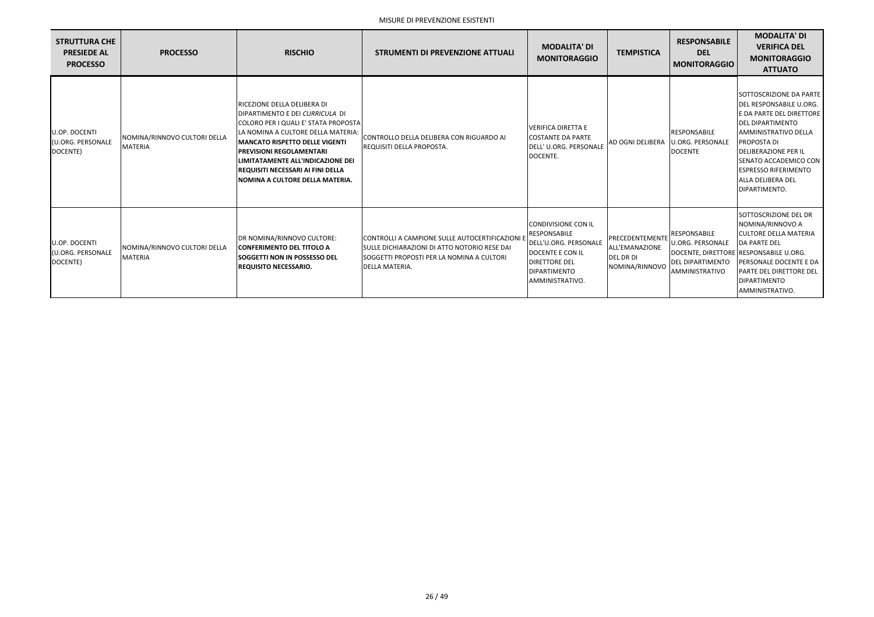| <b>STRUTTURA CHE</b><br><b>PRESIEDE AL</b><br><b>PROCESSO</b> | <b>PROCESSO</b>                                 | <b>RISCHIO</b>                                                                                                                                                                                                                                                                                                                               | <b>STRUMENTI DI PREVENZIONE ATTUALI</b>                                                                                                                                 | <b>MODALITA' DI</b><br><b>MONITORAGGIO</b>                                                                                                                       | <b>TEMPISTICA</b>                                                              | <b>RESPONSABILE</b><br><b>DEL</b><br><b>MONITORAGGIO</b>                                    | <b>MODALITA' DI</b><br><b>VERIFICA DEL</b><br><b>MONITORAGGIO</b><br><b>ATTUATO</b>                                                                                                                                                                                                                           |
|---------------------------------------------------------------|-------------------------------------------------|----------------------------------------------------------------------------------------------------------------------------------------------------------------------------------------------------------------------------------------------------------------------------------------------------------------------------------------------|-------------------------------------------------------------------------------------------------------------------------------------------------------------------------|------------------------------------------------------------------------------------------------------------------------------------------------------------------|--------------------------------------------------------------------------------|---------------------------------------------------------------------------------------------|---------------------------------------------------------------------------------------------------------------------------------------------------------------------------------------------------------------------------------------------------------------------------------------------------------------|
| U.OP. DOCENTI<br>(U.ORG. PERSONALE<br>DOCENTE)                | NOMINA/RINNOVO CULTORI DELLA<br><b>MATERIA</b>  | RICEZIONE DELLA DELIBERA DI<br>DIPARTIMENTO E DEI CURRICULA DI<br><b>COLORO PER I QUALI E' STATA PROPOSTA</b><br>LA NOMINA A CULTORE DELLA MATERIA:<br>MANCATO RISPETTO DELLE VIGENTI<br><b>PREVISIONI REGOLAMENTARI</b><br>LIMITATAMENTE ALL'INDICAZIONE DEI<br>REQUISITI NECESSARI AI FINI DELLA<br><b>NOMINA A CULTORE DELLA MATERIA.</b> | CONTROLLO DELLA DELIBERA CON RIGUARDO AI<br>REQUISITI DELLA PROPOSTA.                                                                                                   | <b>VERIFICA DIRETTA E</b><br><b>COSTANTE DA PARTE</b><br>DELL' U.ORG. PERSONALE<br>DOCENTE.                                                                      | <b>AD OGNI DELIBERA</b>                                                        | <b>RESPONSABILE</b><br><b>U.ORG. PERSONALE</b><br><b>DOCENTE</b>                            | <b>SOTTOSCRIZIONE DA PARTE</b><br>DEL RESPONSABILE U.ORG.<br>E DA PARTE DEL DIRETTORE<br><b>IDEL DIPARTIMENTO</b><br><b>JAMMINISTRATIVO DELLA</b><br>PROPOSTA DI<br><b>DELIBERAZIONE PER IL</b><br><b>ISENATO ACCADEMICO CON</b><br><b>IESPRESSO RIFERIMENTO</b><br><b>ALLA DELIBERA DEL</b><br>DIPARTIMENTO. |
| <b>U.OP. DOCENTI</b><br>(U.ORG. PERSONALE<br>DOCENTE)         | INOMINA/RINNOVO CULTORI DELLA<br><b>MATERIA</b> | DR NOMINA/RINNOVO CULTORE:<br><b>CONFERIMENTO DEL TITOLO A</b><br><b>ISOGGETTI NON IN POSSESSO DEL</b><br><b>REQUISITO NECESSARIO.</b>                                                                                                                                                                                                       | CONTROLLI A CAMPIONE SULLE AUTOCERTIFICAZIONI I<br>ISULLE DICHIARAZIONI DI ATTO NOTORIO RESE DAI<br>ISOGGETTI PROPOSTI PER LA NOMINA A CULTORI<br><b>DELLA MATERIA.</b> | <b>CONDIVISIONE CON IL</b><br><b>RESPONSABILE</b><br>DELL'U.ORG. PERSONALE<br>DOCENTE E CON IL<br><b>DIRETTORE DEL</b><br><b>DIPARTIMENTO</b><br>AMMINISTRATIVO. | PRECEDENTEMENTI<br><b>ALL'EMANAZIONE</b><br><b>DEL DR DI</b><br>NOMINA/RINNOVO | RESPONSABILE<br><b>U.ORG. PERSONALE</b><br><b>DEL DIPARTIMENTO</b><br><b>AMMINISTRATIVO</b> | SOTTOSCRIZIONE DEL DR<br>NOMINA/RINNOVO A<br><b>ICULTORE DELLA MATERIA</b><br><b>DA PARTE DEL</b><br>DOCENTE, DIRETTORE RESPONSABILE U.ORG.<br>PERSONALE DOCENTE E DA<br><b>PARTE DEL DIRETTORE DEL</b><br><b>DIPARTIMENTO</b><br><b>JAMMINISTRATIVO.</b>                                                     |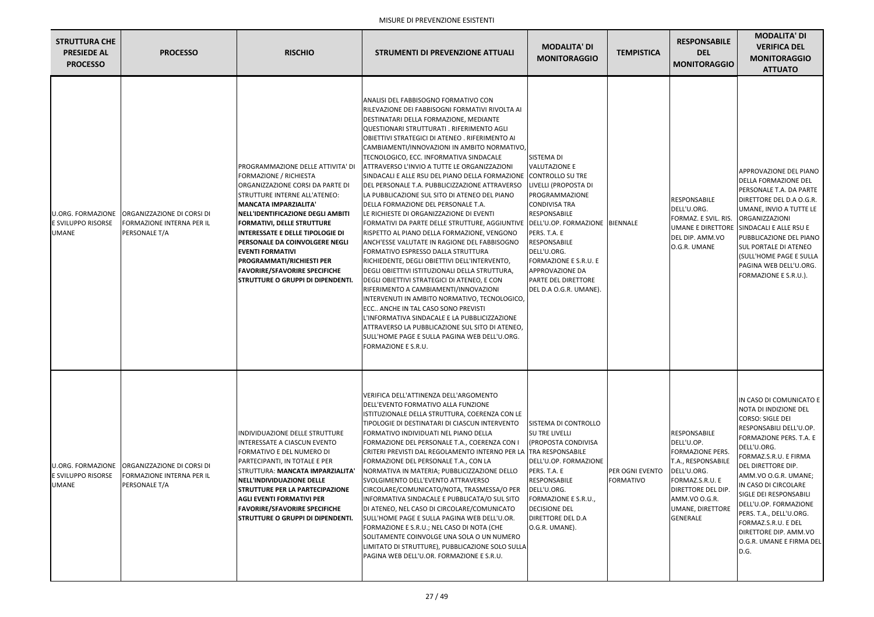| <b>STRUTTURA CHE</b><br><b>PRESIEDE AL</b><br><b>PROCESSO</b>         | <b>PROCESSO</b>                                                                        | <b>RISCHIO</b>                                                                                                                                                                                                                                                                                                                                                                                                                                                        | <b>STRUMENTI DI PREVENZIONE ATTUALI</b>                                                                                                                                                                                                                                                                                                                                                                                                                                                                                                                                                                                                                                                                                                                                                                                                                                                                                                                                                                                                                                                                                                                                                                                                                                                                         | <b>MODALITA' DI</b><br><b>MONITORAGGIO</b>                                                                                                                                                                                                                                                               | <b>TEMPISTICA</b>            | <b>RESPONSABILE</b><br><b>DEL</b><br><b>MONITORAGGIO</b>                                                                                                                                    | <b>MODALITA' DI</b><br><b>VERIFICA DEL</b><br><b>MONITORAGGIO</b><br><b>ATTUATO</b>                                                                                                                                                                                                                                                                                                                                             |
|-----------------------------------------------------------------------|----------------------------------------------------------------------------------------|-----------------------------------------------------------------------------------------------------------------------------------------------------------------------------------------------------------------------------------------------------------------------------------------------------------------------------------------------------------------------------------------------------------------------------------------------------------------------|-----------------------------------------------------------------------------------------------------------------------------------------------------------------------------------------------------------------------------------------------------------------------------------------------------------------------------------------------------------------------------------------------------------------------------------------------------------------------------------------------------------------------------------------------------------------------------------------------------------------------------------------------------------------------------------------------------------------------------------------------------------------------------------------------------------------------------------------------------------------------------------------------------------------------------------------------------------------------------------------------------------------------------------------------------------------------------------------------------------------------------------------------------------------------------------------------------------------------------------------------------------------------------------------------------------------|----------------------------------------------------------------------------------------------------------------------------------------------------------------------------------------------------------------------------------------------------------------------------------------------------------|------------------------------|---------------------------------------------------------------------------------------------------------------------------------------------------------------------------------------------|---------------------------------------------------------------------------------------------------------------------------------------------------------------------------------------------------------------------------------------------------------------------------------------------------------------------------------------------------------------------------------------------------------------------------------|
| <b>U.ORG. FORMAZIONE</b><br><b>E SVILUPPO RISORSE</b><br><b>UMANE</b> | <b>ORGANIZZAZIONE DI CORSI DI</b><br><b>FORMAZIONE INTERNA PER IL</b><br>PERSONALE T/A | PROGRAMMAZIONE DELLE ATTIVITA' DI<br>FORMAZIONE / RICHIESTA<br>ORGANIZZAZIONE CORSI DA PARTE DI<br>STRUTTURE INTERNE ALL'ATENEO:<br>MANCATA IMPARZIALITA'<br>NELL'IDENTIFICAZIONE DEGLI AMBITI <br><b>FORMATIVI, DELLE STRUTTURE</b><br><b>INTERESSATE E DELLE TIPOLOGIE DI</b><br><b> PERSONALE DA COINVOLGERE NEGLI</b><br><b>EVENTI FORMATIVI</b><br>PROGRAMMATI/RICHIESTI PER<br><b>FAVORIRE/SFAVORIRE SPECIFICHE</b><br><b>STRUTTURE O GRUPPI DI DIPENDENTI.</b> | ANALISI DEL FABBISOGNO FORMATIVO CON<br>RILEVAZIONE DEI FABBISOGNI FORMATIVI RIVOLTA AI<br>DESTINATARI DELLA FORMAZIONE, MEDIANTE<br>QUESTIONARI STRUTTURATI . RIFERIMENTO AGLI<br>OBIETTIVI STRATEGICI DI ATENEO . RIFERIMENTO AI<br>CAMBIAMENTI/INNOVAZIONI IN AMBITO NORMATIVO,<br>TECNOLOGICO, ECC. INFORMATIVA SINDACALE<br>ATTRAVERSO L'INVIO A TUTTE LE ORGANIZZAZIONI<br>SINDACALI E ALLE RSU DEL PIANO DELLA FORMAZIONE<br>DEL PERSONALE T.A. PUBBLICIZZAZIONE ATTRAVERSO<br>LA PUBBLICAZIONE SUL SITO DI ATENEO DEL PIANO<br>DELLA FORMAZIONE DEL PERSONALE T.A.<br>LE RICHIESTE DI ORGANIZZAZIONE DI EVENTI<br>FORMATIVI DA PARTE DELLE STRUTTURE, AGGIUNTIVE   DELL'U.OP. FORMAZIONE   BIENNALE<br>RISPETTO AL PIANO DELLA FORMAZIONE, VENGONO<br>ANCH'ESSE VALUTATE IN RAGIONE DEL FABBISOGNO<br>FORMATIVO ESPRESSO DALLA STRUTTURA<br>RICHIEDENTE, DEGLI OBIETTIVI DELL'INTERVENTO,<br>DEGLI OBIETTIVI ISTITUZIONALI DELLA STRUTTURA,<br>DEGLI OBIETTIVI STRATEGICI DI ATENEO, E CON<br>RIFERIMENTO A CAMBIAMENTI/INNOVAZIONI<br>INTERVENUTI IN AMBITO NORMATIVO, TECNOLOGICO,<br>ECC ANCHE IN TAL CASO SONO PREVISTI<br>L'INFORMATIVA SINDACALE E LA PUBBLICIZZAZIONE<br>ATTRAVERSO LA PUBBLICAZIONE SUL SITO DI ATENEO,<br>SULL'HOME PAGE E SULLA PAGINA WEB DELL'U.ORG.<br>FORMAZIONE E S.R.U. | SISTEMA DI<br><b>VALUTAZIONE E</b><br><b>CONTROLLO SU TRE</b><br>LIVELLI (PROPOSTA DI<br>PROGRAMMAZIONE<br><b>CONDIVISA TRA</b><br><b>RESPONSABILE</b><br>PERS. T.A. E<br>RESPONSABILE<br>DELL'U.ORG.<br>FORMAZIONE E S.R.U. E<br><b>APPROVAZIONE DA</b><br>PARTE DEL DIRETTORE<br>DEL D.A O.G.R. UMANE) |                              | RESPONSABILE<br>DELL'U.ORG.<br>FORMAZ. E SVIL. RIS.<br>DEL DIP. AMM.VO<br>O.G.R. UMANE                                                                                                      | APPROVAZIONE DEL PIANO<br><b>DELLA FORMAZIONE DEL</b><br><b>PERSONALE T.A. DA PARTE</b><br>DIRETTORE DEL D.A O.G.R.<br>UMANE, INVIO A TUTTE LE<br>ORGANIZZAZIONI<br>UMANE E DIRETTORE SINDACALI E ALLE RSU E<br>PUBBLICAZIONE DEL PIANO<br><b>SUL PORTALE DI ATENEO</b><br><b>(SULL'HOME PAGE E SULLA</b><br>PAGINA WEB DELL'U.ORG.<br>FORMAZIONE E S.R.U.).                                                                    |
| <b>U.ORG. FORMAZIONE</b><br><b>E SVILUPPO RISORSE</b><br>UMANE        | <b>ORGANIZZAZIONE DI CORSI DI</b><br><b>FORMAZIONE INTERNA PER IL</b><br>PERSONALE T/A | INDIVIDUAZIONE DELLE STRUTTURE<br>INTERESSATE A CIASCUN EVENTO<br>FORMATIVO E DEL NUMERO DI<br>PARTECIPANTI, IN TOTALE E PER<br>STRUTTURA: MANCATA IMPARZIALITA'<br><b>INELL'INDIVIDUAZIONE DELLE</b><br><b>STRUTTURE PER LA PARTECIPAZIONE</b><br><b>AGLI EVENTI FORMATIVI PER</b><br><b>FAVORIRE/SFAVORIRE SPECIFICHE</b><br><b>STRUTTURE O GRUPPI DI DIPENDENTI.</b>                                                                                               | VERIFICA DELL'ATTINENZA DELL'ARGOMENTO<br><b>IDELL'EVENTO FORMATIVO ALLA FUNZIONE</b><br>ISTITUZIONALE DELLA STRUTTURA, COERENZA CON LE<br>TIPOLOGIE DI DESTINATARI DI CIASCUN INTERVENTO<br>FORMATIVO INDIVIDUATI NEL PIANO DELLA<br>FORMAZIONE DEL PERSONALE T.A., COERENZA CON I<br>CRITERI PREVISTI DAL REGOLAMENTO INTERNO PER LA TRA RESPONSABILE<br>FORMAZIONE DEL PERSONALE T.A., CON LA<br>NORMATIVA IN MATERIA; PUBBLICIZZAZIONE DELLO<br>SVOLGIMENTO DELL'EVENTO ATTRAVERSO<br>CIRCOLARE/COMUNICATO/NOTA, TRASMESSA/O PER<br>INFORMATIVA SINDACALE E PUBBLICATA/O SUL SITO<br>DI ATENEO, NEL CASO DI CIRCOLARE/COMUNICATO<br>SULL'HOME PAGE E SULLA PAGINA WEB DELL'U.OR.<br>FORMAZIONE E S.R.U.; NEL CASO DI NOTA (CHE<br>SOLITAMENTE COINVOLGE UNA SOLA O UN NUMERO<br>LIMITATO DI STRUTTURE), PUBBLICAZIONE SOLO SULLA<br>PAGINA WEB DELL'U.OR. FORMAZIONE E S.R.U.                                                                                                                                                                                                                                                                                                                                                                                                                               | <b>SISTEMA DI CONTROLLO</b><br><b>SU TRE LIVELLI</b><br>(PROPOSTA CONDIVISA<br>DELL'U.OP. FORMAZIONE<br>PERS. T.A. E<br><b>RESPONSABILE</b><br>DELL'U.ORG.<br>FORMAZIONE E S.R.U.,<br><b>DECISIONE DEL</b><br><b>DIRETTORE DEL D.A</b><br>O.G.R. UMANE).                                                 | PER OGNI EVENTO<br>FORMATIVO | RESPONSABILE<br>DELL'U.OP.<br><b>FORMAZIONE PERS.</b><br>T.A., RESPONSABILE<br>DELL'U.ORG.<br>FORMAZ.S.R.U. E<br>DIRETTORE DEL DIP.<br>AMM.VO O.G.R.<br>UMANE, DIRETTORE<br><b>GENERALE</b> | IN CASO DI COMUNICATO E<br>NOTA DI INDIZIONE DEL<br>CORSO: SIGLE DEI<br>RESPONSABILI DELL'U.OP.<br><b>FORMAZIONE PERS. T.A. E</b><br>DELL'U.ORG.<br>FORMAZ.S.R.U. E FIRMA<br>DEL DIRETTORE DIP.<br>AMM.VO O.G.R. UMANE;<br>IN CASO DI CIRCOLARE<br><b>SIGLE DEI RESPONSABILI</b><br>DELL'U.OP. FORMAZIONE<br>PERS. T.A., DELL'U.ORG.<br>FORMAZ.S.R.U. E DEL<br>DIRETTORE DIP. AMM.VO<br><b>O.G.R. UMANE E FIRMA DEL</b><br>D.G. |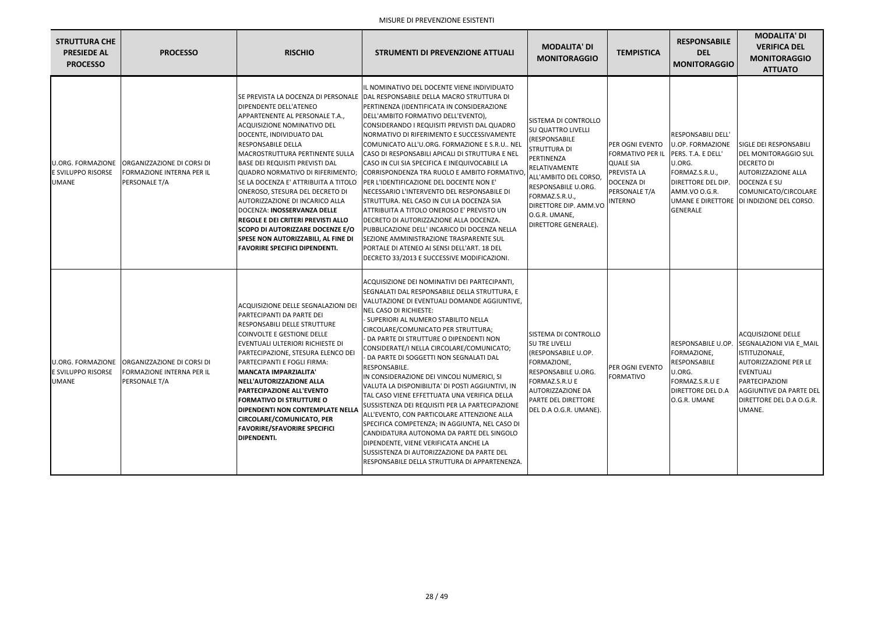| <b>STRUTTURA CHE</b><br><b>PRESIEDE AL</b><br><b>PROCESSO</b> | <b>PROCESSO</b>                                                                                   | <b>RISCHIO</b>                                                                                                                                                                                                                                                                                                                                                                                                                                                                                                                                                                                 | <b>STRUMENTI DI PREVENZIONE ATTUALI</b>                                                                                                                                                                                                                                                                                                                                                                                                                                                                                                                                                                                                                                                                                                                                                                                                                                                                                                         | <b>MODALITA' DI</b><br><b>MONITORAGGIO</b>                                                                                                                                                                                                                    | <b>TEMPISTICA</b>                                                                                                                          | <b>RESPONSABILE</b><br><b>DEL</b><br><b>MONITORAGGIO</b>                                                                                                        | <b>MODALITA' DI</b><br><b>VERIFICA DEL</b><br><b>MONITORAGGIO</b><br><b>ATTUATO</b>                                                                                                                    |
|---------------------------------------------------------------|---------------------------------------------------------------------------------------------------|------------------------------------------------------------------------------------------------------------------------------------------------------------------------------------------------------------------------------------------------------------------------------------------------------------------------------------------------------------------------------------------------------------------------------------------------------------------------------------------------------------------------------------------------------------------------------------------------|-------------------------------------------------------------------------------------------------------------------------------------------------------------------------------------------------------------------------------------------------------------------------------------------------------------------------------------------------------------------------------------------------------------------------------------------------------------------------------------------------------------------------------------------------------------------------------------------------------------------------------------------------------------------------------------------------------------------------------------------------------------------------------------------------------------------------------------------------------------------------------------------------------------------------------------------------|---------------------------------------------------------------------------------------------------------------------------------------------------------------------------------------------------------------------------------------------------------------|--------------------------------------------------------------------------------------------------------------------------------------------|-----------------------------------------------------------------------------------------------------------------------------------------------------------------|--------------------------------------------------------------------------------------------------------------------------------------------------------------------------------------------------------|
| U.ORG. FORMAZIONE<br>E SVILUPPO RISORSE<br>UMANE              | ORGANIZZAZIONE DI CORSI DI<br><b>FORMAZIONE INTERNA PER IL</b><br>PERSONALE T/A                   | <b>DIPENDENTE DELL'ATENEO</b><br>APPARTENENTE AL PERSONALE T.A.,<br>ACQUISIZIONE NOMINATIVO DEL<br>DOCENTE, INDIVIDUATO DAL<br><b>RESPONSABILE DELLA</b><br>MACROSTRUTTURA PERTINENTE SULLA<br><b>BASE DEI REQUISITI PREVISTI DAL</b><br>QUADRO NORMATIVO DI RIFERIMENTO;<br>SE LA DOCENZA E' ATTRIBUITA A TITOLO<br>ONEROSO, STESURA DEL DECRETO DI<br>AUTORIZZAZIONE DI INCARICO ALLA<br>DOCENZA: INOSSERVANZA DELLE<br><b>REGOLE E DEI CRITERI PREVISTI ALLO</b><br>SCOPO DI AUTORIZZARE DOCENZE E/O<br><b>SPESE NON AUTORIZZABILI, AL FINE DI</b><br><b>FAVORIRE SPECIFICI DIPENDENTI.</b> | L NOMINATIVO DEL DOCENTE VIENE INDIVIDUATO<br>SE PREVISTA LA DOCENZA DI PERSONALE  DAL RESPONSABILE DELLA MACRO STRUTTURA DI<br>PERTINENZA (IDENTIFICATA IN CONSIDERAZIONE<br>DELL'AMBITO FORMATIVO DELL'EVENTO),<br>CONSIDERANDO I REQUISITI PREVISTI DAL QUADRO<br>NORMATIVO DI RIFERIMENTO E SUCCESSIVAMENTE<br>COMUNICATO ALL'U.ORG. FORMAZIONE E S.R.U NEL<br>CASO DI RESPONSABILI APICALI DI STRUTTURA E NEL<br>CASO IN CUI SIA SPECIFICA E INEQUIVOCABILE LA<br>CORRISPONDENZA TRA RUOLO E AMBITO FORMATIVO,<br>PER L'IDENTIFICAZIONE DEL DOCENTE NON E'<br>NECESSARIO L'INTERVENTO DEL RESPONSABILE DI<br>ISTRUTTURA. NEL CASO IN CUI LA DOCENZA SIA<br>ATTRIBUITA A TITOLO ONEROSO E' PREVISTO UN<br>DECRETO DI AUTORIZZAZIONE ALLA DOCENZA.<br>PUBBLICAZIONE DELL' INCARICO DI DOCENZA NELLA<br>SEZIONE AMMINISTRAZIONE TRASPARENTE SUL<br>PORTALE DI ATENEO AI SENSI DELL'ART. 18 DEL<br>DECRETO 33/2013 E SUCCESSIVE MODIFICAZIONI. | SISTEMA DI CONTROLLO<br><b>I</b> SU QUATTRO LIVELLI<br>(RESPONSABILE<br>STRUTTURA DI<br>PERTINENZA<br>RELATIVAMENTE<br>ALL'AMBITO DEL CORSO,<br>RESPONSABILE U.ORG.<br>FORMAZ.S.R.U.,<br>DIRETTORE DIP. AMM.VO<br>O.G.R. UMANE,<br><b>DIRETTORE GENERALE)</b> | <b>PER OGNI EVENTO</b><br>FORMATIVO PER IL PERS. T.A. E DELL'<br><b>QUALE SIA</b><br>PREVISTA LA<br>DOCENZA DI<br>PERSONALE T/A<br>INTERNO | RESPONSABILI DELL'<br>U.OP. FORMAZIONE<br>U.ORG.<br>FORMAZ.S.R.U.,<br><b>DIRETTORE DEL DIP.</b><br>AMM.VO O.G.R.<br><b>UMANE E DIRETTORE</b><br><b>GENERALE</b> | <b>SIGLE DEI RESPONSABILI</b><br><b>DEL MONITORAGGIO SUL</b><br><b>DECRETO DI</b><br>AUTORIZZAZIONE ALLA<br>DOCENZA E SU<br>COMUNICATO/CIRCOLARE<br>DI INDIZIONE DEL CORSO.                            |
| E SVILUPPO RISORSE<br>UMANE                                   | U.ORG. FORMAZIONE ORGANIZZAZIONE DI CORSI DI<br><b>FORMAZIONE INTERNA PER IL</b><br>PERSONALE T/A | ACQUISIZIONE DELLE SEGNALAZIONI DEI<br>PARTECIPANTI DA PARTE DEI<br>RESPONSABILI DELLE STRUTTURE<br>COINVOLTE E GESTIONE DELLE<br>EVENTUALI ULTERIORI RICHIESTE DI<br>PARTECIPAZIONE, STESURA ELENCO DEI<br>PARTECIPANTI E FOGLI FIRMA:<br> MANCATA IMPARZIALITA'<br>NELL'AUTORIZZAZIONE ALLA<br><b>PARTECIPAZIONE ALL'EVENTO</b><br><b>FORMATIVO DI STRUTTURE O</b><br><b>DIPENDENTI NON CONTEMPLATE NELLA</b><br><b>CIRCOLARE/COMUNICATO, PER</b><br><b>FAVORIRE/SFAVORIRE SPECIFICI</b><br><b>DIPENDENTI.</b>                                                                               | ACQUISIZIONE DEI NOMINATIVI DEI PARTECIPANTI,<br>SEGNALATI DAL RESPONSABILE DELLA STRUTTURA, E<br>VALUTAZIONE DI EVENTUALI DOMANDE AGGIUNTIVE,<br><b>NEL CASO DI RICHIESTE:</b><br>SUPERIORI AL NUMERO STABILITO NELLA<br>CIRCOLARE/COMUNICATO PER STRUTTURA;<br>DA PARTE DI STRUTTURE O DIPENDENTI NON<br>CONSIDERATE/I NELLA CIRCOLARE/COMUNICATO;<br>DA PARTE DI SOGGETTI NON SEGNALATI DAL<br>RESPONSABILE.<br>IN CONSIDERAZIONE DEI VINCOLI NUMERICI, SI<br>VALUTA LA DISPONIBILITA' DI POSTI AGGIUNTIVI, IN<br>TAL CASO VIENE EFFETTUATA UNA VERIFICA DELLA<br>SUSSISTENZA DEI REQUISITI PER LA PARTECIPAZIONE<br>ALL'EVENTO, CON PARTICOLARE ATTENZIONE ALLA<br>SPECIFICA COMPETENZA; IN AGGIUNTA, NEL CASO DI<br>CANDIDATURA AUTONOMA DA PARTE DEL SINGOLO<br>DIPENDENTE, VIENE VERIFICATA ANCHE LA<br>SUSSISTENZA DI AUTORIZZAZIONE DA PARTE DEL<br>RESPONSABILE DELLA STRUTTURA DI APPARTENENZA.                                      | SISTEMA DI CONTROLLO<br><b>SU TRE LIVELLI</b><br>(RESPONSABILE U.OP.<br>FORMAZIONE,<br>RESPONSABILE U.ORG.<br>FORMAZ.S.R.U E<br><b>AUTORIZZAZIONE DA</b><br><b>PARTE DEL DIRETTORE</b><br>DEL D.A O.G.R. UMANE).                                              | PER OGNI EVENTO<br>FORMATIVO                                                                                                               | RESPONSABILE U.OP.<br>FORMAZIONE,<br>RESPONSABILE<br>U.ORG.<br>FORMAZ.S.R.U E<br><b>DIRETTORE DEL D.A</b><br>O.G.R. UMANE                                       | <b>ACQUISIZIONE DELLE</b><br>SEGNALAZIONI VIA E_MAIL<br>ISTITUZIONALE,<br>AUTORIZZAZIONE PER LE<br><b>EVENTUALI</b><br>PARTECIPAZIONI<br>AGGIUNTIVE DA PARTE DEL<br>DIRETTORE DEL D.A O.G.R.<br>UMANE. |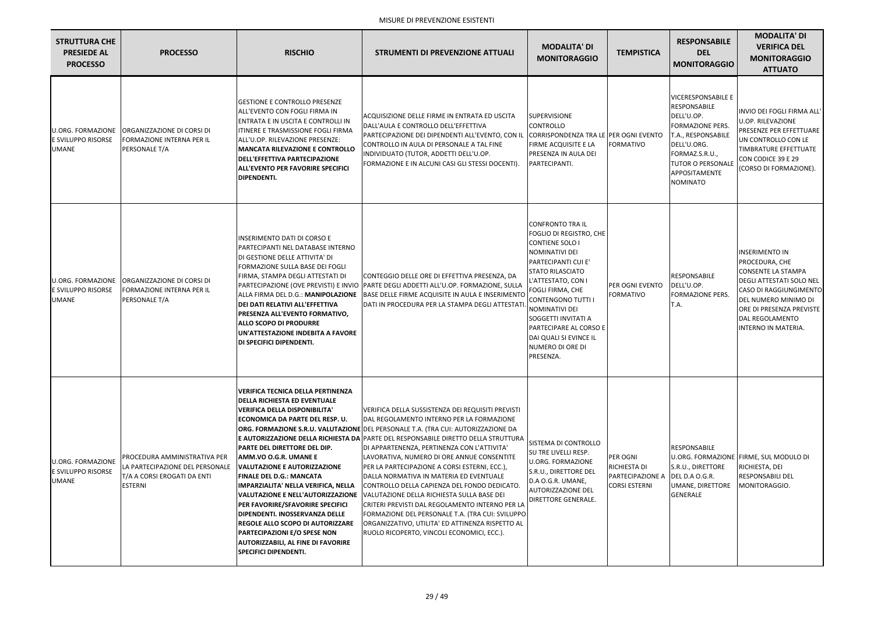| <b>STRUTTURA CHE</b><br><b>PRESIEDE AL</b><br><b>PROCESSO</b>         | <b>PROCESSO</b>                                                                                                  | <b>RISCHIO</b>                                                                                                                                                                                                                                                                                                                                                                                                                                                                                                                                                                                                  | STRUMENTI DI PREVENZIONE ATTUALI                                                                                                                                                                                                                                                                                                                                                                                                                                                                                                                                                                                                                                                                                                                                                                | <b>MODALITA' DI</b><br><b>MONITORAGGIO</b>                                                                                                                                                                                                                                                                                              | <b>TEMPISTICA</b>                                                                   | <b>RESPONSABILE</b><br><b>DEL</b><br><b>MONITORAGGIO</b>                                                                                                                                                         | <b>MODALITA' DI</b><br><b>VERIFICA DEL</b><br><b>MONITORAGGIO</b><br><b>ATTUATO</b>                                                                                                                                      |
|-----------------------------------------------------------------------|------------------------------------------------------------------------------------------------------------------|-----------------------------------------------------------------------------------------------------------------------------------------------------------------------------------------------------------------------------------------------------------------------------------------------------------------------------------------------------------------------------------------------------------------------------------------------------------------------------------------------------------------------------------------------------------------------------------------------------------------|-------------------------------------------------------------------------------------------------------------------------------------------------------------------------------------------------------------------------------------------------------------------------------------------------------------------------------------------------------------------------------------------------------------------------------------------------------------------------------------------------------------------------------------------------------------------------------------------------------------------------------------------------------------------------------------------------------------------------------------------------------------------------------------------------|-----------------------------------------------------------------------------------------------------------------------------------------------------------------------------------------------------------------------------------------------------------------------------------------------------------------------------------------|-------------------------------------------------------------------------------------|------------------------------------------------------------------------------------------------------------------------------------------------------------------------------------------------------------------|--------------------------------------------------------------------------------------------------------------------------------------------------------------------------------------------------------------------------|
| <b>U.ORG. FORMAZIONE</b><br><b>E SVILUPPO RISORSE</b><br><b>UMANE</b> | <b>ORGANIZZAZIONE DI CORSI DI</b><br>FORMAZIONE INTERNA PER IL<br>PERSONALE T/A                                  | <b>GESTIONE E CONTROLLO PRESENZE</b><br>lall'EVENTO CON FOGLI FIRMA IN<br>ENTRATA E IN USCITA E CONTROLLI IN<br><b>ITINERE E TRASMISSIONE FOGLI FIRMA</b><br>ALL'U.OP. RILEVAZIONE PRESENZE:<br><b>MANCATA RILEVAZIONE E CONTROLLO</b><br>DELL'EFFETTIVA PARTECIPAZIONE<br><b>ALL'EVENTO PER FAVORIRE SPECIFICI</b><br><b>DIPENDENTI.</b>                                                                                                                                                                                                                                                                       | ACQUISIZIONE DELLE FIRME IN ENTRATA ED USCITA<br>DALL'AULA E CONTROLLO DELL'EFFETTIVA<br>PARTECIPAZIONE DEI DIPENDENTI ALL'EVENTO, CON IL<br>CONTROLLO IN AULA DI PERSONALE A TAL FINE<br>INDIVIDUATO (TUTOR, ADDETTI DELL'U.OP.<br>FORMAZIONE E IN ALCUNI CASI GLI STESSI DOCENTI).                                                                                                                                                                                                                                                                                                                                                                                                                                                                                                            | <b>SUPERVISIONE</b><br>CONTROLLO<br>CORRISPONDENZA TRA LE PER OGNI EVENTO<br>FIRME ACQUISITE E LA<br>PRESENZA IN AULA DEI<br>PARTECIPANTI.                                                                                                                                                                                              | <b>FORMATIVO</b>                                                                    | <b>VICERESPONSABILE E</b><br><b>RESPONSABILE</b><br>DELL'U.OP.<br><b>FORMAZIONE PERS.</b><br>T.A., RESPONSABILE<br>DELL'U.ORG.<br>FORMAZ.S.R.U.,<br><b>TUTOR O PERSONALE</b><br>APPOSITAMENTE<br><b>NOMINATO</b> | INVIO DEI FOGLI FIRMA ALL'<br><b>U.OP. RILEVAZIONE</b><br>PRESENZE PER EFFETTUARE<br>UN CONTROLLO CON LE<br>TIMBRATURE EFFETTUATE<br>CON CODICE 39 E 29<br>(CORSO DI FORMAZIONE).                                        |
| <b>U.ORG. FORMAZIONE</b><br>E SVILUPPO RISORSE<br><b>UMANE</b>        | ORGANIZZAZIONE DI CORSI DI<br>FORMAZIONE INTERNA PER IL<br>PERSONALE T/A                                         | <b>INSERIMENTO DATI DI CORSO E</b><br>PARTECIPANTI NEL DATABASE INTERNO<br>DI GESTIONE DELLE ATTIVITA' DI<br><b>FORMAZIONE SULLA BASE DEI FOGLI</b><br>FIRMA, STAMPA DEGLI ATTESTATI DI<br>ALLA FIRMA DEL D.G.: MANIPOLAZIONE<br>DEI DATI RELATIVI ALL'EFFETTIVA<br>PRESENZA ALL'EVENTO FORMATIVO,<br><b>ALLO SCOPO DI PRODURRE</b><br>UN'ATTESTAZIONE INDEBITA A FAVORE<br><b>DI SPECIFICI DIPENDENTI.</b>                                                                                                                                                                                                     | CONTEGGIO DELLE ORE DI EFFETTIVA PRESENZA, DA<br>PARTECIPAZIONE (OVE PREVISTI) E INVIO  PARTE DEGLI ADDETTI ALL'U.OP. FORMAZIONE, SULLA<br>BASE DELLE FIRME ACQUISITE IN AULA E INSERIMENTO<br>DATI IN PROCEDURA PER LA STAMPA DEGLI ATTESTATI                                                                                                                                                                                                                                                                                                                                                                                                                                                                                                                                                  | <b>CONFRONTO TRA IL</b><br>FOGLIO DI REGISTRO, CHE<br>CONTIENE SOLO I<br>NOMINATIVI DEI<br>PARTECIPANTI CUI E'<br><b>STATO RILASCIATO</b><br>L'ATTESTATO, CON I<br>FOGLI FIRMA, CHE<br>CONTENGONO TUTTI I<br>NOMINATIVI DEI<br>SOGGETTI INVITATI A<br>PARTECIPARE AL CORSO E<br>DAI QUALI SI EVINCE IL<br>NUMERO DI ORE DI<br>PRESENZA. | <b>PER OGNI EVENTO</b><br><b>FORMATIVO</b>                                          | <b>RESPONSABILE</b><br>DELL'U.OP.<br><b>FORMAZIONE PERS.</b><br>T.A.                                                                                                                                             | <b>INSERIMENTO IN</b><br>PROCEDURA, CHE<br><b>CONSENTE LA STAMPA</b><br>DEGLI ATTESTATI SOLO NEL<br>CASO DI RAGGIUNGIMENTO<br>DEL NUMERO MINIMO DI<br>ORE DI PRESENZA PREVISTE<br>DAL REGOLAMENTO<br>INTERNO IN MATERIA. |
| <b>U.ORG. FORMAZIONE</b><br>E SVILUPPO RISORSE<br><b>UMANE</b>        | PROCEDURA AMMINISTRATIVA PER<br>LA PARTECIPAZIONE DEL PERSONALE<br>T/A A CORSI EROGATI DA ENTI<br><b>ESTERNI</b> | VERIFICA TECNICA DELLA PERTINENZA<br><b>DELLA RICHIESTA ED EVENTUALE</b><br>VERIFICA DELLA DISPONIBILITA'<br> ECONOMICA DA PARTE DEL RESP. U.<br><b>PARTE DEL DIRETTORE DEL DIP.</b><br><b>AMM.VO O.G.R. UMANE E</b><br><b>VALUTAZIONE E AUTORIZZAZIONE</b><br>FINALE DEL D.G.: MANCATA<br>IMPARZIALITA' NELLA VERIFICA, NELLA<br>VALUTAZIONE E NELL'AUTORIZZAZIONE<br>PER FAVORIRE/SFAVORIRE SPECIFICI<br><b>DIPENDENTI. INOSSERVANZA DELLE</b><br><b>REGOLE ALLO SCOPO DI AUTORIZZARE</b><br><b>PARTECIPAZIONI E/O SPESE NON</b><br><b>AUTORIZZABILI, AL FINE DI FAVORIRE</b><br><b>SPECIFICI DIPENDENTI.</b> | VERIFICA DELLA SUSSISTENZA DEI REQUISITI PREVISTI<br><b>IDAL REGOLAMENTO INTERNO PER LA FORMAZIONE</b><br><b>ORG. FORMAZIONE S.R.U. VALUTAZIONE DEL PERSONALE T.A. (TRA CUI: AUTORIZZAZIONE DA</b><br><b>E AUTORIZZAZIONE DELLA RICHIESTA DA PARTE DEL RESPONSABILE DIRETTO DELLA STRUTTURA</b><br>DI APPARTENENZA, PERTINENZA CON L'ATTIVITA'<br>LAVORATIVA, NUMERO DI ORE ANNUE CONSENTITE<br>PER LA PARTECIPAZIONE A CORSI ESTERNI, ECC.),<br>DALLA NORMATIVA IN MATERIA ED EVENTUALE<br>CONTROLLO DELLA CAPIENZA DEL FONDO DEDICATO.<br>VALUTAZIONE DELLA RICHIESTA SULLA BASE DEI<br>CRITERI PREVISTI DAL REGOLAMENTO INTERNO PER LA<br>FORMAZIONE DEL PERSONALE T.A. (TRA CUI: SVILUPPO<br>ORGANIZZATIVO, UTILITA' ED ATTINENZA RISPETTO AL<br>RUOLO RICOPERTO, VINCOLI ECONOMICI, ECC.). | SISTEMA DI CONTROLLO<br><b>SU TRE LIVELLI RESP.</b><br>U.ORG. FORMAZIONE<br>S.R.U., DIRETTORE DEL<br>D.A O.G.R. UMANE,<br>AUTORIZZAZIONE DEL<br>DIRETTORE GENERALE.                                                                                                                                                                     | PER OGNI<br>RICHIESTA DI<br>PARTECIPAZIONE A DEL D.A O.G.R.<br><b>CORSI ESTERNI</b> | RESPONSABILE<br>S.R.U., DIRETTORE<br>UMANE, DIRETTORE<br><b>GENERALE</b>                                                                                                                                         | U.ORG. FORMAZIONE FIRME, SUL MODULO DI<br>RICHIESTA, DEI<br><b>RESPONSABILI DEL</b><br>MONITORAGGIO.                                                                                                                     |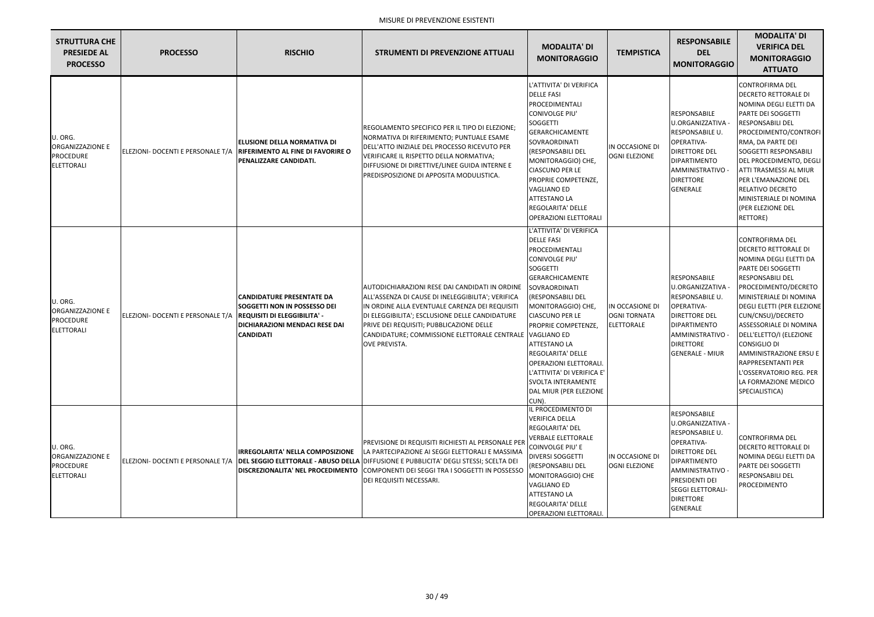| <b>STRUTTURA CHE</b><br><b>PRESIEDE AL</b><br><b>PROCESSO</b>        | <b>PROCESSO</b>                   | <b>RISCHIO</b>                                                                                                                                                              | <b>STRUMENTI DI PREVENZIONE ATTUALI</b>                                                                                                                                                                                                                                                                                                           | <b>MODALITA' DI</b><br><b>MONITORAGGIO</b>                                                                                                                                                                                                                                                                                                                                                                                  | <b>TEMPISTICA</b>                                           | <b>RESPONSABILE</b><br><b>DEL</b><br><b>MONITORAGGIO</b>                                                                                                                                                                          | <b>MODALITA' DI</b><br><b>VERIFICA DEL</b><br><b>MONITORAGGIO</b><br><b>ATTUATO</b>                                                                                                                                                                                                                                                                                                                                                    |
|----------------------------------------------------------------------|-----------------------------------|-----------------------------------------------------------------------------------------------------------------------------------------------------------------------------|---------------------------------------------------------------------------------------------------------------------------------------------------------------------------------------------------------------------------------------------------------------------------------------------------------------------------------------------------|-----------------------------------------------------------------------------------------------------------------------------------------------------------------------------------------------------------------------------------------------------------------------------------------------------------------------------------------------------------------------------------------------------------------------------|-------------------------------------------------------------|-----------------------------------------------------------------------------------------------------------------------------------------------------------------------------------------------------------------------------------|----------------------------------------------------------------------------------------------------------------------------------------------------------------------------------------------------------------------------------------------------------------------------------------------------------------------------------------------------------------------------------------------------------------------------------------|
| U. ORG.<br>ORGANIZZAZIONE E<br><b>PROCEDURE</b><br><b>ELETTORALI</b> | ELEZIONI- DOCENTI E PERSONALE T/A | <b>ELUSIONE DELLA NORMATIVA DI</b><br><b>RIFERIMENTO AL FINE DI FAVORIRE O</b><br>PENALIZZARE CANDIDATI.                                                                    | REGOLAMENTO SPECIFICO PER IL TIPO DI ELEZIONE;<br>NORMATIVA DI RIFERIMENTO; PUNTUALE ESAME<br>DELL'ATTO INIZIALE DEL PROCESSO RICEVUTO PER<br>VERIFICARE IL RISPETTO DELLA NORMATIVA;<br>DIFFUSIONE DI DIRETTIVE/LINEE GUIDA INTERNE E<br>PREDISPOSIZIONE DI APPOSITA MODULISTICA.                                                                | L'ATTIVITA' DI VERIFICA<br><b>DELLE FASI</b><br>PROCEDIMENTALI<br>CONIVOLGE PIU'<br>SOGGETTI<br><b>GERARCHICAMENTE</b><br>SOVRAORDINATI<br>(RESPONSABILI DEL<br>MONITORAGGIO) CHE,<br><b>CIASCUNO PER LE</b><br>PROPRIE COMPETENZE,<br><b>VAGLIANO ED</b><br><b>ATTESTANO LA</b><br><b>REGOLARITA' DELLE</b><br><b>OPERAZIONI ELETTORALI</b>                                                                                | IN OCCASIONE DI<br><b>OGNI ELEZIONE</b>                     | <b>RESPONSABILE</b><br>U.ORGANIZZATIVA -<br>RESPONSABILE U.<br>OPERATIVA-<br><b>DIRETTORE DEL</b><br>DIPARTIMENTO<br>AMMINISTRATIVO -<br><b>DIRETTORE</b><br><b>GENERALE</b>                                                      | <b>CONTROFIRMA DEL</b><br>DECRETO RETTORALE DI<br>NOMINA DEGLI ELETTI DA<br>PARTE DEI SOGGETTI<br>RESPONSABILI DEL<br>PROCEDIMENTO/CONTROFI<br>RMA, DA PARTE DEI<br>SOGGETTI RESPONSABILI<br>DEL PROCEDIMENTO, DEGLI<br>ATTI TRASMESSI AL MIUR<br>PER L'EMANAZIONE DEL<br>RELATIVO DECRETO<br>MINISTERIALE DI NOMINA<br>(PER ELEZIONE DEL<br>RETTORE)                                                                                  |
| U. ORG.<br>ORGANIZZAZIONE E<br><b>PROCEDURE</b><br><b>ELETTORALI</b> | ELEZIONI- DOCENTI E PERSONALE T/A | <b>CANDIDATURE PRESENTATE DA</b><br><b>SOGGETTI NON IN POSSESSO DEI</b><br><b>REQUISITI DI ELEGGIBILITA' -</b><br><b>DICHIARAZIONI MENDACI RESE DAI</b><br><b>CANDIDATI</b> | AUTODICHIARAZIONI RESE DAI CANDIDATI IN ORDINE<br>ALL'ASSENZA DI CAUSE DI INELEGGIBILITA'; VERIFICA<br>IN ORDINE ALLA EVENTUALE CARENZA DEI REQUISITI<br>DI ELEGGIBILITA'; ESCLUSIONE DELLE CANDIDATURE<br>PRIVE DEI REQUISITI; PUBBLICAZIONE DELLE<br>CANDIDATURE; COMMISSIONE ELETTORALE CENTRALE VAGLIANO ED<br><b>OVE PREVISTA.</b>           | L'ATTIVITA' DI VERIFICA<br><b>DELLE FASI</b><br>PROCEDIMENTALI<br><b>CONIVOLGE PIU'</b><br><b>SOGGETTI</b><br><b>GERARCHICAMENTE</b><br>SOVRAORDINATI<br>(RESPONSABILI DEL<br>MONITORAGGIO) CHE,<br><b>CIASCUNO PER LE</b><br>PROPRIE COMPETENZE,<br><b>ATTESTANO LA</b><br>REGOLARITA' DELLE<br><b>OPERAZIONI ELETTORALI</b><br>L'ATTIVITA' DI VERIFICA E'<br><b>SVOLTA INTERAMENTE</b><br>DAL MIUR (PER ELEZIONE<br>CUN). | IN OCCASIONE DI<br><b>OGNI TORNATA</b><br><b>ELETTORALE</b> | <b>RESPONSABILE</b><br>U.ORGANIZZATIVA -<br>RESPONSABILE U.<br>OPERATIVA-<br><b>DIRETTORE DEL</b><br>DIPARTIMENTO<br>AMMINISTRATIVO -<br><b>DIRETTORE</b><br><b>GENERALE - MIUR</b>                                               | <b>CONTROFIRMA DEL</b><br><b>DECRETO RETTORALE DI</b><br>NOMINA DEGLI ELETTI DA<br>PARTE DEI SOGGETTI<br>RESPONSABILI DEL<br>PROCEDIMENTO/DECRETO<br>MINISTERIALE DI NOMINA<br>DEGLI ELETTI (PER ELEZIONE<br>CUN/CNSU)/DECRETO<br>ASSESSORIALE DI NOMINA<br>DELL'ELETTO/I (ELEZIONE<br><b>CONSIGLIO DI</b><br><b>AMMINISTRAZIONE ERSU E</b><br>RAPPRESENTANTI PER<br>L'OSSERVATORIO REG. PER<br>LA FORMAZIONE MEDICO<br>SPECIALISTICA) |
| U. ORG.<br>ORGANIZZAZIONE E<br><b>PROCEDURE</b><br><b>ELETTORALI</b> |                                   | <b>IRREGOLARITA' NELLA COMPOSIZIONE</b>                                                                                                                                     | PREVISIONE DI REQUISITI RICHIESTI AL PERSONALE PER<br>LA PARTECIPAZIONE AI SEGGI ELETTORALI E MASSIMA<br>ELEZIONI- DOCENTI E PERSONALE T/A DEL SEGGIO ELETTORALE - ABUSO DELLA DIFFUSIONE E PUBBLICITA' DEGLI STESSI; SCELTA DEI<br>DISCREZIONALITA' NEL PROCEDIMENTO COMPONENTI DEI SEGGI TRA I SOGGETTI IN POSSESSO<br>DEI REQUISITI NECESSARI. | IL PROCEDIMENTO DI<br><b>VERIFICA DELLA</b><br>REGOLARITA' DEL<br><b>VERBALE ELETTORALE</b><br>COINVOLGE PIU' E<br><b>DIVERSI SOGGETTI</b><br>(RESPONSABILI DEL<br>MONITORAGGIO) CHE<br><b>VAGLIANO ED</b><br><b>ATTESTANO LA</b><br><b>REGOLARITA' DELLE</b><br><b>OPERAZIONI ELETTORALI.</b>                                                                                                                              | IN OCCASIONE DI<br><b>OGNI ELEZIONE</b>                     | <b>RESPONSABILE</b><br>U.ORGANIZZATIVA -<br>RESPONSABILE U.<br>OPERATIVA-<br><b>DIRETTORE DEL</b><br>DIPARTIMENTO<br>AMMINISTRATIVO -<br><b>PRESIDENTI DEI</b><br><b>SEGGI ELETTORALI-</b><br><b>DIRETTORE</b><br><b>GENERALE</b> | <b>CONTROFIRMA DEL</b><br><b>DECRETO RETTORALE DI</b><br>NOMINA DEGLI ELETTI DA<br>PARTE DEI SOGGETTI<br>RESPONSABILI DEL<br>PROCEDIMENTO                                                                                                                                                                                                                                                                                              |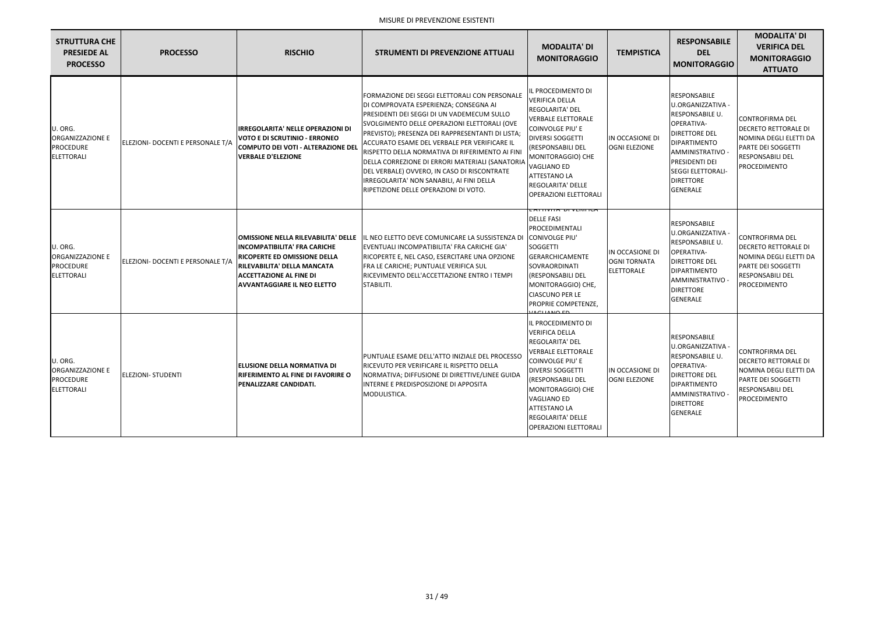| <b>STRUTTURA CHE</b><br><b>PRESIEDE AL</b><br><b>PROCESSO</b>        | <b>PROCESSO</b>                   | <b>RISCHIO</b>                                                                                                                                                                                                                  | <b>STRUMENTI DI PREVENZIONE ATTUALI</b>                                                                                                                                                                                                                                                                                                                                                                                                                                                                                             | <b>MODALITA' DI</b><br><b>MONITORAGGIO</b>                                                                                                                                                                                                                                             | <b>TEMPISTICA</b>                                           | <b>RESPONSABILE</b><br><b>DEL</b><br><b>MONITORAGGIO</b>                                                                                                                                                                          | <b>MODALITA' DI</b><br><b>VERIFICA DEL</b><br><b>MONITORAGGIO</b><br><b>ATTUATO</b>                                                                      |
|----------------------------------------------------------------------|-----------------------------------|---------------------------------------------------------------------------------------------------------------------------------------------------------------------------------------------------------------------------------|-------------------------------------------------------------------------------------------------------------------------------------------------------------------------------------------------------------------------------------------------------------------------------------------------------------------------------------------------------------------------------------------------------------------------------------------------------------------------------------------------------------------------------------|----------------------------------------------------------------------------------------------------------------------------------------------------------------------------------------------------------------------------------------------------------------------------------------|-------------------------------------------------------------|-----------------------------------------------------------------------------------------------------------------------------------------------------------------------------------------------------------------------------------|----------------------------------------------------------------------------------------------------------------------------------------------------------|
| U. ORG.<br>ORGANIZZAZIONE E<br><b>PROCEDURE</b><br><b>ELETTORALI</b> | ELEZIONI- DOCENTI E PERSONALE T/A | <b>IRREGOLARITA' NELLE OPERAZIONI DI</b><br><b>VOTO E DI SCRUTINIO - ERRONEO</b><br><b>COMPUTO DEI VOTI - ALTERAZIONE DEL</b><br><b>VERBALE D'ELEZIONE</b>                                                                      | FORMAZIONE DEI SEGGI ELETTORALI CON PERSONALE<br>DI COMPROVATA ESPERIENZA; CONSEGNA AI<br>PRESIDENTI DEI SEGGI DI UN VADEMECUM SULLO<br>SVOLGIMENTO DELLE OPERAZIONI ELETTORALI (OVE<br>PREVISTO); PRESENZA DEI RAPPRESENTANTI DI LISTA;<br>ACCURATO ESAME DEL VERBALE PER VERIFICARE IL<br>RISPETTO DELLA NORMATIVA DI RIFERIMENTO AI FINI<br>DELLA CORREZIONE DI ERRORI MATERIALI (SANATORIA<br>DEL VERBALE) OVVERO, IN CASO DI RISCONTRATE<br>IRREGOLARITA' NON SANABILI, AI FINI DELLA<br>RIPETIZIONE DELLE OPERAZIONI DI VOTO. | IL PROCEDIMENTO DI<br><b>VERIFICA DELLA</b><br>REGOLARITA' DEL<br><b>VERBALE ELETTORALE</b><br>COINVOLGE PIU' E<br>DIVERSI SOGGETTI<br>(RESPONSABILI DEL<br>MONITORAGGIO) CHE<br>VAGLIANO ED<br>ATTESTANO LA<br>REGOLARITA' DELLE<br><b>OPERAZIONI ELETTORALI</b>                      | IN OCCASIONE DI<br><b>OGNI ELEZIONE</b>                     | RESPONSABILE<br>U.ORGANIZZATIVA -<br>RESPONSABILE U.<br>OPERATIVA-<br><b>DIRETTORE DEL</b><br><b>DIPARTIMENTO</b><br>AMMINISTRATIVO -<br><b>PRESIDENTI DEI</b><br><b>SEGGI ELETTORALI-</b><br><b>DIRETTORE</b><br><b>GENERALE</b> | <b>CONTROFIRMA DEL</b><br><b>DECRETO RETTORALE DI</b><br>NOMINA DEGLI ELETTI DA<br><b>PARTE DEI SOGGETTI</b><br><b>RESPONSABILI DEL</b><br>PROCEDIMENTO  |
| U. ORG.<br>ORGANIZZAZIONE E<br><b>PROCEDURE</b><br><b>ELETTORALI</b> | ELEZIONI- DOCENTI E PERSONALE T/A | <b>OMISSIONE NELLA RILEVABILITA' DELLE</b><br><b>INCOMPATIBILITA' FRA CARICHE</b><br><b>RICOPERTE ED OMISSIONE DELLA</b><br>RILEVABILITA' DELLA MANCATA<br><b>ACCETTAZIONE AL FINE DI</b><br><b>AVVANTAGGIARE IL NEO ELETTO</b> | L NEO ELETTO DEVE COMUNICARE LA SUSSISTENZA DI<br>EVENTUALI INCOMPATIBILITA' FRA CARICHE GIA'<br>RICOPERTE E, NEL CASO, ESERCITARE UNA OPZIONE<br>FRA LE CARICHE; PUNTUALE VERIFICA SUL<br>RICEVIMENTO DELL'ACCETTAZIONE ENTRO I TEMPI<br>STABILITI.                                                                                                                                                                                                                                                                                | שוזואז וש אווווא.<br><b>DELLE FASI</b><br>PROCEDIMENTALI<br><b>CONIVOLGE PIU'</b><br>SOGGETTI<br><b>GERARCHICAMENTE</b><br>SOVRAORDINATI<br>(RESPONSABILI DEL<br>MONITORAGGIO) CHE,<br>CIASCUNO PER LE<br>PROPRIE COMPETENZE,                                                          | IN OCCASIONE DI<br><b>OGNI TORNATA</b><br><b>ELETTORALE</b> | <b>RESPONSABILE</b><br>U.ORGANIZZATIVA -<br>RESPONSABILE U.<br>OPERATIVA-<br><b>DIRETTORE DEL</b><br><b>DIPARTIMENTO</b><br>AMMINISTRATIVO -<br><b>DIRETTORE</b><br><b>GENERALE</b>                                               | CONTROFIRMA DEL<br><b>DECRETO RETTORALE DI</b><br>NOMINA DEGLI ELETTI DA<br><b>PARTE DEI SOGGETTI</b><br>RESPONSABILI DEL<br>PROCEDIMENTO                |
| U. ORG.<br>ORGANIZZAZIONE E<br>PROCEDURE<br><b>ELETTORALI</b>        | <b>ELEZIONI- STUDENTI</b>         | <b>ELUSIONE DELLA NORMATIVA DI</b><br><b>RIFERIMENTO AL FINE DI FAVORIRE O</b><br><b>PENALIZZARE CANDIDATI.</b>                                                                                                                 | PUNTUALE ESAME DELL'ATTO INIZIALE DEL PROCESSO<br>RICEVUTO PER VERIFICARE IL RISPETTO DELLA<br>NORMATIVA; DIFFUSIONE DI DIRETTIVE/LINEE GUIDA<br>INTERNE E PREDISPOSIZIONE DI APPOSITA<br>MODULISTICA.                                                                                                                                                                                                                                                                                                                              | IL PROCEDIMENTO DI<br><b>VERIFICA DELLA</b><br>REGOLARITA' DEL<br><b>VERBALE ELETTORALE</b><br>COINVOLGE PIU' E<br><b>DIVERSI SOGGETTI</b><br>(RESPONSABILI DEL<br>MONITORAGGIO) CHE<br><b>VAGLIANO ED</b><br><b>ATTESTANO LA</b><br>REGOLARITA' DELLE<br><b>OPERAZIONI ELETTORALI</b> | IN OCCASIONE DI<br><b>OGNI ELEZIONE</b>                     | RESPONSABILE<br>U.ORGANIZZATIVA -<br>RESPONSABILE U.<br>OPERATIVA-<br><b>DIRETTORE DEL</b><br>DIPARTIMENTO<br>AMMINISTRATIVO -<br><b>DIRETTORE</b><br>GENERALE                                                                    | <b>CONTROFIRMA DEL</b><br><b>DECRETO RETTORALE DI</b><br>INOMINA DEGLI ELETTI DA<br><b>PARTE DEI SOGGETTI</b><br><b>RESPONSABILI DEL</b><br>PROCEDIMENTO |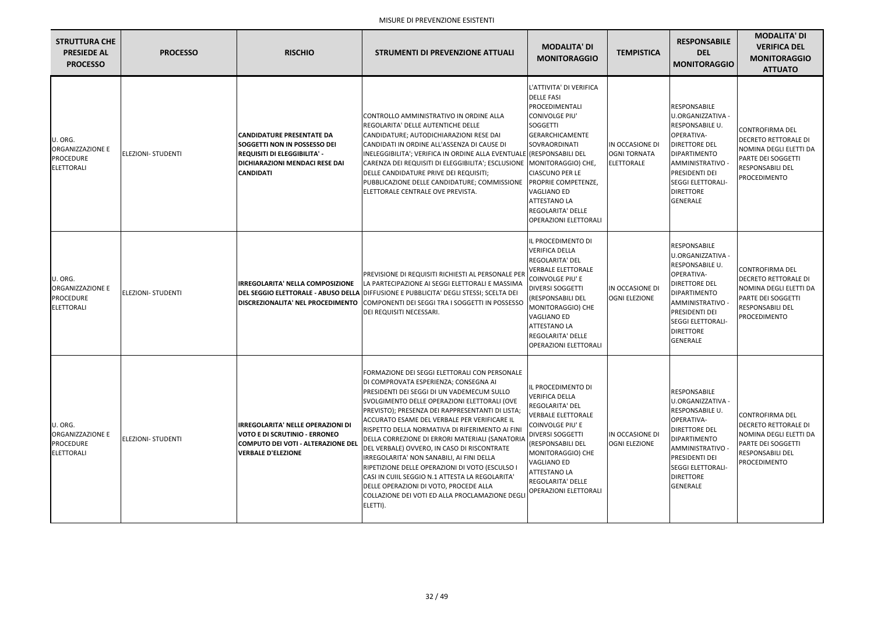| <b>STRUTTURA CHE</b><br><b>PRESIEDE AL</b><br><b>PROCESSO</b>               | <b>PROCESSO</b>           | <b>RISCHIO</b>                                                                                                                                                              | STRUMENTI DI PREVENZIONE ATTUALI                                                                                                                                                                                                                                                                                                                                                                                                                                                                                                                                                                                                                                                                          | <b>MODALITA' DI</b><br><b>MONITORAGGIO</b>                                                                                                                                                                                                                                                                                     | <b>TEMPISTICA</b>                                           | <b>RESPONSABILE</b><br><b>DEL</b><br><b>MONITORAGGIO</b>                                                                                                                                                                   | <b>MODALITA' DI</b><br><b>VERIFICA DEL</b><br><b>MONITORAGGIO</b><br><b>ATTUATO</b>                                                              |
|-----------------------------------------------------------------------------|---------------------------|-----------------------------------------------------------------------------------------------------------------------------------------------------------------------------|-----------------------------------------------------------------------------------------------------------------------------------------------------------------------------------------------------------------------------------------------------------------------------------------------------------------------------------------------------------------------------------------------------------------------------------------------------------------------------------------------------------------------------------------------------------------------------------------------------------------------------------------------------------------------------------------------------------|--------------------------------------------------------------------------------------------------------------------------------------------------------------------------------------------------------------------------------------------------------------------------------------------------------------------------------|-------------------------------------------------------------|----------------------------------------------------------------------------------------------------------------------------------------------------------------------------------------------------------------------------|--------------------------------------------------------------------------------------------------------------------------------------------------|
| U. ORG.<br>ORGANIZZAZIONE E<br><b>PROCEDURE</b><br><b>ELETTORALI</b>        | <b>ELEZIONI- STUDENTI</b> | <b>CANDIDATURE PRESENTATE DA</b><br><b>SOGGETTI NON IN POSSESSO DEI</b><br><b>REQUISITI DI ELEGGIBILITA' -</b><br><b>DICHIARAZIONI MENDACI RESE DAI</b><br><b>CANDIDATI</b> | CONTROLLO AMMINISTRATIVO IN ORDINE ALLA<br>REGOLARITA' DELLE AUTENTICHE DELLE<br>CANDIDATURE; AUTODICHIARAZIONI RESE DAI<br>CANDIDATI IN ORDINE ALL'ASSENZA DI CAUSE DI<br>INELEGGIBILITA'; VERIFICA IN ORDINE ALLA EVENTUALE (RESPONSABILI DEL<br>CARENZA DEI REQUISITI DI ELEGGIBILITA'; ESCLUSIONE<br>DELLE CANDIDATURE PRIVE DEI REQUISITI;<br>PUBBLICAZIONE DELLE CANDIDATURE; COMMISSIONE<br>ELETTORALE CENTRALE OVE PREVISTA.                                                                                                                                                                                                                                                                      | L'ATTIVITA' DI VERIFICA<br><b>DELLE FASI</b><br>PROCEDIMENTALI<br>CONIVOLGE PIU'<br><b>SOGGETTI</b><br><b>GERARCHICAMENTE</b><br>SOVRAORDINATI<br>MONITORAGGIO) CHE,<br><b>CIASCUNO PER LE</b><br>PROPRIE COMPETENZE,<br><b>VAGLIANO ED</b><br><b>ATTESTANO LA</b><br><b>REGOLARITA' DELLE</b><br><b>OPERAZIONI ELETTORALI</b> | IN OCCASIONE DI<br><b>OGNI TORNATA</b><br><b>ELETTORALE</b> | RESPONSABILE<br>U.ORGANIZZATIVA -<br>RESPONSABILE U.<br>OPERATIVA-<br><b>DIRETTORE DEL</b><br><b>DIPARTIMENTO</b><br>AMMINISTRATIVO -<br>PRESIDENTI DEI<br><b>SEGGI ELETTORALI-</b><br><b>DIRETTORE</b><br><b>GENERALE</b> | CONTROFIRMA DEL<br><b>DECRETO RETTORALE DI</b><br>NOMINA DEGLI ELETTI DA<br>PARTE DEI SOGGETTI<br><b>RESPONSABILI DEL</b><br>PROCEDIMENTO        |
| U. ORG.<br>ORGANIZZAZIONE E<br><b>PROCEDURE</b><br><b>ELETTORALI</b>        | <b>ELEZIONI- STUDENTI</b> | <b>IRREGOLARITA' NELLA COMPOSIZIONE</b><br><b>DISCREZIONALITA' NEL PROCEDIMENTO</b>                                                                                         | PREVISIONE DI REQUISITI RICHIESTI AL PERSONALE PER<br>LA PARTECIPAZIONE AI SEGGI ELETTORALI E MASSIMA<br>DEL SEGGIO ELETTORALE - ABUSO DELLA DIFFUSIONE E PUBBLICITA' DEGLI STESSI; SCELTA DEI<br>COMPONENTI DEI SEGGI TRA I SOGGETTI IN POSSESSO<br>DEI REQUISITI NECESSARI.                                                                                                                                                                                                                                                                                                                                                                                                                             | IL PROCEDIMENTO DI<br><b>VERIFICA DELLA</b><br><b>REGOLARITA' DEL</b><br><b>VERBALE ELETTORALE</b><br><b>COINVOLGE PIU' E</b><br>DIVERSI SOGGETTI<br>(RESPONSABILI DEL<br>MONITORAGGIO) CHE<br><b>VAGLIANO ED</b><br><b>ATTESTANO LA</b><br><b>REGOLARITA' DELLE</b><br><b>OPERAZIONI ELETTORALI</b>                           | IN OCCASIONE DI<br><b>OGNI ELEZIONE</b>                     | RESPONSABILE<br>U.ORGANIZZATIVA -<br>RESPONSABILE U.<br>OPERATIVA-<br><b>DIRETTORE DEL</b><br><b>DIPARTIMENTO</b><br>AMMINISTRATIVO -<br>PRESIDENTI DEI<br><b>SEGGI ELETTORALI-</b><br><b>DIRETTORE</b><br><b>GENERALE</b> | CONTROFIRMA DEL<br><b>DECRETO RETTORALE DI</b><br>NOMINA DEGLI ELETTI DA<br><b>PARTE DEI SOGGETTI</b><br><b>RESPONSABILI DEL</b><br>PROCEDIMENTO |
| U. ORG.<br><b>ORGANIZZAZIONE E</b><br><b>PROCEDURE</b><br><b>ELETTORALI</b> | <b>ELEZIONI- STUDENTI</b> | <b>IRREGOLARITA' NELLE OPERAZIONI DI</b><br><b>VOTO E DI SCRUTINIO - ERRONEO</b><br>COMPUTO DEI VOTI - ALTERAZIONE DEL<br><b>VERBALE D'ELEZIONE</b>                         | FORMAZIONE DEI SEGGI ELETTORALI CON PERSONALE<br>DI COMPROVATA ESPERIENZA; CONSEGNA AI<br>PRESIDENTI DEI SEGGI DI UN VADEMECUM SULLO<br>SVOLGIMENTO DELLE OPERAZIONI ELETTORALI (OVE<br>PREVISTO); PRESENZA DEI RAPPRESENTANTI DI LISTA;<br>ACCURATO ESAME DEL VERBALE PER VERIFICARE IL<br>RISPETTO DELLA NORMATIVA DI RIFERIMENTO AI FINI<br>DELLA CORREZIONE DI ERRORI MATERIALI (SANATORIA<br>DEL VERBALE) OVVERO, IN CASO DI RISCONTRATE<br>IRREGOLARITA' NON SANABILI, AI FINI DELLA<br>RIPETIZIONE DELLE OPERAZIONI DI VOTO (ESCULSO I<br>CASI IN CUIIL SEGGIO N.1 ATTESTA LA REGOLARITA'<br>DELLE OPERAZIONI DI VOTO, PROCEDE ALLA<br>COLLAZIONE DEI VOTI ED ALLA PROCLAMAZIONE DEGLI<br>ELETTI). | IL PROCEDIMENTO DI<br><b>VERIFICA DELLA</b><br>REGOLARITA' DEL<br><b>VERBALE ELETTORALE</b><br>COINVOLGE PIU' E<br><b>DIVERSI SOGGETTI</b><br>(RESPONSABILI DEL<br>MONITORAGGIO) CHE<br>VAGLIANO ED<br><b>ATTESTANO LA</b><br><b>REGOLARITA' DELLE</b><br><b>OPERAZIONI ELETTORALI</b>                                         | IN OCCASIONE DI<br><b>OGNI ELEZIONE</b>                     | RESPONSABILE<br>U.ORGANIZZATIVA -<br>RESPONSABILE U.<br>OPERATIVA-<br><b>DIRETTORE DEL</b><br>DIPARTIMENTO<br>AMMINISTRATIVO -<br><b>PRESIDENTI DEI</b><br><b>SEGGI ELETTORALI-</b><br><b>DIRETTORE</b><br><b>GENERALE</b> | CONTROFIRMA DEL<br><b>DECRETO RETTORALE DI</b><br>NOMINA DEGLI ELETTI DA<br>PARTE DEI SOGGETTI<br><b>RESPONSABILI DEL</b><br>PROCEDIMENTO        |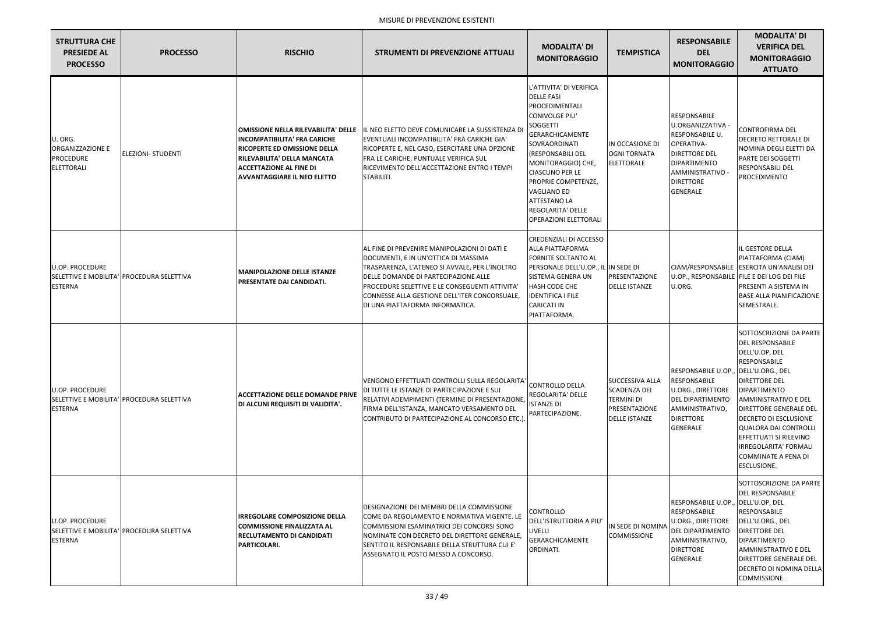| <b>STRUTTURA CHE</b><br><b>PRESIEDE AL</b><br><b>PROCESSO</b>        | <b>PROCESSO</b>                           | <b>RISCHIO</b>                                                                                                                                                                                                           | <b>STRUMENTI DI PREVENZIONE ATTUALI</b>                                                                                                                                                                                                                                                                              | <b>MODALITA' DI</b><br><b>MONITORAGGIO</b>                                                                                                                                                                                                                                                                                            | <b>TEMPISTICA</b>                                                                                    | <b>RESPONSABILE</b><br><b>DEL</b><br><b>MONITORAGGIO</b>                                                                                                                     | <b>MODALITA' DI</b><br><b>VERIFICA DEL</b><br><b>MONITORAGGIO</b><br><b>ATTUATO</b>                                                                                                                                                                                                                                                                                 |
|----------------------------------------------------------------------|-------------------------------------------|--------------------------------------------------------------------------------------------------------------------------------------------------------------------------------------------------------------------------|----------------------------------------------------------------------------------------------------------------------------------------------------------------------------------------------------------------------------------------------------------------------------------------------------------------------|---------------------------------------------------------------------------------------------------------------------------------------------------------------------------------------------------------------------------------------------------------------------------------------------------------------------------------------|------------------------------------------------------------------------------------------------------|------------------------------------------------------------------------------------------------------------------------------------------------------------------------------|---------------------------------------------------------------------------------------------------------------------------------------------------------------------------------------------------------------------------------------------------------------------------------------------------------------------------------------------------------------------|
| U. ORG.<br>ORGANIZZAZIONE E<br><b>PROCEDURE</b><br><b>ELETTORALI</b> | <b>ELEZIONI- STUDENTI</b>                 | <b>OMISSIONE NELLA RILEVABILITA' DELLE</b><br><b>INCOMPATIBILITA' FRA CARICHE</b><br>RICOPERTE ED OMISSIONE DELLA<br>RILEVABILITA' DELLA MANCATA<br><b>ACCETTAZIONE AL FINE DI</b><br><b>AVVANTAGGIARE IL NEO ELETTO</b> | IL NEO ELETTO DEVE COMUNICARE LA SUSSISTENZA DI<br>EVENTUALI INCOMPATIBILITA' FRA CARICHE GIA'<br>RICOPERTE E, NEL CASO, ESERCITARE UNA OPZIONE<br>FRA LE CARICHE; PUNTUALE VERIFICA SUL<br>RICEVIMENTO DELL'ACCETTAZIONE ENTRO I TEMPI<br>STABILITI.                                                                | L'ATTIVITA' DI VERIFICA<br><b>DELLE FASI</b><br>PROCEDIMENTALI<br>CONIVOLGE PIU'<br>SOGGETTI<br><b>GERARCHICAMENTE</b><br>SOVRAORDINATI<br>(RESPONSABILI DEL<br>MONITORAGGIO) CHE,<br><b>CIASCUNO PER LE</b><br>PROPRIE COMPETENZE,<br>VAGLIANO ED<br><b>ATTESTANO LA</b><br><b>REGOLARITA' DELLE</b><br><b>OPERAZIONI ELETTORALI</b> | IN OCCASIONE DI<br><b>OGNI TORNATA</b><br><b>ELETTORALE</b>                                          | RESPONSABILE<br>U.ORGANIZZATIVA -<br>RESPONSABILE U.<br>OPERATIVA-<br><b>DIRETTORE DEL</b><br><b>DIPARTIMENTO</b><br>AMMINISTRATIVO -<br><b>DIRETTORE</b><br><b>GENERALE</b> | <b>CONTROFIRMA DEL</b><br><b>DECRETO RETTORALE DI</b><br>NOMINA DEGLI ELETTI DA<br>PARTE DEI SOGGETTI<br><b>RESPONSABILI DEL</b><br>PROCEDIMENTO                                                                                                                                                                                                                    |
| <b>U.OP. PROCEDURE</b><br><b>ESTERNA</b>                             | SELETTIVE E MOBILITA' PROCEDURA SELETTIVA | <b>MANIPOLAZIONE DELLE ISTANZE</b><br>PRESENTATE DAI CANDIDATI.                                                                                                                                                          | AL FINE DI PREVENIRE MANIPOLAZIONI DI DATI E<br>DOCUMENTI, E IN UN'OTTICA DI MASSIMA<br>TRASPARENZA, L'ATENEO SI AVVALE, PER L'INOLTRO<br>DELLE DOMANDE DI PARTECIPAZIONE ALLE<br>PROCEDURE SELETTIVE E LE CONSEGUENTI ATTIVITA'<br>CONNESSE ALLA GESTIONE DELL'ITER CONCORSUALE,<br>DI UNA PIATTAFORMA INFORMATICA. | CREDENZIALI DI ACCESSO<br><b>ALLA PIATTAFORMA</b><br><b>FORNITE SOLTANTO AL</b><br>PERSONALE DELL'U.OP., IL IN SEDE DI<br><b>SISTEMA GENERA UN</b><br>HASH CODE CHE<br><b>IDENTIFICA I FILE</b><br><b>CARICATI IN</b><br>PIATTAFORMA.                                                                                                 | PRESENTAZIONE<br><b>DELLE ISTANZE</b>                                                                | U.ORG.                                                                                                                                                                       | IL GESTORE DELLA<br>PIATTAFORMA (CIAM)<br>CIAM/RESPONSABILE ESERCITA UN'ANALISI DEI<br>U.OP., RESPONSABILE FILE E DEI LOG DEI FILE<br>PRESENTI A SISTEMA IN<br><b>BASE ALLA PIANIFICAZIONE</b><br>SEMESTRALE.                                                                                                                                                       |
| <b>U.OP. PROCEDURE</b><br><b>ESTERNA</b>                             | SELETTIVE E MOBILITA' PROCEDURA SELETTIVA | <b>ACCETTAZIONE DELLE DOMANDE PRIVE</b><br>DI ALCUNI REQUISITI DI VALIDITA'.                                                                                                                                             | VENGONO EFFETTUATI CONTROLLI SULLA REGOLARITA'<br>DI TUTTE LE ISTANZE DI PARTECIPAZIONE E SUI<br>RELATIVI ADEMPIMENTI (TERMINE DI PRESENTAZIONE,<br>FIRMA DELL'ISTANZA, MANCATO VERSAMENTO DEL<br>CONTRIBUTO DI PARTECIPAZIONE AL CONCORSO ETC.                                                                      | <b>CONTROLLO DELLA</b><br>REGOLARITA' DELLE<br><b>ISTANZE DI</b><br>PARTECIPAZIONE.                                                                                                                                                                                                                                                   | <b>SUCCESSIVA ALLA</b><br><b>SCADENZA DEI</b><br>TERMINI DI<br>PRESENTAZIONE<br><b>DELLE ISTANZE</b> | RESPONSABILE U.OP., DELL'U.ORG., DEL<br><b>RESPONSABILE</b><br><b>U.ORG., DIRETTORE</b><br>DEL DIPARTIMENTO<br>AMMINISTRATIVO,<br><b>DIRETTORE</b><br><b>GENERALE</b>        | SOTTOSCRIZIONE DA PARTE<br><b>DEL RESPONSABILE</b><br>DELL'U.OP, DEL<br><b>RESPONSABILE</b><br><b>DIRETTORE DEL</b><br><b>DIPARTIMENTO</b><br>AMMINISTRATIVO E DEL<br>DIRETTORE GENERALE DEL<br><b>DECRETO DI ESCLUSIONE</b><br><b>QUALORA DAI CONTROLLI</b><br>EFFETTUATI SI RILEVINO<br>IRREGOLARITA' FORMALI<br><b>COMMINATE A PENA DI</b><br><b>ESCLUSIONE.</b> |
| <b>U.OP. PROCEDURE</b><br><b>ESTERNA</b>                             | SELETTIVE E MOBILITA' PROCEDURA SELETTIVA | <b>IRREGOLARE COMPOSIZIONE DELLA</b><br><b>COMMISSIONE FINALIZZATA AL</b><br><b>RECLUTAMENTO DI CANDIDATI</b><br>PARTICOLARI.                                                                                            | <b>IDESIGNAZIONE DEI MEMBRI DELLA COMMISSIONE</b><br>COME DA REGOLAMENTO E NORMATIVA VIGENTE. LE<br>COMMISSIONI ESAMINATRICI DEI CONCORSI SONO<br>INOMINATE CON DECRETO DEL DIRETTORE GENERALE,<br>SENTITO IL RESPONSABILE DELLA STRUTTURA CUI E'<br>ASSEGNATO IL POSTO MESSO A CONCORSO.                            | CONTROLLO<br>DELL'ISTRUTTORIA A PIU'<br>LIVELLI<br><b>GERARCHICAMENTE</b><br>ORDINATI.                                                                                                                                                                                                                                                | IN SEDE DI NOMINA<br><b>COMMISSIONE</b>                                                              | RESPONSABILE U.OP., DELL'U.OP, DEL<br>RESPONSABILE<br><b>U.ORG., DIRETTORE</b><br>DEL DIPARTIMENTO<br>AMMINISTRATIVO,<br><b>DIRETTORE</b><br><b>GENERALE</b>                 | SOTTOSCRIZIONE DA PARTE<br><b>DEL RESPONSABILE</b><br><b>RESPONSABILE</b><br>DELL'U.ORG., DEL<br><b>DIRETTORE DEL</b><br><b>DIPARTIMENTO</b><br><b>AMMINISTRATIVO E DEL</b><br>DIRETTORE GENERALE DEL<br>DECRETO DI NOMINA DELLA<br>COMMISSIONE.                                                                                                                    |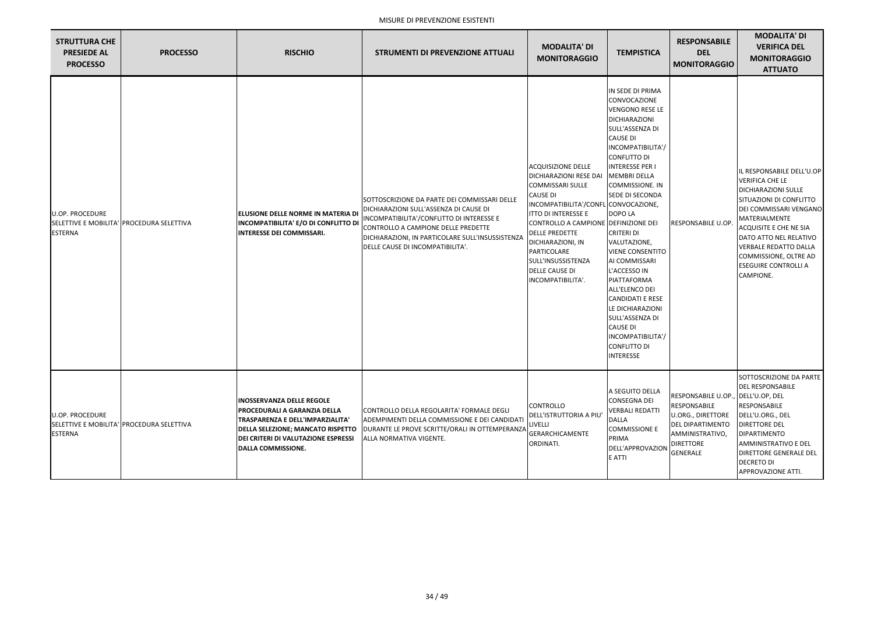| <b>STRUTTURA CHE</b><br><b>PRESIEDE AL</b><br><b>PROCESSO</b> | <b>PROCESSO</b>                           | <b>RISCHIO</b>                                                                                                                                                                                                               | <b>STRUMENTI DI PREVENZIONE ATTUALI</b>                                                                                                                                                                                                                            | <b>MODALITA' DI</b><br><b>MONITORAGGIO</b>                                                                                                                                                                                                                                                                                                              | <b>TEMPISTICA</b>                                                                                                                                                                                                                                                                                                                                                                                                                                                                                                                                      | <b>RESPONSABILE</b><br><b>DEL</b><br><b>MONITORAGGIO</b>                                                                                             | <b>MODALITA' DI</b><br><b>VERIFICA DEL</b><br><b>MONITORAGGIO</b><br><b>ATTUATO</b>                                                                                                                                                                                                                              |
|---------------------------------------------------------------|-------------------------------------------|------------------------------------------------------------------------------------------------------------------------------------------------------------------------------------------------------------------------------|--------------------------------------------------------------------------------------------------------------------------------------------------------------------------------------------------------------------------------------------------------------------|---------------------------------------------------------------------------------------------------------------------------------------------------------------------------------------------------------------------------------------------------------------------------------------------------------------------------------------------------------|--------------------------------------------------------------------------------------------------------------------------------------------------------------------------------------------------------------------------------------------------------------------------------------------------------------------------------------------------------------------------------------------------------------------------------------------------------------------------------------------------------------------------------------------------------|------------------------------------------------------------------------------------------------------------------------------------------------------|------------------------------------------------------------------------------------------------------------------------------------------------------------------------------------------------------------------------------------------------------------------------------------------------------------------|
| <b>U.OP. PROCEDURE</b><br><b>ESTERNA</b>                      | SELETTIVE E MOBILITA' PROCEDURA SELETTIVA | ELUSIONE DELLE NORME IN MATERIA DI<br><b>INCOMPATIBILITA' E/O DI CONFLITTO DI</b><br><b>INTERESSE DEI COMMISSARI.</b>                                                                                                        | SOTTOSCRIZIONE DA PARTE DEI COMMISSARI DELLE<br>DICHIARAZIONI SULL'ASSENZA DI CAUSE DI<br>INCOMPATIBILITA'/CONFLITTO DI INTERESSE E<br>CONTROLLO A CAMPIONE DELLE PREDETTE<br>DICHIARAZIONI, IN PARTICOLARE SULL'INSUSSISTENZA<br>DELLE CAUSE DI INCOMPATIBILITA'. | <b>ACQUISIZIONE DELLE</b><br><b>DICHIARAZIONI RESE DAI</b><br><b>COMMISSARI SULLE</b><br><b>CAUSE DI</b><br>INCOMPATIBILITA'/CONFL CONVOCAZIONE,<br><b>ITTO DI INTERESSE E</b><br>CONTROLLO A CAMPIONE DEFINIZIONE DEI<br><b>DELLE PREDETTE</b><br>DICHIARAZIONI, IN<br>PARTICOLARE<br>SULL'INSUSSISTENZA<br><b>DELLE CAUSE DI</b><br>INCOMPATIBILITA'. | IN SEDE DI PRIMA<br>CONVOCAZIONE<br><b>VENGONO RESE LE</b><br>DICHIARAZIONI<br>SULL'ASSENZA DI<br><b>CAUSE DI</b><br>INCOMPATIBILITA'/<br><b>CONFLITTO DI</b><br><b>INTERESSE PER I</b><br><b>MEMBRI DELLA</b><br>COMMISSIONE. IN<br><b>SEDE DI SECONDA</b><br>DOPO LA<br><b>CRITERI DI</b><br>VALUTAZIONE,<br><b>VIENE CONSENTITO</b><br>AI COMMISSARI<br>L'ACCESSO IN<br>PIATTAFORMA<br>ALL'ELENCO DEI<br><b>CANDIDATI E RESE</b><br>LE DICHIARAZIONI<br>SULL'ASSENZA DI<br><b>CAUSE DI</b><br>INCOMPATIBILITA'/<br>CONFLITTO DI<br><b>INTERESSE</b> | <b>RESPONSABILE U.OP.</b>                                                                                                                            | IL RESPONSABILE DELL'U.OP<br><b>VERIFICA CHE LE</b><br><b>DICHIARAZIONI SULLE</b><br>SITUAZIONI DI CONFLITTO<br>DEI COMMISSARI VENGANO<br>MATERIALMENTE<br>ACQUISITE E CHE NE SIA<br>DATO ATTO NEL RELATIVO<br><b>VERBALE REDATTO DALLA</b><br>COMMISSIONE, OLTRE AD<br><b>ESEGUIRE CONTROLLI A</b><br>CAMPIONE. |
| U.OP. PROCEDURE<br><b>ESTERNA</b>                             | SELETTIVE E MOBILITA' PROCEDURA SELETTIVA | <b>INOSSERVANZA DELLE REGOLE</b><br>IPROCEDURALI A GARANZIA DELLA<br>TRASPARENZA E DELL'IMPARZIALITA'<br><b>DELLA SELEZIONE; MANCATO RISPETTO</b><br><b>DEI CRITERI DI VALUTAZIONE ESPRESSI</b><br><b>DALLA COMMISSIONE.</b> | ICONTROLLO DELLA REGOLARITA' FORMALE DEGLI<br>ADEMPIMENTI DELLA COMMISSIONE E DEI CANDIDATI<br>DURANTE LE PROVE SCRITTE/ORALI IN OTTEMPERANZA<br>ALLA NORMATIVA VIGENTE.                                                                                           | <b>CONTROLLO</b><br><b>DELL'ISTRUTTORIA A PIL</b><br>LIVELLI<br><b>GERARCHICAMENTE</b><br>ORDINATI.                                                                                                                                                                                                                                                     | A SEGUITO DELLA<br><b>CONSEGNA DEI</b><br><b>VERBALI REDATTI</b><br><b>DALLA</b><br><b>COMMISSIONE E</b><br>PRIMA<br>DELL'APPROVAZION<br>E ATTI                                                                                                                                                                                                                                                                                                                                                                                                        | RESPONSABILE U.OP.,<br><b>RESPONSABILE</b><br>U.ORG., DIRETTORE<br><b>DEL DIPARTIMENTO</b><br>AMMINISTRATIVO,<br><b>DIRETTORE</b><br><b>GENERALE</b> | SOTTOSCRIZIONE DA PARTE<br><b>DEL RESPONSABILE</b><br>DELL'U.OP, DEL<br><b>RESPONSABILE</b><br>DELL'U.ORG., DEL<br><b>DIRETTORE DEL</b><br>DIPARTIMENTO<br><b>AMMINISTRATIVO E DEL</b><br><b>DIRETTORE GENERALE DEL</b><br><b>DECRETO DI</b><br>APPROVAZIONE ATTI.                                               |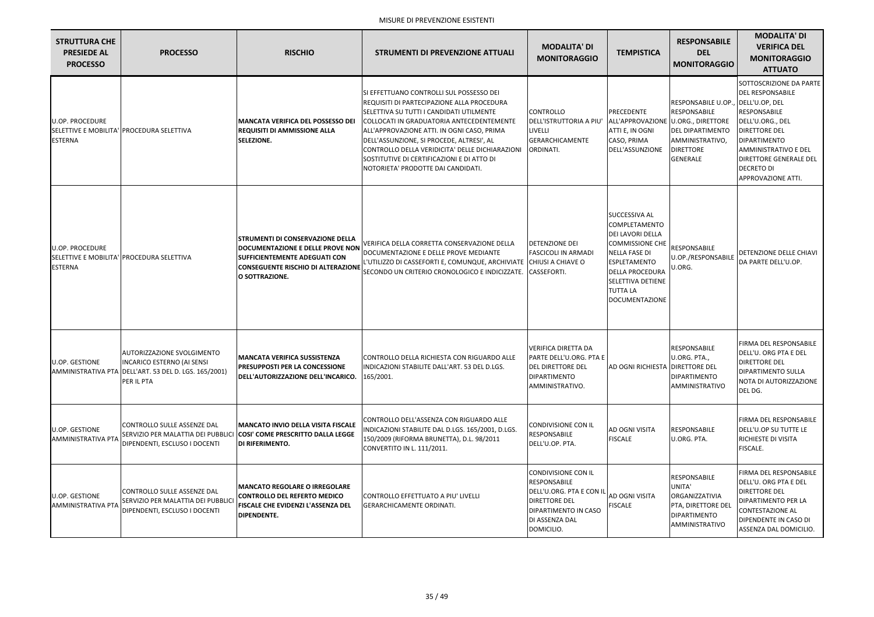| <b>STRUTTURA CHE</b><br><b>PRESIEDE AL</b><br><b>PROCESSO</b> | <b>PROCESSO</b>                                                                                                                 | <b>RISCHIO</b>                                                                                                                                                                     | <b>STRUMENTI DI PREVENZIONE ATTUALI</b>                                                                                                                                                                                                                                                                                                                                                                            | <b>MODALITA' DI</b><br><b>MONITORAGGIO</b>                                                                                                     | <b>TEMPISTICA</b>                                                                                                                                                                                                                           | <b>RESPONSABILE</b><br><b>DEL</b><br><b>MONITORAGGIO</b>                                                                 | <b>MODALITA' DI</b><br><b>VERIFICA DEL</b><br><b>MONITORAGGIO</b><br><b>ATTUATO</b>                                                                                                                                                                                       |
|---------------------------------------------------------------|---------------------------------------------------------------------------------------------------------------------------------|------------------------------------------------------------------------------------------------------------------------------------------------------------------------------------|--------------------------------------------------------------------------------------------------------------------------------------------------------------------------------------------------------------------------------------------------------------------------------------------------------------------------------------------------------------------------------------------------------------------|------------------------------------------------------------------------------------------------------------------------------------------------|---------------------------------------------------------------------------------------------------------------------------------------------------------------------------------------------------------------------------------------------|--------------------------------------------------------------------------------------------------------------------------|---------------------------------------------------------------------------------------------------------------------------------------------------------------------------------------------------------------------------------------------------------------------------|
| <b>U.OP. PROCEDURE</b><br><b>ESTERNA</b>                      | SELETTIVE E MOBILITA' PROCEDURA SELETTIVA                                                                                       | <b>MANCATA VERIFICA DEL POSSESSO DEI</b><br><b>REQUISITI DI AMMISSIONE ALLA</b><br><b>SELEZIONE.</b>                                                                               | SI EFFETTUANO CONTROLLI SUL POSSESSO DEI<br>REQUISITI DI PARTECIPAZIONE ALLA PROCEDURA<br>ISELETTIVA SU TUTTI I CANDIDATI UTILMENTE<br>COLLOCATI IN GRADUATORIA ANTECEDENTEMENTE<br>ALL'APPROVAZIONE ATTI. IN OGNI CASO, PRIMA<br>DELL'ASSUNZIONE, SI PROCEDE, ALTRESI', AL<br>CONTROLLO DELLA VERIDICITA' DELLE DICHIARAZIONI<br>SOSTITUTIVE DI CERTIFICAZIONI E DI ATTO DI<br>NOTORIETA' PRODOTTE DAI CANDIDATI. | <b>CONTROLLO</b><br>DELL'ISTRUTTORIA A PIU'<br>LIVELLI<br><b>GERARCHICAMENTE</b><br>ORDINATI.                                                  | PRECEDENTE<br>ALL'APPROVAZIONE U.ORG., DIRETTORE<br>ATTI E, IN OGNI<br>CASO, PRIMA<br>DELL'ASSUNZIONE                                                                                                                                       | RESPONSABILE U.OP.<br><b>RESPONSABILE</b><br><b>DEL DIPARTIMENTO</b><br>AMMINISTRATIVO,<br><b>DIRETTORE</b><br>IGENERALE | SOTTOSCRIZIONE DA PARTE<br><b>DEL RESPONSABILE</b><br>DELL'U.OP, DEL<br><b>RESPONSABILE</b><br>DELL'U.ORG., DEL<br><b>DIRETTORE DEL</b><br><b>DIPARTIMENTO</b><br>AMMINISTRATIVO E DEL<br><b>DIRETTORE GENERALE DEL</b><br><b>DECRETO DI</b><br><b>APPROVAZIONE ATTI.</b> |
| <b>U.OP. PROCEDURE</b><br><b>ESTERNA</b>                      | SELETTIVE E MOBILITA' PROCEDURA SELETTIVA                                                                                       | <b>STRUMENTI DI CONSERVAZIONE DELLA</b><br>DOCUMENTAZIONE E DELLE PROVE NON<br><b>SUFFICIENTEMENTE ADEGUATI CON</b><br><b>CONSEGUENTE RISCHIO DI ALTERAZIONE</b><br>O SOTTRAZIONE. | VERIFICA DELLA CORRETTA CONSERVAZIONE DELLA<br>DOCUMENTAZIONE E DELLE PROVE MEDIANTE<br>L'UTILIZZO DI CASSEFORTI E, COMUNQUE, ARCHIVIATE CHIUSI A CHIAVE O<br>SECONDO UN CRITERIO CRONOLOGICO E INDICIZZATE.                                                                                                                                                                                                       | <b>DETENZIONE DEI</b><br><b>FASCICOLI IN ARMADI</b><br>CASSEFORTI.                                                                             | <b>SUCCESSIVA AL</b><br><b>COMPLETAMENTO</b><br><b>DEI LAVORI DELLA</b><br><b>COMMISSIONE CHE</b><br><b>NELLA FASE DI</b><br><b>ESPLETAMENTO</b><br><b>DELLA PROCEDURA</b><br><b>SELETTIVA DETIENE</b><br><b>TUTTA LA</b><br>DOCUMENTAZIONE | RESPONSABILE<br>U.OP./RESPONSABILE<br>U.ORG.                                                                             | <b>DETENZIONE DELLE CHIAVI</b><br>DA PARTE DELL'U.OP.                                                                                                                                                                                                                     |
| <b>U.OP. GESTIONE</b>                                         | AUTORIZZAZIONE SVOLGIMENTO<br>INCARICO ESTERNO (AI SENSI<br>AMMINISTRATIVA PTA DELL'ART. 53 DEL D. LGS. 165/2001)<br>PER IL PTA | <b>MANCATA VERIFICA SUSSISTENZA</b><br><b>PRESUPPOSTI PER LA CONCESSIONE</b><br>DELL'AUTORIZZAZIONE DELL'INCARICO.                                                                 | CONTROLLO DELLA RICHIESTA CON RIGUARDO ALLE<br>INDICAZIONI STABILITE DALL'ART. 53 DEL D.LGS.<br>165/2001.                                                                                                                                                                                                                                                                                                          | <b>VERIFICA DIRETTA DA</b><br><b>PARTE DELL'U.ORG. PTA E</b><br><b>DEL DIRETTORE DEL</b><br><b>DIPARTIMENTO</b><br>AMMINISTRATIVO.             | AD OGNI RICHIESTA   DIRETTORE DEL                                                                                                                                                                                                           | <b>RESPONSABILE</b><br>U.ORG. PTA.,<br><b>DIPARTIMENTO</b><br><b>AMMINISTRATIVO</b>                                      | <b>FIRMA DEL RESPONSABILE</b><br>DELL'U. ORG PTA E DEL<br><b>DIRETTORE DEL</b><br><b>DIPARTIMENTO SULLA</b><br>NOTA DI AUTORIZZAZIONE<br>DEL DG.                                                                                                                          |
| <b>U.OP. GESTIONE</b><br>AMMINISTRATIVA PT/                   | CONTROLLO SULLE ASSENZE DAL<br>DIPENDENTI, ESCLUSO I DOCENTI                                                                    | MANCATO INVIO DELLA VISITA FISCALE<br>SERVIZIO PER MALATTIA DEI PUBBLICI COSI' COME PRESCRITTO DALLA LEGGE<br>DI RIFERIMENTO.                                                      | CONTROLLO DELL'ASSENZA CON RIGUARDO ALLE<br>INDICAZIONI STABILITE DAL D.LGS. 165/2001, D.LGS.<br>150/2009 (RIFORMA BRUNETTA), D.L. 98/2011<br>CONVERTITO IN L. 111/2011.                                                                                                                                                                                                                                           | CONDIVISIONE CON IL<br>RESPONSABILE<br>DELL'U.OP. PTA.                                                                                         | AD OGNI VISITA<br><b>FISCALE</b>                                                                                                                                                                                                            | RESPONSABILE<br>U.ORG. PTA.                                                                                              | FIRMA DEL RESPONSABILE<br>DELL'U.OP SU TUTTE LE<br>RICHIESTE DI VISITA<br><b>FISCALE.</b>                                                                                                                                                                                 |
| U.OP. GESTIONE<br><b>AMMINISTRATIVA PTA</b>                   | CONTROLLO SULLE ASSENZE DAL<br>SERVIZIO PER MALATTIA DEI PUBBLICI<br>DIPENDENTI, ESCLUSO I DOCENTI                              | <b>MANCATO REGOLARE O IRREGOLARE</b><br>CONTROLLO DEL REFERTO MEDICO<br><b>FISCALE CHE EVIDENZI L'ASSENZA DEL</b><br><b>DIPENDENTE.</b>                                            | CONTROLLO EFFETTUATO A PIU' LIVELLI<br><b>GERARCHICAMENTE ORDINATI.</b>                                                                                                                                                                                                                                                                                                                                            | CONDIVISIONE CON IL<br>RESPONSABILE<br>DELL'U.ORG. PTA E CON I<br><b>DIRETTORE DEL</b><br>DIPARTIMENTO IN CASO<br>DI ASSENZA DAL<br>DOMICILIO. | AD OGNI VISITA<br><b>FISCALE</b>                                                                                                                                                                                                            | RESPONSABILE<br>UNITA'<br>ORGANIZZATIVIA<br>PTA, DIRETTORE DEL<br><b>DIPARTIMENTO</b><br>AMMINISTRATIVO                  | FIRMA DEL RESPONSABILE<br>DELL'U. ORG PTA E DEL<br><b>DIRETTORE DEL</b><br>DIPARTIMENTO PER LA<br><b>CONTESTAZIONE AL</b><br>DIPENDENTE IN CASO DI<br>ASSENZA DAL DOMICILIO.                                                                                              |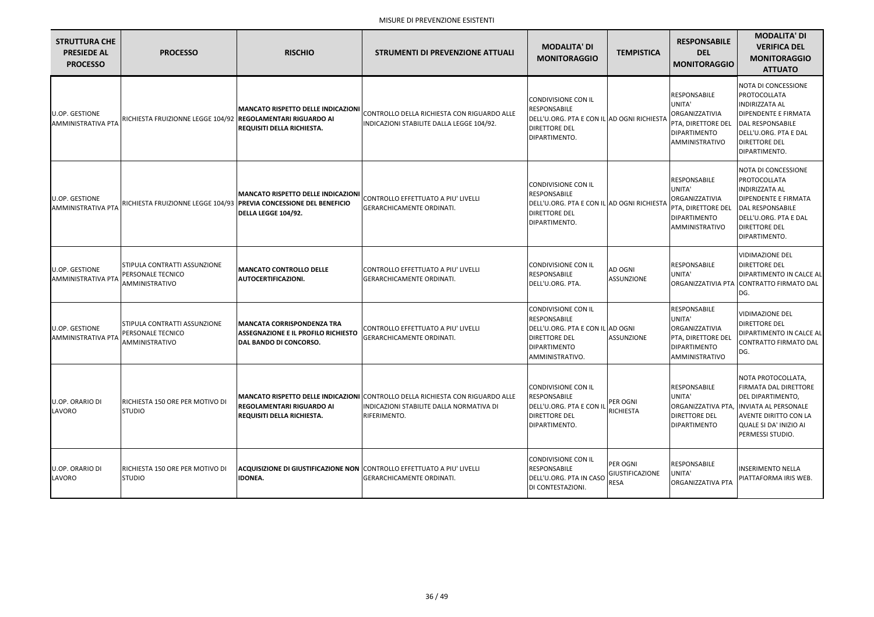| <b>STRUTTURA CHE</b><br><b>PRESIEDE AL</b><br><b>PROCESSO</b> | <b>PROCESSO</b>                                                                          | <b>RISCHIO</b>                                                                                                                           | <b>STRUMENTI DI PREVENZIONE ATTUALI</b>                                                                                                           | <b>MODALITA' DI</b><br><b>MONITORAGGIO</b>                                                                                                       | <b>TEMPISTICA</b>                                 | <b>RESPONSABILE</b><br><b>DEL</b><br><b>MONITORAGGIO</b>                                                              | <b>MODALITA' DI</b><br><b>VERIFICA DEL</b><br><b>MONITORAGGIO</b><br><b>ATTUATO</b>                                                                                                          |
|---------------------------------------------------------------|------------------------------------------------------------------------------------------|------------------------------------------------------------------------------------------------------------------------------------------|---------------------------------------------------------------------------------------------------------------------------------------------------|--------------------------------------------------------------------------------------------------------------------------------------------------|---------------------------------------------------|-----------------------------------------------------------------------------------------------------------------------|----------------------------------------------------------------------------------------------------------------------------------------------------------------------------------------------|
| <b>U.OP. GESTIONE</b><br><b>AMMINISTRATIVA PTA</b>            | RICHIESTA FRUIZIONNE LEGGE 104/92 REGOLAMENTARI RIGUARDO AI                              | <b>MANCATO RISPETTO DELLE INDICAZIONI</b><br>REQUISITI DELLA RICHIESTA.                                                                  | CONTROLLO DELLA RICHIESTA CON RIGUARDO ALLE<br>INDICAZIONI STABILITE DALLA LEGGE 104/92.                                                          | <b>CONDIVISIONE CON IL</b><br>RESPONSABILE<br>DELL'U.ORG. PTA E CON IL AD OGNI RICHIESTA<br><b>DIRETTORE DEL</b><br>DIPARTIMENTO.                |                                                   | <b>RESPONSABILE</b><br>UNITA'<br>ORGANIZZATIVIA<br>PTA, DIRETTORE DEL<br>DIPARTIMENTO<br>AMMINISTRATIVO               | <b>NOTA DI CONCESSIONE</b><br>PROTOCOLLATA<br><b>INDIRIZZATA AL</b><br><b>DIPENDENTE E FIRMATA</b><br>DAL RESPONSABILE<br>DELL'U.ORG. PTA E DAL<br><b>DIRETTORE DEL</b><br>DIPARTIMENTO.     |
| <b>U.OP. GESTIONE</b><br><b>AMMINISTRATIVA PTA</b>            |                                                                                          | <b>MANCATO RISPETTO DELLE INDICAZIONI</b><br>RICHIESTA FRUIZIONNE LEGGE 104/93   PREVIA CONCESSIONE DEL BENEFICIO<br>DELLA LEGGE 104/92. | CONTROLLO EFFETTUATO A PIU' LIVELLI<br><b>GERARCHICAMENTE ORDINATI.</b>                                                                           | <b>CONDIVISIONE CON IL</b><br>RESPONSABILE<br>DELL'U.ORG. PTA E CON IL AD OGNI RICHIESTA<br><b>DIRETTORE DEL</b><br>DIPARTIMENTO.                |                                                   | <b>RESPONSABILE</b><br>UNITA'<br>ORGANIZZATIVIA<br>PTA, DIRETTORE DEL<br>DIPARTIMENTO<br>AMMINISTRATIVO               | <b>NOTA DI CONCESSIONE</b><br>PROTOCOLLATA<br><b>INDIRIZZATA AL</b><br><b>DIPENDENTE E FIRMATA</b><br>DAL RESPONSABILE<br>DELL'U.ORG. PTA E DAL<br><b>DIRETTORE DEL</b><br>DIPARTIMENTO.     |
| U.OP. GESTIONE<br><b>AMMINISTRATIVA PTA</b>                   | <b>STIPULA CONTRATTI ASSUNZIONE</b><br><b>PERSONALE TECNICO</b><br>AMMINISTRATIVO        | <b>MANCATO CONTROLLO DELLE</b><br><b>AUTOCERTIFICAZIONI.</b>                                                                             | CONTROLLO EFFETTUATO A PIU' LIVELLI<br><b>GERARCHICAMENTE ORDINATI.</b>                                                                           | <b>CONDIVISIONE CON IL</b><br>RESPONSABILE<br>DELL'U.ORG. PTA.                                                                                   | AD OGNI<br><b>ASSUNZIONE</b>                      | <b>RESPONSABILE</b><br>UNITA'<br><b>ORGANIZZATIVIA PTA</b>                                                            | <b>VIDIMAZIONE DEL</b><br><b>DIRETTORE DEL</b><br>DIPARTIMENTO IN CALCE AL<br>CONTRATTO FIRMATO DAL<br>DG.                                                                                   |
| <b>U.OP. GESTIONE</b><br>AMMINISTRATIVA PT/                   | <b>STIPULA CONTRATTI ASSUNZIONE</b><br><b>PERSONALE TECNICO</b><br><b>AMMINISTRATIVO</b> | <b>IMANCATA CORRISPONDENZA TRA</b><br><b>ASSEGNAZIONE E IL PROFILO RICHIESTO</b><br>DAL BANDO DI CONCORSO.                               | CONTROLLO EFFETTUATO A PIU' LIVELLI<br>GERARCHICAMENTE ORDINATI.                                                                                  | <b>CONDIVISIONE CON IL</b><br>RESPONSABILE<br>DELL'U.ORG. PTA E CON IL AD OGNI<br><b>DIRETTORE DEL</b><br><b>DIPARTIMENTO</b><br>AMMINISTRATIVO. | <b>ASSUNZIONE</b>                                 | <b>RESPONSABILE</b><br>UNITA'<br><b>ORGANIZZATIVIA</b><br><b>PTA, DIRETTORE DEL</b><br>DIPARTIMENTO<br>AMMINISTRATIVO | <b>VIDIMAZIONE DEL</b><br><b>DIRETTORE DEL</b><br>DIPARTIMENTO IN CALCE AL<br><b>CONTRATTO FIRMATO DAL</b><br>DG.                                                                            |
| U.OP. ORARIO DI<br>LAVORO                                     | RICHIESTA 150 ORE PER MOTIVO DI<br><b>STUDIO</b>                                         | <b>REGOLAMENTARI RIGUARDO AI</b><br><b>REQUISITI DELLA RICHIESTA.</b>                                                                    | <b>MANCATO RISPETTO DELLE INDICAZIONI CONTROLLO DELLA RICHIESTA CON RIGUARDO ALLE</b><br>INDICAZIONI STABILITE DALLA NORMATIVA DI<br>RIFERIMENTO. | <b>CONDIVISIONE CON IL</b><br><b>RESPONSABILE</b><br>DELL'U.ORG. PTA E CON IL<br><b>DIRETTORE DEL</b><br>DIPARTIMENTO.                           | PER OGNI<br><b>RICHIESTA</b>                      | <b>RESPONSABILE</b><br>UNITA'<br>ORGANIZZATIVA PTA,<br><b>DIRETTORE DEL</b><br>DIPARTIMENTO                           | NOTA PROTOCOLLATA,<br><b>FIRMATA DAL DIRETTORE</b><br><b>DEL DIPARTIMENTO,</b><br><b>IINVIATA AL PERSONALE</b><br><b>AVENTE DIRITTO CON LA</b><br>QUALE SI DA' INIZIO AI<br>PERMESSI STUDIO. |
| U.OP. ORARIO DI<br>LAVORO                                     | RICHIESTA 150 ORE PER MOTIVO DI<br><b>STUDIO</b>                                         | <b>ACQUISIZIONE DI GIUSTIFICAZIONE NON CONTROLLO EFFETTUATO A PIU' LIVELLI</b><br><b>IDONEA.</b>                                         | <b>GERARCHICAMENTE ORDINATI.</b>                                                                                                                  | <b>CONDIVISIONE CON IL</b><br>RESPONSABILE<br>DELL'U.ORG. PTA IN CASO<br>DI CONTESTAZIONI.                                                       | PER OGNI<br><b>GIUSTIFICAZIONE</b><br><b>RESA</b> | RESPONSABILE<br>UNITA'<br><b>ORGANIZZATIVA PTA</b>                                                                    | <b>INSERIMENTO NELLA</b><br>PIATTAFORMA IRIS WEB.                                                                                                                                            |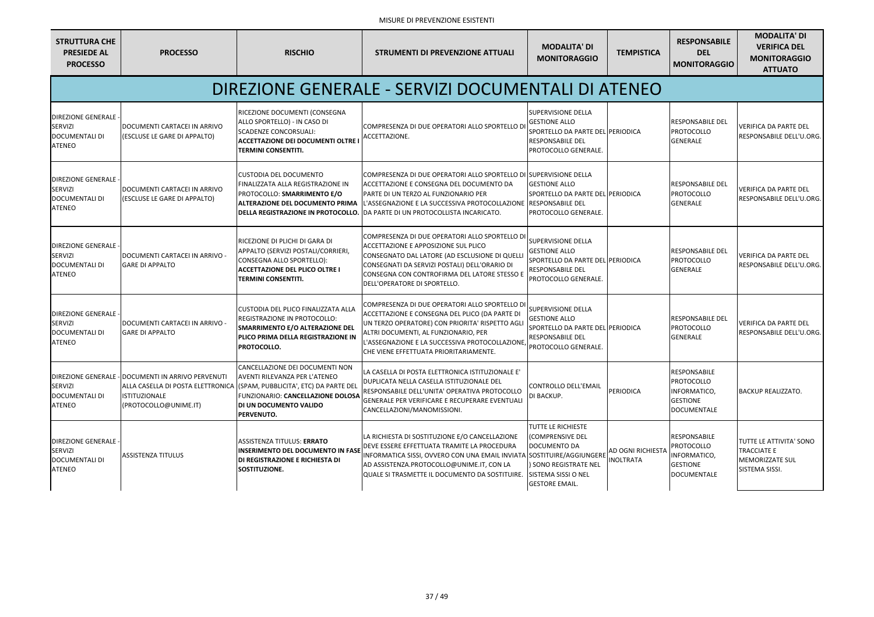| <b>STRUTTURA CHE</b><br><b>PRESIEDE AL</b><br><b>PROCESSO</b>                           | <b>PROCESSO</b>                                                                                     | <b>RISCHIO</b>                                                                                                                                                                                                                                | <b>STRUMENTI DI PREVENZIONE ATTUALI</b>                                                                                                                                                                                                                                                    | <b>MODALITA' DI</b><br><b>MONITORAGGIO</b>                                                                                        | <b>TEMPISTICA</b>             | <b>RESPONSABILE</b><br><b>DEL</b><br><b>MONITORAGGIO</b>                                   | <b>MODALITA' DI</b><br><b>VERIFICA DEL</b><br><b>MONITORAGGIO</b><br><b>ATTUATO</b>              |
|-----------------------------------------------------------------------------------------|-----------------------------------------------------------------------------------------------------|-----------------------------------------------------------------------------------------------------------------------------------------------------------------------------------------------------------------------------------------------|--------------------------------------------------------------------------------------------------------------------------------------------------------------------------------------------------------------------------------------------------------------------------------------------|-----------------------------------------------------------------------------------------------------------------------------------|-------------------------------|--------------------------------------------------------------------------------------------|--------------------------------------------------------------------------------------------------|
|                                                                                         |                                                                                                     |                                                                                                                                                                                                                                               | DIREZIONE GENERALE - SERVIZI DOCUMENTALI DI ATENEO                                                                                                                                                                                                                                         |                                                                                                                                   |                               |                                                                                            |                                                                                                  |
| <b>DIREZIONE GENERALE</b><br><b>SERVIZI</b><br><b>DOCUMENTALI DI</b><br><b>ATENEO</b>   | DOCUMENTI CARTACEI IN ARRIVO<br>(ESCLUSE LE GARE DI APPALTO)                                        | RICEZIONE DOCUMENTI (CONSEGNA<br>ALLO SPORTELLO) - IN CASO DI<br><b>SCADENZE CONCORSUALI:</b><br><b>ACCETTAZIONE DEI DOCUMENTI OLTRE</b><br><b>TERMINI CONSENTITI.</b>                                                                        | COMPRESENZA DI DUE OPERATORI ALLO SPORTELLO DI<br>ACCETTAZIONE.                                                                                                                                                                                                                            | <b>SUPERVISIONE DELLA</b><br><b>GESTIONE ALLO</b><br>SPORTELLO DA PARTE DEL PERIODICA<br>RESPONSABILE DEL<br>PROTOCOLLO GENERALE. |                               | <b>RESPONSABILE DEL</b><br>PROTOCOLLO<br><b>GENERALE</b>                                   | <b>VERIFICA DA PARTE DEL</b><br>RESPONSABILE DELL'U.ORG.                                         |
| <b>DIREZIONE GENERALE -</b><br>SERVIZI<br><b>DOCUMENTALI DI</b><br><b>ATENEO</b>        | DOCUMENTI CARTACEI IN ARRIVO<br>(ESCLUSE LE GARE DI APPALTO)                                        | <b>CUSTODIA DEL DOCUMENTO</b><br>FINALIZZATA ALLA REGISTRAZIONE IN<br>PROTOCOLLO: SMARRIMENTO E/O<br><b>ALTERAZIONE DEL DOCUMENTO PRIMA</b><br>DELLA REGISTRAZIONE IN PROTOCOLLO.                                                             | COMPRESENZA DI DUE OPERATORI ALLO SPORTELLO DI SUPERVISIONE DELLA<br>ACCETTAZIONE E CONSEGNA DEL DOCUMENTO DA<br>PARTE DI UN TERZO AL FUNZIONARIO PER<br>L'ASSEGNAZIONE E LA SUCCESSIVA PROTOCOLLAZIONE  RESPONSABILE DEL<br>DA PARTE DI UN PROTOCOLLISTA INCARICATO.                      | <b>GESTIONE ALLO</b><br>SPORTELLO DA PARTE DEL PERIODICA<br>PROTOCOLLO GENERALE.                                                  |                               | <b>RESPONSABILE DEL</b><br><b>PROTOCOLLO</b><br><b>GENERALE</b>                            | <b>VERIFICA DA PARTE DEL</b><br>RESPONSABILE DELL'U.ORG.                                         |
| DIREZIONE GENERALE -<br>SERVIZI<br><b>DOCUMENTALI DI</b><br><b>ATENEO</b>               | DOCUMENTI CARTACEI IN ARRIVO -<br><b>GARE DI APPALTO</b>                                            | RICEZIONE DI PLICHI DI GARA DI<br>APPALTO (SERVIZI POSTALI/CORRIERI,<br>CONSEGNA ALLO SPORTELLO):<br><b>ACCETTAZIONE DEL PLICO OLTRE I</b><br><b>TERMINI CONSENTITI.</b>                                                                      | COMPRESENZA DI DUE OPERATORI ALLO SPORTELLO DI<br>ACCETTAZIONE E APPOSIZIONE SUL PLICO<br>CONSEGNATO DAL LATORE (AD ESCLUSIONE DI QUELLI<br>CONSEGNATI DA SERVIZI POSTALI) DELL'ORARIO DI<br>CONSEGNA CON CONTROFIRMA DEL LATORE STESSO E<br>DELL'OPERATORE DI SPORTELLO.                  | SUPERVISIONE DELLA<br><b>GESTIONE ALLO</b><br>SPORTELLO DA PARTE DEL PERIODICA<br>RESPONSABILE DEL<br>PROTOCOLLO GENERALE.        |                               | <b>RESPONSABILE DEL</b><br>PROTOCOLLO<br><b>GENERALE</b>                                   | <b>VERIFICA DA PARTE DEL</b><br>RESPONSABILE DELL'U.ORG.                                         |
| DIREZIONE GENERALE<br>SERVIZI<br><b>DOCUMENTALI DI</b><br><b>ATENEO</b>                 | DOCUMENTI CARTACEI IN ARRIVO -<br><b>GARE DI APPALTO</b>                                            | CUSTODIA DEL PLICO FINALIZZATA ALLA<br><b>REGISTRAZIONE IN PROTOCOLLO:</b><br>SMARRIMENTO E/O ALTERAZIONE DEL<br>PLICO PRIMA DELLA REGISTRAZIONE IN<br>PROTOCOLLO.                                                                            | COMPRESENZA DI DUE OPERATORI ALLO SPORTELLO DI<br>ACCETTAZIONE E CONSEGNA DEL PLICO (DA PARTE DI<br>UN TERZO OPERATORE) CON PRIORITA' RISPETTO AGLI<br>ALTRI DOCUMENTI, AL FUNZIONARIO, PER<br>'ASSEGNAZIONE E LA SUCCESSIVA PROTOCOLLAZIONE<br>CHE VIENE EFFETTUATA PRIORITARIAMENTE.     | <b>SUPERVISIONE DELLA</b><br><b>GESTIONE ALLO</b><br>SPORTELLO DA PARTE DEL PERIODICA<br>RESPONSABILE DEL<br>PROTOCOLLO GENERALE. |                               | <b>RESPONSABILE DEL</b><br>PROTOCOLLO<br><b>GENERALE</b>                                   | <b>VERIFICA DA PARTE DEL</b><br>RESPONSABILE DELL'U.ORG.                                         |
| SERVIZI<br><b>DOCUMENTALI DI</b><br><b>ATENEO</b>                                       | DIREZIONE GENERALE - DOCUMENTI IN ARRIVO PERVENUTI<br><b>ISTITUZIONALE</b><br>(PROTOCOLLO@UNIME.IT) | CANCELLAZIONE DEI DOCUMENTI NON<br><b>AVENTI RILEVANZA PER L'ATENEO</b><br>ALLA CASELLA DI POSTA ELETTRONICA (SPAM, PUBBLICITA', ETC) DA PARTE DEL<br>FUNZIONARIO: CANCELLAZIONE DOLOSA<br><b>DI UN DOCUMENTO VALIDO</b><br><b>PERVENUTO.</b> | LA CASELLA DI POSTA ELETTRONICA ISTITUZIONALE E'<br>DUPLICATA NELLA CASELLA ISTITUZIONALE DEL<br>RESPONSABILE DELL'UNITA' OPERATIVA PROTOCOLLO<br>GENERALE PER VERIFICARE E RECUPERARE EVENTUALI<br>CANCELLAZIONI/MANOMISSIONI.                                                            | CONTROLLO DELL'EMAIL<br>DI BACKUP.                                                                                                | PERIODICA                     | <b>RESPONSABILE</b><br>PROTOCOLLO<br>INFORMATICO,<br><b>GESTIONE</b><br>DOCUMENTALE        | <b>BACKUP REALIZZATO.</b>                                                                        |
| <b>DIREZIONE GENERALE -</b><br><b>SERVIZI</b><br><b>DOCUMENTALI DI</b><br><b>ATENEO</b> | <b>ASSISTENZA TITULUS</b>                                                                           | <b>ASSISTENZA TITULUS: ERRATO</b><br><b>INSERIMENTO DEL DOCUMENTO IN FASE</b><br><b>DI REGISTRAZIONE E RICHIESTA DI</b><br>SOSTITUZIONE.                                                                                                      | LA RICHIESTA DI SOSTITUZIONE E/O CANCELLAZIONE<br>DEVE ESSERE EFFETTUATA TRAMITE LA PROCEDURA<br>INFORMATICA SISSI, OVVERO CON UNA EMAIL INVIATA SOSTITUIRE/AGGIUNGERE<br>AD ASSISTENZA.PROTOCOLLO@UNIME.IT, CON LA<br>QUALE SI TRASMETTE IL DOCUMENTO DA SOSTITUIRE. SIISTEMA SISSI O NEL | TUTTE LE RICHIESTE<br>(COMPRENSIVE DEL<br>DOCUMENTO DA<br>) SONO REGISTRATE NEL<br><b>GESTORE EMAIL.</b>                          | AD OGNI RICHIESTA<br>NOLTRATA | <b>RESPONSABILE</b><br><b>PROTOCOLLO</b><br>INFORMATICO,<br><b>GESTIONE</b><br>DOCUMENTALE | <b>TUTTE LE ATTIVITA' SONO</b><br><b>TRACCIATE E</b><br><b>MEMORIZZATE SUL</b><br>SISTEMA SISSI. |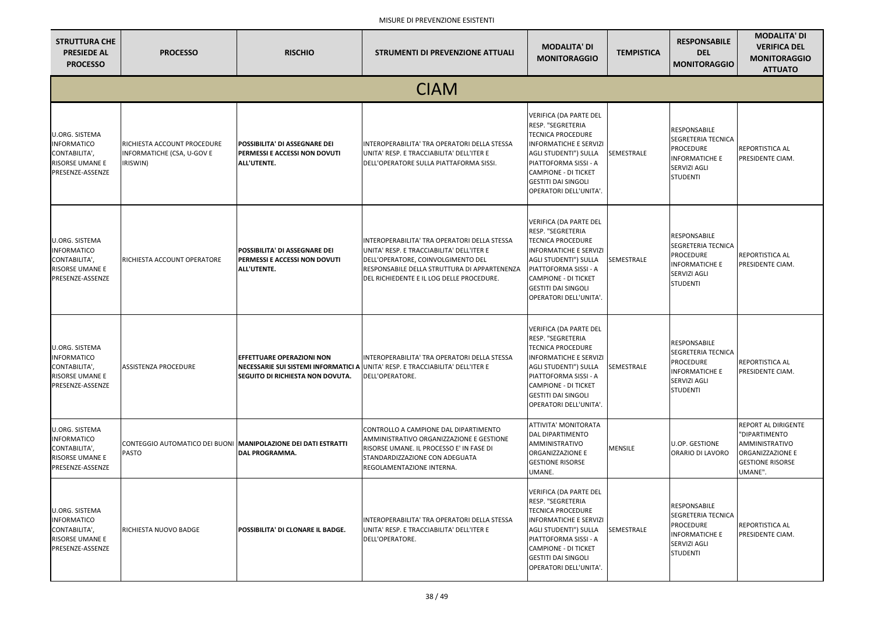| <b>STRUTTURA CHE</b><br><b>PRESIEDE AL</b><br><b>PROCESSO</b>                                              | <b>PROCESSO</b>                                                                        | <b>RISCHIO</b>                                                                              | <b>STRUMENTI DI PREVENZIONE ATTUALI</b>                                                                                                                                                                                      | <b>MODALITA' DI</b><br><b>MONITORAGGIO</b>                                                                                                                                                                                                                      | <b>TEMPISTICA</b> | <b>RESPONSABILE</b><br><b>DEL</b><br><b>MONITORAGGIO</b>                                                                                | <b>MODALITA' DI</b><br><b>VERIFICA DEL</b><br><b>MONITORAGGIO</b><br><b>ATTUATO</b>                                     |  |  |
|------------------------------------------------------------------------------------------------------------|----------------------------------------------------------------------------------------|---------------------------------------------------------------------------------------------|------------------------------------------------------------------------------------------------------------------------------------------------------------------------------------------------------------------------------|-----------------------------------------------------------------------------------------------------------------------------------------------------------------------------------------------------------------------------------------------------------------|-------------------|-----------------------------------------------------------------------------------------------------------------------------------------|-------------------------------------------------------------------------------------------------------------------------|--|--|
|                                                                                                            | <b>CIAM</b>                                                                            |                                                                                             |                                                                                                                                                                                                                              |                                                                                                                                                                                                                                                                 |                   |                                                                                                                                         |                                                                                                                         |  |  |
| <b>U.ORG. SISTEMA</b><br><b>INFORMATICO</b><br>CONTABILITA',<br>RISORSE UMANE E<br>PRESENZE-ASSENZE        | RICHIESTA ACCOUNT PROCEDURE<br>INFORMATICHE (CSA, U-GOV E<br>IRISWIN)                  | <b>POSSIBILITA' DI ASSEGNARE DEI</b><br><b>PERMESSI E ACCESSI NON DOVUTI</b><br>ALL'UTENTE. | INTEROPERABILITA' TRA OPERATORI DELLA STESSA<br>UNITA' RESP. E TRACCIABILITA' DELL'ITER E<br>DELL'OPERATORE SULLA PIATTAFORMA SISSI.                                                                                         | VERIFICA (DA PARTE DEL<br>RESP. "SEGRETERIA<br><b>TECNICA PROCEDURE</b><br><b>INFORMATICHE E SERVIZI</b><br>AGLI STUDENTI") SULLA<br>PIATTOFORMA SISSI - A<br><b>CAMPIONE - DI TICKET</b><br><b>GESTITI DAI SINGOLI</b><br>OPERATORI DELL'UNITA'.               | SEMESTRALE        | <b>RESPONSABILE</b><br><b>SEGRETERIA TECNICA</b><br><b>PROCEDURE</b><br><b>INFORMATICHE E</b><br><b>SERVIZI AGLI</b><br><b>STUDENTI</b> | REPORTISTICA AL<br>PRESIDENTE CIAM.                                                                                     |  |  |
| <b>U.ORG. SISTEMA</b><br><b>INFORMATICO</b><br>CONTABILITA',<br>RISORSE UMANE E<br>PRESENZE-ASSENZE        | RICHIESTA ACCOUNT OPERATORE                                                            | POSSIBILITA' DI ASSEGNARE DEI<br>PERMESSI E ACCESSI NON DOVUTI<br>ALL'UTENTE.               | INTEROPERABILITA' TRA OPERATORI DELLA STESSA<br>UNITA' RESP. E TRACCIABILITA' DELL'ITER E<br>DELL'OPERATORE, COINVOLGIMENTO DEL<br>RESPONSABILE DELLA STRUTTURA DI APPARTENENZA<br>DEL RICHIEDENTE E IL LOG DELLE PROCEDURE. | <b>VERIFICA (DA PARTE DEL</b><br>RESP. "SEGRETERIA<br><b>TECNICA PROCEDURE</b><br><b>INFORMATICHE E SERVIZI</b><br><b>AGLI STUDENTI") SULLA</b><br>PIATTOFORMA SISSI - A<br><b>CAMPIONE - DI TICKET</b><br><b>GESTITI DAI SINGOLI</b><br>OPERATORI DELL'UNITA'. | SEMESTRALE        | <b>RESPONSABILE</b><br><b>SEGRETERIA TECNICA</b><br><b>PROCEDURE</b><br><b>INFORMATICHE E</b><br>SERVIZI AGLI<br>STUDENTI               | REPORTISTICA AL<br>PRESIDENTE CIAM.                                                                                     |  |  |
| <b>U.ORG. SISTEMA</b><br><b>INFORMATICO</b><br>CONTABILITA',<br>RISORSE UMANE E<br>PRESENZE-ASSENZE        | <b>ASSISTENZA PROCEDURE</b>                                                            | <b>EFFETTUARE OPERAZIONI NON</b><br><b>SEGUITO DI RICHIESTA NON DOVUTA.</b>                 | INTEROPERABILITA' TRA OPERATORI DELLA STESSA<br>NECESSARIE SUI SISTEMI INFORMATICI A UNITA' RESP. E TRACCIABILITA' DELL'ITER E<br>DELL'OPERATORE.                                                                            | <b>VERIFICA (DA PARTE DEL</b><br>RESP. "SEGRETERIA<br><b>TECNICA PROCEDURE</b><br>INFORMATICHE E SERVIZI<br><b>AGLI STUDENTI") SULLA</b><br>PIATTOFORMA SISSI - A<br><b>CAMPIONE - DI TICKET</b><br><b>GESTITI DAI SINGOLI</b><br>OPERATORI DELL'UNITA'.        | SEMESTRALE        | <b>RESPONSABILE</b><br><b>SEGRETERIA TECNICA</b><br><b>PROCEDURE</b><br><b>INFORMATICHE E</b><br><b>SERVIZI AGLI</b><br><b>STUDENTI</b> | REPORTISTICA AL<br>PRESIDENTE CIAM.                                                                                     |  |  |
| <b>U.ORG. SISTEMA</b><br><b>INFORMATICO</b><br>CONTABILITA',<br>RISORSE UMANE E<br>PRESENZE-ASSENZE        | CONTEGGIO AUTOMATICO DEI BUONI <b> MANIPOLAZIONE DEI DATI ESTRATTI</b><br><b>PASTO</b> | <b>DAL PROGRAMMA.</b>                                                                       | CONTROLLO A CAMPIONE DAL DIPARTIMENTO<br>AMMINISTRATIVO ORGANIZZAZIONE E GESTIONE<br>RISORSE UMANE. IL PROCESSO E' IN FASE DI<br>STANDARDIZZAZIONE CON ADEGUATA<br>REGOLAMENTAZIONE INTERNA.                                 | ATTIVITA' MONITORATA<br>DAL DIPARTIMENTO<br>AMMINISTRATIVO<br>ORGANIZZAZIONE E<br><b>GESTIONE RISORSE</b><br>UMANE.                                                                                                                                             | <b>MENSILE</b>    | <b>U.OP. GESTIONE</b><br>ORARIO DI LAVORO                                                                                               | REPORT AL DIRIGENTE<br>"DIPARTIMENTO<br><b>AMMINISTRATIVO</b><br>ORGANIZZAZIONE E<br><b>GESTIONE RISORSE</b><br>UMANE". |  |  |
| <b>U.ORG. SISTEMA</b><br><b>INFORMATICO</b><br>CONTABILITA',<br><b>RISORSE UMANE E</b><br>PRESENZE-ASSENZE | RICHIESTA NUOVO BADGE                                                                  | <b>POSSIBILITA' DI CLONARE IL BADGE.</b>                                                    | INTEROPERABILITA' TRA OPERATORI DELLA STESSA<br>UNITA' RESP. E TRACCIABILITA' DELL'ITER E<br>DELL'OPERATORE.                                                                                                                 | VERIFICA (DA PARTE DEL<br>RESP. "SEGRETERIA<br><b>TECNICA PROCEDURE</b><br><b>INFORMATICHE E SERVIZI</b><br><b>AGLI STUDENTI") SULLA</b><br>PIATTOFORMA SISSI - A<br><b>CAMPIONE - DI TICKET</b><br><b>GESTITI DAI SINGOLI</b><br>OPERATORI DELL'UNITA'.        | SEMESTRALE        | <b>RESPONSABILE</b><br><b>SEGRETERIA TECNICA</b><br><b>PROCEDURE</b><br><b>INFORMATICHE E</b><br><b>SERVIZI AGLI</b><br>STUDENTI        | REPORTISTICA AL<br>PRESIDENTE CIAM.                                                                                     |  |  |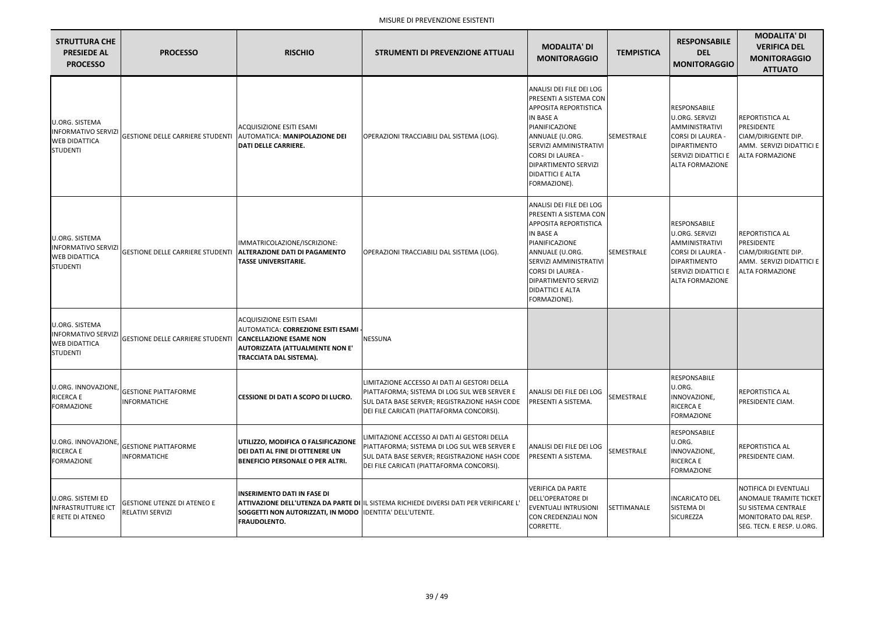| <b>STRUTTURA CHE</b><br><b>PRESIEDE AL</b><br><b>PROCESSO</b>                                  | <b>PROCESSO</b>                                                  | <b>RISCHIO</b>                                                                                                                                                        | <b>STRUMENTI DI PREVENZIONE ATTUALI</b>                                                                                                                                                    | <b>MODALITA' DI</b><br><b>MONITORAGGIO</b>                                                                                                                                                                                                                           | <b>TEMPISTICA</b> | <b>RESPONSABILE</b><br><b>DEL</b><br><b>MONITORAGGIO</b>                                                                                                           | <b>MODALITA' DI</b><br><b>VERIFICA DEL</b><br><b>MONITORAGGIO</b><br><b>ATTUATO</b>                                                  |
|------------------------------------------------------------------------------------------------|------------------------------------------------------------------|-----------------------------------------------------------------------------------------------------------------------------------------------------------------------|--------------------------------------------------------------------------------------------------------------------------------------------------------------------------------------------|----------------------------------------------------------------------------------------------------------------------------------------------------------------------------------------------------------------------------------------------------------------------|-------------------|--------------------------------------------------------------------------------------------------------------------------------------------------------------------|--------------------------------------------------------------------------------------------------------------------------------------|
| <b>U.ORG. SISTEMA</b><br><b>INFORMATIVO SERVIZI</b><br><b>WEB DIDATTICA</b><br><b>STUDENTI</b> | GESTIONE DELLE CARRIERE STUDENTI   AUTOMATICA: MANIPOLAZIONE DEI | <b>ACQUISIZIONE ESITI ESAMI</b><br><b>DATI DELLE CARRIERE.</b>                                                                                                        | OPERAZIONI TRACCIABILI DAL SISTEMA (LOG).                                                                                                                                                  | ANALISI DEI FILE DEI LOG<br>PRESENTI A SISTEMA CON<br><b>APPOSITA REPORTISTICA</b><br><b>IN BASE A</b><br>PIANIFICAZIONE<br>ANNUALE (U.ORG.<br>SERVIZI AMMINISTRATIVI<br><b>CORSI DI LAUREA -</b><br>DIPARTIMENTO SERVIZI<br><b>DIDATTICI E ALTA</b><br>FORMAZIONE). | <b>SEMESTRALE</b> | RESPONSABILE<br><b>U.ORG. SERVIZI</b><br>AMMINISTRATIVI<br><b>CORSI DI LAUREA -</b><br><b>DIPARTIMENTO</b><br><b>SERVIZI DIDATTICI E</b><br><b>ALTA FORMAZIONE</b> | <b>REPORTISTICA AL</b><br>PRESIDENTE<br>CIAM/DIRIGENTE DIP.<br>AMM. SERVIZI DIDATTICI E<br><b>ALTA FORMAZIONE</b>                    |
| <b>U.ORG. SISTEMA</b><br><b>INFORMATIVO SERVIZI</b><br><b>WEB DIDATTICA</b><br><b>STUDENTI</b> | <b>GESTIONE DELLE CARRIERE STUDENTI</b>                          | IMMATRICOLAZIONE/ISCRIZIONE:<br><b>ALTERAZIONE DATI DI PAGAMENTO</b><br><b>TASSE UNIVERSITARIE.</b>                                                                   | OPERAZIONI TRACCIABILI DAL SISTEMA (LOG).                                                                                                                                                  | ANALISI DEI FILE DEI LOG<br>PRESENTI A SISTEMA CON<br><b>APPOSITA REPORTISTICA</b><br>IN BASE A<br>PIANIFICAZIONE<br>ANNUALE (U.ORG.<br><b>SERVIZI AMMINISTRATIVI</b><br><b>CORSI DI LAUREA -</b><br>DIPARTIMENTO SERVIZI<br><b>DIDATTICI E ALTA</b><br>FORMAZIONE). | SEMESTRALE        | <b>RESPONSABILE</b><br>U.ORG. SERVIZI<br>AMMINISTRATIVI<br>CORSI DI LAUREA -<br><b>DIPARTIMENTO</b><br><b>SERVIZI DIDATTICI E</b><br><b>ALTA FORMAZIONE</b>        | <b>REPORTISTICA AL</b><br>PRESIDENTE<br>CIAM/DIRIGENTE DIP.<br>IAMM. SERVIZI DIDATTICI E<br><b>ALTA FORMAZIONE</b>                   |
| <b>U.ORG. SISTEMA</b><br><b>INFORMATIVO SERVIZI</b><br><b>WEB DIDATTICA</b><br><b>STUDENTI</b> | <b>GESTIONE DELLE CARRIERE STUDENTI</b>                          | ACQUISIZIONE ESITI ESAMI<br>AUTOMATICA: CORREZIONE ESITI ESAMI<br><b>CANCELLAZIONE ESAME NON</b><br><b>AUTORIZZATA (ATTUALMENTE NON E'</b><br>TRACCIATA DAL SISTEMA). | NESSUNA                                                                                                                                                                                    |                                                                                                                                                                                                                                                                      |                   |                                                                                                                                                                    |                                                                                                                                      |
| <b>U.ORG. INNOVAZIONE</b><br><b>RICERCA E</b><br><b>FORMAZIONE</b>                             | <b>GESTIONE PIATTAFORME</b><br>INFORMATICHE                      | <b>CESSIONE DI DATI A SCOPO DI LUCRO.</b>                                                                                                                             | LIMITAZIONE ACCESSO AI DATI AI GESTORI DELLA<br>PIATTAFORMA; SISTEMA DI LOG SUL WEB SERVER E<br>SUL DATA BASE SERVER; REGISTRAZIONE HASH CODE<br>DEI FILE CARICATI (PIATTAFORMA CONCORSI). | ANALISI DEI FILE DEI LOG<br>PRESENTI A SISTEMA.                                                                                                                                                                                                                      | SEMESTRALE        | <b>RESPONSABILE</b><br>U.ORG.<br>INNOVAZIONE,<br><b>RICERCA E</b><br><b>FORMAZIONE</b>                                                                             | <b>REPORTISTICA AL</b><br>PRESIDENTE CIAM.                                                                                           |
| <b>U.ORG. INNOVAZIONE</b><br><b>RICERCA E</b><br><b>FORMAZIONE</b>                             | <b>GESTIONE PIATTAFORME</b><br>INFORMATICHE                      | UTILIZZO, MODIFICA O FALSIFICAZIONE<br>DEI DATI AL FINE DI OTTENERE UN<br><b>BENEFICIO PERSONALE O PER ALTRI.</b>                                                     | IMITAZIONE ACCESSO AI DATI AI GESTORI DELLA.<br>PIATTAFORMA; SISTEMA DI LOG SUL WEB SERVER E<br>SUL DATA BASE SERVER; REGISTRAZIONE HASH CODE<br>DEI FILE CARICATI (PIATTAFORMA CONCORSI). | ANALISI DEI FILE DEI LOG<br>PRESENTI A SISTEMA.                                                                                                                                                                                                                      | SEMESTRALE        | RESPONSABILE<br>U.ORG.<br>INNOVAZIONE,<br><b>RICERCA E</b><br><b>FORMAZIONE</b>                                                                                    | <b>REPORTISTICA AL</b><br><b>PRESIDENTE CIAM.</b>                                                                                    |
| <b>U.ORG. SISTEMI ED</b><br><b>INFRASTRUTTURE ICT</b><br>E RETE DI ATENEO                      | <b>GESTIONE UTENZE DI ATENEO E</b><br>RELATIVI SERVIZI           | <b>INSERIMENTO DATI IN FASE DI</b><br>SOGGETTI NON AUTORIZZATI, IN MODO  IDENTITA' DELL'UTENTE.<br><b>FRAUDOLENTO.</b>                                                | ATTIVAZIONE DELL'UTENZA DA PARTE DI IL SISTEMA RICHIEDE DIVERSI DATI PER VERIFICARE L                                                                                                      | <b>VERIFICA DA PARTE</b><br>DELL'OPERATORE DI<br><b>EVENTUALI INTRUSIONI</b><br>CON CREDENZIALI NON<br>CORRETTE.                                                                                                                                                     | SETTIMANALE       | <b>INCARICATO DEL</b><br><b>SISTEMA DI</b><br>SICUREZZA                                                                                                            | NOTIFICA DI EVENTUALI<br><b>ANOMALIE TRAMITE TICKET</b><br>ISU SISTEMA CENTRALE<br>MONITORATO DAL RESP.<br>SEG. TECN. E RESP. U.ORG. |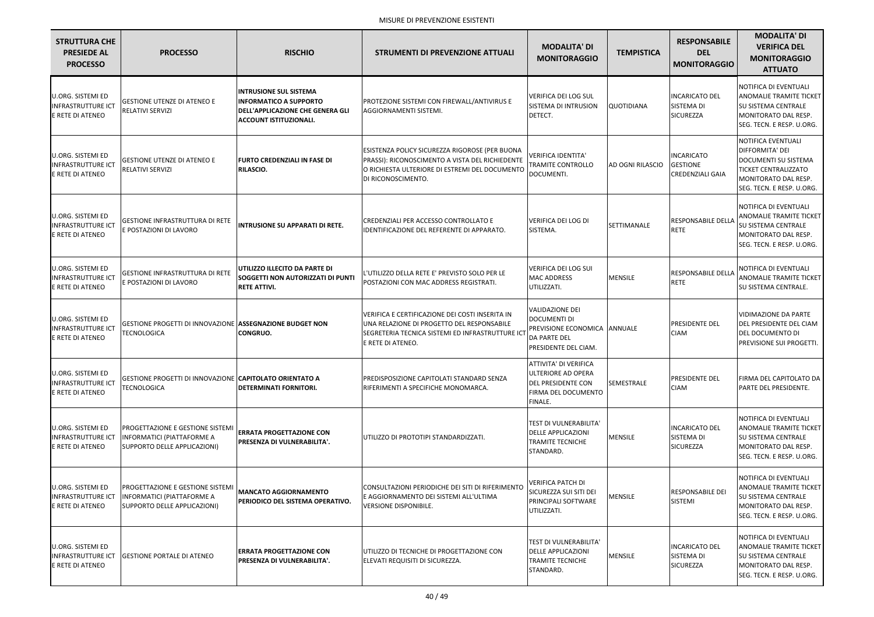| <b>STRUTTURA CHE</b><br><b>PRESIEDE AL</b><br><b>PROCESSO</b>             | <b>PROCESSO</b>                                                                                       | <b>RISCHIO</b>                                                                                                                             | <b>STRUMENTI DI PREVENZIONE ATTUALI</b>                                                                                                                                   | <b>MODALITA' DI</b><br><b>MONITORAGGIO</b>                                                                     | <b>TEMPISTICA</b>       | <b>RESPONSABILE</b><br><b>DEL</b><br><b>MONITORAGGIO</b>        | <b>MODALITA' DI</b><br><b>VERIFICA DEL</b><br><b>MONITORAGGIO</b><br><b>ATTUATO</b>                                                                |
|---------------------------------------------------------------------------|-------------------------------------------------------------------------------------------------------|--------------------------------------------------------------------------------------------------------------------------------------------|---------------------------------------------------------------------------------------------------------------------------------------------------------------------------|----------------------------------------------------------------------------------------------------------------|-------------------------|-----------------------------------------------------------------|----------------------------------------------------------------------------------------------------------------------------------------------------|
| U.ORG. SISTEMI ED<br><b>INFRASTRUTTURE ICT</b><br>E RETE DI ATENEO        | <b>GESTIONE UTENZE DI ATENEO E</b><br>RELATIVI SERVIZI                                                | <b>INTRUSIONE SUL SISTEMA</b><br><b>INFORMATICO A SUPPORTO</b><br><b>DELL'APPLICAZIONE CHE GENERA GLI</b><br><b>ACCOUNT ISTITUZIONALI.</b> | PROTEZIONE SISTEMI CON FIREWALL/ANTIVIRUS E<br>AGGIORNAMENTI SISTEMI.                                                                                                     | VERIFICA DEI LOG SUL<br><b>SISTEMA DI INTRUSION</b><br>DETECT.                                                 | <b>QUOTIDIANA</b>       | <b>INCARICATO DEL</b><br>SISTEMA DI<br>SICUREZZA                | NOTIFICA DI EVENTUALI<br><b>ANOMALIE TRAMITE TICKET</b><br><b>SU SISTEMA CENTRALE</b><br>MONITORATO DAL RESP.<br>SEG. TECN. E RESP. U.ORG.         |
| U.ORG. SISTEMI ED<br><b>INFRASTRUTTURE ICT</b><br>E RETE DI ATENEO        | <b>GESTIONE UTENZE DI ATENEO E</b><br><b>RELATIVI SERVIZI</b>                                         | <b>FURTO CREDENZIALI IN FASE DI</b><br><b>RILASCIO.</b>                                                                                    | ESISTENZA POLICY SICUREZZA RIGOROSE (PER BUONA<br>PRASSI): RICONOSCIMENTO A VISTA DEL RICHIEDENTE<br>O RICHIESTA ULTERIORE DI ESTREMI DEL DOCUMENTO<br>DI RICONOSCIMENTO. | <b>VERIFICA IDENTITA'</b><br>TRAMITE CONTROLLO<br>DOCUMENTI.                                                   | <b>AD OGNI RILASCIO</b> | <b>INCARICATO</b><br><b>GESTIONE</b><br><b>CREDENZIALI GAIA</b> | NOTIFICA EVENTUALI<br>DIFFORMITA' DEI<br>DOCUMENTI SU SISTEMA<br><b>TICKET CENTRALIZZATO</b><br>MONITORATO DAL RESP.<br>SEG. TECN. E RESP. U.ORG.  |
| U.ORG. SISTEMI ED<br><b>INFRASTRUTTURE ICT</b><br>E RETE DI ATENEO        | <b>GESTIONE INFRASTRUTTURA DI RETE</b><br>E POSTAZIONI DI LAVORO                                      | <b>INTRUSIONE SU APPARATI DI RETE.</b>                                                                                                     | <b>CREDENZIALI PER ACCESSO CONTROLLATO E</b><br>IDENTIFICAZIONE DEL REFERENTE DI APPARATO.                                                                                | <b>VERIFICA DEI LOG DI</b><br>SISTEMA.                                                                         | SETTIMANALE             | <b>RESPONSABILE DELLA</b><br><b>RETE</b>                        | NOTIFICA DI EVENTUALI<br>ANOMALIE TRAMITE TICKET<br><b>SU SISTEMA CENTRALE</b><br>MONITORATO DAL RESP.<br>SEG. TECN. E RESP. U.ORG.                |
| U.ORG. SISTEMI ED<br><b>INFRASTRUTTURE ICT</b><br>E RETE DI ATENEO        | <b>GESTIONE INFRASTRUTTURA DI RETE</b><br>E POSTAZIONI DI LAVORO                                      | UTILIZZO ILLECITO DA PARTE DI<br><b>SOGGETTI NON AUTORIZZATI DI PUNTI</b><br><b>RETE ATTIVI.</b>                                           | L'UTILIZZO DELLA RETE E' PREVISTO SOLO PER LE<br>POSTAZIONI CON MAC ADDRESS REGISTRATI.                                                                                   | VERIFICA DEI LOG SUI<br><b>MAC ADDRESS</b><br>UTILIZZATI.                                                      | <b>MENSILE</b>          | <b>RESPONSABILE DELLA</b><br><b>RETE</b>                        | NOTIFICA DI EVENTUALI<br><b>ANOMALIE TRAMITE TICKET</b><br><b>SU SISTEMA CENTRALE.</b>                                                             |
| <b>U.ORG. SISTEMI ED</b><br>INFRASTRUTTURE ICT<br>E RETE DI ATENEO        | GESTIONE PROGETTI DI INNOVAZIONE ASSEGNAZIONE BUDGET NON<br><b>TECNOLOGICA</b>                        | <b>CONGRUO.</b>                                                                                                                            | VERIFICA E CERTIFICAZIONE DEI COSTI INSERITA IN<br>UNA RELAZIONE DI PROGETTO DEL RESPONSABILE<br>SEGRETERIA TECNICA SISTEMI ED INFRASTRUTTURE ICT<br>E RETE DI ATENEO.    | <b>VALIDAZIONE DEI</b><br>DOCUMENTI DI<br>PREVISIONE ECONOMICA ANNUALE<br>DA PARTE DEL<br>PRESIDENTE DEL CIAM. |                         | <b>PRESIDENTE DEL</b><br><b>CIAM</b>                            | VIDIMAZIONE DA PARTE<br>DEL PRESIDENTE DEL CIAM<br><b>DEL DOCUMENTO DI</b><br>PREVISIONE SUI PROGETTI.                                             |
| U.ORG. SISTEMI ED<br><b>INFRASTRUTTURE ICT</b><br>E RETE DI ATENEO        | GESTIONE PROGETTI DI INNOVAZIONE CAPITOLATO ORIENTATO A<br><b>TECNOLOGICA</b>                         | <b>DETERMINATI FORNITORI.</b>                                                                                                              | <b>PREDISPOSIZIONE CAPITOLATI STANDARD SENZA</b><br>RIFERIMENTI A SPECIFICHE MONOMARCA.                                                                                   | ATTIVITA' DI VERIFICA<br>ULTERIORE AD OPERA<br><b>DEL PRESIDENTE CON</b><br>FIRMA DEL DOCUMENTO<br>FINALE.     | SEMESTRALE              | <b>PRESIDENTE DEL</b><br><b>CIAM</b>                            | FIRMA DEL CAPITOLATO DA<br>PARTE DEL PRESIDENTE.                                                                                                   |
| U.ORG. SISTEMI ED<br><b>INFRASTRUTTURE ICT</b><br>E RETE DI ATENEO        | PROGETTAZIONE E GESTIONE SISTEMI<br><b>INFORMATICI (PIATTAFORME A</b><br>SUPPORTO DELLE APPLICAZIONI) | <b>ERRATA PROGETTAZIONE CON</b><br><b>IPRESENZA DI VULNERABILITA'.</b>                                                                     | UTILIZZO DI PROTOTIPI STANDARDIZZATI.                                                                                                                                     | TEST DI VULNERABILITA'<br><b>DELLE APPLICAZIONI</b><br><b>TRAMITE TECNICHE</b><br>STANDARD.                    | <b>MENSILE</b>          | <b>INCARICATO DEL</b><br>SISTEMA DI<br>SICUREZZA                | NOTIFICA DI EVENTUALI<br><b>ANOMALIE TRAMITE TICKET</b><br><b>SU SISTEMA CENTRALE</b><br><b>IMONITORATO DAL RESP.</b><br>SEG. TECN. E RESP. U.ORG. |
| <b>U.ORG. SISTEMI ED</b><br><b>INFRASTRUTTURE ICT</b><br>E RETE DI ATENEO | PROGETTAZIONE E GESTIONE SISTEMI<br><b>INFORMATICI (PIATTAFORME A</b><br>SUPPORTO DELLE APPLICAZIONI) | <b>MANCATO AGGIORNAMENTO</b><br><b>PERIODICO DEL SISTEMA OPERATIVO.</b>                                                                    | CONSULTAZIONI PERIODICHE DEI SITI DI RIFERIMENTO<br>E AGGIORNAMENTO DEI SISTEMI ALL'ULTIMA<br>VERSIONE DISPONIBILE.                                                       | <b>VERIFICA PATCH DI</b><br>SICUREZZA SUI SITI DEI<br>PRINCIPALI SOFTWARE<br>UTILIZZATI.                       | MENSILE                 | <b>RESPONSABILE DEI</b><br><b>SISTEMI</b>                       | NOTIFICA DI EVENTUALI<br><b>ANOMALIE TRAMITE TICKET</b><br><b>SU SISTEMA CENTRALE</b><br>MONITORATO DAL RESP.<br>SEG. TECN. E RESP. U.ORG.         |
| <b>U.ORG. SISTEMI ED</b><br>INFRASTRUTTURE ICT<br>E RETE DI ATENEO        | <b>GESTIONE PORTALE DI ATENEO</b>                                                                     | <b>ERRATA PROGETTAZIONE CON</b><br>PRESENZA DI VULNERABILITA'.                                                                             | UTILIZZO DI TECNICHE DI PROGETTAZIONE CON<br>ELEVATI REQUISITI DI SICUREZZA.                                                                                              | TEST DI VULNERABILITA'<br><b>DELLE APPLICAZIONI</b><br><b>TRAMITE TECNICHE</b><br>STANDARD.                    | <b>MENSILE</b>          | <b>INCARICATO DEL</b><br>SISTEMA DI<br>SICUREZZA                | NOTIFICA DI EVENTUALI<br><b>ANOMALIE TRAMITE TICKET</b><br><b>SU SISTEMA CENTRALE</b><br>MONITORATO DAL RESP.<br>SEG. TECN. E RESP. U.ORG.         |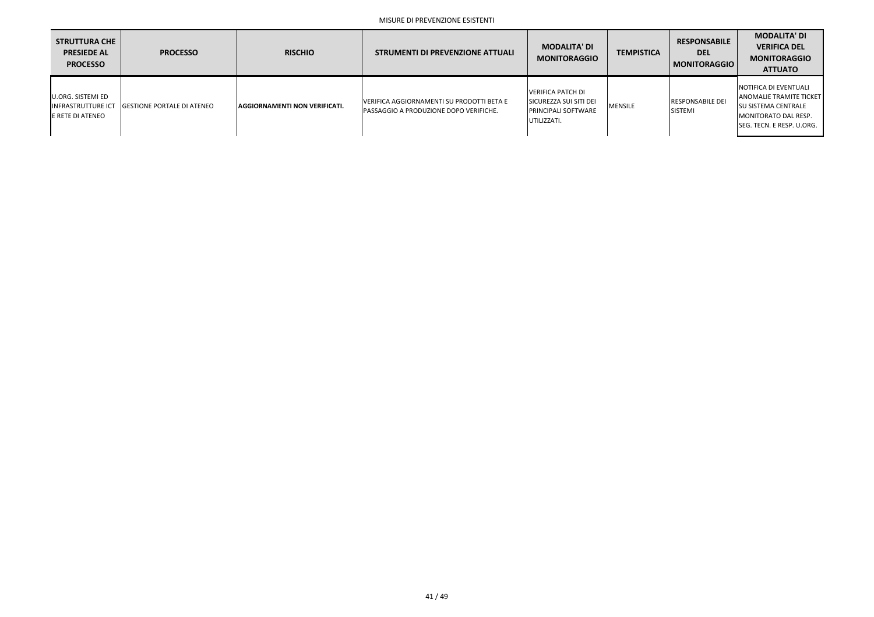| <b>STRUTTURA CHE</b><br><b>PRESIEDE AL</b><br><b>PROCESSO</b>             | <b>PROCESSO</b>                    | <b>RISCHIO</b>                        | STRUMENTI DI PREVENZIONE ATTUALI                                                    | <b>MODALITA' DI</b><br><b>MONITORAGGIO</b>                                                              | <b>TEMPISTICA</b> | <b>RESPONSABILE</b><br><b>DEL</b><br>MONITORAGGIO | <b>MODALITA' DI</b><br><b>VERIFICA DEL</b><br><b>MONITORAGGIO</b><br><b>ATTUATO</b>                                                                   |
|---------------------------------------------------------------------------|------------------------------------|---------------------------------------|-------------------------------------------------------------------------------------|---------------------------------------------------------------------------------------------------------|-------------------|---------------------------------------------------|-------------------------------------------------------------------------------------------------------------------------------------------------------|
| U.ORG. SISTEMI ED<br><b>INFRASTRUTTURE ICT</b><br><b>E RETE DI ATENEO</b> | <b>IGESTIONE PORTALE DI ATENEO</b> | <b>LAGGIORNAMENTI NON VERIFICATI.</b> | VERIFICA AGGIORNAMENTI SU PRODOTTI BETA E<br>PASSAGGIO A PRODUZIONE DOPO VERIFICHE. | <b>VERIFICA PATCH DI</b><br><b>SICUREZZA SUI SITI DEI</b><br><b>IPRINCIPALI SOFTWARE</b><br>UTILIZZATI. | <b>MENSILE</b>    | <b>IRESPONSABILE DEI</b><br><b>SISTEMI</b>        | INOTIFICA DI EVENTUALI<br><b>ANOMALIE TRAMITE TICKET</b><br><b>ISU SISTEMA CENTRALE</b><br><b>I</b> MONITORATO DAL RESP.<br>SEG. TECN. E RESP. U.ORG. |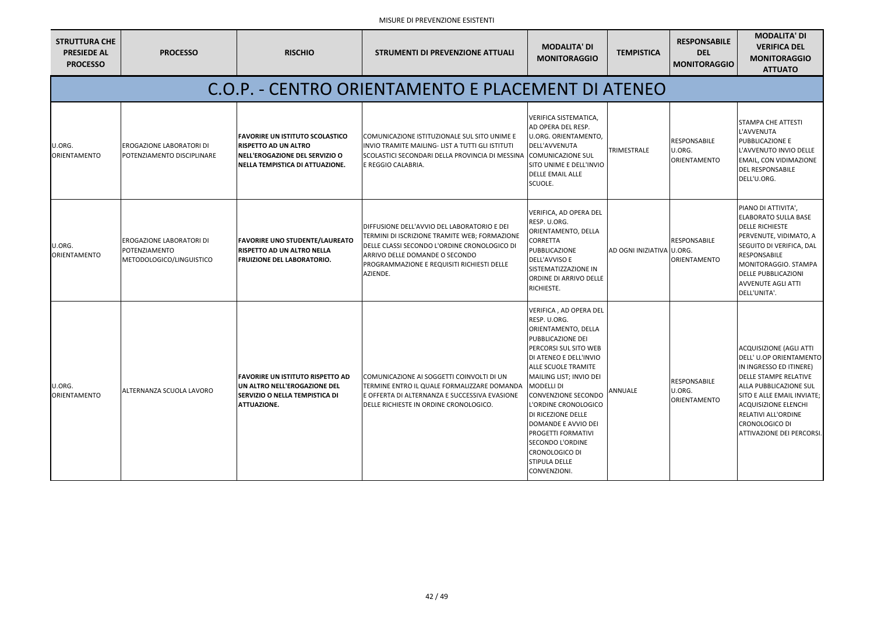| <b>STRUTTURA CHE</b><br><b>PRESIEDE AL</b><br><b>PROCESSO</b> | <b>PROCESSO</b>                                                               | <b>RISCHIO</b>                                                                                                                                 | <b>STRUMENTI DI PREVENZIONE ATTUALI</b>                                                                                                                                                                                                  | <b>MODALITA' DI</b><br><b>MONITORAGGIO</b>                                                                                                                                                                                                                                                                                                                                                                                                                           | <b>TEMPISTICA</b>         | <b>RESPONSABILE</b><br><b>DEL</b><br><b>MONITORAGGIO</b> | <b>MODALITA' DI</b><br><b>VERIFICA DEL</b><br><b>MONITORAGGIO</b><br><b>ATTUATO</b>                                                                                                                                                                                                             |
|---------------------------------------------------------------|-------------------------------------------------------------------------------|------------------------------------------------------------------------------------------------------------------------------------------------|------------------------------------------------------------------------------------------------------------------------------------------------------------------------------------------------------------------------------------------|----------------------------------------------------------------------------------------------------------------------------------------------------------------------------------------------------------------------------------------------------------------------------------------------------------------------------------------------------------------------------------------------------------------------------------------------------------------------|---------------------------|----------------------------------------------------------|-------------------------------------------------------------------------------------------------------------------------------------------------------------------------------------------------------------------------------------------------------------------------------------------------|
|                                                               |                                                                               |                                                                                                                                                | C.O.P. - CENTRO ORIENTAMENTO E PLACEMENT DI ATENEO                                                                                                                                                                                       |                                                                                                                                                                                                                                                                                                                                                                                                                                                                      |                           |                                                          |                                                                                                                                                                                                                                                                                                 |
| U.ORG.<br><b>ORIENTAMENTO</b>                                 | <b>EROGAZIONE LABORATORI DI</b><br>POTENZIAMENTO DISCIPLINARE                 | IFAVORIRE UN ISTITUTO SCOLASTICO<br><b>IRISPETTO AD UN ALTRO</b><br>NELL'EROGAZIONE DEL SERVIZIO O<br>NELLA TEMPISTICA DI ATTUAZIONE.          | COMUNICAZIONE ISTITUZIONALE SUL SITO UNIME E<br>INVIO TRAMITE MAILING- LIST A TUTTI GLI ISTITUTI<br>SCOLASTICI SECONDARI DELLA PROVINCIA DI MESSINA (COMUNICAZIONE SUL<br>E REGGIO CALABRIA.                                             | VERIFICA SISTEMATICA,<br>AD OPERA DEL RESP.<br><b>U.ORG. ORIENTAMENTO,</b><br>DELL'AVVENUTA<br>SITO UNIME E DELL'INVIO<br><b>DELLE EMAIL ALLE</b><br>SCUOLE.                                                                                                                                                                                                                                                                                                         | <b>TRIMESTRALE</b>        | <b>RESPONSABILE</b><br>U.ORG.<br>ORIENTAMENTO            | <b>STAMPA CHE ATTESTI</b><br>L'AVVENUTA<br>PUBBLICAZIONE E<br>L'AVVENUTO INVIO DELLE<br>EMAIL, CON VIDIMAZIONE<br><b>DEL RESPONSABILE</b><br>DELL'U.ORG.                                                                                                                                        |
| U.ORG.<br>ORIENTAMENTO                                        | <b>IEROGAZIONE LABORATORI DI</b><br>POTENZIAMENTO<br>METODOLOGICO/LINGUISTICO | <b>FAVORIRE UNO STUDENTE/LAUREATO</b><br><b>IRISPETTO AD UN ALTRO NELLA</b><br><b>FRUIZIONE DEL LABORATORIO.</b>                               | DIFFUSIONE DELL'AVVIO DEL LABORATORIO E DEI<br>TERMINI DI ISCRIZIONE TRAMITE WEB; FORMAZIONE<br>DELLE CLASSI SECONDO L'ORDINE CRONOLOGICO DI<br>ARRIVO DELLE DOMANDE O SECONDO<br>PROGRAMMAZIONE E REQUISITI RICHIESTI DELLE<br>AZIENDE. | VERIFICA, AD OPERA DEL<br>RESP. U.ORG.<br>ORIENTAMENTO, DELLA<br><b>CORRETTA</b><br>PUBBLICAZIONE<br><b>DELL'AVVISO E</b><br>SISTEMATIZZAZIONE IN<br>ORDINE DI ARRIVO DELLE<br>RICHIESTE.                                                                                                                                                                                                                                                                            | AD OGNI INIZIATIVA U.ORG. | <b>RESPONSABILE</b><br><b>ORIENTAMENTO</b>               | PIANO DI ATTIVITA',<br>ELABORATO SULLA BASE<br><b>DELLE RICHIESTE</b><br>PERVENUTE, VIDIMATO, A<br>SEGUITO DI VERIFICA, DAL<br>RESPONSABILE<br>MONITORAGGIO. STAMPA<br><b>DELLE PUBBLICAZIONI</b><br><b>AVVENUTE AGLI ATTI</b><br>DELL'UNITA'.                                                  |
| U.ORG.<br>ORIENTAMENTO                                        | ALTERNANZA SCUOLA LAVORO                                                      | <b>FAVORIRE UN ISTITUTO RISPETTO AD</b><br><b>IUN ALTRO NELL'EROGAZIONE DEL</b><br><b>SERVIZIO O NELLA TEMPISTICA DI</b><br><b>ATTUAZIONE.</b> | COMUNICAZIONE AI SOGGETTI COINVOLTI DI UN<br>TERMINE ENTRO IL QUALE FORMALIZZARE DOMANDA<br>E OFFERTA DI ALTERNANZA E SUCCESSIVA EVASIONE<br>DELLE RICHIESTE IN ORDINE CRONOLOGICO.                                                      | VERIFICA, AD OPERA DEL<br>RESP. U.ORG.<br><b>ORIENTAMENTO, DELLA</b><br>PUBBLICAZIONE DEI<br><b>PERCORSI SUL SITO WEB</b><br>DI ATENEO E DELL'INVIO<br><b>ALLE SCUOLE TRAMITE</b><br>MAILING LIST; INVIO DEI<br><b>MODELLI DI</b><br><b>CONVENZIONE SECONDO</b><br>L'ORDINE CRONOLOGICO<br>DI RICEZIONE DELLE<br><b>DOMANDE E AVVIO DEI</b><br><b>PROGETTI FORMATIVI</b><br><b>SECONDO L'ORDINE</b><br><b>CRONOLOGICO DI</b><br><b>STIPULA DELLE</b><br>CONVENZIONI. | <b>ANNUALE</b>            | RESPONSABILE<br>U.ORG.<br>ORIENTAMENTO                   | <b>ACQUISIZIONE (AGLI ATTI</b><br>DELL' U.OP ORIENTAMENTO<br>IN INGRESSO ED ITINERE)<br><b>DELLE STAMPE RELATIVE</b><br>ALLA PUBBLICAZIONE SUL<br>SITO E ALLE EMAIL INVIATE;<br><b>ACQUISIZIONE ELENCHI</b><br>RELATIVI ALL'ORDINE<br><b>CRONOLOGICO DI</b><br><b>ATTIVAZIONE DEI PERCORSI.</b> |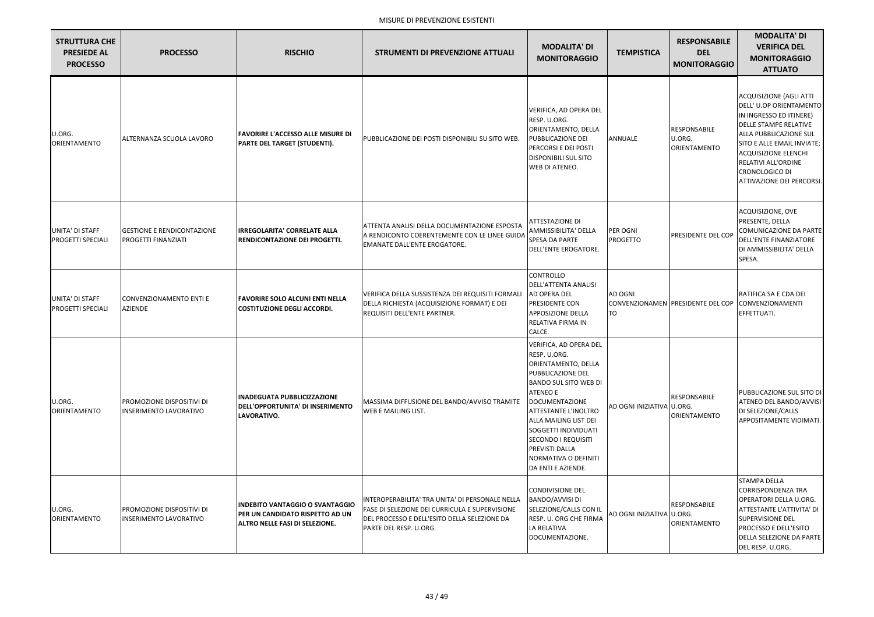| <b>STRUTTURA CHE</b><br><b>PRESIEDE AL</b><br><b>PROCESSO</b> | <b>PROCESSO</b>                                                 | <b>RISCHIO</b>                                                                                                     | <b>STRUMENTI DI PREVENZIONE ATTUALI</b>                                                                                                                                            | <b>MODALITA' DI</b><br><b>MONITORAGGIO</b>                                                                                                                                                                                                                                                                                                   | <b>TEMPISTICA</b>           | <b>RESPONSABILE</b><br><b>DEL</b><br><b>MONITORAGGIO</b> | <b>MODALITA' DI</b><br><b>VERIFICA DEL</b><br><b>MONITORAGGIO</b><br><b>ATTUATO</b>                                                                                                                                                                                               |
|---------------------------------------------------------------|-----------------------------------------------------------------|--------------------------------------------------------------------------------------------------------------------|------------------------------------------------------------------------------------------------------------------------------------------------------------------------------------|----------------------------------------------------------------------------------------------------------------------------------------------------------------------------------------------------------------------------------------------------------------------------------------------------------------------------------------------|-----------------------------|----------------------------------------------------------|-----------------------------------------------------------------------------------------------------------------------------------------------------------------------------------------------------------------------------------------------------------------------------------|
| U.ORG.<br><b>ORIENTAMENTO</b>                                 | ALTERNANZA SCUOLA LAVORO                                        | <b>FAVORIRE L'ACCESSO ALLE MISURE DI</b><br><b>PARTE DEL TARGET (STUDENTI).</b>                                    | PUBBLICAZIONE DEI POSTI DISPONIBILI SU SITO WEB.                                                                                                                                   | <b>VERIFICA, AD OPERA DEL</b><br>RESP. U.ORG.<br>ORIENTAMENTO, DELLA<br>PUBBLICAZIONE DEI<br>PERCORSI E DEI POSTI<br><b>DISPONIBILI SUL SITO</b><br>WEB DI ATENEO.                                                                                                                                                                           | ANNUALE                     | RESPONSABILE<br>U.ORG.<br><b>ORIENTAMENTO</b>            | <b>ACQUISIZIONE (AGLI ATTI</b><br>DELL' U.OP ORIENTAMENTO<br>IN INGRESSO ED ITINERE)<br><b>DELLE STAMPE RELATIVE</b><br>ALLA PUBBLICAZIONE SUL<br>SITO E ALLE EMAIL INVIATE;<br><b>ACQUISIZIONE ELENCHI</b><br>RELATIVI ALL'ORDINE<br>CRONOLOGICO DI<br>ATTIVAZIONE DEI PERCORSI. |
| UNITA' DI STAFF<br>PROGETTI SPECIALI                          | <b>GESTIONE E RENDICONTAZIONE</b><br><b>PROGETTI FINANZIATI</b> | <b>IRREGOLARITA' CORRELATE ALLA</b><br>RENDICONTAZIONE DEI PROGETTI.                                               | <b>ATTENTA ANALISI DELLA DOCUMENTAZIONE ESPOSTA</b><br>A RENDICONTO COERENTEMENTE CON LE LINEE GUIDA<br><b>EMANATE DALL'ENTE EROGATORE.</b>                                        | <b>ATTESTAZIONE DI</b><br>AMMISSIBILITA' DELLA<br>SPESA DA PARTE<br>DELL'ENTE EROGATORE.                                                                                                                                                                                                                                                     | PER OGNI<br><b>PROGETTO</b> | <b>PRESIDENTE DEL COP</b>                                | ACQUISIZIONE, OVE<br>PRESENTE, DELLA<br><b>COMUNICAZIONE DA PARTE</b><br>DELL'ENTE FINANZIATORE<br>DI AMMISSIBILITA' DELLA<br>SPESA.                                                                                                                                              |
| UNITA' DI STAFF<br>PROGETTI SPECIALI                          | <b>CONVENZIONAMENTO ENTI E</b><br><b>AZIENDE</b>                | <b>FAVORIRE SOLO ALCUNI ENTI NELLA</b><br><b>COSTITUZIONE DEGLI ACCORDI.</b>                                       | VERIFICA DELLA SUSSISTENZA DEI REQUISITI FORMALI<br>DELLA RICHIESTA (ACQUISIZIONE FORMAT) E DEI<br><b>REQUISITI DELL'ENTE PARTNER.</b>                                             | CONTROLLO<br>DELL'ATTENTA ANALISI<br>AD OPERA DEL<br>PRESIDENTE CON<br>APPOSIZIONE DELLA<br>RELATIVA FIRMA IN<br>CALCE.                                                                                                                                                                                                                      | <b>AD OGNI</b><br>TO        | CONVENZIONAMEN PRESIDENTE DEL COP CONVENZIONAMENTI       | RATIFICA SA E CDA DEI<br>EFFETTUATI.                                                                                                                                                                                                                                              |
| U.ORG.<br>ORIENTAMENTO                                        | PROMOZIONE DISPOSITIVI DI<br><b>INSERIMENTO LAVORATIVO</b>      | <b>INADEGUATA PUBBLICIZZAZIONE</b><br>DELL'OPPORTUNITA' DI INSERIMENTO<br>LAVORATIVO.                              | MASSIMA DIFFUSIONE DEL BANDO/AVVISO TRAMITE<br>WEB E MAILING LIST.                                                                                                                 | VERIFICA, AD OPERA DEL<br>RESP. U.ORG.<br>ORIENTAMENTO, DELLA<br>PUBBLICAZIONE DEL<br><b>BANDO SUL SITO WEB DI</b><br><b>ATENEO E</b><br><b>DOCUMENTAZIONE</b><br><b>ATTESTANTE L'INOLTRO</b><br>ALLA MAILING LIST DEI<br>SOGGETTI INDIVIDUATI<br><b>SECONDO I REQUISITI</b><br>PREVISTI DALLA<br>NORMATIVA O DEFINITI<br>DA ENTI E AZIENDE. | AD OGNI INIZIATIVA U.ORG.   | RESPONSABILE<br><b>ORIENTAMENTO</b>                      | PUBBLICAZIONE SUL SITO DI<br>ATENEO DEL BANDO/AVVISI<br>DI SELEZIONE/CALLS<br>APPOSITAMENTE VIDIMATI.                                                                                                                                                                             |
| U.ORG.<br><b>ORIENTAMENTO</b>                                 | PROMOZIONE DISPOSITIVI DI<br><b>INSERIMENTO LAVORATIVO</b>      | <b>INDEBITO VANTAGGIO O SVANTAGGIO</b><br>PER UN CANDIDATO RISPETTO AD UN<br><b>ALTRO NELLE FASI DI SELEZIONE.</b> | INTEROPERABILITA' TRA UNITA' DI PERSONALE NELLA<br><b>FASE DI SELEZIONE DEI CURRICULA E SUPERVISIONE</b><br>DEL PROCESSO E DELL'ESITO DELLA SELEZIONE DA<br>PARTE DEL RESP. U.ORG. | <b>CONDIVISIONE DEL</b><br>BANDO/AVVISI DI<br>SELEZIONE/CALLS CON IL<br>RESP. U. ORG CHE FIRMA<br>LA RELATIVA<br>DOCUMENTAZIONE.                                                                                                                                                                                                             | AD OGNI INIZIATIVA U.ORG.   | RESPONSABILE<br>ORIENTAMENTO                             | <b>STAMPA DELLA</b><br><b>CORRISPONDENZA TRA</b><br>OPERATORI DELLA U.ORG.<br>ATTESTANTE L'ATTIVITA' DI<br><b>SUPERVISIONE DEL</b><br>PROCESSO E DELL'ESITO<br>DELLA SELEZIONE DA PARTE<br>DEL RESP. U.ORG.                                                                       |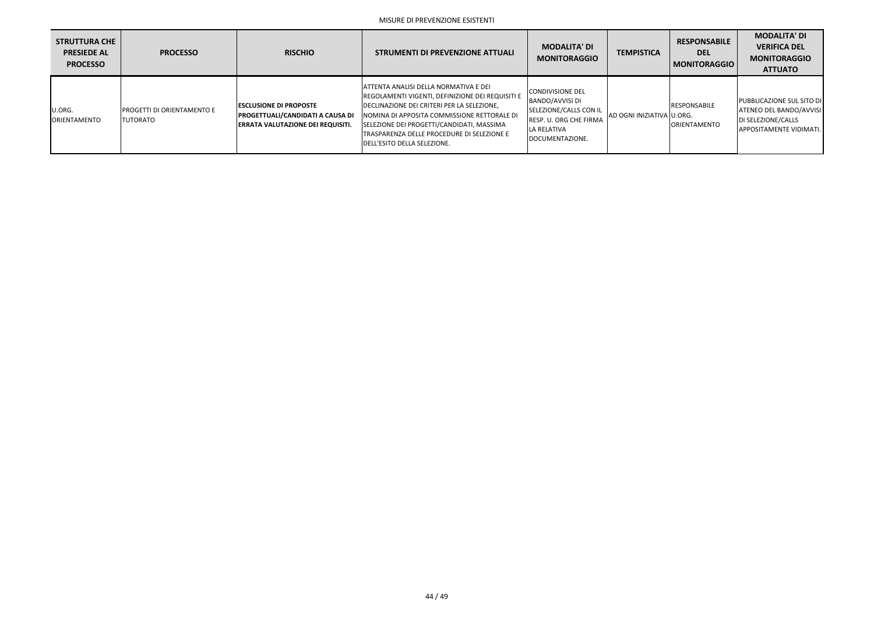| <b>STRUTTURA CHE</b><br><b>PRESIEDE AL</b><br><b>PROCESSO</b> | <b>PROCESSO</b>                                        | <b>RISCHIO</b>                                                                                                        | <b>STRUMENTI DI PREVENZIONE ATTUALI</b>                                                                                                                                                                                                                                                                                  | <b>MODALITA' DI</b><br><b>MONITORAGGIO</b>                                                                                                     | <b>TEMPISTICA</b>           | <b>RESPONSABILE</b><br><b>DEL</b><br><b>MONITORAGGIO</b> | <b>MODALITA' DI</b><br><b>VERIFICA DEL</b><br><b>MONITORAGGIO</b><br><b>ATTUATO</b>                                 |
|---------------------------------------------------------------|--------------------------------------------------------|-----------------------------------------------------------------------------------------------------------------------|--------------------------------------------------------------------------------------------------------------------------------------------------------------------------------------------------------------------------------------------------------------------------------------------------------------------------|------------------------------------------------------------------------------------------------------------------------------------------------|-----------------------------|----------------------------------------------------------|---------------------------------------------------------------------------------------------------------------------|
| U.ORG.<br><b>ORIENTAMENTO</b>                                 | <b>IPROGETTI DI ORIENTAMENTO E</b><br><b>ITUTORATO</b> | <b>IESCLUSIONE DI PROPOSTE</b><br><b>PROGETTUALI/CANDIDATI A CAUSA DI</b><br><b>ERRATA VALUTAZIONE DEI REQUISITI.</b> | IATTENTA ANALISI DELLA NORMATIVA E DEI<br>REGOLAMENTI VIGENTI, DEFINIZIONE DEI REQUISITI E<br>DECLINAZIONE DEI CRITERI PER LA SELEZIONE,<br>NOMINA DI APPOSITA COMMISSIONE RETTORALE DI<br>SELEZIONE DEI PROGETTI/CANDIDATI, MASSIMA<br><b>TRASPARENZA DELLE PROCEDURE DI SELEZIONE E</b><br>DELL'ESITO DELLA SELEZIONE. | <b>CONDIVISIONE DEL</b><br><b>BANDO/AVVISI DI</b><br>SELEZIONE/CALLS CON IL<br><b>RESP. U. ORG CHE FIRMA</b><br>LA RELATIVA<br>DOCUMENTAZIONE. | IAD OGNI INIZIATIVA IU.ORG. | <b>RESPONSABILE</b><br><b>ORIENTAMENTO</b>               | <b>PUBBLICAZIONE SUL SITO DI</b><br>ATENEO DEL BANDO/AVVISI<br>DI SELEZIONE/CALLS<br><b>APPOSITAMENTE VIDIMATI.</b> |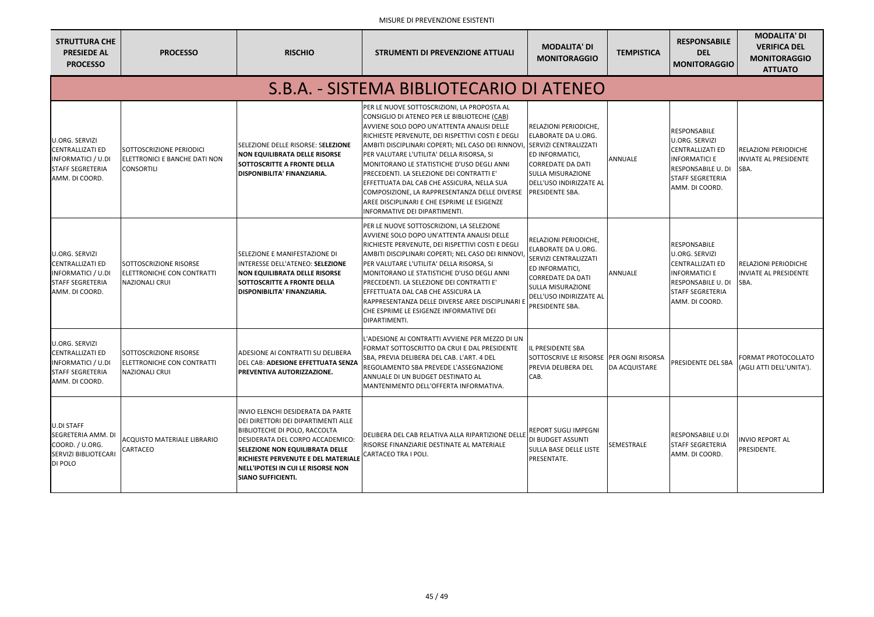| <b>STRUTTURA CHE</b><br><b>PRESIEDE AL</b><br><b>PROCESSO</b>                                                              | <b>PROCESSO</b>                                                                      | <b>RISCHIO</b>                                                                                                                                                                                                                                                                                           | <b>STRUMENTI DI PREVENZIONE ATTUALI</b>                                                                                                                                                                                                                                                                                                                                                                                                                                                                                                                                                           | <b>MODALITA' DI</b><br><b>MONITORAGGIO</b>                                                                                                                                                     | <b>TEMPISTICA</b>    | <b>RESPONSABILE</b><br><b>DEL</b><br><b>MONITORAGGIO</b>                                                                                                    | <b>MODALITA' DI</b><br><b>VERIFICA DEL</b><br><b>MONITORAGGIO</b><br><b>ATTUATO</b> |
|----------------------------------------------------------------------------------------------------------------------------|--------------------------------------------------------------------------------------|----------------------------------------------------------------------------------------------------------------------------------------------------------------------------------------------------------------------------------------------------------------------------------------------------------|---------------------------------------------------------------------------------------------------------------------------------------------------------------------------------------------------------------------------------------------------------------------------------------------------------------------------------------------------------------------------------------------------------------------------------------------------------------------------------------------------------------------------------------------------------------------------------------------------|------------------------------------------------------------------------------------------------------------------------------------------------------------------------------------------------|----------------------|-------------------------------------------------------------------------------------------------------------------------------------------------------------|-------------------------------------------------------------------------------------|
|                                                                                                                            |                                                                                      |                                                                                                                                                                                                                                                                                                          | S.B.A. - SISTEMA BIBLIOTECARIO DI ATENEO                                                                                                                                                                                                                                                                                                                                                                                                                                                                                                                                                          |                                                                                                                                                                                                |                      |                                                                                                                                                             |                                                                                     |
| <b>U.ORG. SERVIZI</b><br><b>CENTRALLIZATI ED</b><br><b>INFORMATICI / U.DI</b><br><b>STAFF SEGRETERIA</b><br>AMM. DI COORD. | SOTTOSCRIZIONE PERIODICI<br>ELETTRONICI E BANCHE DATI NON<br><b>CONSORTILI</b>       | SELEZIONE DELLE RISORSE: SELEZIONE<br><b>NON EQUILIBRATA DELLE RISORSE</b><br><b>SOTTOSCRITTE A FRONTE DELLA</b><br><b>DISPONIBILITA' FINANZIARIA.</b>                                                                                                                                                   | PER LE NUOVE SOTTOSCRIZIONI, LA PROPOSTA AL<br>CONSIGLIO DI ATENEO PER LE BIBLIOTECHE (CAB)<br>AVVIENE SOLO DOPO UN'ATTENTA ANALISI DELLE<br>RICHIESTE PERVENUTE, DEI RISPETTIVI COSTI E DEGLI<br>AMBITI DISCIPLINARI COPERTI; NEL CASO DEI RINNOVI, SERVIZI CENTRALIZZATI<br>PER VALUTARE L'UTILITA' DELLA RISORSA, SI<br>MONITORANO LE STATISTICHE D'USO DEGLI ANNI<br>PRECEDENTI. LA SELEZIONE DEI CONTRATTI E'<br>EFFETTUATA DAL CAB CHE ASSICURA, NELLA SUA<br>COMPOSIZIONE, LA RAPPRESENTANZA DELLE DIVERSE<br>AREE DISCIPLINARI E CHE ESPRIME LE ESIGENZE<br>INFORMATIVE DEI DIPARTIMENTI. | RELAZIONI PERIODICHE,<br>ELABORATE DA U.ORG.<br>ED INFORMATICI,<br><b>CORREDATE DA DATI</b><br><b>SULLA MISURAZIONE</b><br>DELL'USO INDIRIZZATE AL<br><b>PRESIDENTE SBA.</b>                   | <b>ANNUALE</b>       | <b>RESPONSABILE</b><br>U.ORG. SERVIZI<br><b>CENTRALLIZATI ED</b><br><b>INFORMATICI E</b><br>RESPONSABILE U. DI<br><b>STAFF SEGRETERIA</b><br>AMM. DI COORD. | <b>RELAZIONI PERIODICHE</b><br><b>INVIATE AL PRESIDENTE</b><br><b>SBA.</b>          |
| <b>U.ORG. SERVIZI</b><br><b>CENTRALLIZATI ED</b><br><b>INFORMATICI / U.DI</b><br><b>STAFF SEGRETERIA</b><br>AMM. DI COORD. | SOTTOSCRIZIONE RISORSE<br><b>ELETTRONICHE CON CONTRATTI</b><br><b>NAZIONALI CRUI</b> | SELEZIONE E MANIFESTAZIONE DI<br>INTERESSE DELL'ATENEO: SELEZIONE<br><b>NON EQUILIBRATA DELLE RISORSE</b><br><b>SOTTOSCRITTE A FRONTE DELLA</b><br>DISPONIBILITA' FINANZIARIA.                                                                                                                           | PER LE NUOVE SOTTOSCRIZIONI, LA SELEZIONE<br>AVVIENE SOLO DOPO UN'ATTENTA ANALISI DELLE<br>RICHIESTE PERVENUTE, DEI RISPETTIVI COSTI E DEGLI<br>AMBITI DISCIPLINARI COPERTI; NEL CASO DEI RINNOVI<br>PER VALUTARE L'UTILITA' DELLA RISORSA, SI<br>MONITORANO LE STATISTICHE D'USO DEGLI ANNI<br>PRECEDENTI. LA SELEZIONE DEI CONTRATTI E'<br>EFFETTUATA DAL CAB CHE ASSICURA LA<br>RAPPRESENTANZA DELLE DIVERSE AREE DISCIPLINARI<br>CHE ESPRIME LE ESIGENZE INFORMATIVE DEI<br>DIPARTIMENTI.                                                                                                     | RELAZIONI PERIODICHE,<br>ELABORATE DA U.ORG.<br>SERVIZI CENTRALIZZATI<br>ED INFORMATICI,<br><b>CORREDATE DA DATI</b><br><b>SULLA MISURAZIONE</b><br>DELL'USO INDIRIZZATE AL<br>PRESIDENTE SBA. | <b>ANNUALE</b>       | RESPONSABILE<br>U.ORG. SERVIZI<br><b>CENTRALLIZATI ED</b><br><b>INFORMATICI E</b><br>RESPONSABILE U. DI<br><b>STAFF SEGRETERIA</b><br>AMM. DI COORD.        | <b>RELAZIONI PERIODICHE</b><br><b>INVIATE AL PRESIDENTE</b><br>SBA.                 |
| <b>U.ORG. SERVIZI</b><br><b>CENTRALLIZATI ED</b><br><b>INFORMATICI / U.DI</b><br><b>STAFF SEGRETERIA</b><br>AMM. DI COORD. | SOTTOSCRIZIONE RISORSE<br><b>ELETTRONICHE CON CONTRATTI</b><br><b>NAZIONALI CRUI</b> | ADESIONE AI CONTRATTI SU DELIBERA<br>DEL CAB: ADESIONE EFFETTUATA SENZA<br><b>PREVENTIVA AUTORIZZAZIONE.</b>                                                                                                                                                                                             | L'ADESIONE AI CONTRATTI AVVIENE PER MEZZO DI UN<br><b>FORMAT SOTTOSCRITTO DA CRUI E DAL PRESIDENTE</b><br>SBA, PREVIA DELIBERA DEL CAB. L'ART. 4 DEL<br><b>IREGOLAMENTO SBA PREVEDE L'ASSEGNAZIONE</b><br>ANNUALE DI UN BUDGET DESTINATO AL<br><b>IMANTENIMENTO DELL'OFFERTA INFORMATIVA.</b>                                                                                                                                                                                                                                                                                                     | <b>IL PRESIDENTE SBA</b><br>SOTTOSCRIVE LE RISORSE PER OGNI RISORSA<br><b>PREVIA DELIBERA DEL</b><br>CAB.                                                                                      | <b>DA ACQUISTARE</b> | PRESIDENTE DEL SBA                                                                                                                                          | FORMAT PROTOCOLLATO<br>(AGLI ATTI DELL'UNITA').                                     |
| <b>U.DI STAFF</b><br>SEGRETERIA AMM. DI<br>COORD. / U.ORG.<br>SERVIZI BIBLIOTECARI<br>DI POLO                              | ACQUISTO MATERIALE LIBRARIO<br>CARTACEO                                              | INVIO ELENCHI DESIDERATA DA PARTE<br>DEI DIRETTORI DEI DIPARTIMENTI ALLE<br><b>BIBLIOTECHE DI POLO, RACCOLTA</b><br>DESIDERATA DEL CORPO ACCADEMICO:<br><b>SELEZIONE NON EQUILIBRATA DELLE</b><br>RICHIESTE PERVENUTE E DEL MATERIALE<br>NELL'IPOTESI IN CUI LE RISORSE NON<br><b>SIANO SUFFICIENTI.</b> | DELIBERA DEL CAB RELATIVA ALLA RIPARTIZIONE DELLE<br>RISORSE FINANZIARIE DESTINATE AL MATERIALE<br>CARTACEO TRA I POLI.                                                                                                                                                                                                                                                                                                                                                                                                                                                                           | REPORT SUGLI IMPEGNI<br>DI BUDGET ASSUNTI<br><b>SULLA BASE DELLE LISTE</b><br>PRESENTATE.                                                                                                      | <b>SEMESTRALE</b>    | <b>RESPONSABILE U.DI</b><br><b>STAFF SEGRETERIA</b><br>AMM. DI COORD.                                                                                       | <b>INVIO REPORT AL</b><br>PRESIDENTE.                                               |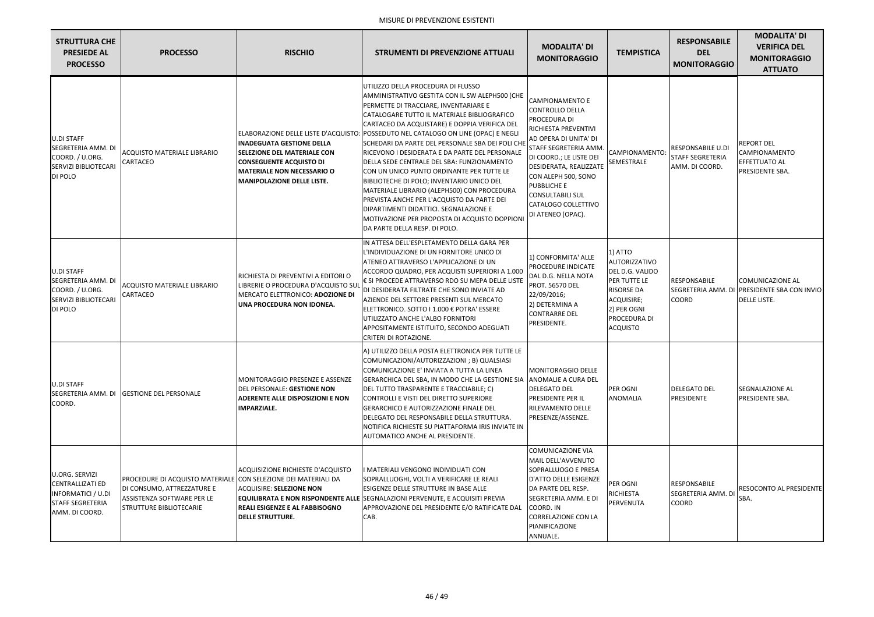| <b>STRUTTURA CHE</b><br><b>PRESIEDE AL</b><br><b>PROCESSO</b>                                                       | <b>PROCESSO</b>                                                                                                                                              | <b>RISCHIO</b>                                                                                                                                                                       | <b>STRUMENTI DI PREVENZIONE ATTUALI</b>                                                                                                                                                                                                                                                                                                                                                                                                                                                                                                                                                                                                                                                                                                                                                     | <b>MODALITA' DI</b><br><b>MONITORAGGIO</b>                                                                                                                                                                                                                                                     | <b>TEMPISTICA</b>                                                                                                                                | <b>RESPONSABILE</b><br><b>DEL</b><br><b>MONITORAGGIO</b>         | <b>MODALITA' DI</b><br><b>VERIFICA DEL</b><br><b>MONITORAGGIO</b><br><b>ATTUATO</b>         |
|---------------------------------------------------------------------------------------------------------------------|--------------------------------------------------------------------------------------------------------------------------------------------------------------|--------------------------------------------------------------------------------------------------------------------------------------------------------------------------------------|---------------------------------------------------------------------------------------------------------------------------------------------------------------------------------------------------------------------------------------------------------------------------------------------------------------------------------------------------------------------------------------------------------------------------------------------------------------------------------------------------------------------------------------------------------------------------------------------------------------------------------------------------------------------------------------------------------------------------------------------------------------------------------------------|------------------------------------------------------------------------------------------------------------------------------------------------------------------------------------------------------------------------------------------------------------------------------------------------|--------------------------------------------------------------------------------------------------------------------------------------------------|------------------------------------------------------------------|---------------------------------------------------------------------------------------------|
| <b>U.DI STAFF</b><br>SEGRETERIA AMM. DI<br>COORD. / U.ORG.<br>SERVIZI BIBLIOTECARI<br>DI POLO                       | <b>ACQUISTO MATERIALE LIBRARIO</b><br>CARTACEO                                                                                                               | <b>IINADEGUATA GESTIONE DELLA</b><br><b>SELEZIONE DEL MATERIALE CON</b><br><b>CONSEGUENTE ACQUISTO DI</b><br><b>IMATERIALE NON NECESSARIO O</b><br><b>MANIPOLAZIONE DELLE LISTE.</b> | UTILIZZO DELLA PROCEDURA DI FLUSSO<br>AMMINISTRATIVO GESTITA CON IL SW ALEPH500 (CHE<br>PERMETTE DI TRACCIARE, INVENTARIARE E<br>CATALOGARE TUTTO IL MATERIALE BIBLIOGRAFICO<br>CARTACEO DA ACQUISTARE) E DOPPIA VERIFICA DEL<br>ELABORAZIONE DELLE LISTE D'ACQUISTO: POSSEDUTO NEL CATALOGO ON LINE (OPAC) E NEGLI<br>SCHEDARI DA PARTE DEL PERSONALE SBA DEI POLI CHE<br>RICEVONO I DESIDERATA E DA PARTE DEL PERSONALE<br>DELLA SEDE CENTRALE DEL SBA: FUNZIONAMENTO<br>CON UN UNICO PUNTO ORDINANTE PER TUTTE LE<br>BIBLIOTECHE DI POLO; INVENTARIO UNICO DEL<br>MATERIALE LIBRARIO (ALEPH500) CON PROCEDURA<br>IPREVISTA ANCHE PER L'ACQUISTO DA PARTE DEI<br>DIPARTIMENTI DIDATTICI. SEGNALAZIONE E<br>MOTIVAZIONE PER PROPOSTA DI ACQUISTO DOPPIONI<br>DA PARTE DELLA RESP. DI POLO. | <b>CAMPIONAMENTO E</b><br>CONTROLLO DELLA<br>PROCEDURA DI<br>RICHIESTA PREVENTIVI<br>AD OPERA DI UNITA' DI<br>STAFF SEGRETERIA AMM.<br>DI COORD.; LE LISTE DEI<br>DESIDERATA, REALIZZATE<br>CON ALEPH 500, SONO<br>PUBBLICHE E<br>CONSULTABILI SUL<br>CATALOGO COLLETTIVO<br>DI ATENEO (OPAC). | <b>CAMPIONAMENTO</b><br>SEMESTRALE                                                                                                               | RESPONSABILE U.DI<br><b>STAFF SEGRETERIA</b><br>AMM. DI COORD.   | <b>REPORT DEL</b><br><b>CAMPIONAMENTO</b><br><b>EFFETTUATO AL</b><br><b>PRESIDENTE SBA.</b> |
| <b>U.DI STAFF</b><br>SEGRETERIA AMM. DI<br>COORD. / U.ORG.<br>SERVIZI BIBLIOTECARI<br>DI POLO                       | <b>ACQUISTO MATERIALE LIBRARIO</b><br><b>CARTACEO</b>                                                                                                        | RICHIESTA DI PREVENTIVI A EDITORI O<br>LIBRERIE O PROCEDURA D'ACQUISTO SUL<br>MERCATO ELETTRONICO: ADOZIONE DI<br>UNA PROCEDURA NON IDONEA.                                          | IN ATTESA DELL'ESPLETAMENTO DELLA GARA PER<br>L'INDIVIDUAZIONE DI UN FORNITORE UNICO DI<br>ATENEO ATTRAVERSO L'APPLICAZIONE DI UN<br>ACCORDO QUADRO, PER ACQUISTI SUPERIORI A 1.000<br>€ SI PROCEDE ATTRAVERSO RDO SU MEPA DELLE LISTE<br>DI DESIDERATA FILTRATE CHE SONO INVIATE AD<br>AZIENDE DEL SETTORE PRESENTI SUL MERCATO<br>ELETTRONICO. SOTTO I 1.000 € POTRA' ESSERE<br>UTILIZZATO ANCHE L'ALBO FORNITORI<br>APPOSITAMENTE ISTITUITO, SECONDO ADEGUATI<br>CRITERI DI ROTAZIONE.                                                                                                                                                                                                                                                                                                   | 1) CONFORMITA' ALLE<br>PROCEDURE INDICATE<br>DAL D.G. NELLA NOTA<br><b>PROT. 56570 DEL</b><br>22/09/2016;<br>2) DETERMINA A<br><b>CONTRARRE DEL</b><br>PRESIDENTE.                                                                                                                             | 1) ATTO<br>AUTORIZZATIVO<br>DEL D.G. VALIDO<br>PER TUTTE LE<br><b>RISORSE DA</b><br>ACQUISIRE;<br>2) PER OGNI<br>PROCEDURA DI<br><b>ACQUISTO</b> | <b>RESPONSABILE</b><br><b>SEGRETERIA AMM. DI</b><br><b>COORD</b> | COMUNICAZIONE AL<br><b>PRESIDENTE SBA CON INVIO</b><br><b>DELLE LISTE.</b>                  |
| <b>U.DI STAFF</b><br>SEGRETERIA AMM. DI<br>COORD.                                                                   | <b>GESTIONE DEL PERSONALE</b>                                                                                                                                | <b>MONITORAGGIO PRESENZE E ASSENZE</b><br>DEL PERSONALE: GESTIONE NON<br><b>ADERENTE ALLE DISPOSIZIONI E NON</b><br><b>IMPARZIALE.</b>                                               | A) UTILIZZO DELLA POSTA ELETTRONICA PER TUTTE LE<br>COMUNICAZIONI/AUTORIZZAZIONI; B) QUALSIASI<br>COMUNICAZIONE E' INVIATA A TUTTA LA LINEA<br>GERARCHICA DEL SBA, IN MODO CHE LA GESTIONE SIA<br>DEL TUTTO TRASPARENTE E TRACCIABILE; C)<br>CONTROLLI E VISTI DEL DIRETTO SUPERIORE<br><b>GERARCHICO E AUTORIZZAZIONE FINALE DEL</b><br><b>IDELEGATO DEL RESPONSABILE DELLA STRUTTURA.</b><br>INOTIFICA RICHIESTE SU PIATTAFORMA IRIS INVIATE IN<br>AUTOMATICO ANCHE AL PRESIDENTE.                                                                                                                                                                                                                                                                                                        | MONITORAGGIO DELLE<br>ANOMALIE A CURA DEL<br><b>DELEGATO DEL</b><br>PRESIDENTE PER IL<br>RILEVAMENTO DELLE<br>PRESENZE/ASSENZE.                                                                                                                                                                | PER OGNI<br><b>ANOMALIA</b>                                                                                                                      | <b>DELEGATO DEL</b><br>PRESIDENTE                                | <b>SEGNALAZIONE AL</b><br><b>PRESIDENTE SBA.</b>                                            |
| U.ORG. SERVIZI<br><b>CENTRALLIZATI ED</b><br><b>INFORMATICI / U.DI</b><br><b>STAFF SEGRETERIA</b><br>AMM. DI COORD. | PROCEDURE DI ACQUISTO MATERIALE CON SELEZIONE DEI MATERIALI DA<br>DI CONSUMO, ATTREZZATURE E<br>ASSISTENZA SOFTWARE PER LE<br><b>STRUTTURE BIBLIOTECARIE</b> | <b>ACQUISIZIONE RICHIESTE D'ACQUISTO</b><br>ACQUISIRE: SELEZIONE NON<br><b>REALI ESIGENZE E AL FABBISOGNO</b><br><b>DELLE STRUTTURE.</b>                                             | I MATERIALI VENGONO INDIVIDUATI CON<br>SOPRALLUOGHI, VOLTI A VERIFICARE LE REALI<br><b>ESIGENZE DELLE STRUTTURE IN BASE ALLE</b><br><b>EQUILIBRATA E NON RISPONDENTE ALLE SEGNALAZIONI PERVENUTE, E ACQUISITI PREVIA</b><br>APPROVAZIONE DEL PRESIDENTE E/O RATIFICATE DAL<br>CAB.                                                                                                                                                                                                                                                                                                                                                                                                                                                                                                          | <b>COMUNICAZIONE VIA</b><br>MAIL DELL'AVVENUTO<br>SOPRALLUOGO E PRESA<br><b>D'ATTO DELLE ESIGENZE</b><br>DA PARTE DEL RESP.<br>SEGRETERIA AMM. E DI<br>COORD. IN<br><b>CORRELAZIONE CON LA</b><br>PIANIFICAZIONE<br>ANNUALE.                                                                   | PER OGNI<br><b>RICHIESTA</b><br>PERVENUTA                                                                                                        | <b>RESPONSABILE</b><br><b>SEGRETERIA AMM. DI</b><br><b>COORD</b> | <b>RESOCONTO AL PRESIDENTE</b><br>SBA.                                                      |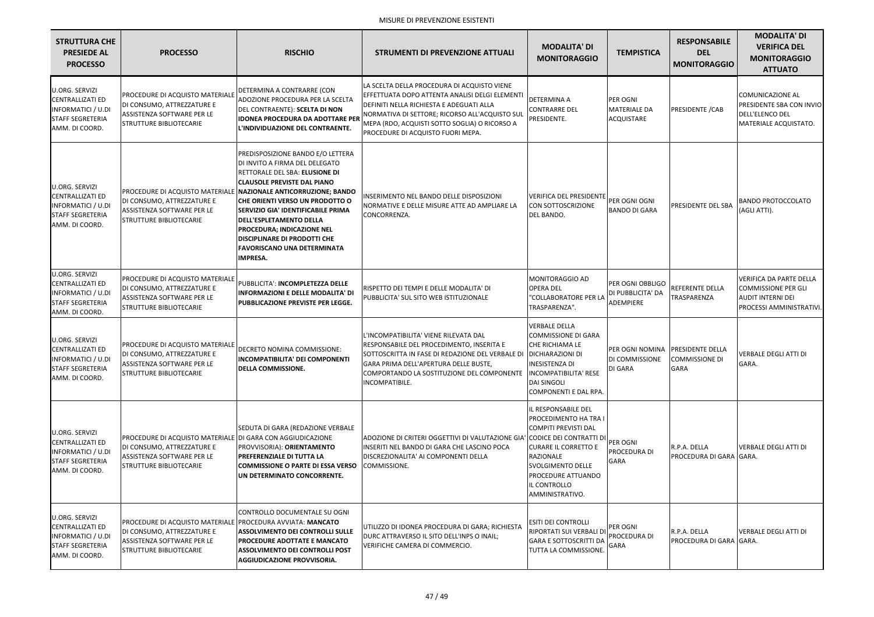| <b>STRUTTURA CHE</b><br><b>PRESIEDE AL</b><br><b>PROCESSO</b>                                                       | <b>PROCESSO</b>                                                                                                                                                   | <b>RISCHIO</b>                                                                                                                                                                                                                                                                                                                                                                                                                                                   | <b>STRUMENTI DI PREVENZIONE ATTUALI</b>                                                                                                                                                                                                                                           | <b>MODALITA' DI</b><br><b>MONITORAGGIO</b>                                                                                                                                                                   | <b>TEMPISTICA</b>                                          |
|---------------------------------------------------------------------------------------------------------------------|-------------------------------------------------------------------------------------------------------------------------------------------------------------------|------------------------------------------------------------------------------------------------------------------------------------------------------------------------------------------------------------------------------------------------------------------------------------------------------------------------------------------------------------------------------------------------------------------------------------------------------------------|-----------------------------------------------------------------------------------------------------------------------------------------------------------------------------------------------------------------------------------------------------------------------------------|--------------------------------------------------------------------------------------------------------------------------------------------------------------------------------------------------------------|------------------------------------------------------------|
| U.ORG. SERVIZI<br><b>CENTRALLIZATI ED</b><br><b>INFORMATICI / U.DI</b><br><b>STAFF SEGRETERIA</b><br>AMM. DI COORD. | <b>PROCEDURE DI ACQUISTO MATERIALE</b><br>DI CONSUMO, ATTREZZATURE E<br>ASSISTENZA SOFTWARE PER LE<br><b>STRUTTURE BIBLIOTECARIE</b>                              | DETERMINA A CONTRARRE (CON<br>ADOZIONE PROCEDURA PER LA SCELTA<br>DEL CONTRAENTE): SCELTA DI NON<br><b>IDONEA PROCEDURA DA ADOTTARE PER</b><br>L'INDIVIDUAZIONE DEL CONTRAENTE.                                                                                                                                                                                                                                                                                  | LA SCELTA DELLA PROCEDURA DI ACQUISTO VIENE<br>EFFETTUATA DOPO ATTENTA ANALISI DELGI ELEMENTI<br>DEFINITI NELLA RICHIESTA E ADEGUATI ALLA<br>NORMATIVA DI SETTORE; RICORSO ALL'ACQUISTO SUL<br>MEPA (RDO, ACQUISTI SOTTO SOGLIA) O RICORSO A<br>PROCEDURE DI ACQUISTO FUORI MEPA. | DETERMINA A<br><b>CONTRARRE DEL</b><br>PRESIDENTE.                                                                                                                                                           | PER OGNI<br><b>MATERIALE DA</b><br><b>ACQUISTARE</b>       |
| U.ORG. SERVIZI<br><b>CENTRALLIZATI ED</b><br><b>INFORMATICI / U.DI</b><br><b>STAFF SEGRETERIA</b><br>AMM. DI COORD. | DI CONSUMO, ATTREZZATURE E<br>ASSISTENZA SOFTWARE PER LE<br><b>STRUTTURE BIBLIOTECARIE</b>                                                                        | PREDISPOSIZIONE BANDO E/O LETTERA<br>DI INVITO A FIRMA DEL DELEGATO<br>RETTORALE DEL SBA: ELUSIONE DI<br><b>CLAUSOLE PREVISTE DAL PIANO</b><br>PROCEDURE DI ACQUISTO MATERIALE <b>  NAZIONALE ANTICORRUZIONE; BANDO</b><br>CHE ORIENTI VERSO UN PRODOTTO O<br>SERVIZIO GIA' IDENTIFICABILE PRIMA<br><b>DELL'ESPLETAMENTO DELLA</b><br>PROCEDURA; INDICAZIONE NEL<br><b>DISCIPLINARE DI PRODOTTI CHE</b><br><b>FAVORISCANO UNA DETERMINATA</b><br><b>IMPRESA.</b> | INSERIMENTO NEL BANDO DELLE DISPOSIZIONI<br>NORMATIVE E DELLE MISURE ATTE AD AMPLIARE LA<br>CONCORRENZA.                                                                                                                                                                          | <b>VERIFICA DEL PRESIDENTE</b><br>CON SOTTOSCRIZIONE<br>DEL BANDO.                                                                                                                                           | <b>PER OGNI OGNI</b><br><b>BANDO DI GARA</b>               |
| U.ORG. SERVIZI<br><b>CENTRALLIZATI ED</b><br><b>INFORMATICI / U.DI</b><br><b>STAFF SEGRETERIA</b><br>AMM. DI COORD. | <b>PROCEDURE DI ACQUISTO MATERIALE</b><br>DI CONSUMO, ATTREZZATURE E<br>ASSISTENZA SOFTWARE PER LE<br><b>STRUTTURE BIBLIOTECARIE</b>                              | PUBBLICITA': INCOMPLETEZZA DELLE<br><b>INFORMAZIONI E DELLE MODALITA' DI</b><br>PUBBLICAZIONE PREVISTE PER LEGGE.                                                                                                                                                                                                                                                                                                                                                | RISPETTO DEI TEMPI E DELLE MODALITA' DI<br>PUBBLICITA' SUL SITO WEB ISTITUZIONALE                                                                                                                                                                                                 | MONITORAGGIO AD<br><b>OPERA DEL</b><br>"COLLABORATORE PER LA<br>TRASPARENZA".                                                                                                                                | PER OGNI OBBLIGO<br>DI PUBBLICITA' DA<br>ADEMPIERE         |
| U.ORG. SERVIZI<br><b>CENTRALLIZATI ED</b><br><b>INFORMATICI / U.DI</b><br><b>STAFF SEGRETERIA</b><br>AMM. DI COORD. | <b>PROCEDURE DI ACQUISTO MATERIALE</b><br>DI CONSUMO, ATTREZZATURE E<br>ASSISTENZA SOFTWARE PER LE<br><b>STRUTTURE BIBLIOTECARIE</b>                              | DECRETO NOMINA COMMISSIONE:<br><b>INCOMPATIBILITA' DEI COMPONENTI</b><br><b>DELLA COMMISSIONE.</b>                                                                                                                                                                                                                                                                                                                                                               | L'INCOMPATIBILITA' VIENE RILEVATA DAL<br>RESPONSABILE DEL PROCEDIMENTO, INSERITA E<br>SOTTOSCRITTA IN FASE DI REDAZIONE DEL VERBALE DI DICHIARAZIONI DI<br>IGARA PRIMA DELL'APERTURA DELLE BUSTE.<br>COMPORTANDO LA SOSTITUZIONE DEL COMPONENTE<br><b>INCOMPATIBILE.</b>          | <b>VERBALE DELLA</b><br><b>COMMISSIONE DI GARA</b><br>CHE RICHIAMA LE<br><b>INESISTENZA DI</b><br><b>INCOMPATIBILITA' RESE</b><br><b>DAI SINGOLI</b><br>COMPONENTI E DAL RPA.                                | PER OGNI NOMINA<br><b>DI COMMISSIONE</b><br><b>DI GARA</b> |
| U.ORG. SERVIZI<br><b>CENTRALLIZATI ED</b><br><b>INFORMATICI / U.DI</b><br><b>STAFF SEGRETERIA</b><br>AMM. DI COORD. | <u>IPROCEDURE DI ACQUISTO MATERIALE IDI GARA CON AGGIUDICAZIONE</u><br>DI CONSUMO, ATTREZZATURE E<br>ASSISTENZA SOFTWARE PER LE<br><b>STRUTTURE BIBLIOTECARIE</b> | SEDUTA DI GARA (REDAZIONE VERBALE<br>PROVVISORIA): ORIENTAMENTO<br><b>PREFERENZIALE DI TUTTA LA</b><br><b>COMMISSIONE O PARTE DI ESSA VERSO</b><br>UN DETERMINATO CONCORRENTE.                                                                                                                                                                                                                                                                                   | ADOZIONE DI CRITERI OGGETTIVI DI VALUTAZIONE GIA' CODICE DEI CONTRATTI DI<br>IINSERITI NEL BANDO DI GARA CHE LASCINO POCA<br>DISCREZIONALITA' AI COMPONENTI DELLA<br>COMMISSIONE.                                                                                                 | IL RESPONSABILE DEL<br>PROCEDIMENTO HA TRA I<br><b>COMPITI PREVISTI DAL</b><br><b>CURARE IL CORRETTO E</b><br>RAZIONALE<br><b>SVOLGIMENTO DELLE</b><br>PROCEDURE ATTUANDO<br>IL CONTROLLO<br>AMMINISTRATIVO. | <b>PER OGNI</b><br>PROCEDURA DI<br><b>GARA</b>             |
| U.ORG. SERVIZI<br><b>CENTRALLIZATI ED</b><br><b>INFORMATICI / U.DI</b><br><b>STAFF SEGRETERIA</b><br>AMM. DI COORD. | PROCEDURE DI ACQUISTO MATERIALE PROCEDURA AVVIATA: MANCATO<br>DI CONSUMO, ATTREZZATURE E<br>ASSISTENZA SOFTWARE PER LE<br><b>STRUTTURE BIBLIOTECARIE</b>          | CONTROLLO DOCUMENTALE SU OGNI<br><b>ASSOLVIMENTO DEI CONTROLLI SULLE</b><br>PROCEDURE ADOTTATE E MANCATO<br><b>ASSOLVIMENTO DEI CONTROLLI POST</b><br>AGGIUDICAZIONE PROVVISORIA.                                                                                                                                                                                                                                                                                | UTILIZZO DI IDONEA PROCEDURA DI GARA; RICHIESTA<br>DURC ATTRAVERSO IL SITO DELL'INPS O INAIL;<br>VERIFICHE CAMERA DI COMMERCIO.                                                                                                                                                   | <b>ESITI DEI CONTROLLI</b><br>RIPORTATI SUI VERBALI DI<br><b>GARA E SOTTOSCRITTI DA</b><br>TUTTA LA COMMISSIONE.                                                                                             | PER OGNI<br>PROCEDURA DI<br><b>GARA</b>                    |

| A.                      | <b>RESPONSABILE</b><br><b>DEL</b><br><b>MONITORAGGIO</b> | <b>MODALITA' DI</b><br><b>VERIFICA DEL</b><br><b>MONITORAGGIO</b><br><b>ATTUATO</b>                                  |
|-------------------------|----------------------------------------------------------|----------------------------------------------------------------------------------------------------------------------|
|                         | PRESIDENTE / CAB                                         | <b>COMUNICAZIONE AL</b><br>PRESIDENTE SBA CON INVIO<br>DELL'ELENCO DEL<br>MATERIALE ACQUISTATO.                      |
| А                       | PRESIDENTE DEL SBA                                       | <b>BANDO PROTOCCOLATO</b><br>(AGLI ATTI).                                                                            |
| .IGO<br>DA              | <b>REFERENTE DELLA</b><br>TRASPARENZA                    | <b>VERIFICA DA PARTE DELLA</b><br><b>COMMISSIONE PER GLI</b><br><b>AUDIT INTERNI DEI</b><br>PROCESSI AMMINISTRATIVI. |
| <b>INA</b><br><b>NE</b> | PRESIDENTE DELLA<br><b>COMMISSIONE DI</b><br><b>GARA</b> | VERBALE DEGLI ATTI DI<br>GARA.                                                                                       |
|                         | R.P.A. DELLA<br>PROCEDURA DI GARA IGARA.                 | <b>VERBALE DEGLI ATTI DI</b>                                                                                         |
|                         | R.P.A. DELLA<br><b>PROCEDURA DI GARA I</b>               | <b>VERBALE DEGLI ATTI DI</b><br>GARA.                                                                                |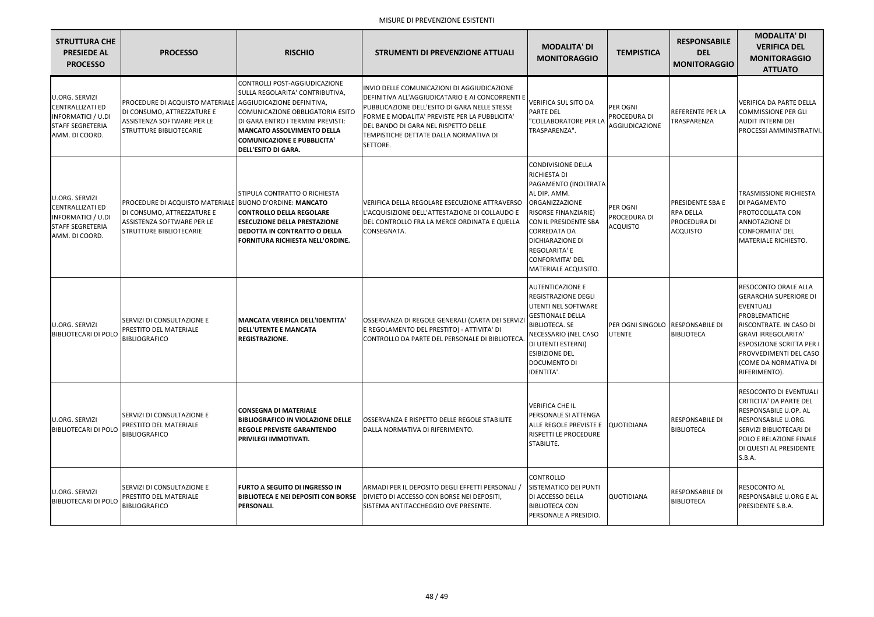| <b>STRUTTURA CHE</b><br><b>PRESIEDE AL</b><br><b>PROCESSO</b>                                                       | <b>PROCESSO</b>                                                                                                                                                 | <b>RISCHIO</b>                                                                                                                                                                                                                                     | <b>STRUMENTI DI PREVENZIONE ATTUALI</b>                                                                                                                                                                                                                                                                 | <b>MODALITA' DI</b><br><b>MONITORAGGIO</b>                                                                                                                                                                                                                                | <b>TEMPISTICA</b>                                         | <b>RESPONSABILE</b><br><b>DEL</b><br><b>MONITORAGGIO</b>                              | <b>MODALITA' DI</b><br><b>VERIFICA DEL</b><br><b>MONITORAGGIO</b><br><b>ATTUATO</b>                                                                                                                                                                         |
|---------------------------------------------------------------------------------------------------------------------|-----------------------------------------------------------------------------------------------------------------------------------------------------------------|----------------------------------------------------------------------------------------------------------------------------------------------------------------------------------------------------------------------------------------------------|---------------------------------------------------------------------------------------------------------------------------------------------------------------------------------------------------------------------------------------------------------------------------------------------------------|---------------------------------------------------------------------------------------------------------------------------------------------------------------------------------------------------------------------------------------------------------------------------|-----------------------------------------------------------|---------------------------------------------------------------------------------------|-------------------------------------------------------------------------------------------------------------------------------------------------------------------------------------------------------------------------------------------------------------|
| U.ORG. SERVIZI<br><b>CENTRALLIZATI ED</b><br><b>INFORMATICI / U.DI</b><br><b>STAFF SEGRETERIA</b><br>AMM. DI COORD. | PROCEDURE DI ACQUISTO MATERIALE AGGIUDICAZIONE DEFINITIVA,<br>DI CONSUMO, ATTREZZATURE E<br><b>ASSISTENZA SOFTWARE PER LE</b><br><b>STRUTTURE BIBLIOTECARIE</b> | CONTROLLI POST-AGGIUDICAZIONE<br>SULLA REGOLARITA' CONTRIBUTIVA,<br>COMUNICAZIONE OBBLIGATORIA ESITO<br>DI GARA ENTRO I TERMINI PREVISTI:<br><b>MANCATO ASSOLVIMENTO DELLA</b><br><b>COMUNICAZIONE E PUBBLICITA'</b><br><b>DELL'ESITO DI GARA.</b> | INVIO DELLE COMUNICAZIONI DI AGGIUDICAZIONE<br>DEFINITIVA ALL'AGGIUDICATARIO E AI CONCORRENTI E<br>PUBBLICAZIONE DELL'ESITO DI GARA NELLE STESSE<br><b>IFORME E MODALITA' PREVISTE PER LA PUBBLICITA'</b><br>DEL BANDO DI GARA NEL RISPETTO DELLE<br>TEMPISTICHE DETTATE DALLA NORMATIVA DI<br>SETTORE. | <b>VERIFICA SUL SITO DA</b><br><b>PARTE DEL</b><br>"COLLABORATORE PER LA<br>TRASPARENZA".                                                                                                                                                                                 | PER OGNI<br>PROCEDURA DI<br>AGGIUDICAZIONE                | <b>REFERENTE PER LA</b><br><b>TRASPARENZA</b>                                         | <b>VERIFICA DA PARTE DELLA</b><br><b>COMMISSIONE PER GLI</b><br><b>AUDIT INTERNI DEI</b><br>PROCESSI AMMINISTRATIVI.                                                                                                                                        |
| U.ORG. SERVIZI<br><b>CENTRALLIZATI ED</b><br><b>INFORMATICI / U.DI</b><br><b>STAFF SEGRETERIA</b><br>AMM. DI COORD. | PROCEDURE DI ACQUISTO MATERIALE BUONO D'ORDINE: MANCATO<br>DI CONSUMO, ATTREZZATURE E<br>ASSISTENZA SOFTWARE PER LE<br><b>STRUTTURE BIBLIOTECARIE</b>           | STIPULA CONTRATTO O RICHIESTA<br><b>CONTROLLO DELLA REGOLARE</b><br><b>ESECUZIONE DELLA PRESTAZIONE</b><br><b>DEDOTTA IN CONTRATTO O DELLA</b><br>FORNITURA RICHIESTA NELL'ORDINE.                                                                 | VERIFICA DELLA REGOLARE ESECUZIONE ATTRAVERSO<br>L'ACQUISIZIONE DELL'ATTESTAZIONE DI COLLAUDO E<br>DEL CONTROLLO FRA LA MERCE ORDINATA E QUELLA<br>CONSEGNATA.                                                                                                                                          | <b>CONDIVISIONE DELLA</b><br>RICHIESTA DI<br>PAGAMENTO (INOLTRATA<br>AL DIP. AMM.<br>ORGANIZZAZIONE<br>RISORSE FINANZIARIE)<br>CON IL PRESIDENTE SBA<br><b>CORREDATA DA</b><br><b>DICHIARAZIONE DI</b><br>REGOLARITA' E<br><b>CONFORMITA' DEL</b><br>MATERIALE ACQUISITO. | <b>PER OGNI</b><br><b>PROCEDURA DI</b><br><b>ACQUISTO</b> | <b>PRESIDENTE SBA E</b><br><b>RPA DELLA</b><br><b>PROCEDURA DI</b><br><b>ACQUISTO</b> | <b>TRASMISSIONE RICHIESTA</b><br>DI PAGAMENTO<br>PROTOCOLLATA CON<br><b>ANNOTAZIONE DI</b><br>CONFORMITA' DEL<br>MATERIALE RICHIESTO.                                                                                                                       |
| U.ORG. SERVIZI<br><b>BIBLIOTECARI DI POLO</b>                                                                       | SERVIZI DI CONSULTAZIONE E<br>PRESTITO DEL MATERIALE<br><b>BIBLIOGRAFICO</b>                                                                                    | <b>MANCATA VERIFICA DELL'IDENTITA'</b><br><b>DELL'UTENTE E MANCATA</b><br>REGISTRAZIONE.                                                                                                                                                           | OSSERVANZA DI REGOLE GENERALI (CARTA DEI SERVIZI<br>E REGOLAMENTO DEL PRESTITO) - ATTIVITA' DI<br>CONTROLLO DA PARTE DEL PERSONALE DI BIBLIOTECA                                                                                                                                                        | <b>AUTENTICAZIONE E</b><br><b>REGISTRAZIONE DEGLI</b><br><b>UTENTI NEL SOFTWARE</b><br><b>GESTIONALE DELLA</b><br><b>BIBLIOTECA. SE</b><br>NECESSARIO (NEL CASO<br>DI UTENTI ESTERNI)<br><b>ESIBIZIONE DEL</b><br><b>DOCUMENTO DI</b><br>IDENTITA'.                       | PER OGNI SINGOLO RESPONSABILE DI<br><b>UTENTE</b>         | <b>BIBLIOTECA</b>                                                                     | RESOCONTO ORALE ALLA<br><b>GERARCHIA SUPERIORE DI</b><br><b>EVENTUALI</b><br>PROBLEMATICHE<br>RISCONTRATE. IN CASO DI<br><b>GRAVI IRREGOLARITA'</b><br><b>ESPOSIZIONE SCRITTA PER I</b><br>PROVVEDIMENTI DEL CASO<br>(COME DA NORMATIVA DI<br>RIFERIMENTO). |
| U.ORG. SERVIZI<br><b>BIBLIOTECARI DI POLC</b>                                                                       | SERVIZI DI CONSULTAZIONE E<br>PRESTITO DEL MATERIALE<br><b>BIBLIOGRAFICO</b>                                                                                    | <b>CONSEGNA DI MATERIALE</b><br><b>BIBLIOGRAFICO IN VIOLAZIONE DELLE</b><br><b>REGOLE PREVISTE GARANTENDO</b><br>PRIVILEGI IMMOTIVATI.                                                                                                             | <b>OSSERVANZA E RISPETTO DELLE REGOLE STABILITE</b><br>DALLA NORMATIVA DI RIFERIMENTO.                                                                                                                                                                                                                  | <b>VERIFICA CHE IL</b><br>PERSONALE SI ATTENGA<br>ALLE REGOLE PREVISTE E   QUOTIDIANA<br><b>RISPETTI LE PROCEDURE</b><br>STABILITE.                                                                                                                                       |                                                           | <b>RESPONSABILE DI</b><br><b>BIBLIOTECA</b>                                           | RESOCONTO DI EVENTUALI<br><b>CRITICITA' DA PARTE DEL</b><br>RESPONSABILE U.OP. AL<br><b>RESPONSABILE U.ORG.</b><br>SERVIZI BIBLIOTECARI DI<br>POLO E RELAZIONE FINALE<br>DI QUESTI AL PRESIDENTE<br>S.B.A.                                                  |
| U.ORG. SERVIZI<br><b>BIBLIOTECARI DI POLO</b>                                                                       | SERVIZI DI CONSULTAZIONE E<br>PRESTITO DEL MATERIALE<br><b>BIBLIOGRAFICO</b>                                                                                    | <b>FURTO A SEGUITO DI INGRESSO IN</b><br><b>BIBLIOTECA E NEI DEPOSITI CON BORSE</b><br>PERSONALI.                                                                                                                                                  | ARMADI PER IL DEPOSITO DEGLI EFFETTI PERSONALI /<br>DIVIETO DI ACCESSO CON BORSE NEI DEPOSITI,<br><b>ISISTEMA ANTITACCHEGGIO OVE PRESENTE.</b>                                                                                                                                                          | <b>CONTROLLO</b><br>SISTEMATICO DEI PUNTI<br>DI ACCESSO DELLA<br><b>BIBLIOTECA CON</b><br>PERSONALE A PRESIDIO.                                                                                                                                                           | <b>QUOTIDIANA</b>                                         | <b>RESPONSABILE DI</b><br><b>BIBLIOTECA</b>                                           | <b>RESOCONTO AL</b><br>RESPONSABILE U.ORG E AL<br>PRESIDENTE S.B.A.                                                                                                                                                                                         |